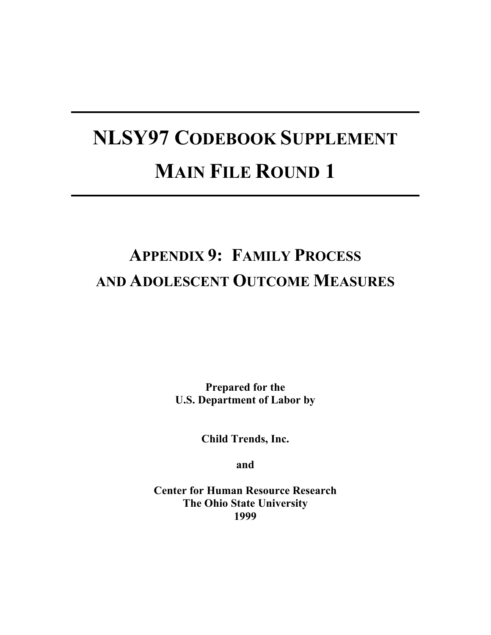# **NLSY97 CODEBOOK SUPPLEMENT MAIN FILE ROUND 1**

# **APPENDIX 9: FAMILY PROCESS AND ADOLESCENT OUTCOME MEASURES**

**Prepared for the U.S. Department of Labor by**

**Child Trends, Inc.** 

**and** 

**Center for Human Resource Research The Ohio State University 1999**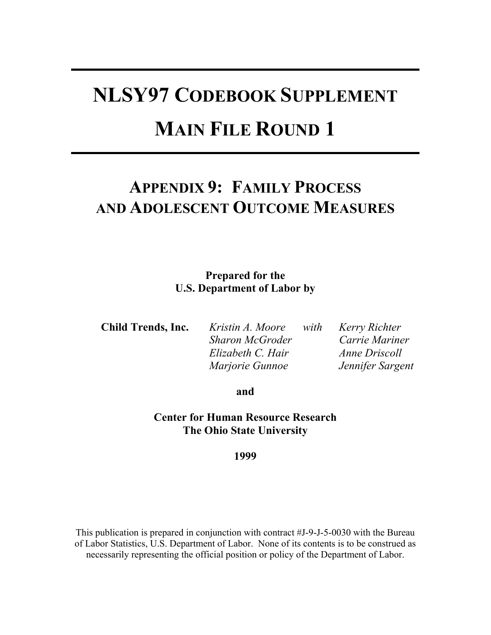# **NLSY97 CODEBOOK SUPPLEMENT MAIN FILE ROUND 1**

# **APPENDIX 9: FAMILY PROCESS AND ADOLESCENT OUTCOME MEASURES**

# **Prepared for the U.S. Department of Labor by**

**Child Trends, Inc.** *Kristin A. Moore with Kerry Richter Sharon McGroder Carrie Mariner Elizabeth C. Hair Anne Driscoll Marjorie Gunnoe Jennifer Sargent* 

**and** 

**Center for Human Resource Research The Ohio State University** 

**1999** 

This publication is prepared in conjunction with contract #J-9-J-5-0030 with the Bureau of Labor Statistics, U.S. Department of Labor. None of its contents is to be construed as necessarily representing the official position or policy of the Department of Labor.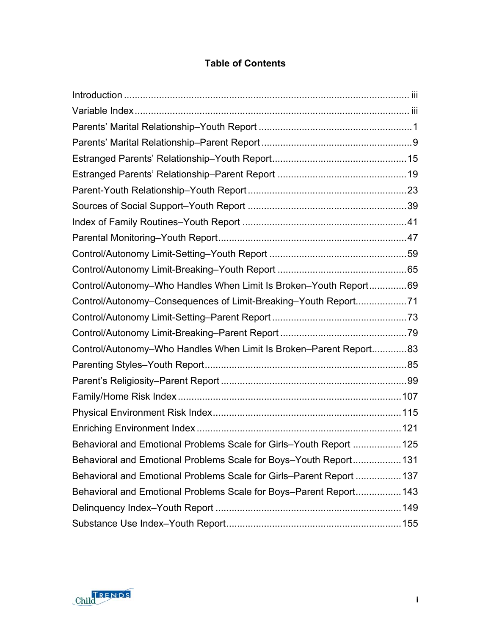# **Table of Contents**

| Control/Autonomy-Who Handles When Limit Is Broken-Youth Report69     |  |
|----------------------------------------------------------------------|--|
| Control/Autonomy-Consequences of Limit-Breaking-Youth Report71       |  |
|                                                                      |  |
|                                                                      |  |
| Control/Autonomy-Who Handles When Limit Is Broken-Parent Report83    |  |
|                                                                      |  |
|                                                                      |  |
|                                                                      |  |
|                                                                      |  |
|                                                                      |  |
| Behavioral and Emotional Problems Scale for Girls-Youth Report  125  |  |
| Behavioral and Emotional Problems Scale for Boys-Youth Report131     |  |
| Behavioral and Emotional Problems Scale for Girls-Parent Report  137 |  |
| Behavioral and Emotional Problems Scale for Boys-Parent Report143    |  |
|                                                                      |  |
|                                                                      |  |

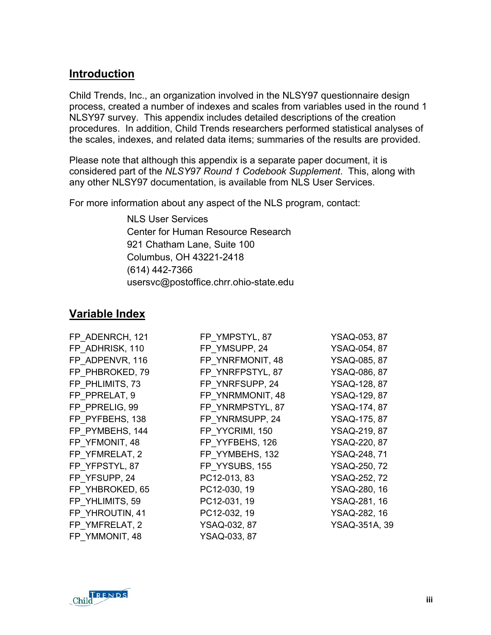# <span id="page-6-0"></span>**Introduction**

Child Trends, Inc., an organization involved in the NLSY97 questionnaire design process, created a number of indexes and scales from variables used in the round 1 NLSY97 survey. This appendix includes detailed descriptions of the creation procedures. In addition, Child Trends researchers performed statistical analyses of the scales, indexes, and related data items; summaries of the results are provided.

Please note that although this appendix is a separate paper document, it is considered part of the *NLSY97 Round 1 Codebook Supplement*. This, along with any other NLSY97 documentation, is available from NLS User Services.

For more information about any aspect of the NLS program, contact:

NLS User Services Center for Human Resource Research 921 Chatham Lane, Suite 100 Columbus, OH 43221-2418 (614) 442-7366 usersvc@postoffice.chrr.ohio-state.edu

# <span id="page-6-1"></span>**Variable Index**

| FP ADENRCH, 121 | FP YMPSTYL, 87   | YSAQ-053, 87        |
|-----------------|------------------|---------------------|
| FP ADHRISK, 110 | FP YMSUPP, 24    | YSAQ-054, 87        |
| FP ADPENVR, 116 | FP YNRFMONIT, 48 | YSAQ-085, 87        |
| FP PHBROKED, 79 | FP YNRFPSTYL, 87 | YSAQ-086, 87        |
| FP PHLIMITS, 73 | FP YNRFSUPP, 24  | YSAQ-128, 87        |
| FP PPRELAT, 9   | FP YNRMMONIT, 48 | YSAQ-129, 87        |
| FP PPRELIG, 99  | FP YNRMPSTYL, 87 | YSAQ-174, 87        |
| FP PYFBEHS, 138 | FP YNRMSUPP, 24  | YSAQ-175, 87        |
| FP PYMBEHS, 144 | FP YYCRIMI, 150  | YSAQ-219, 87        |
| FP YFMONIT, 48  | FP YYFBEHS, 126  | YSAQ-220, 87        |
| FP YFMRELAT, 2  | FP YYMBEHS, 132  | <b>YSAQ-248, 71</b> |
| FP YFPSTYL, 87  | FP YYSUBS, 155   | YSAQ-250, 72        |
| FP YFSUPP, 24   | PC12-013, 83     | YSAQ-252, 72        |
| FP YHBROKED, 65 | PC12-030, 19     | YSAQ-280, 16        |
| FP YHLIMITS, 59 | PC12-031, 19     | YSAQ-281, 16        |
| FP YHROUTIN, 41 | PC12-032, 19     | YSAQ-282, 16        |
| FP YMFRELAT, 2  | YSAQ-032, 87     | YSAQ-351A, 39       |
| FP YMMONIT, 48  | YSAQ-033, 87     |                     |

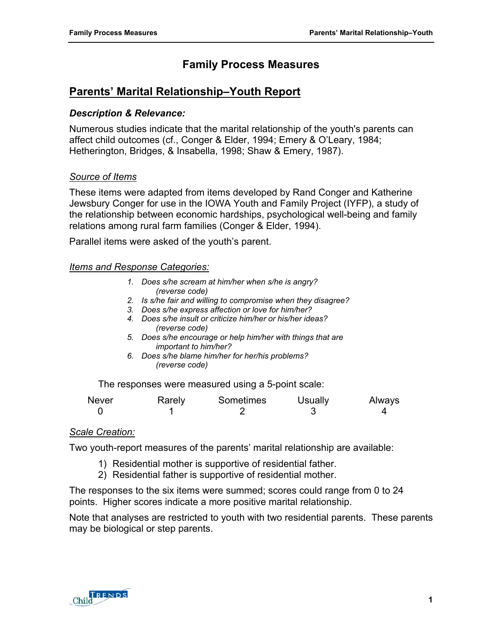# **Family Process Measures**

# <span id="page-8-0"></span>**Parents' Marital Relationship–Youth Report**

#### *Description & Relevance:*

Numerous studies indicate that the marital relationship of the youth's parents can affect child outcomes (cf., Conger & Elder, 1994; Emery & O'Leary, 1984; Hetherington, Bridges, & Insabella, 1998; Shaw & Emery, 1987).

#### *Source of Items*

These items were adapted from items developed by Rand Conger and Katherine Jewsbury Conger for use in the IOWA Youth and Family Project (IYFP), a study of the relationship between economic hardships, psychological well-being and family relations among rural farm families (Conger & Elder, 1994).

Parallel items were asked of the youth's parent.

#### *Items and Response Categories:*

- *1. Does s/he scream at him/her when s/he is angry? (reverse code)*
- *2. Is s/he fair and willing to compromise when they disagree?*
- *3. Does s/he express affection or love for him/her?*
- *4. Does s/he insult or criticize him/her or his/her ideas? (reverse code)*
- *5. Does s/he encourage or help him/her with things that are important to him/her?*
- *6. Does s/he blame him/her for her/his problems? (reverse code)*

The responses were measured using a 5-point scale:

| <b>Never</b> | Rarely | Sometimes | <b>Usually</b> | Always |
|--------------|--------|-----------|----------------|--------|
|              |        |           |                |        |

#### *Scale Creation:*

Two youth-report measures of the parents' marital relationship are available:

- 1) Residential mother is supportive of residential father.
- 2) Residential father is supportive of residential mother.

The responses to the six items were summed; scores could range from 0 to 24 points. Higher scores indicate a more positive marital relationship.

Note that analyses are restricted to youth with two residential parents. These parents may be biological or step parents.

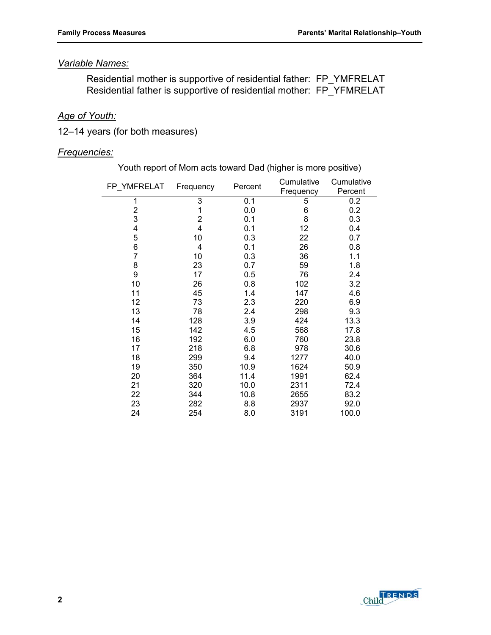#### *Variable Names:*

 Residential mother is supportive of residential father: FP\_YMFRELAT Residential father is supportive of residential mother: FP\_YFMRELAT

# *Age of Youth:*

12–14 years (for both measures)

#### *Frequencies:*

Youth report of Mom acts toward Dad (higher is more positive)

| FP_YMFRELAT    | Frequency      | Percent | Cumulative | Cumulative |
|----------------|----------------|---------|------------|------------|
|                |                |         | Frequency  | Percent    |
| 1              | 3              | 0.1     | 5          | 0.2        |
| $\overline{2}$ | 1              | 0.0     | 6          | 0.2        |
| 3              | $\overline{2}$ | 0.1     | 8          | 0.3        |
| 4              | 4              | 0.1     | 12         | 0.4        |
| 5              | 10             | 0.3     | 22         | 0.7        |
| 6              | 4              | 0.1     | 26         | 0.8        |
| 7              | 10             | 0.3     | 36         | 1.1        |
| 8              | 23             | 0.7     | 59         | 1.8        |
| 9              | 17             | 0.5     | 76         | 2.4        |
| 10             | 26             | 0.8     | 102        | 3.2        |
| 11             | 45             | 1.4     | 147        | 4.6        |
| 12             | 73             | 2.3     | 220        | 6.9        |
| 13             | 78             | 2.4     | 298        | 9.3        |
| 14             | 128            | 3.9     | 424        | 13.3       |
| 15             | 142            | 4.5     | 568        | 17.8       |
| 16             | 192            | 6.0     | 760        | 23.8       |
| 17             | 218            | 6.8     | 978        | 30.6       |
| 18             | 299            | 9.4     | 1277       | 40.0       |
| 19             | 350            | 10.9    | 1624       | 50.9       |
| 20             | 364            | 11.4    | 1991       | 62.4       |
| 21             | 320            | 10.0    | 2311       | 72.4       |
| 22             | 344            | 10.8    | 2655       | 83.2       |
| 23             | 282            | 8.8     | 2937       | 92.0       |
| 24             | 254            | 8.0     | 3191       | 100.0      |

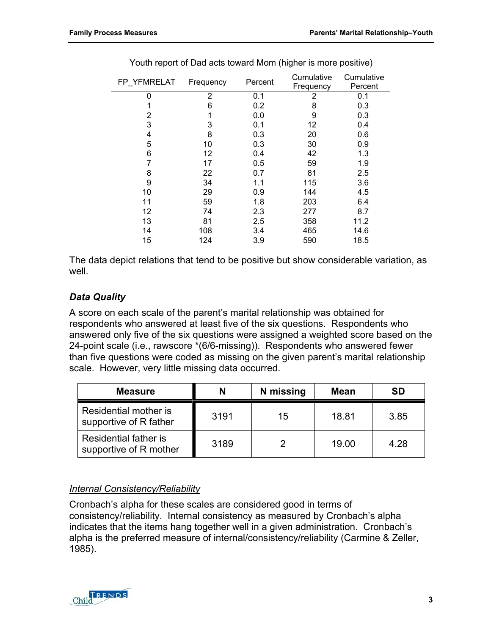| FP YFMRELAT | Frequency | Percent | Cumulative<br>Frequency | Cumulative<br>Percent |
|-------------|-----------|---------|-------------------------|-----------------------|
| 0           | 2         | 0.1     | 2                       | 0.1                   |
|             | 6         | 0.2     | 8                       | 0.3                   |
| 2           |           | 0.0     | 9                       | 0.3                   |
| 3           | 3         | 0.1     | 12                      | 0.4                   |
| 4           | 8         | 0.3     | 20                      | 0.6                   |
| 5           | 10        | 0.3     | 30                      | 0.9                   |
| 6           | 12        | 0.4     | 42                      | 1.3                   |
|             | 17        | 0.5     | 59                      | 1.9                   |
| 8           | 22        | 0.7     | 81                      | 2.5                   |
| 9           | 34        | 1.1     | 115                     | 3.6                   |
| 10          | 29        | 0.9     | 144                     | 4.5                   |
| 11          | 59        | 1.8     | 203                     | 6.4                   |
| 12          | 74        | 2.3     | 277                     | 8.7                   |
| 13          | 81        | 2.5     | 358                     | 11.2                  |
| 14          | 108       | 3.4     | 465                     | 14.6                  |
| 15          | 124       | 3.9     | 590                     | 18.5                  |

Youth report of Dad acts toward Mom (higher is more positive)

The data depict relations that tend to be positive but show considerable variation, as well.

# *Data Quality*

A score on each scale of the parent's marital relationship was obtained for respondents who answered at least five of the six questions. Respondents who answered only five of the six questions were assigned a weighted score based on the 24-point scale (i.e., rawscore \*(6/6-missing)). Respondents who answered fewer than five questions were coded as missing on the given parent's marital relationship scale. However, very little missing data occurred.

| <b>Measure</b>                                  | N    | N missing | <b>Mean</b> | <b>SD</b> |
|-------------------------------------------------|------|-----------|-------------|-----------|
| Residential mother is<br>supportive of R father | 3191 | 15        | 18.81       | 3.85      |
| Residential father is<br>supportive of R mother | 3189 |           | 19.00       | 4.28      |

# *Internal Consistency/Reliability*

Cronbach's alpha for these scales are considered good in terms of consistency/reliability. Internal consistency as measured by Cronbach's alpha indicates that the items hang together well in a given administration. Cronbach's alpha is the preferred measure of internal/consistency/reliability (Carmine & Zeller, 1985).

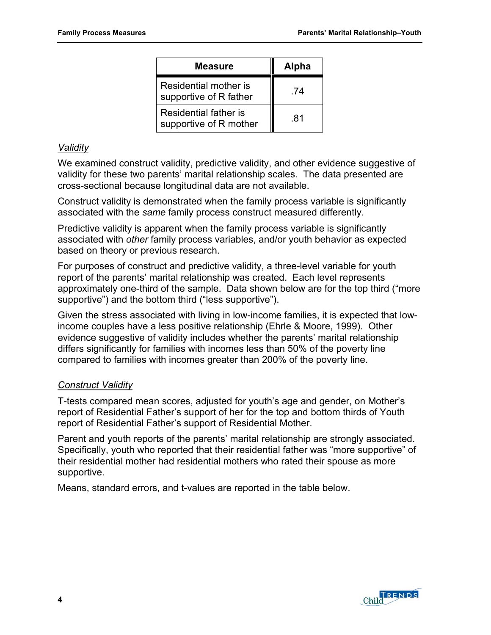| <b>Measure</b>                                  | <b>Alpha</b> |
|-------------------------------------------------|--------------|
| Residential mother is<br>supportive of R father | -74          |
| Residential father is<br>supportive of R mother | .81          |

#### *Validity*

We examined construct validity, predictive validity, and other evidence suggestive of validity for these two parents' marital relationship scales. The data presented are cross-sectional because longitudinal data are not available.

Construct validity is demonstrated when the family process variable is significantly associated with the *same* family process construct measured differently.

Predictive validity is apparent when the family process variable is significantly associated with *other* family process variables, and/or youth behavior as expected based on theory or previous research.

For purposes of construct and predictive validity, a three-level variable for youth report of the parents' marital relationship was created. Each level represents approximately one-third of the sample. Data shown below are for the top third ("more supportive") and the bottom third ("less supportive").

Given the stress associated with living in low-income families, it is expected that lowincome couples have a less positive relationship (Ehrle & Moore, 1999). Other evidence suggestive of validity includes whether the parents' marital relationship differs significantly for families with incomes less than 50% of the poverty line compared to families with incomes greater than 200% of the poverty line.

#### *Construct Validity*

T-tests compared mean scores, adjusted for youth's age and gender, on Mother's report of Residential Father's support of her for the top and bottom thirds of Youth report of Residential Father's support of Residential Mother.

Parent and youth reports of the parents' marital relationship are strongly associated. Specifically, youth who reported that their residential father was "more supportive" of their residential mother had residential mothers who rated their spouse as more supportive.

Means, standard errors, and t-values are reported in the table below.

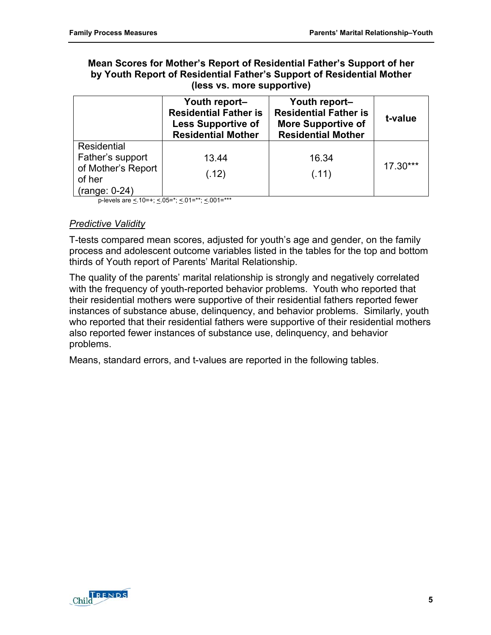#### **Mean Scores for Mother's Report of Residential Father's Support of her by Youth Report of Residential Father's Support of Residential Mother (less vs. more supportive)**

|                                                                                    | Youth report-<br><b>Residential Father is</b><br><b>Less Supportive of</b><br><b>Residential Mother</b> | Youth report-<br><b>Residential Father is</b><br><b>More Supportive of</b><br><b>Residential Mother</b> | t-value    |
|------------------------------------------------------------------------------------|---------------------------------------------------------------------------------------------------------|---------------------------------------------------------------------------------------------------------|------------|
| Residential<br>Father's support<br>of Mother's Report<br>of her<br>$(range: 0-24)$ | 13.44<br>(.12)                                                                                          | 16.34<br>(.11)                                                                                          | $17.30***$ |

p-levels are  $\leq$  10=+;  $\leq$  05=\*;  $\leq$  01=\*\*;  $\leq$  001=\*\*\*

#### *Predictive Validity*

T-tests compared mean scores, adjusted for youth's age and gender, on the family process and adolescent outcome variables listed in the tables for the top and bottom thirds of Youth report of Parents' Marital Relationship.

The quality of the parents' marital relationship is strongly and negatively correlated with the frequency of youth-reported behavior problems. Youth who reported that their residential mothers were supportive of their residential fathers reported fewer instances of substance abuse, delinquency, and behavior problems. Similarly, youth who reported that their residential fathers were supportive of their residential mothers also reported fewer instances of substance use, delinquency, and behavior problems.

Means, standard errors, and t-values are reported in the following tables.

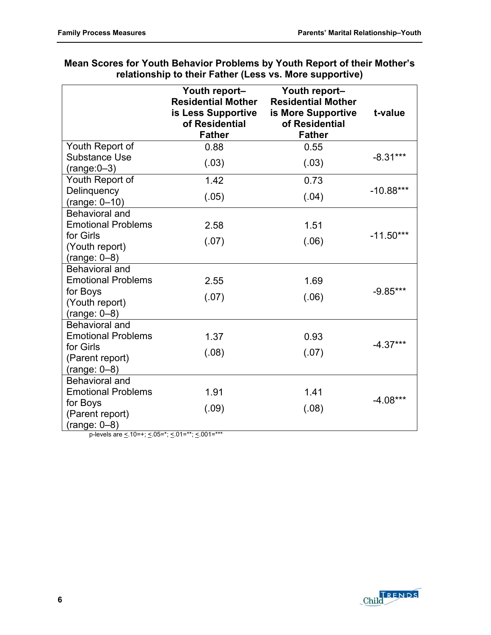|                                                          | Youth report-<br><b>Residential Mother</b><br>is Less Supportive<br>of Residential<br><b>Father</b> | Youth report-<br><b>Residential Mother</b><br>is More Supportive<br>of Residential<br><b>Father</b> | t-value     |
|----------------------------------------------------------|-----------------------------------------------------------------------------------------------------|-----------------------------------------------------------------------------------------------------|-------------|
| Youth Report of                                          | 0.88                                                                                                | 0.55                                                                                                |             |
| <b>Substance Use</b><br>$(range:0-3)$                    | (.03)                                                                                               | (.03)                                                                                               | $-8.31***$  |
| Youth Report of                                          | 1.42                                                                                                | 0.73                                                                                                |             |
| Delinquency<br>$(range: 0-10)$                           | (.05)                                                                                               | (.04)                                                                                               | $-10.88***$ |
| Behavioral and<br><b>Emotional Problems</b><br>for Girls | 2.58                                                                                                | 1.51                                                                                                | $-11.50***$ |
| (Youth report)<br>$(range: 0-8)$                         | (.07)                                                                                               | (.06)                                                                                               |             |
| Behavioral and                                           |                                                                                                     |                                                                                                     |             |
| <b>Emotional Problems</b>                                | 2.55                                                                                                | 1.69                                                                                                |             |
| for Boys<br>(Youth report)                               | (.07)                                                                                               | (.06)                                                                                               | $-9.85***$  |
| $(range: 0-8)$                                           |                                                                                                     |                                                                                                     |             |
| Behavioral and<br><b>Emotional Problems</b>              | 1.37                                                                                                | 0.93                                                                                                | $-4.37***$  |
| for Girls<br>(Parent report)                             | (.08)                                                                                               | (.07)                                                                                               |             |
| $(range: 0-8)$                                           |                                                                                                     |                                                                                                     |             |
| <b>Behavioral and</b><br><b>Emotional Problems</b>       | 1.91                                                                                                | 1.41                                                                                                |             |
| for Boys                                                 |                                                                                                     |                                                                                                     | $-4.08***$  |
| (Parent report)<br>$(range: 0-8)$                        | (.09)                                                                                               | (.08)                                                                                               |             |

#### **Mean Scores for Youth Behavior Problems by Youth Report of their Mother's relationship to their Father (Less vs. More supportive)**

p-levels are  $\leq$  10=+;  $\leq$  05=\*;  $\leq$  01=\*\*;  $\leq$  001=\*\*\*

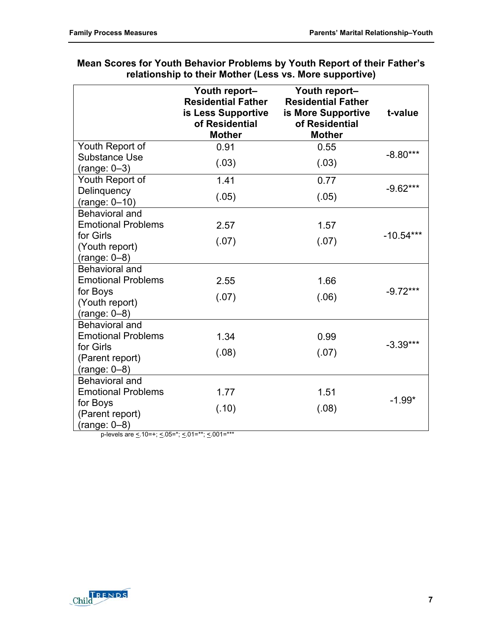|                                                    | Youth report-<br><b>Residential Father</b><br>is Less Supportive<br>of Residential<br><b>Mother</b> | Youth report-<br><b>Residential Father</b><br>is More Supportive<br>of Residential<br><b>Mother</b> | t-value     |
|----------------------------------------------------|-----------------------------------------------------------------------------------------------------|-----------------------------------------------------------------------------------------------------|-------------|
| Youth Report of                                    | 0.91                                                                                                | 0.55                                                                                                |             |
| <b>Substance Use</b><br>$(range: 0-3)$             | (.03)                                                                                               | (.03)                                                                                               | $-8.80***$  |
| Youth Report of                                    | 1.41                                                                                                | 0.77                                                                                                |             |
| Delinquency<br>$(range: 0-10)$                     | (.05)                                                                                               | (.05)                                                                                               | $-9.62***$  |
| <b>Behavioral and</b><br><b>Emotional Problems</b> | 2.57                                                                                                | 1.57                                                                                                |             |
| for Girls<br>(Youth report)<br>$(range: 0-8)$      | (.07)                                                                                               | (.07)                                                                                               | $-10.54***$ |
| <b>Behavioral and</b>                              |                                                                                                     |                                                                                                     |             |
| <b>Emotional Problems</b>                          | 2.55                                                                                                | 1.66                                                                                                |             |
| for Boys<br>(Youth report)<br>$(range: 0-8)$       | (.07)                                                                                               | (.06)                                                                                               | $-9.72***$  |
| Behavioral and                                     |                                                                                                     |                                                                                                     |             |
| <b>Emotional Problems</b>                          | 1.34                                                                                                | 0.99                                                                                                |             |
| for Girls<br>(Parent report)<br>$(range: 0-8)$     | (.08)                                                                                               | (.07)                                                                                               | $-3.39***$  |
| <b>Behavioral and</b>                              |                                                                                                     |                                                                                                     |             |
| <b>Emotional Problems</b>                          | 1.77                                                                                                | 1.51                                                                                                |             |
| for Boys<br>(Parent report)<br>$(range: 0-8)$      | (.10)                                                                                               | (.08)                                                                                               | $-1.99*$    |
| p-levels are < 10=+; < 05=*; < 01=**; < 001=***    |                                                                                                     |                                                                                                     |             |

#### **Mean Scores for Youth Behavior Problems by Youth Report of their Father's relationship to their Mother (Less vs. More supportive)**

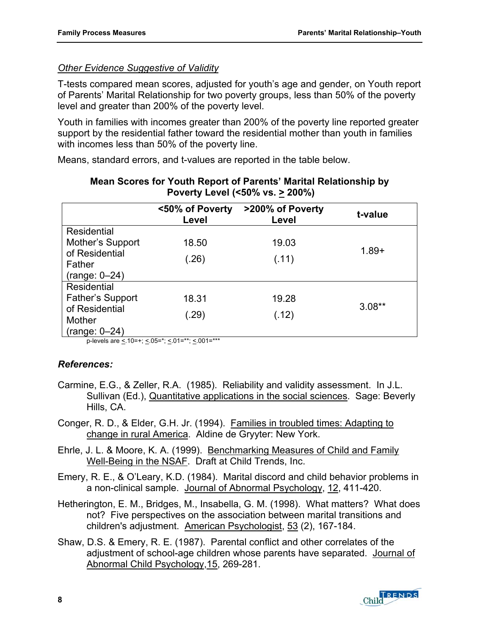#### *Other Evidence Suggestive of Validity*

T-tests compared mean scores, adjusted for youth's age and gender, on Youth report of Parents' Marital Relationship for two poverty groups, less than 50% of the poverty level and greater than 200% of the poverty level.

Youth in families with incomes greater than 200% of the poverty line reported greater support by the residential father toward the residential mother than youth in families with incomes less than 50% of the poverty line.

Means, standard errors, and t-values are reported in the table below.

|                                 | <50% of Poverty<br>Level | >200% of Poverty<br>Level | t-value  |
|---------------------------------|--------------------------|---------------------------|----------|
| Residential                     |                          |                           |          |
| Mother's Support                | 18.50                    | 19.03                     |          |
| of Residential<br>Father        | (.26)                    | (.11)                     | $1.89 +$ |
| $(range: 0-24)$                 |                          |                           |          |
| Residential                     |                          |                           |          |
| <b>Father's Support</b>         | 18.31                    | 19.28                     |          |
| of Residential<br><b>Mother</b> | (.29)                    | (.12)                     | $3.08**$ |
| $(range: 0-24)$                 |                          |                           |          |

#### **Mean Scores for Youth Report of Parents' Marital Relationship by Poverty Level (<50% vs. > 200%)**

p-levels are  $\leq 10=+; \leq 05=$ \*;  $\leq 01=$ \*\*;  $\leq 001=$ \*\*\*

#### *References:*

- Carmine, E.G., & Zeller, R.A. (1985). Reliability and validity assessment. In J.L. Sullivan (Ed.), Quantitative applications in the social sciences. Sage: Beverly Hills, CA.
- Conger, R. D., & Elder, G.H. Jr. (1994). Families in troubled times: Adapting to change in rural America. Aldine de Gryyter: New York.
- Ehrle, J. L. & Moore, K. A. (1999). Benchmarking Measures of Child and Family Well-Being in the NSAF. Draft at Child Trends, Inc.
- Emery, R. E., & O'Leary, K.D. (1984). Marital discord and child behavior problems in a non-clinical sample. Journal of Abnormal Psychology, 12, 411-420.
- Hetherington, E. M., Bridges, M., Insabella, G. M. (1998). What matters? What does not? Five perspectives on the association between marital transitions and children's adjustment. American Psychologist, 53 (2), 167-184.
- Shaw, D.S. & Emery, R. E. (1987). Parental conflict and other correlates of the adjustment of school-age children whose parents have separated. Journal of Abnormal Child Psychology,15, 269-281.

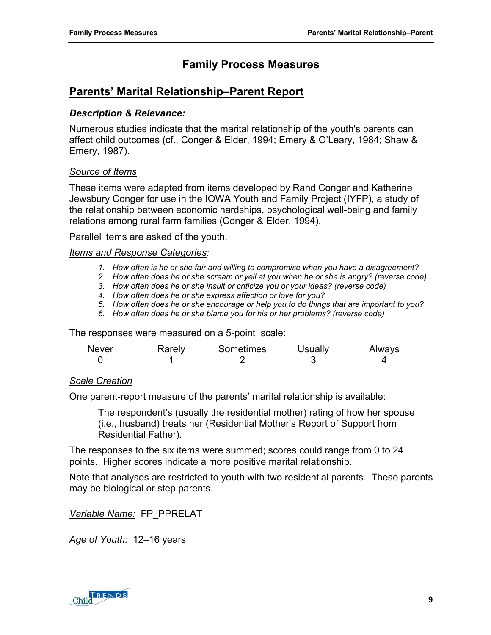# **Family Process Measures**

# <span id="page-16-0"></span>**Parents' Marital Relationship–Parent Report**

#### *Description & Relevance:*

Numerous studies indicate that the marital relationship of the youth's parents can affect child outcomes (cf., Conger & Elder, 1994; Emery & O'Leary, 1984; Shaw & Emery, 1987).

#### *Source of Items*

These items were adapted from items developed by Rand Conger and Katherine Jewsbury Conger for use in the IOWA Youth and Family Project (IYFP), a study of the relationship between economic hardships, psychological well-being and family relations among rural farm families (Conger & Elder, 1994).

Parallel items are asked of the youth.

#### *Items and Response Categories:*

- *1. How often is he or she fair and willing to compromise when you have a disagreement?*
- *2. How often does he or she scream or yell at you when he or she is angry? (reverse code)*
- *3. How often does he or she insult or criticize you or your ideas? (reverse code)*
- *4. How often does he or she express affection or love for you?*
- *5. How often does he or she encourage or help you to do things that are important to you?*
- *6. How often does he or she blame you for his or her problems? (reverse code)*

The responses were measured on a 5-point scale:

| <b>Never</b> | Rarely | Sometimes | Usually | Always |
|--------------|--------|-----------|---------|--------|
|              |        |           |         |        |

#### *Scale Creation*

One parent-report measure of the parents' marital relationship is available:

The respondent's (usually the residential mother) rating of how her spouse (i.e., husband) treats her (Residential Mother's Report of Support from Residential Father).

The responses to the six items were summed; scores could range from 0 to 24 points. Higher scores indicate a more positive marital relationship.

Note that analyses are restricted to youth with two residential parents. These parents may be biological or step parents.

*Variable Name:* FP\_PPRELAT

*Age of Youth:* 12–16 years

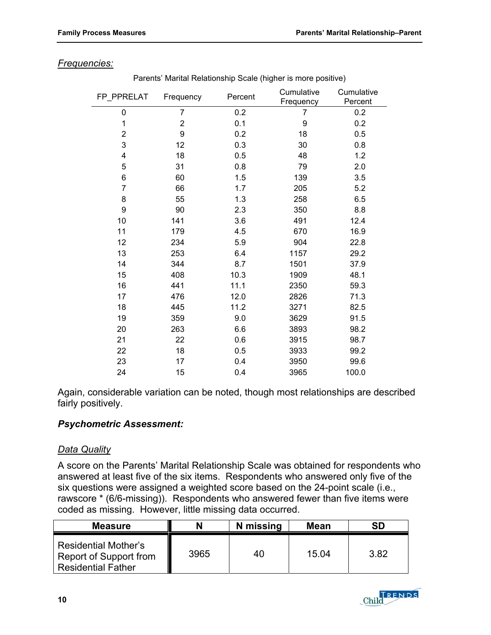| FP_PPRELAT     | Frequency      | Percent | Cumulative<br>Frequency | Cumulative<br>Percent |
|----------------|----------------|---------|-------------------------|-----------------------|
| 0              | $\overline{7}$ | 0.2     | 7                       | 0.2                   |
| 1              | $\overline{2}$ | 0.1     | 9                       | 0.2                   |
| $\overline{2}$ | 9              | 0.2     | 18                      | 0.5                   |
| 3              | 12             | 0.3     | 30                      | 0.8                   |
| 4              | 18             | 0.5     | 48                      | 1.2                   |
| 5              | 31             | 0.8     | 79                      | 2.0                   |
| 6              | 60             | 1.5     | 139                     | 3.5                   |
| $\overline{7}$ | 66             | 1.7     | 205                     | 5.2                   |
| 8              | 55             | 1.3     | 258                     | 6.5                   |
| 9              | 90             | 2.3     | 350                     | 8.8                   |
| 10             | 141            | 3.6     | 491                     | 12.4                  |
| 11             | 179            | 4.5     | 670                     | 16.9                  |
| 12             | 234            | 5.9     | 904                     | 22.8                  |
| 13             | 253            | 6.4     | 1157                    | 29.2                  |
| 14             | 344            | 8.7     | 1501                    | 37.9                  |
| 15             | 408            | 10.3    | 1909                    | 48.1                  |
| 16             | 441            | 11.1    | 2350                    | 59.3                  |
| 17             | 476            | 12.0    | 2826                    | 71.3                  |
| 18             | 445            | 11.2    | 3271                    | 82.5                  |
| 19             | 359            | 9.0     | 3629                    | 91.5                  |
| 20             | 263            | 6.6     | 3893                    | 98.2                  |
| 21             | 22             | 0.6     | 3915                    | 98.7                  |
| 22             | 18             | 0.5     | 3933                    | 99.2                  |
| 23             | 17             | 0.4     | 3950                    | 99.6                  |
| 24             | 15             | 0.4     | 3965                    | 100.0                 |

#### *Frequencies:*

Parents' Marital Relationship Scale (higher is more positive)

Again, considerable variation can be noted, though most relationships are described fairly positively.

#### *Psychometric Assessment:*

#### *Data Quality*

A score on the Parents' Marital Relationship Scale was obtained for respondents who answered at least five of the six items. Respondents who answered only five of the six questions were assigned a weighted score based on the 24-point scale (i.e., rawscore \* (6/6-missing)). Respondents who answered fewer than five items were coded as missing. However, little missing data occurred.

| <b>Measure</b>                                                                     | N    | N missing | <b>Mean</b> | <b>SD</b> |
|------------------------------------------------------------------------------------|------|-----------|-------------|-----------|
| <b>Residential Mother's</b><br>Report of Support from<br><b>Residential Father</b> | 3965 | 40        | 15.04       | 3.82      |

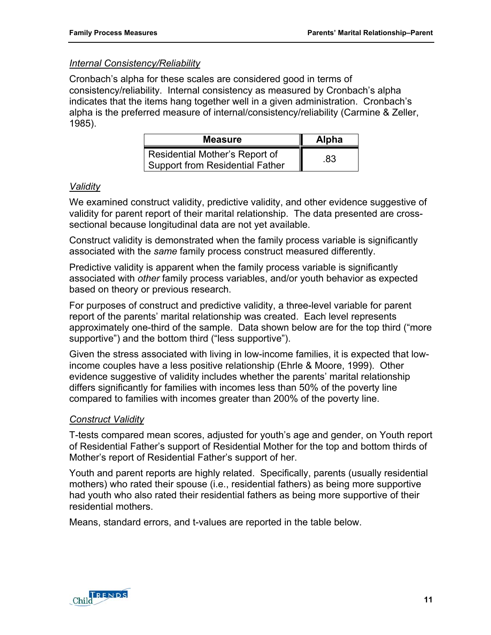#### *Internal Consistency/Reliability*

Cronbach's alpha for these scales are considered good in terms of consistency/reliability. Internal consistency as measured by Cronbach's alpha indicates that the items hang together well in a given administration. Cronbach's alpha is the preferred measure of internal/consistency/reliability (Carmine & Zeller, 1985).

| <b>Measure</b>                                                           | <b>Alpha</b> |
|--------------------------------------------------------------------------|--------------|
| Residential Mother's Report of<br><b>Support from Residential Father</b> | .83          |

#### *Validity*

We examined construct validity, predictive validity, and other evidence suggestive of validity for parent report of their marital relationship. The data presented are crosssectional because longitudinal data are not yet available.

Construct validity is demonstrated when the family process variable is significantly associated with the *same* family process construct measured differently.

Predictive validity is apparent when the family process variable is significantly associated with *other* family process variables, and/or youth behavior as expected based on theory or previous research.

For purposes of construct and predictive validity, a three-level variable for parent report of the parents' marital relationship was created. Each level represents approximately one-third of the sample. Data shown below are for the top third ("more supportive") and the bottom third ("less supportive").

Given the stress associated with living in low-income families, it is expected that lowincome couples have a less positive relationship (Ehrle & Moore, 1999). Other evidence suggestive of validity includes whether the parents' marital relationship differs significantly for families with incomes less than 50% of the poverty line compared to families with incomes greater than 200% of the poverty line.

# *Construct Validity*

T-tests compared mean scores, adjusted for youth's age and gender, on Youth report of Residential Father's support of Residential Mother for the top and bottom thirds of Mother's report of Residential Father's support of her.

Youth and parent reports are highly related. Specifically, parents (usually residential mothers) who rated their spouse (i.e., residential fathers) as being more supportive had youth who also rated their residential fathers as being more supportive of their residential mothers.

Means, standard errors, and t-values are reported in the table below.

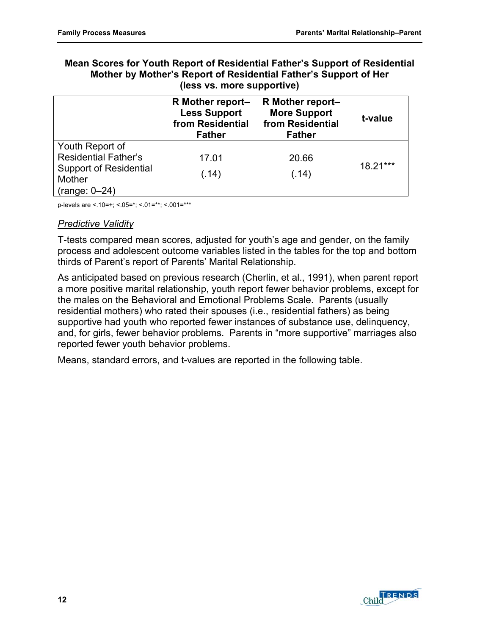| Mean Scores for Youth Report of Residential Father's Support of Residential |
|-----------------------------------------------------------------------------|
| Mother by Mother's Report of Residential Father's Support of Her            |
| (less vs. more supportive)                                                  |

|                                                                                                              | R Mother report-<br><b>Less Support</b><br>from Residential<br><b>Father</b> | R Mother report-<br><b>More Support</b><br>from Residential<br><b>Father</b> | t-value  |
|--------------------------------------------------------------------------------------------------------------|------------------------------------------------------------------------------|------------------------------------------------------------------------------|----------|
| Youth Report of<br><b>Residential Father's</b><br><b>Support of Residential</b><br>Mother<br>$(range: 0-24)$ | 17.01<br>(.14)                                                               | 20.66<br>(.14)                                                               | 18.21*** |

p-levels are  $\leq 10=+$ ;  $\leq 0.05=$ \*;  $\leq 0.01=$ \*\*\*

#### *Predictive Validity*

T-tests compared mean scores, adjusted for youth's age and gender, on the family process and adolescent outcome variables listed in the tables for the top and bottom thirds of Parent's report of Parents' Marital Relationship.

As anticipated based on previous research (Cherlin, et al., 1991), when parent report a more positive marital relationship, youth report fewer behavior problems, except for the males on the Behavioral and Emotional Problems Scale. Parents (usually residential mothers) who rated their spouses (i.e., residential fathers) as being supportive had youth who reported fewer instances of substance use, delinquency, and, for girls, fewer behavior problems. Parents in "more supportive" marriages also reported fewer youth behavior problems.

Means, standard errors, and t-values are reported in the following table.

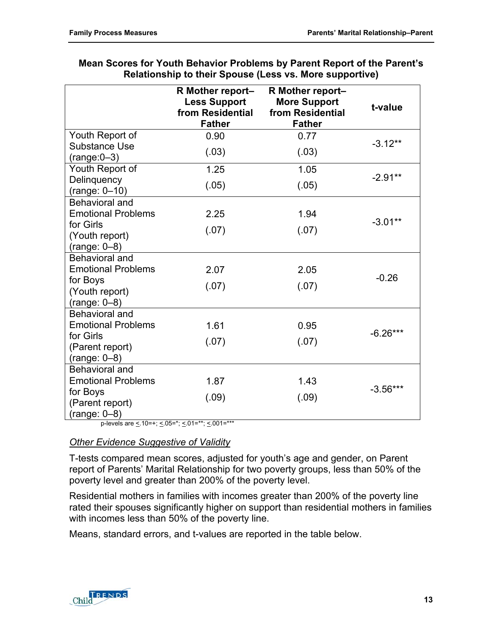|                                  | R Mother report-<br><b>Less Support</b><br>from Residential<br><b>Father</b> | R Mother report-<br><b>More Support</b><br>from Residential<br><b>Father</b> | t-value    |
|----------------------------------|------------------------------------------------------------------------------|------------------------------------------------------------------------------|------------|
| Youth Report of                  | 0.90                                                                         | 0.77                                                                         |            |
| Substance Use<br>$(range:0-3)$   | (.03)                                                                        | (.03)                                                                        | $-3.12**$  |
| Youth Report of                  | 1.25                                                                         | 1.05                                                                         |            |
| Delinquency<br>$(range: 0-10)$   | (.05)                                                                        | (.05)                                                                        | $-2.91**$  |
| Behavioral and                   |                                                                              |                                                                              |            |
| <b>Emotional Problems</b>        | 2.25                                                                         | 1.94                                                                         |            |
| for Girls                        | (.07)                                                                        | (.07)                                                                        | $-3.01**$  |
| (Youth report)                   |                                                                              |                                                                              |            |
| $(range: 0-8)$                   |                                                                              |                                                                              |            |
| Behavioral and                   |                                                                              |                                                                              |            |
| <b>Emotional Problems</b>        | 2.07                                                                         | 2.05                                                                         | $-0.26$    |
| for Boys                         | (.07)                                                                        | (.07)                                                                        |            |
| (Youth report)<br>$(range: 0-8)$ |                                                                              |                                                                              |            |
| Behavioral and                   |                                                                              |                                                                              |            |
| <b>Emotional Problems</b>        | 1.61                                                                         | 0.95                                                                         |            |
| for Girls                        |                                                                              |                                                                              | $-6.26***$ |
| (Parent report)                  | (.07)                                                                        | (.07)                                                                        |            |
| $(range: 0-8)$                   |                                                                              |                                                                              |            |
| <b>Behavioral and</b>            |                                                                              |                                                                              |            |
| <b>Emotional Problems</b>        | 1.87                                                                         | 1.43                                                                         |            |
| for Boys                         | (.09)                                                                        | (.09)                                                                        | $-3.56***$ |
| (Parent report)                  |                                                                              |                                                                              |            |
| $(range: 0-8)$                   |                                                                              |                                                                              |            |

| Mean Scores for Youth Behavior Problems by Parent Report of the Parent's |
|--------------------------------------------------------------------------|
| <b>Relationship to their Spouse (Less vs. More supportive)</b>           |

p-levels are  $\leq 10=+$ ;  $\leq 05=$ \*;  $\leq 01=$ \*\*;  $\leq 001=$ \*\*\*

#### *Other Evidence Suggestive of Validity*

T-tests compared mean scores, adjusted for youth's age and gender, on Parent report of Parents' Marital Relationship for two poverty groups, less than 50% of the poverty level and greater than 200% of the poverty level.

Residential mothers in families with incomes greater than 200% of the poverty line rated their spouses significantly higher on support than residential mothers in families with incomes less than 50% of the poverty line.

Means, standard errors, and t-values are reported in the table below.

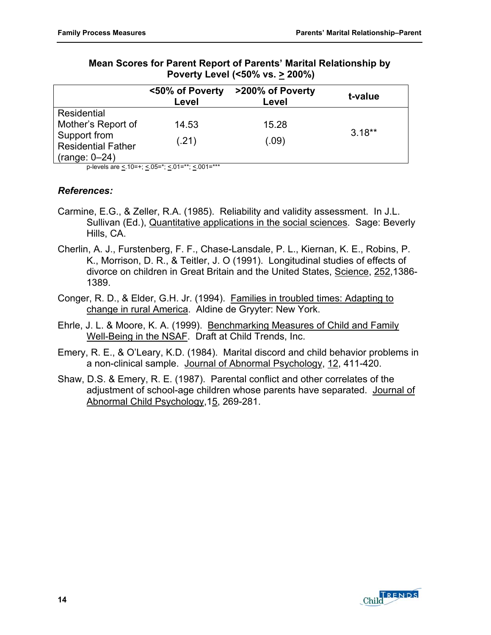|                                                              | <50% of Poverty<br>Level | >200% of Poverty<br>Level | t-value  |
|--------------------------------------------------------------|--------------------------|---------------------------|----------|
| Residential                                                  |                          |                           |          |
| Mother's Report of                                           | 14.53                    | 15.28                     |          |
| Support from<br><b>Residential Father</b><br>$(range: 0-24)$ | (.21)                    | (.09)                     | $3.18**$ |

#### **Mean Scores for Parent Report of Parents' Marital Relationship by Poverty Level (<50% vs. > 200%)**

p-levels are  $\leq 10=+$ ;  $\leq 05=$ \*;  $\leq 01=$ \*\*;  $\leq 001=$ \*\*\*

#### *References:*

- Carmine, E.G., & Zeller, R.A. (1985). Reliability and validity assessment. In J.L. Sullivan (Ed.), Quantitative applications in the social sciences. Sage: Beverly Hills, CA.
- Cherlin, A. J., Furstenberg, F. F., Chase-Lansdale, P. L., Kiernan, K. E., Robins, P. K., Morrison, D. R., & Teitler, J. O (1991). Longitudinal studies of effects of divorce on children in Great Britain and the United States, Science, 252,1386- 1389.
- Conger, R. D., & Elder, G.H. Jr. (1994). Families in troubled times: Adapting to change in rural America. Aldine de Gryyter: New York.
- Ehrle, J. L. & Moore, K. A. (1999). Benchmarking Measures of Child and Family Well-Being in the NSAF. Draft at Child Trends, Inc.
- Emery, R. E., & O'Leary, K.D. (1984). Marital discord and child behavior problems in a non-clinical sample. Journal of Abnormal Psychology, 12, 411-420.
- Shaw, D.S. & Emery, R. E. (1987). Parental conflict and other correlates of the adjustment of school-age children whose parents have separated. Journal of Abnormal Child Psychology,15, 269-281.

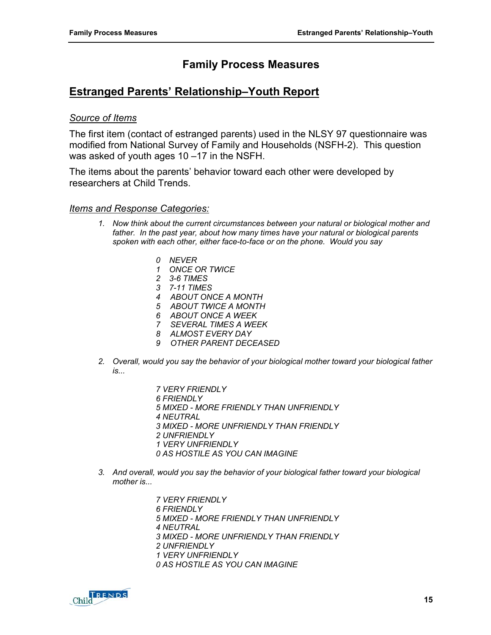# **Family Process Measures**

# <span id="page-22-0"></span>**Estranged Parents' Relationship–Youth Report**

#### *Source of Items*

The first item (contact of estranged parents) used in the NLSY 97 questionnaire was modified from National Survey of Family and Households (NSFH-2). This question was asked of youth ages 10 –17 in the NSFH.

The items about the parents' behavior toward each other were developed by researchers at Child Trends.

#### *Items and Response Categories:*

- *1. Now think about the current circumstances between your natural or biological mother and father. In the past year, about how many times have your natural or biological parents spoken with each other, either face-to-face or on the phone. Would you say* 
	- *0 NEVER*
	- *1 ONCE OR TWICE*
	- *2 3-6 TIMES*
	- *3 7-11 TIMES*
	- *4 ABOUT ONCE A MONTH*
	- *5 ABOUT TWICE A MONTH*
	- *6 ABOUT ONCE A WEEK*
	- *7 SEVERAL TIMES A WEEK*
	- *8 ALMOST EVERY DAY*
	- *9 OTHER PARENT DECEASED*
- *2. Overall, would you say the behavior of your biological mother toward your biological father is...* 
	- *7 VERY FRIENDLY*
	- *6 FRIENDLY*
	- *5 MIXED MORE FRIENDLY THAN UNFRIENDLY*
	- *4 NEUTRAL*
	- *3 MIXED MORE UNFRIENDLY THAN FRIENDLY*
	- *2 UNFRIENDLY*
	- *1 VERY UNFRIENDLY*
	- *0 AS HOSTILE AS YOU CAN IMAGINE*
- *3. And overall, would you say the behavior of your biological father toward your biological mother is...* 
	- *7 VERY FRIENDLY 6 FRIENDLY 5 MIXED - MORE FRIENDLY THAN UNFRIENDLY 4 NEUTRAL*
	- *3 MIXED MORE UNFRIENDLY THAN FRIENDLY*
	- *2 UNFRIENDLY*
	- *1 VERY UNFRIENDLY*
	- *0 AS HOSTILE AS YOU CAN IMAGINE*

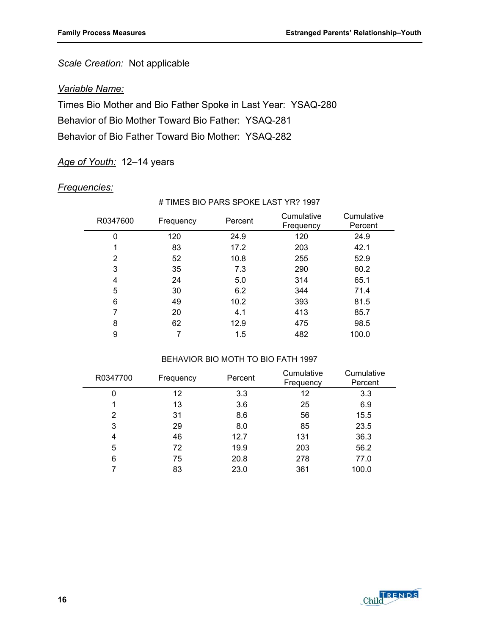# *Scale Creation:* Not applicable

#### *Variable Name:*

Times Bio Mother and Bio Father Spoke in Last Year: YSAQ-280 Behavior of Bio Mother Toward Bio Father: YSAQ-281 Behavior of Bio Father Toward Bio Mother: YSAQ-282

#### *Age of Youth:* 12–14 years

#### *Frequencies:*

#### # TIMES BIO PARS SPOKE LAST YR? 1997

| R0347600 | Frequency | Percent | Cumulative<br>Frequency | Cumulative<br>Percent |
|----------|-----------|---------|-------------------------|-----------------------|
| 0        | 120       | 24.9    | 120                     | 24.9                  |
|          | 83        | 17.2    | 203                     | 42.1                  |
| 2        | 52        | 10.8    | 255                     | 52.9                  |
| 3        | 35        | 7.3     | 290                     | 60.2                  |
| 4        | 24        | 5.0     | 314                     | 65.1                  |
| 5        | 30        | 6.2     | 344                     | 71.4                  |
| 6        | 49        | 10.2    | 393                     | 81.5                  |
| 7        | 20        | 4.1     | 413                     | 85.7                  |
| 8        | 62        | 12.9    | 475                     | 98.5                  |
| 9        |           | 1.5     | 482                     | 100.0                 |

#### BEHAVIOR BIO MOTH TO BIO FATH 1997

| R0347700       | Frequency | Percent | Cumulative<br>Frequency | Cumulative<br>Percent |
|----------------|-----------|---------|-------------------------|-----------------------|
| 0              | 12        | 3.3     | 12                      | 3.3                   |
|                | 13        | 3.6     | 25                      | 6.9                   |
| $\overline{2}$ | 31        | 8.6     | 56                      | 15.5                  |
| 3              | 29        | 8.0     | 85                      | 23.5                  |
| 4              | 46        | 12.7    | 131                     | 36.3                  |
| 5              | 72        | 19.9    | 203                     | 56.2                  |
| 6              | 75        | 20.8    | 278                     | 77.0                  |
|                | 83        | 23.0    | 361                     | 100.0                 |

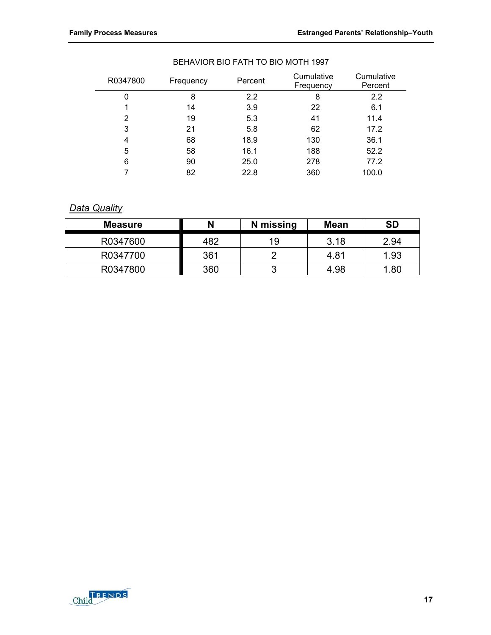| R0347800 | Frequency | Percent | Cumulative<br>Frequency | Cumulative<br>Percent |
|----------|-----------|---------|-------------------------|-----------------------|
| 0        | 8         | 2.2     | 8                       | 2.2                   |
|          | 14        | 3.9     | 22                      | 6.1                   |
| 2        | 19        | 5.3     | 41                      | 11.4                  |
| 3        | 21        | 5.8     | 62                      | 17.2                  |
| 4        | 68        | 18.9    | 130                     | 36.1                  |
| 5        | 58        | 16.1    | 188                     | 52.2                  |
| 6        | 90        | 25.0    | 278                     | 77.2                  |
|          | 82        | 22.8    | 360                     | 100.0                 |

#### BEHAVIOR BIO FATH TO BIO MOTH 1997

#### *Data Quality*

| <b>Measure</b> | N   | N missing | <b>Mean</b> | <b>SD</b> |
|----------------|-----|-----------|-------------|-----------|
| R0347600       | 482 | 19        | 3.18        | 2.94      |
| R0347700       | 361 |           | 4.81        | 1.93      |
| R0347800       | 360 |           | 4.98        | .80       |

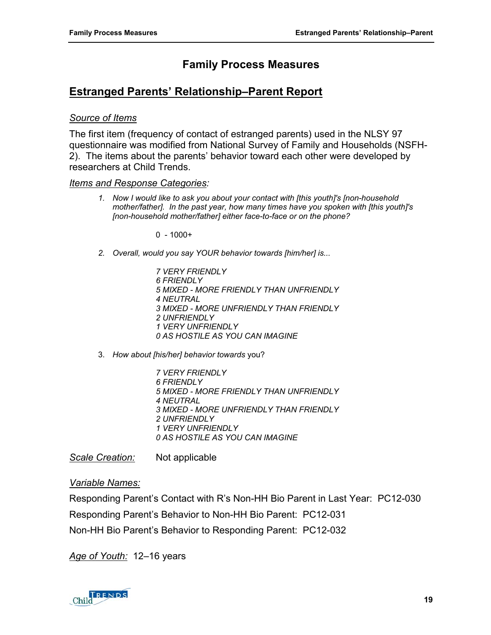# **Family Process Measures**

# <span id="page-26-0"></span>**Estranged Parents' Relationship–Parent Report**

#### *Source of Items*

The first item (frequency of contact of estranged parents) used in the NLSY 97 questionnaire was modified from National Survey of Family and Households (NSFH-2). The items about the parents' behavior toward each other were developed by researchers at Child Trends.

#### *Items and Response Categories:*

*1. Now I would like to ask you about your contact with [this youth]'s [non-household mother/father]. In the past year, how many times have you spoken with [this youth]'s [non-household mother/father] either face-to-face or on the phone?* 

 $0 - 1000+$ 

- *2. Overall, would you say YOUR behavior towards [him/her] is...* 
	- *7 VERY FRIENDLY 6 FRIENDLY 5 MIXED - MORE FRIENDLY THAN UNFRIENDLY 4 NEUTRAL 3 MIXED - MORE UNFRIENDLY THAN FRIENDLY 2 UNFRIENDLY 1 VERY UNFRIENDLY 0 AS HOSTILE AS YOU CAN IMAGINE*
- 3. *How about [his/her] behavior towards* you?
	- *7 VERY FRIENDLY 6 FRIENDLY 5 MIXED - MORE FRIENDLY THAN UNFRIENDLY 4 NEUTRAL 3 MIXED - MORE UNFRIENDLY THAN FRIENDLY 2 UNFRIENDLY 1 VERY UNFRIENDLY 0 AS HOSTILE AS YOU CAN IMAGINE*

*Scale Creation:* Not applicable

#### *Variable Names:*

Responding Parent's Contact with R's Non-HH Bio Parent in Last Year: PC12-030 Responding Parent's Behavior to Non-HH Bio Parent: PC12-031 Non-HH Bio Parent's Behavior to Responding Parent: PC12-032

*Age of Youth:* 12–16 years

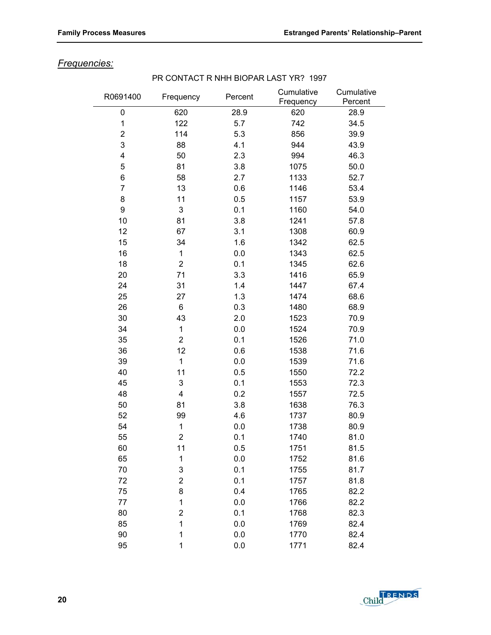# *Frequencies:*

| R0691400                | Frequency               | Percent | Cumulative<br>Frequency | Cumulative<br>Percent |
|-------------------------|-------------------------|---------|-------------------------|-----------------------|
| 0                       | 620                     | 28.9    | 620                     | 28.9                  |
| 1                       | 122                     | 5.7     | 742                     | 34.5                  |
| $\overline{\mathbf{c}}$ | 114                     | 5.3     | 856                     | 39.9                  |
| 3                       | 88                      | 4.1     | 944                     | 43.9                  |
| $\overline{\mathbf{4}}$ | 50                      | 2.3     | 994                     | 46.3                  |
| 5                       | 81                      | 3.8     | 1075                    | 50.0                  |
| 6                       | 58                      | 2.7     | 1133                    | 52.7                  |
| $\overline{7}$          | 13                      | 0.6     | 1146                    | 53.4                  |
| 8                       | 11                      | 0.5     | 1157                    | 53.9                  |
| 9                       | 3                       | 0.1     | 1160                    | 54.0                  |
| 10                      | 81                      | 3.8     | 1241                    | 57.8                  |
| 12                      | 67                      | 3.1     | 1308                    | 60.9                  |
| 15                      | 34                      | 1.6     | 1342                    | 62.5                  |
| 16                      | 1                       | 0.0     | 1343                    | 62.5                  |
| 18                      | $\overline{2}$          | 0.1     | 1345                    | 62.6                  |
| 20                      | 71                      | 3.3     | 1416                    | 65.9                  |
| 24                      | 31                      | 1.4     | 1447                    | 67.4                  |
| 25                      | 27                      | 1.3     | 1474                    | 68.6                  |
| 26                      | 6                       | 0.3     | 1480                    | 68.9                  |
| 30                      | 43                      | 2.0     | 1523                    | 70.9                  |
| 34                      | $\mathbf 1$             | 0.0     | 1524                    | 70.9                  |
| 35                      | $\overline{2}$          | 0.1     | 1526                    | 71.0                  |
| 36                      | 12                      | 0.6     | 1538                    | 71.6                  |
| 39                      | 1                       | 0.0     | 1539                    | 71.6                  |
| 40                      | 11                      | 0.5     | 1550                    | 72.2                  |
| 45                      | 3                       | 0.1     | 1553                    | 72.3                  |
| 48                      | 4                       | 0.2     | 1557                    | 72.5                  |
| 50                      | 81                      | 3.8     | 1638                    | 76.3                  |
| 52                      | 99                      | 4.6     | 1737                    | 80.9                  |
| 54                      | 1                       | 0.0     | 1738                    | 80.9                  |
| 55                      | 2                       | 0.1     | 1740                    | 81.0                  |
| 60                      | 11                      | 0.5     | 1751                    | 81.5                  |
| 65                      | $\mathbf 1$             | 0.0     | 1752                    | 81.6                  |
| 70                      | 3                       | 0.1     | 1755                    | 81.7                  |
| 72                      | $\overline{2}$          | 0.1     | 1757                    | 81.8                  |
| 75                      | 8                       | 0.4     | 1765                    | 82.2                  |
| 77                      | 1                       | 0.0     | 1766                    | 82.2                  |
| 80                      | $\overline{\mathbf{c}}$ | 0.1     | 1768                    | 82.3                  |
| 85                      | 1                       | 0.0     | 1769                    | 82.4                  |
| 90                      | 1                       | 0.0     | 1770                    | 82.4                  |
| 95                      | 1                       | 0.0     | 1771                    | 82.4                  |

#### PR CONTACT R NHH BIOPAR LAST YR? 1997

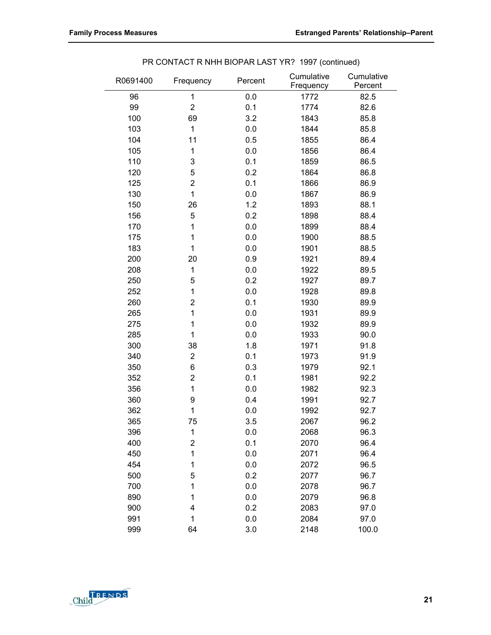| R0691400 | Frequency        | Percent | Cumulative<br>Frequency | Cumulative<br>Percent |
|----------|------------------|---------|-------------------------|-----------------------|
| 96       | 1                | 0.0     | 1772                    | 82.5                  |
| 99       | $\overline{2}$   | 0.1     | 1774                    | 82.6                  |
| 100      | 69               | 3.2     | 1843                    | 85.8                  |
| 103      | $\mathbf{1}$     | 0.0     | 1844                    | 85.8                  |
| 104      | 11               | 0.5     | 1855                    | 86.4                  |
| 105      | 1                | 0.0     | 1856                    | 86.4                  |
| 110      | 3                | 0.1     | 1859                    | 86.5                  |
| 120      | 5                | 0.2     | 1864                    | 86.8                  |
| 125      | $\overline{2}$   | 0.1     | 1866                    | 86.9                  |
| 130      | $\mathbf{1}$     | 0.0     | 1867                    | 86.9                  |
| 150      | 26               | 1.2     | 1893                    | 88.1                  |
| 156      | 5                | 0.2     | 1898                    | 88.4                  |
| 170      | 1                | 0.0     | 1899                    | 88.4                  |
| 175      | 1                | 0.0     | 1900                    | 88.5                  |
| 183      | 1                | 0.0     | 1901                    | 88.5                  |
| 200      | 20               | 0.9     | 1921                    | 89.4                  |
| 208      | 1                | 0.0     | 1922                    | 89.5                  |
| 250      | 5                | 0.2     | 1927                    | 89.7                  |
| 252      | 1                | 0.0     | 1928                    | 89.8                  |
| 260      | $\overline{2}$   | 0.1     | 1930                    | 89.9                  |
| 265      | 1                | 0.0     | 1931                    | 89.9                  |
| 275      | 1                | 0.0     | 1932                    | 89.9                  |
| 285      | 1                | 0.0     | 1933                    | 90.0                  |
| 300      | 38               | 1.8     | 1971                    | 91.8                  |
| 340      | $\overline{2}$   | 0.1     | 1973                    | 91.9                  |
| 350      | 6                | 0.3     | 1979                    | 92.1                  |
| 352      | 2                | 0.1     | 1981                    | 92.2                  |
| 356      | 1                | 0.0     | 1982                    | 92.3                  |
| 360      | 9                | 0.4     | 1991                    | 92.7                  |
| 362      | 1                | 0.0     | 1992                    | 92.7                  |
| 365      | 75               | 3.5     | 2067                    | 96.2                  |
| 396      | 1                | 0.0     | 2068                    | 96.3                  |
| 400      | $\boldsymbol{2}$ | 0.1     | 2070                    | 96.4                  |
| 450      | 1                | 0.0     | 2071                    | 96.4                  |
| 454      | 1                | 0.0     | 2072                    | 96.5                  |
| 500      | 5                | 0.2     | 2077                    | 96.7                  |
| 700      | 1                | 0.0     | 2078                    | 96.7                  |
| 890      | 1                | 0.0     | 2079                    | 96.8                  |
| 900      | 4                | 0.2     | 2083                    | 97.0                  |
| 991      | 1                | 0.0     | 2084                    | 97.0                  |
| 999      | 64               | 3.0     | 2148                    | 100.0                 |

PR CONTACT R NHH BIOPAR LAST YR? 1997 (continued)

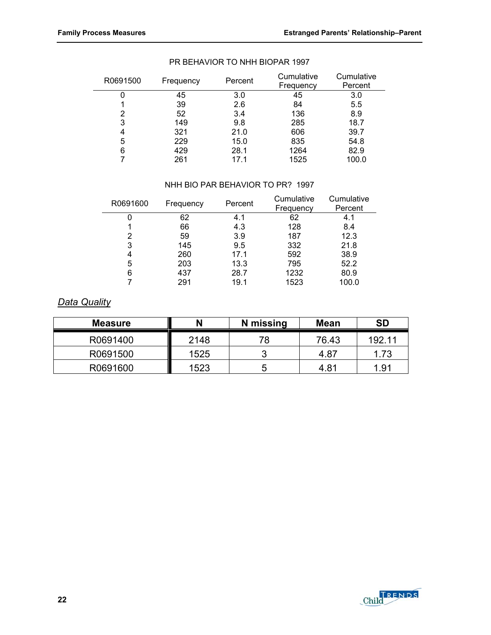| R0691500 | Frequency | Percent | Cumulative<br>Frequency | Cumulative<br>Percent |
|----------|-----------|---------|-------------------------|-----------------------|
| U        | 45        | 3.0     | 45                      | 3.0                   |
|          | 39        | 2.6     | 84                      | 5.5                   |
| 2        | 52        | 3.4     | 136                     | 8.9                   |
| 3        | 149       | 9.8     | 285                     | 18.7                  |
| 4        | 321       | 21.0    | 606                     | 39.7                  |
| 5        | 229       | 15.0    | 835                     | 54.8                  |
| 6        | 429       | 28.1    | 1264                    | 82.9                  |
|          | 261       | 17.1    | 1525                    | 100.0                 |

#### PR BEHAVIOR TO NHH BIOPAR 1997

#### NHH BIO PAR BEHAVIOR TO PR? 1997

| R0691600 | Frequency | Percent | Cumulative | Cumulative |
|----------|-----------|---------|------------|------------|
|          |           |         | Frequency  | Percent    |
|          | 62        | 4.1     | 62         | 4.1        |
|          | 66        | 4.3     | 128        | 8.4        |
| 2        | 59        | 3.9     | 187        | 12.3       |
| 3        | 145       | 9.5     | 332        | 21.8       |
| 4        | 260       | 17.1    | 592        | 38.9       |
| 5        | 203       | 13.3    | 795        | 52.2       |
| 6        | 437       | 28.7    | 1232       | 80.9       |
|          | 291       | 19.1    | 1523       | 100.0      |

#### *Data Quality*

| Measure  |      | N missing | <b>Mean</b> | SD     |
|----------|------|-----------|-------------|--------|
| R0691400 | 2148 | 78        | 76.43       | 192 11 |
| R0691500 | 1525 | າ         | 4.87        | 1.73   |
| R0691600 | 1523 | b         | 4.81        | 1.91   |

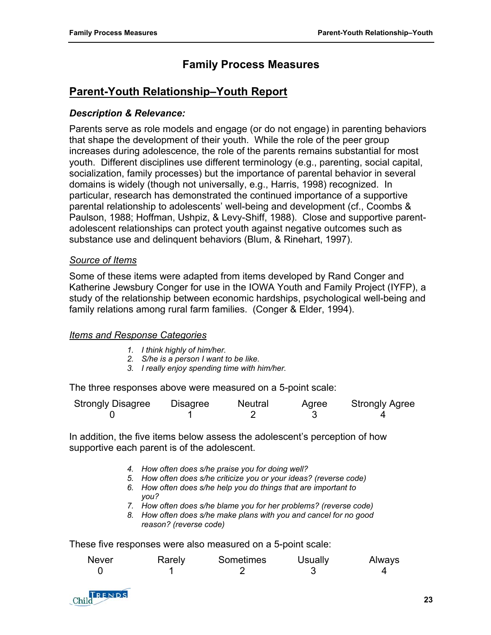# **Family Process Measures**

# <span id="page-30-0"></span>**Parent-Youth Relationship–Youth Report**

#### *Description & Relevance:*

Parents serve as role models and engage (or do not engage) in parenting behaviors that shape the development of their youth. While the role of the peer group increases during adolescence, the role of the parents remains substantial for most youth. Different disciplines use different terminology (e.g., parenting, social capital, socialization, family processes) but the importance of parental behavior in several domains is widely (though not universally, e.g., Harris, 1998) recognized. In particular, research has demonstrated the continued importance of a supportive parental relationship to adolescents' well-being and development (cf., Coombs & Paulson, 1988; Hoffman, Ushpiz, & Levy-Shiff, 1988). Close and supportive parentadolescent relationships can protect youth against negative outcomes such as substance use and delinquent behaviors (Blum, & Rinehart, 1997).

#### *Source of Items*

Some of these items were adapted from items developed by Rand Conger and Katherine Jewsbury Conger for use in the IOWA Youth and Family Project (IYFP), a study of the relationship between economic hardships, psychological well-being and family relations among rural farm families. (Conger & Elder, 1994).

#### *Items and Response Categories*

- *1. I think highly of him/her.*
- *2. S/he is a person I want to be like.*
- *3. I really enjoy spending time with him/her.*

The three responses above were measured on a 5-point scale:

| <b>Strongly Disagree</b> | <b>Disagree</b> | Neutral | Agree | <b>Strongly Agree</b> |
|--------------------------|-----------------|---------|-------|-----------------------|
|                          |                 |         |       |                       |

In addition, the five items below assess the adolescent's perception of how supportive each parent is of the adolescent.

- *4. How often does s/he praise you for doing well?*
- *5. How often does s/he criticize you or your ideas? (reverse code)*
- *6. How often does s/he help you do things that are important to you?*
- *7. How often does s/he blame you for her problems? (reverse code)*
- *8. How often does s/he make plans with you and cancel for no good reason? (reverse code)*

These five responses were also measured on a 5-point scale:

| <b>Never</b> | Rarely | Sometimes | <b>Usually</b> | Always |
|--------------|--------|-----------|----------------|--------|
|              |        |           |                |        |

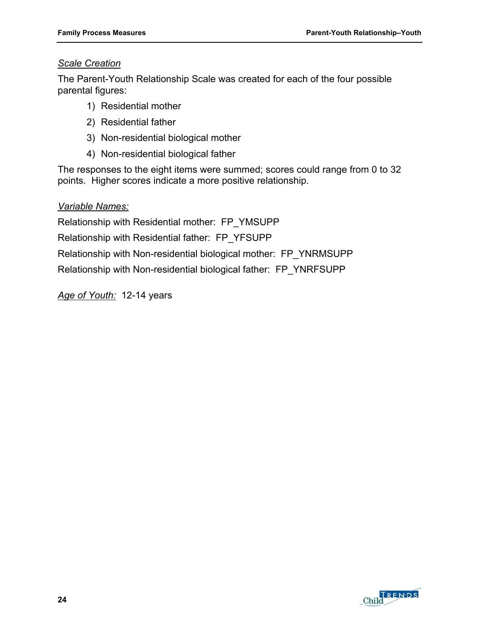#### *Scale Creation*

The Parent-Youth Relationship Scale was created for each of the four possible parental figures:

- 1) Residential mother
- 2) Residential father
- 3) Non-residential biological mother
- 4) Non-residential biological father

The responses to the eight items were summed; scores could range from 0 to 32 points. Higher scores indicate a more positive relationship.

#### *Variable Names:*

Relationship with Residential mother: FP\_YMSUPP

Relationship with Residential father: FP\_YFSUPP

Relationship with Non-residential biological mother: FP\_YNRMSUPP

Relationship with Non-residential biological father: FP\_YNRFSUPP

*Age of Youth:* 12-14 years

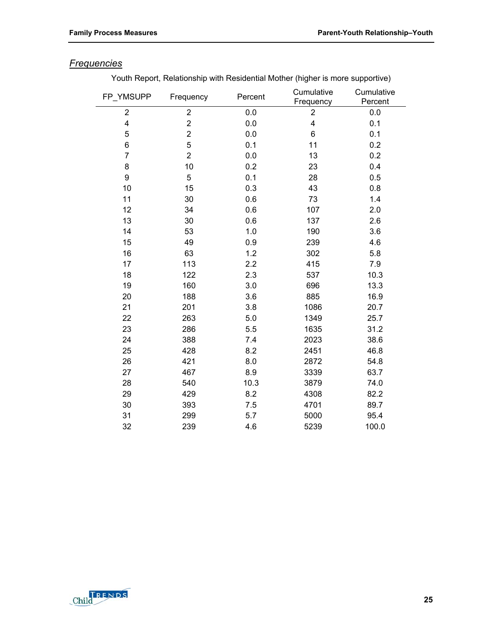# *Frequencies*

Youth Report, Relationship with Residential Mother (higher is more supportive)

| FP_YMSUPP        | Frequency               | Percent | Cumulative<br>Frequency | Cumulative<br>Percent |
|------------------|-------------------------|---------|-------------------------|-----------------------|
| $\boldsymbol{2}$ | $\overline{\mathbf{c}}$ | 0.0     | $\mathbf{2}$            | 0.0                   |
| 4                | 2                       | 0.0     | 4                       | 0.1                   |
| 5                | $\overline{\mathbf{c}}$ | 0.0     | 6                       | 0.1                   |
| 6                | 5                       | 0.1     | 11                      | 0.2                   |
| $\overline{7}$   | $\overline{2}$          | 0.0     | 13                      | 0.2                   |
| 8                | 10                      | 0.2     | 23                      | 0.4                   |
| 9                | 5                       | 0.1     | 28                      | 0.5                   |
| 10               | 15                      | 0.3     | 43                      | 0.8                   |
| 11               | 30                      | 0.6     | 73                      | 1.4                   |
| 12               | 34                      | 0.6     | 107                     | 2.0                   |
| 13               | 30                      | 0.6     | 137                     | 2.6                   |
| 14               | 53                      | 1.0     | 190                     | 3.6                   |
| 15               | 49                      | 0.9     | 239                     | 4.6                   |
| 16               | 63                      | 1.2     | 302                     | 5.8                   |
| 17               | 113                     | 2.2     | 415                     | 7.9                   |
| 18               | 122                     | 2.3     | 537                     | 10.3                  |
| 19               | 160                     | 3.0     | 696                     | 13.3                  |
| 20               | 188                     | 3.6     | 885                     | 16.9                  |
| 21               | 201                     | 3.8     | 1086                    | 20.7                  |
| 22               | 263                     | 5.0     | 1349                    | 25.7                  |
| 23               | 286                     | 5.5     | 1635                    | 31.2                  |
| 24               | 388                     | 7.4     | 2023                    | 38.6                  |
| 25               | 428                     | 8.2     | 2451                    | 46.8                  |
| 26               | 421                     | 8.0     | 2872                    | 54.8                  |
| 27               | 467                     | 8.9     | 3339                    | 63.7                  |
| 28               | 540                     | 10.3    | 3879                    | 74.0                  |
| 29               | 429                     | 8.2     | 4308                    | 82.2                  |
| 30               | 393                     | 7.5     | 4701                    | 89.7                  |
| 31               | 299                     | 5.7     | 5000                    | 95.4                  |
| 32               | 239                     | 4.6     | 5239                    | 100.0                 |

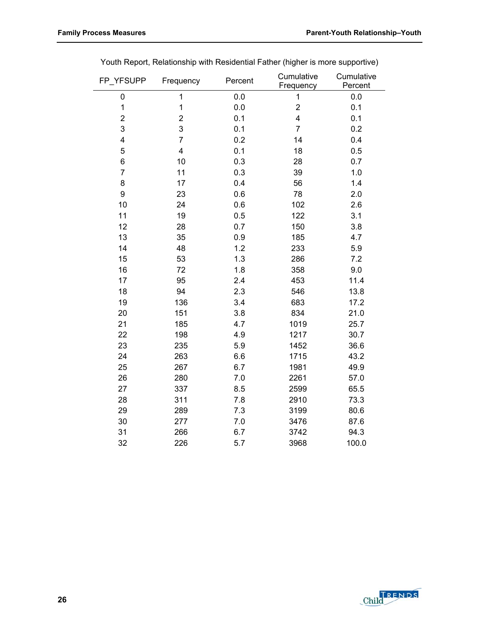| FP_YFSUPP               | Frequency      | Percent | Cumulative<br>Frequency | Cumulative<br>Percent |
|-------------------------|----------------|---------|-------------------------|-----------------------|
| 0                       | 1              | 0.0     | 1                       | 0.0                   |
| $\mathbf{1}$            | 1              | 0.0     | $\overline{c}$          | 0.1                   |
| $\overline{\mathbf{c}}$ | $\overline{2}$ | 0.1     | $\overline{\mathbf{4}}$ | 0.1                   |
| 3                       | 3              | 0.1     | $\overline{7}$          | 0.2                   |
| 4                       | $\overline{7}$ | 0.2     | 14                      | 0.4                   |
| 5                       | 4              | 0.1     | 18                      | 0.5                   |
| 6                       | 10             | 0.3     | 28                      | 0.7                   |
| $\overline{7}$          | 11             | 0.3     | 39                      | 1.0                   |
| 8                       | 17             | 0.4     | 56                      | 1.4                   |
| 9                       | 23             | 0.6     | 78                      | 2.0                   |
| 10                      | 24             | 0.6     | 102                     | 2.6                   |
| 11                      | 19             | 0.5     | 122                     | 3.1                   |
| 12                      | 28             | 0.7     | 150                     | 3.8                   |
| 13                      | 35             | 0.9     | 185                     | 4.7                   |
| 14                      | 48             | 1.2     | 233                     | 5.9                   |
| 15                      | 53             | 1.3     | 286                     | 7.2                   |
| 16                      | 72             | 1.8     | 358                     | 9.0                   |
| 17                      | 95             | 2.4     | 453                     | 11.4                  |
| 18                      | 94             | 2.3     | 546                     | 13.8                  |
| 19                      | 136            | 3.4     | 683                     | 17.2                  |
| 20                      | 151            | 3.8     | 834                     | 21.0                  |
| 21                      | 185            | 4.7     | 1019                    | 25.7                  |
| 22                      | 198            | 4.9     | 1217                    | 30.7                  |
| 23                      | 235            | 5.9     | 1452                    | 36.6                  |
| 24                      | 263            | 6.6     | 1715                    | 43.2                  |
| 25                      | 267            | 6.7     | 1981                    | 49.9                  |
| 26                      | 280            | 7.0     | 2261                    | 57.0                  |
| 27                      | 337            | 8.5     | 2599                    | 65.5                  |
| 28                      | 311            | 7.8     | 2910                    | 73.3                  |
| 29                      | 289            | 7.3     | 3199                    | 80.6                  |
| 30                      | 277            | $7.0$   | 3476                    | 87.6                  |
| 31                      | 266            | 6.7     | 3742                    | 94.3                  |
| 32                      | 226            | 5.7     | 3968                    | 100.0                 |

Youth Report, Relationship with Residential Father (higher is more supportive)

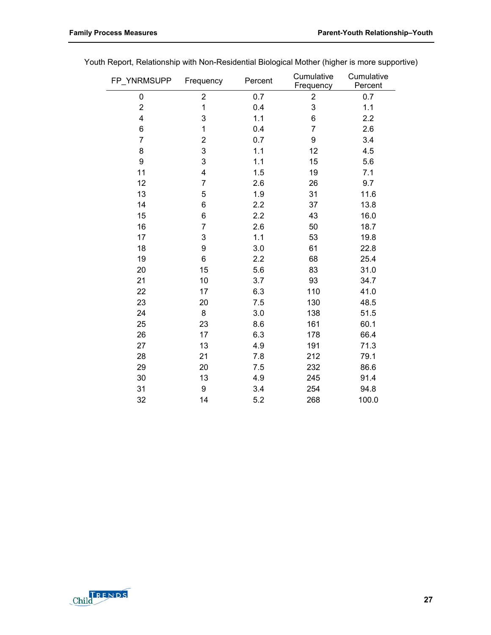| FP_YNRMSUPP | Frequency               | Percent | Cumulative<br>Frequency | Cumulative<br>Percent |
|-------------|-------------------------|---------|-------------------------|-----------------------|
| 0           | 2                       | 0.7     | 2                       | 0.7                   |
| 2           | 1                       | 0.4     | 3                       | 1.1                   |
| 4           | 3                       | 1.1     | 6                       | 2.2                   |
| 6           | 1                       | 0.4     | $\overline{7}$          | 2.6                   |
| 7           | $\overline{\mathbf{c}}$ | 0.7     | 9                       | 3.4                   |
| 8           | 3                       | 1.1     | 12                      | 4.5                   |
| 9           | 3                       | 1.1     | 15                      | 5.6                   |
| 11          | 4                       | 1.5     | 19                      | 7.1                   |
| 12          | 7                       | 2.6     | 26                      | 9.7                   |
| 13          | 5                       | 1.9     | 31                      | 11.6                  |
| 14          | 6                       | 2.2     | 37                      | 13.8                  |
| 15          | 6                       | 2.2     | 43                      | 16.0                  |
| 16          | 7                       | 2.6     | 50                      | 18.7                  |
| 17          | 3                       | 1.1     | 53                      | 19.8                  |
| 18          | 9                       | 3.0     | 61                      | 22.8                  |
| 19          | 6                       | 2.2     | 68                      | 25.4                  |
| 20          | 15                      | 5.6     | 83                      | 31.0                  |
| 21          | 10                      | 3.7     | 93                      | 34.7                  |
| 22          | 17                      | 6.3     | 110                     | 41.0                  |
| 23          | 20                      | 7.5     | 130                     | 48.5                  |
| 24          | 8                       | 3.0     | 138                     | 51.5                  |
| 25          | 23                      | 8.6     | 161                     | 60.1                  |
| 26          | 17                      | 6.3     | 178                     | 66.4                  |
| 27          | 13                      | 4.9     | 191                     | 71.3                  |
| 28          | 21                      | 7.8     | 212                     | 79.1                  |
| 29          | 20                      | 7.5     | 232                     | 86.6                  |
| 30          | 13                      | 4.9     | 245                     | 91.4                  |
| 31          | 9                       | 3.4     | 254                     | 94.8                  |
| 32          | 14                      | 5.2     | 268                     | 100.0                 |

Youth Report, Relationship with Non-Residential Biological Mother (higher is more supportive)

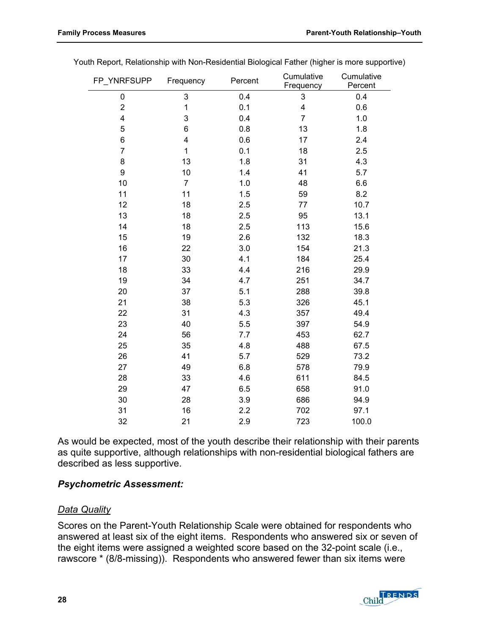| FP_YNRFSUPP             | Frequency               | Percent | Cumulative<br>Frequency | Cumulative<br>Percent |
|-------------------------|-------------------------|---------|-------------------------|-----------------------|
| 0                       | $\mathsf 3$             | 0.4     | $\mathsf 3$             | 0.4                   |
| $\overline{\mathbf{c}}$ | 1                       | 0.1     | 4                       | 0.6                   |
| 4                       | 3                       | 0.4     | $\overline{7}$          | 1.0                   |
| 5                       | 6                       | 0.8     | 13                      | 1.8                   |
| 6                       | $\overline{\mathbf{4}}$ | 0.6     | 17                      | 2.4                   |
| $\overline{7}$          | 1                       | 0.1     | 18                      | 2.5                   |
| 8                       | 13                      | 1.8     | 31                      | 4.3                   |
| 9                       | 10                      | 1.4     | 41                      | 5.7                   |
| 10                      | $\overline{7}$          | 1.0     | 48                      | 6.6                   |
| 11                      | 11                      | 1.5     | 59                      | 8.2                   |
| 12                      | 18                      | 2.5     | 77                      | 10.7                  |
| 13                      | 18                      | 2.5     | 95                      | 13.1                  |
| 14                      | 18                      | 2.5     | 113                     | 15.6                  |
| 15                      | 19                      | 2.6     | 132                     | 18.3                  |
| 16                      | 22                      | 3.0     | 154                     | 21.3                  |
| 17                      | 30                      | 4.1     | 184                     | 25.4                  |
| 18                      | 33                      | 4.4     | 216                     | 29.9                  |
| 19                      | 34                      | 4.7     | 251                     | 34.7                  |
| 20                      | 37                      | 5.1     | 288                     | 39.8                  |
| 21                      | 38                      | 5.3     | 326                     | 45.1                  |
| 22                      | 31                      | 4.3     | 357                     | 49.4                  |
| 23                      | 40                      | 5.5     | 397                     | 54.9                  |
| 24                      | 56                      | 7.7     | 453                     | 62.7                  |
| 25                      | 35                      | 4.8     | 488                     | 67.5                  |
| 26                      | 41                      | 5.7     | 529                     | 73.2                  |
| 27                      | 49                      | 6.8     | 578                     | 79.9                  |
| 28                      | 33                      | 4.6     | 611                     | 84.5                  |
| 29                      | 47                      | 6.5     | 658                     | 91.0                  |
| 30                      | 28                      | 3.9     | 686                     | 94.9                  |
| 31                      | 16                      | 2.2     | 702                     | 97.1                  |
| 32                      | 21                      | 2.9     | 723                     | 100.0                 |

Youth Report, Relationship with Non-Residential Biological Father (higher is more supportive)

As would be expected, most of the youth describe their relationship with their parents as quite supportive, although relationships with non-residential biological fathers are described as less supportive.

#### *Psychometric Assessment:*

#### *Data Quality*

Scores on the Parent-Youth Relationship Scale were obtained for respondents who answered at least six of the eight items. Respondents who answered six or seven of the eight items were assigned a weighted score based on the 32-point scale (i.e., rawscore \* (8/8-missing)). Respondents who answered fewer than six items were

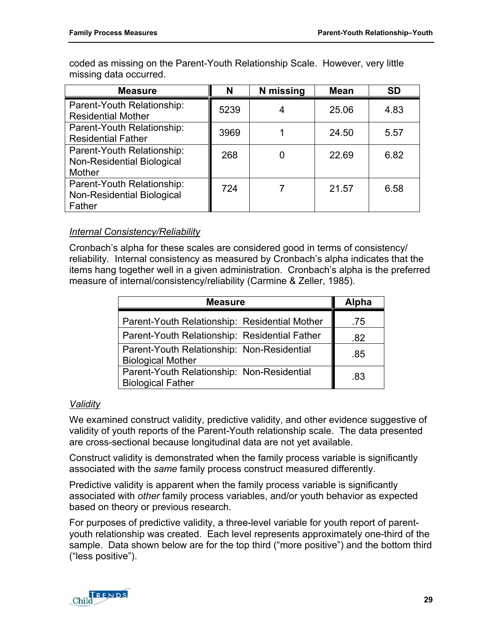coded as missing on the Parent-Youth Relationship Scale. However, very little missing data occurred.

| <b>Measure</b>                                                                   | N    | N missing | <b>Mean</b> | <b>SD</b> |
|----------------------------------------------------------------------------------|------|-----------|-------------|-----------|
| Parent-Youth Relationship:<br><b>Residential Mother</b>                          | 5239 |           | 25.06       | 4.83      |
| Parent-Youth Relationship:<br><b>Residential Father</b>                          | 3969 |           | 24.50       | 5.57      |
| Parent-Youth Relationship:<br><b>Non-Residential Biological</b><br><b>Mother</b> | 268  |           | 22.69       | 6.82      |
| Parent-Youth Relationship:<br>Non-Residential Biological<br>Father               | 724  |           | 21.57       | 6.58      |

# *Internal Consistency/Reliability*

Cronbach's alpha for these scales are considered good in terms of consistency/ reliability. Internal consistency as measured by Cronbach's alpha indicates that the items hang together well in a given administration. Cronbach's alpha is the preferred measure of internal/consistency/reliability (Carmine & Zeller, 1985).

| <b>Measure</b>                                                         | <b>Alpha</b> |
|------------------------------------------------------------------------|--------------|
| Parent-Youth Relationship: Residential Mother                          | .75          |
| Parent-Youth Relationship: Residential Father                          | .82          |
| Parent-Youth Relationship: Non-Residential<br><b>Biological Mother</b> | .85          |
| Parent-Youth Relationship: Non-Residential<br><b>Biological Father</b> | -83          |

### *Validity*

We examined construct validity, predictive validity, and other evidence suggestive of validity of youth reports of the Parent-Youth relationship scale. The data presented are cross-sectional because longitudinal data are not yet available.

Construct validity is demonstrated when the family process variable is significantly associated with the *same* family process construct measured differently.

Predictive validity is apparent when the family process variable is significantly associated with *other* family process variables, and/or youth behavior as expected based on theory or previous research.

For purposes of predictive validity, a three-level variable for youth report of parentyouth relationship was created. Each level represents approximately one-third of the sample. Data shown below are for the top third ("more positive") and the bottom third ("less positive").

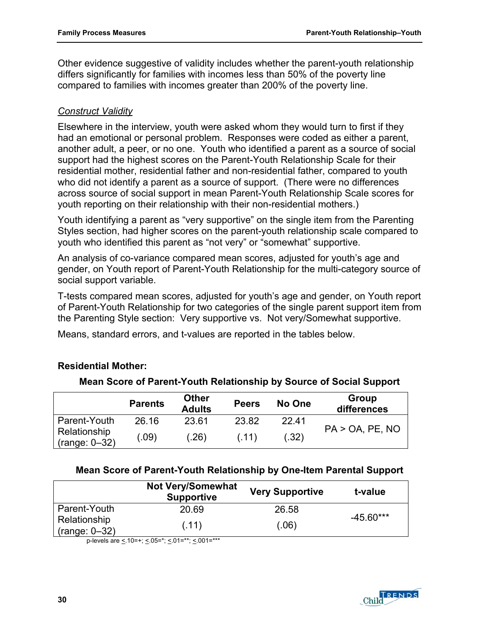Other evidence suggestive of validity includes whether the parent-youth relationship differs significantly for families with incomes less than 50% of the poverty line compared to families with incomes greater than 200% of the poverty line.

## *Construct Validity*

Elsewhere in the interview, youth were asked whom they would turn to first if they had an emotional or personal problem. Responses were coded as either a parent, another adult, a peer, or no one. Youth who identified a parent as a source of social support had the highest scores on the Parent-Youth Relationship Scale for their residential mother, residential father and non-residential father, compared to youth who did not identify a parent as a source of support. (There were no differences across source of social support in mean Parent-Youth Relationship Scale scores for youth reporting on their relationship with their non-residential mothers.)

Youth identifying a parent as "very supportive" on the single item from the Parenting Styles section, had higher scores on the parent-youth relationship scale compared to youth who identified this parent as "not very" or "somewhat" supportive.

An analysis of co-variance compared mean scores, adjusted for youth's age and gender, on Youth report of Parent-Youth Relationship for the multi-category source of social support variable.

T-tests compared mean scores, adjusted for youth's age and gender, on Youth report of Parent-Youth Relationship for two categories of the single parent support item from the Parenting Style section: Very supportive vs. Not very/Somewhat supportive.

Means, standard errors, and t-values are reported in the tables below.

# **Residential Mother:**

| Mean Score of Parent-Youth Relationship by Source of Social Support |  |  |  |  |  |
|---------------------------------------------------------------------|--|--|--|--|--|
|---------------------------------------------------------------------|--|--|--|--|--|

|                                 | <b>Parents</b> | <b>Other</b><br><b>Adults</b> | <b>Peers</b> | No One | Group<br>differences |
|---------------------------------|----------------|-------------------------------|--------------|--------|----------------------|
| Parent-Youth                    | 26.16          | 23.61                         | 23.82        | 22.41  |                      |
| Relationship<br>$(range: 0-32)$ | .09)           | (.26)                         | (.11)        | (.32)  | $PA > OA$ , PE, NO   |

### **Mean Score of Parent-Youth Relationship by One-Item Parental Support**

|                                 | <b>Not Very/Somewhat</b><br><b>Supportive</b> | <b>Very Supportive</b> | t-value     |
|---------------------------------|-----------------------------------------------|------------------------|-------------|
| Parent-Youth                    | 20.69                                         | 26.58                  | $-45.60***$ |
| Relationship<br>$(range: 0-32)$ | (.11)                                         | (.06)                  |             |

p-levels are  $\leq$  10=+;  $\leq$  05=\*;  $\leq$  01=\*\*;  $\leq$  001=\*\*\*

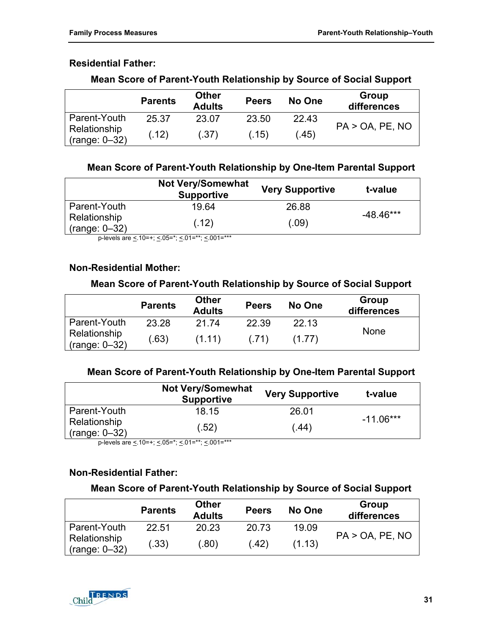# **Residential Father:**

|                                 | <b>Parents</b> | <b>Other</b><br><b>Adults</b> | <b>Peers</b> | No One | Group<br>differences    |
|---------------------------------|----------------|-------------------------------|--------------|--------|-------------------------|
| Parent-Youth                    | 25.37          | 23.07                         | 23.50        | 22.43  | $PA > OA$ , $PE$ , $NO$ |
| Relationship<br>$(range: 0-32)$ | (.12)          | (.37)                         | (.15)        | (.45)  |                         |

# **Mean Score of Parent-Youth Relationship by Source of Social Support**

# **Mean Score of Parent-Youth Relationship by One-Item Parental Support**

|                                 | <b>Not Very/Somewhat</b><br><b>Supportive</b> | <b>Very Supportive</b> | t-value     |
|---------------------------------|-----------------------------------------------|------------------------|-------------|
| Parent-Youth                    | 19.64                                         | 26.88                  |             |
| Relationship<br>$(range: 0-32)$ | (.12)                                         | (.09)                  | $-48.46***$ |

p-levels are  $\leq 10=+$ ;  $\leq 0.05=$ \*;  $\leq 0.01=$ \*\*\*

# **Non-Residential Mother:**

### **Mean Score of Parent-Youth Relationship by Source of Social Support**

|                                 | <b>Parents</b> | <b>Other</b><br><b>Adults</b> | <b>Peers</b> | No One | Group<br>differences |
|---------------------------------|----------------|-------------------------------|--------------|--------|----------------------|
| Parent-Youth                    | 23.28          | 21.74                         | 22.39        | 22.13  |                      |
| Relationship<br>$(range: 0-32)$ | (.63)          | (1.11)                        | (.71)        | (1.77) | <b>None</b>          |

# **Mean Score of Parent-Youth Relationship by One-Item Parental Support**

|                                 | <b>Not Very/Somewhat</b><br><b>Supportive</b> | <b>Very Supportive</b> | t-value     |
|---------------------------------|-----------------------------------------------|------------------------|-------------|
| Parent-Youth                    | 18.15                                         | 26.01                  | $-11.06***$ |
| Relationship<br>$(range: 0-32)$ | (.52)                                         | (.44)                  |             |

p-levels are  $\leq$  10=+;  $\leq$  05=\*;  $\leq$  01=\*\*;  $\leq$  001=\*\*\*

# **Non-Residential Father:**

### **Mean Score of Parent-Youth Relationship by Source of Social Support**

|                                 | <b>Parents</b> | <b>Other</b><br><b>Adults</b> | <b>Peers</b> | No One | Group<br>differences    |
|---------------------------------|----------------|-------------------------------|--------------|--------|-------------------------|
| Parent-Youth                    | 22.51          | 20.23                         | 20.73        | 19.09  |                         |
| Relationship<br>$(range: 0-32)$ | (.33)          | (.80)                         | (.42)        | (1.13) | $PA > OA$ , $PE$ , $NO$ |

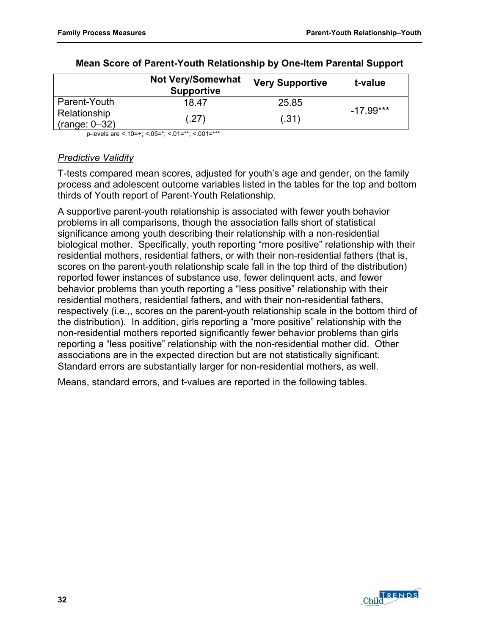|                                 | <b>Not Very/Somewhat</b><br><b>Supportive</b> | <b>Very Supportive</b> | t-value     |
|---------------------------------|-----------------------------------------------|------------------------|-------------|
| Parent-Youth                    | 18.47                                         | 25.85                  | $-17.99***$ |
| Relationship<br>$(range: 0-32)$ | (.27)                                         | (.31)                  |             |

#### **Mean Score of Parent-Youth Relationship by One-Item Parental Support**

p-levels are <.10=+; <.05=\*; <.01=\*\*; <.001=\*\*\*

#### *Predictive Validity*

T-tests compared mean scores, adjusted for youth's age and gender, on the family process and adolescent outcome variables listed in the tables for the top and bottom thirds of Youth report of Parent-Youth Relationship.

A supportive parent-youth relationship is associated with fewer youth behavior problems in all comparisons, though the association falls short of statistical significance among youth describing their relationship with a non-residential biological mother. Specifically, youth reporting "more positive" relationship with their residential mothers, residential fathers, or with their non-residential fathers (that is, scores on the parent-youth relationship scale fall in the top third of the distribution) reported fewer instances of substance use, fewer delinquent acts, and fewer behavior problems than youth reporting a "less positive" relationship with their residential mothers, residential fathers, and with their non-residential fathers, respectively (i.e.,, scores on the parent-youth relationship scale in the bottom third of the distribution). In addition, girls reporting a "more positive" relationship with the non-residential mothers reported significantly fewer behavior problems than girls reporting a "less positive" relationship with the non-residential mother did. Other associations are in the expected direction but are not statistically significant. Standard errors are substantially larger for non-residential mothers, as well.

Means, standard errors, and t-values are reported in the following tables.

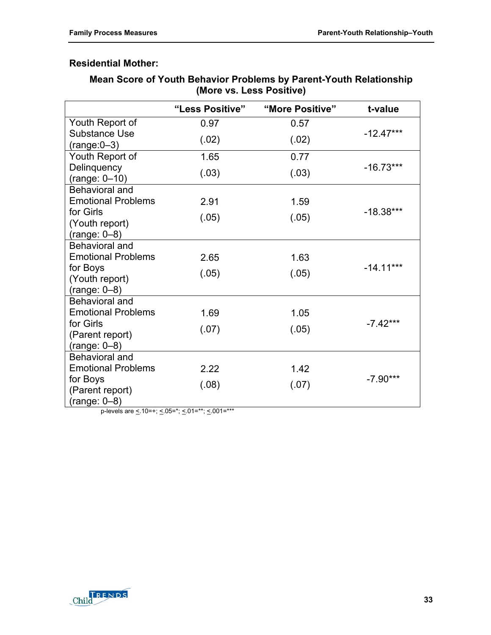# **Residential Mother:**

# **Mean Score of Youth Behavior Problems by Parent-Youth Relationship (More vs. Less Positive)**

|                                             | "Less Positive"                                 | "More Positive" | t-value     |
|---------------------------------------------|-------------------------------------------------|-----------------|-------------|
| Youth Report of                             | 0.97                                            | 0.57            |             |
| <b>Substance Use</b>                        | (.02)                                           | (.02)           | $-12.47***$ |
| $(range:0-3)$                               |                                                 |                 |             |
| Youth Report of<br>Delinquency              | 1.65                                            | 0.77            | $-16.73***$ |
| $(range: 0-10)$                             | (.03)                                           | (.03)           |             |
| <b>Behavioral and</b>                       |                                                 |                 |             |
| <b>Emotional Problems</b>                   | 2.91                                            | 1.59            |             |
| for Girls                                   | (.05)                                           | (.05)           | $-18.38***$ |
| (Youth report)                              |                                                 |                 |             |
| $(range: 0-8)$                              |                                                 |                 |             |
| Behavioral and<br><b>Emotional Problems</b> | 2.65                                            |                 |             |
| for Boys                                    |                                                 | 1.63            | $-14.11***$ |
| (Youth report)                              | (.05)                                           | (.05)           |             |
| $(range: 0-8)$                              |                                                 |                 |             |
| <b>Behavioral and</b>                       |                                                 |                 |             |
| <b>Emotional Problems</b>                   | 1.69                                            | 1.05            |             |
| for Girls                                   | (.07)                                           | (.05)           | $-7.42***$  |
| (Parent report)                             |                                                 |                 |             |
| $(range: 0-8)$                              |                                                 |                 |             |
| <b>Behavioral and</b>                       |                                                 |                 |             |
| <b>Emotional Problems</b>                   | 2.22                                            | 1.42            |             |
| for Boys                                    | (.08)                                           | (.07)           | $-7.90***$  |
| (Parent report)                             |                                                 |                 |             |
| $(range: 0-8)$                              | p-levels are < 10=+; < 05=*; < 01=**; < 001=*** |                 |             |

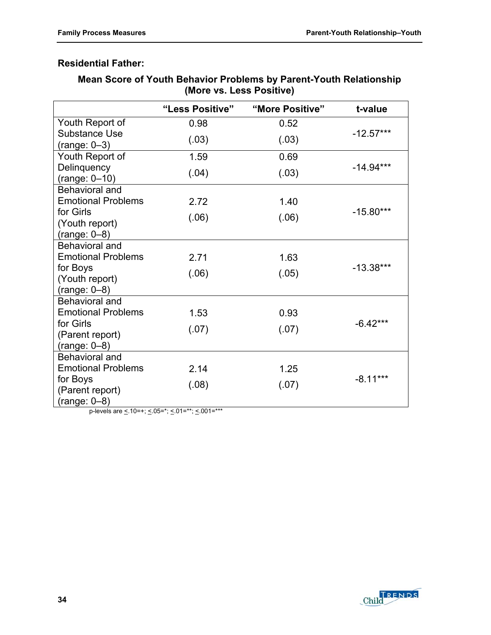# **Residential Father:**

| Mean Score of Youth Behavior Problems by Parent-Youth Relationship |
|--------------------------------------------------------------------|
| (More vs. Less Positive)                                           |

|                                          | "Less Positive"                                          | "More Positive" | t-value     |
|------------------------------------------|----------------------------------------------------------|-----------------|-------------|
| Youth Report of                          | 0.98                                                     | 0.52            |             |
| <b>Substance Use</b>                     | (.03)                                                    | (.03)           | $-12.57***$ |
| $(range: 0-3)$                           |                                                          |                 |             |
| Youth Report of                          | 1.59                                                     | 0.69            |             |
| Delinquency                              | (.04)                                                    | (.03)           | $-14.94***$ |
| $(range: 0-10)$<br><b>Behavioral and</b> |                                                          |                 |             |
| <b>Emotional Problems</b>                | 2.72                                                     | 1.40            |             |
| for Girls                                |                                                          |                 | $-15.80***$ |
| (Youth report)                           | (.06)                                                    | (.06)           |             |
| $(range: 0-8)$                           |                                                          |                 |             |
| <b>Behavioral and</b>                    |                                                          |                 |             |
| <b>Emotional Problems</b>                | 2.71                                                     | 1.63            |             |
| for Boys                                 | (.06)                                                    | (.05)           | $-13.38***$ |
| (Youth report)                           |                                                          |                 |             |
| $(range: 0-8)$                           |                                                          |                 |             |
| <b>Behavioral and</b>                    |                                                          |                 |             |
| <b>Emotional Problems</b>                | 1.53                                                     | 0.93            |             |
| for Girls                                | (.07)                                                    | (.07)           | $-6.42***$  |
| (Parent report)                          |                                                          |                 |             |
| $(range: 0-8)$                           |                                                          |                 |             |
| Behavioral and                           |                                                          |                 |             |
| <b>Emotional Problems</b>                | 2.14                                                     | 1.25            | $-8.11***$  |
| for Boys                                 | (.08)                                                    | (.07)           |             |
| (Parent report)                          |                                                          |                 |             |
| (range: 0–8)                             | $\cos \theta$ / 10 = 11 / 05 = *; / 04 = **; / 004 = *** |                 |             |

p-levels are  $\leq 10$ =+;  $\leq 05$ =\*;  $\leq 01$ =\*\*;  $\leq 001$ =\*

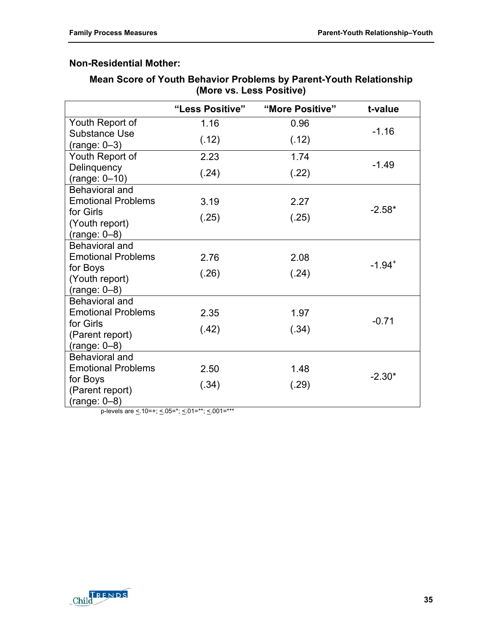# **Non-Residential Mother:**

# **Mean Score of Youth Behavior Problems by Parent-Youth Relationship (More vs. Less Positive)**

|                                         | "Less Positive"                                 | "More Positive" | t-value              |
|-----------------------------------------|-------------------------------------------------|-----------------|----------------------|
| Youth Report of                         | 1.16                                            | 0.96            |                      |
| Substance Use                           | (.12)                                           | (.12)           | $-1.16$              |
| $(range: 0-3)$<br>Youth Report of       | 2.23                                            | 1.74            |                      |
| Delinquency                             |                                                 |                 | $-1.49$              |
| $(range: 0-10)$                         | (.24)                                           | (.22)           |                      |
| Behavioral and                          |                                                 |                 |                      |
| <b>Emotional Problems</b>               | 3.19                                            | 2.27            |                      |
| for Girls                               | (.25)                                           | (.25)           | $-2.58*$             |
| (Youth report)                          |                                                 |                 |                      |
| $(range: 0-8)$<br><b>Behavioral and</b> |                                                 |                 |                      |
| <b>Emotional Problems</b>               | 2.76                                            | 2.08            |                      |
| for Boys                                |                                                 |                 | $-1.94$ <sup>+</sup> |
| (Youth report)                          | (.26)                                           | (.24)           |                      |
| $(range: 0-8)$                          |                                                 |                 |                      |
| <b>Behavioral and</b>                   |                                                 |                 |                      |
| <b>Emotional Problems</b>               | 2.35                                            | 1.97            |                      |
| for Girls                               | (.42)                                           | (.34)           | $-0.71$              |
| (Parent report)                         |                                                 |                 |                      |
| $(range: 0-8)$                          |                                                 |                 |                      |
| <b>Behavioral and</b>                   |                                                 |                 |                      |
| <b>Emotional Problems</b>               | 2.50                                            | 1.48            | $-2.30*$             |
| for Boys                                | (.34)                                           | (.29)           |                      |
| (Parent report)<br>$(range: 0-8)$       |                                                 |                 |                      |
|                                         | p-levels are < 10=+; < 05=*; < 01=**; < 001=*** |                 |                      |

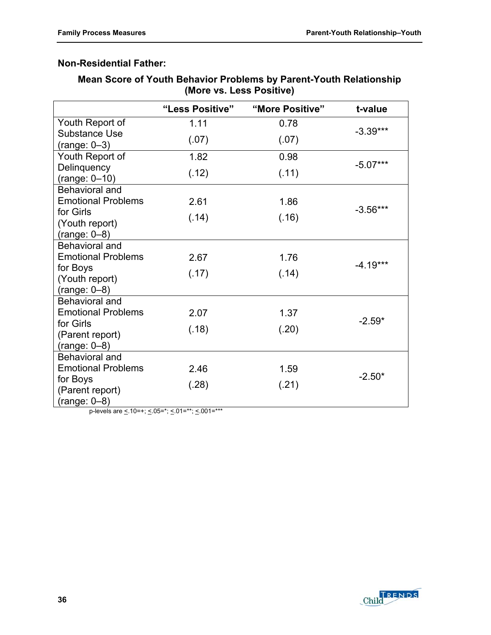# **Non-Residential Father:**

# **Mean Score of Youth Behavior Problems by Parent-Youth Relationship (More vs. Less Positive)**

|                                                | "Less Positive" | "More Positive" | t-value    |
|------------------------------------------------|-----------------|-----------------|------------|
| Youth Report of                                | 1.11            | 0.78            |            |
| <b>Substance Use</b><br>$(range: 0-3)$         | (.07)           | (.07)           | $-3.39***$ |
| Youth Report of                                | 1.82            | 0.98            |            |
| Delinquency<br>$(range: 0-10)$                 | (.12)           | (.11)           | $-5.07***$ |
| Behavioral and<br><b>Emotional Problems</b>    | 2.61            | 1.86            | $-3.56***$ |
| for Girls<br>(Youth report)<br>$(range: 0-8)$  | (.14)           | (.16)           |            |
| Behavioral and                                 |                 |                 |            |
| <b>Emotional Problems</b>                      | 2.67            | 1.76            |            |
| for Boys<br>(Youth report)<br>$(range: 0-8)$   | (.17)           | (.14)           | $-4.19***$ |
| Behavioral and                                 |                 |                 |            |
| <b>Emotional Problems</b>                      | 2.07            | 1.37            |            |
| for Girls<br>(Parent report)<br>$(range: 0-8)$ | (.18)           | (.20)           | $-2.59*$   |
| <b>Behavioral and</b>                          |                 |                 |            |
| <b>Emotional Problems</b>                      | 2.46            | 1.59            |            |
| for Boys<br>(Parent report)<br>$(range: 0-8)$  | (.28)           | (.21)           | $-2.50*$   |

p-levels are  $\leq 10$ =+;  $\leq 05$ =\*;  $\leq 01$ =\*\*;  $\leq 001$ =\*

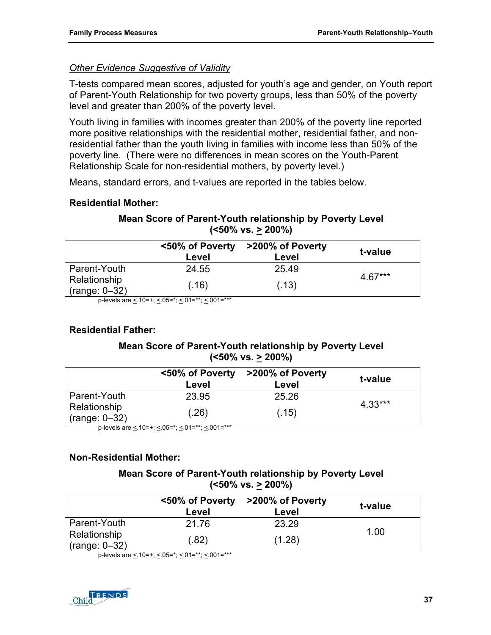# *Other Evidence Suggestive of Validity*

T-tests compared mean scores, adjusted for youth's age and gender, on Youth report of Parent-Youth Relationship for two poverty groups, less than 50% of the poverty level and greater than 200% of the poverty level.

Youth living in families with incomes greater than 200% of the poverty line reported more positive relationships with the residential mother, residential father, and nonresidential father than the youth living in families with income less than 50% of the poverty line. (There were no differences in mean scores on the Youth-Parent Relationship Scale for non-residential mothers, by poverty level.)

Means, standard errors, and t-values are reported in the tables below.

## **Residential Mother:**

# **Mean Score of Parent-Youth relationship by Poverty Level (<50% vs. > 200%)**

|                                 | <50% of Poverty<br>Level | >200% of Poverty<br>Level | t-value   |
|---------------------------------|--------------------------|---------------------------|-----------|
| Parent-Youth                    | 24.55                    | 25.49                     |           |
| Relationship<br>$(range: 0-32)$ | (.16)                    | (.13)                     | $4.67***$ |

p-levels are <.10=+; <.05=\*; <.01=\*\*; <.001=\*\*\*

# **Residential Father:**

# **Mean Score of Parent-Youth relationship by Poverty Level (<50% vs. > 200%)**

|                                 | Level | <50% of Poverty >200% of Poverty<br>Level | t-value   |
|---------------------------------|-------|-------------------------------------------|-----------|
| Parent-Youth                    | 23.95 | 25.26                                     |           |
| Relationship<br>$(range: 0-32)$ | (.26) | (.15)                                     | $4.33***$ |

p-levels are <.10=+; <.05="; <.01=""; <.001=

# **Non-Residential Mother:**

### **Mean Score of Parent-Youth relationship by Poverty Level (<50% vs. > 200%)**

|                                 | <50% of Poverty<br>Level | >200% of Poverty<br>Level | t-value |
|---------------------------------|--------------------------|---------------------------|---------|
| Parent-Youth                    | 21.76                    | 23.29                     | 1.00    |
| Relationship<br>$(range: 0-32)$ | (.82)                    | (1.28)                    |         |

p-levels are  $\leq 10$ =+;  $\leq 05$ =\*;  $\leq 01$ =\*\*;  $\leq 001$ =\*\*\*

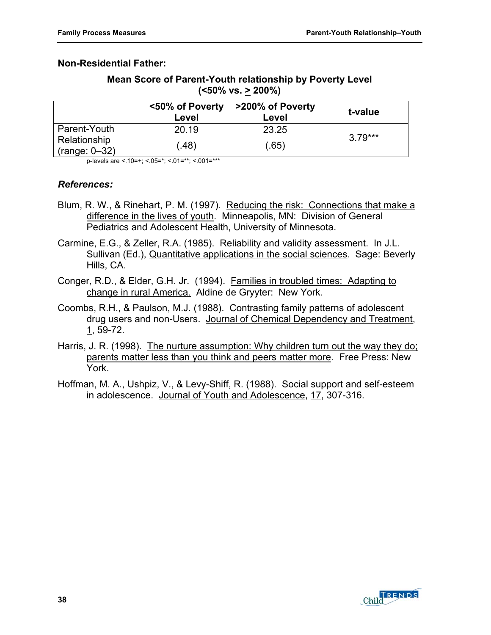## **Non-Residential Father:**

| Mean Score of Parent-Youth relationship by Poverty Level |
|----------------------------------------------------------|
| (<50% vs. <u>&gt;</u> 200%)                              |

|                                 | <50% of Poverty<br>Level | >200% of Poverty<br>Level | t-value   |
|---------------------------------|--------------------------|---------------------------|-----------|
| Parent-Youth                    | 20.19                    | 23.25                     |           |
| Relationship<br>$(range: 0-32)$ | (.48)                    | (.65)                     | $3.79***$ |

p-levels are <.10=+; <.05=\*; <.01=\*\*; <.001=\*\*\*

### *References:*

- Blum, R. W., & Rinehart, P. M. (1997). Reducing the risk: Connections that make a difference in the lives of youth. Minneapolis, MN: Division of General Pediatrics and Adolescent Health, University of Minnesota.
- Carmine, E.G., & Zeller, R.A. (1985). Reliability and validity assessment. In J.L. Sullivan (Ed.), Quantitative applications in the social sciences. Sage: Beverly Hills, CA.
- Conger, R.D., & Elder, G.H. Jr. (1994). Families in troubled times: Adapting to change in rural America. Aldine de Gryyter: New York.
- Coombs, R.H., & Paulson, M.J. (1988). Contrasting family patterns of adolescent drug users and non-Users. Journal of Chemical Dependency and Treatment, 1, 59-72.
- Harris, J. R. (1998). The nurture assumption: Why children turn out the way they do; parents matter less than you think and peers matter more. Free Press: New York.
- Hoffman, M. A., Ushpiz, V., & Levy-Shiff, R. (1988). Social support and self-esteem in adolescence. Journal of Youth and Adolescence, 17, 307-316.

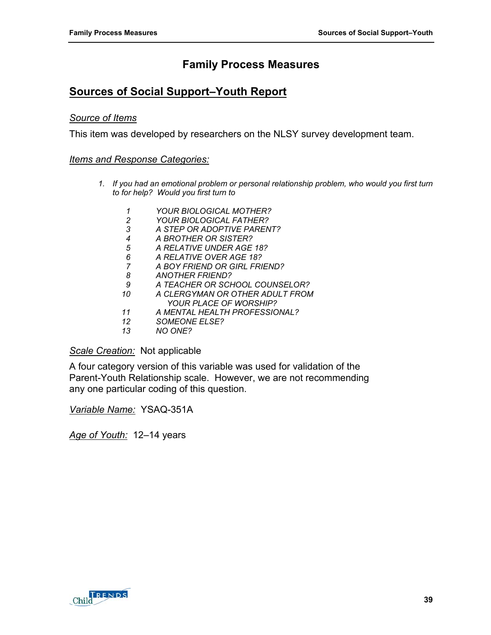# **Family Process Measures**

# **Sources of Social Support–Youth Report**

#### *Source of Items*

This item was developed by researchers on the NLSY survey development team.

#### *Items and Response Categories:*

- *1. If you had an emotional problem or personal relationship problem, who would you first turn to for help? Would you first turn to* 
	- *1 YOUR BIOLOGICAL MOTHER? 2 YOUR BIOLOGICAL FATHER? 3 A STEP OR ADOPTIVE PARENT? 4 A BROTHER OR SISTER? 5 A RELATIVE UNDER AGE 18? 6 A RELATIVE OVER AGE 18? 7 A BOY FRIEND OR GIRL FRIEND? 8 ANOTHER FRIEND? 9 A TEACHER OR SCHOOL COUNSELOR? 10 A CLERGYMAN OR OTHER ADULT FROM YOUR PLACE OF WORSHIP? 11 A MENTAL HEALTH PROFESSIONAL? 12 SOMEONE ELSE?*
	- *13 NO ONE?*

*Scale Creation:* Not applicable

A four category version of this variable was used for validation of the Parent-Youth Relationship scale. However, we are not recommending any one particular coding of this question.

*Variable Name:* YSAQ-351A

*Age of Youth:* 12–14 years

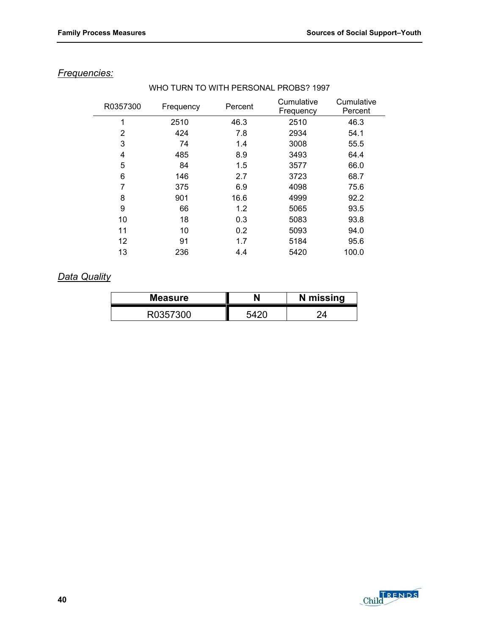| R0357300 | Frequency | Percent | Cumulative<br>Frequency | Cumulative<br>Percent |
|----------|-----------|---------|-------------------------|-----------------------|
| 1        | 2510      | 46.3    | 2510                    | 46.3                  |
| 2        | 424       | 7.8     | 2934                    | 54.1                  |
| 3        | 74        | 1.4     | 3008                    | 55.5                  |
| 4        | 485       | 8.9     | 3493                    | 64.4                  |
| 5        | 84        | 1.5     | 3577                    | 66.0                  |
| 6        | 146       | 2.7     | 3723                    | 68.7                  |
| 7        | 375       | 6.9     | 4098                    | 75.6                  |
| 8        | 901       | 16.6    | 4999                    | 92.2                  |
| 9        | 66        | 1.2     | 5065                    | 93.5                  |
| 10       | 18        | 0.3     | 5083                    | 93.8                  |
| 11       | 10        | 0.2     | 5093                    | 94.0                  |
| 12       | 91        | 1.7     | 5184                    | 95.6                  |
| 13       | 236       | 4.4     | 5420                    | 100.0                 |

WHO TURN TO WITH PERSONAL PROBS? 1997

# *Frequencies:*

# *Data Quality*

| <b>Measure</b> | N missing |
|----------------|-----------|
| つにつつへへ         |           |

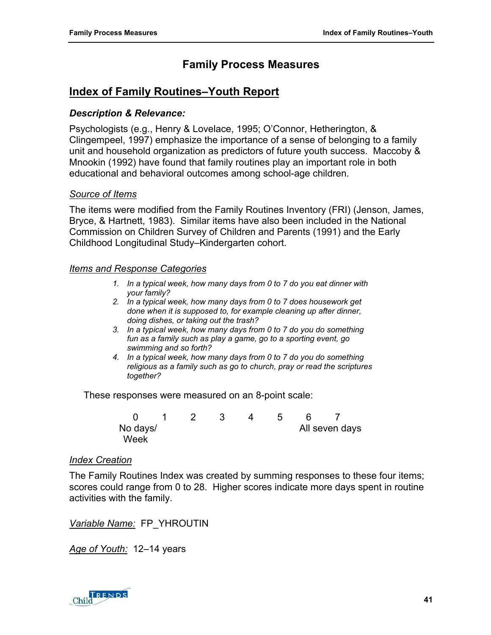# **Family Process Measures**

# **Index of Family Routines–Youth Report**

#### *Description & Relevance:*

Psychologists (e.g., Henry & Lovelace, 1995; O'Connor, Hetherington, & Clingempeel, 1997) emphasize the importance of a sense of belonging to a family unit and household organization as predictors of future youth success. Maccoby & Mnookin (1992) have found that family routines play an important role in both educational and behavioral outcomes among school-age children.

#### *Source of Items*

The items were modified from the Family Routines Inventory (FRI) (Jenson, James, Bryce, & Hartnett, 1983). Similar items have also been included in the National Commission on Children Survey of Children and Parents (1991) and the Early Childhood Longitudinal Study–Kindergarten cohort.

#### *Items and Response Categories*

- *1. In a typical week, how many days from 0 to 7 do you eat dinner with your family?*
- *2. In a typical week, how many days from 0 to 7 does housework get done when it is supposed to, for example cleaning up after dinner, doing dishes, or taking out the trash?*
- *3. In a typical week, how many days from 0 to 7 do you do something fun as a family such as play a game, go to a sporting event, go swimming and so forth?*
- *4. In a typical week, how many days from 0 to 7 do you do something religious as a family such as go to church, pray or read the scriptures together?*

These responses were measured on an 8-point scale:

0 1 2 3 4 5 6 7 No days/ and the second seven days and the All seven days Week

#### *Index Creation*

The Family Routines Index was created by summing responses to these four items; scores could range from 0 to 28. Higher scores indicate more days spent in routine activities with the family.

*Variable Name:* FP\_YHROUTIN

*Age of Youth:* 12–14 years

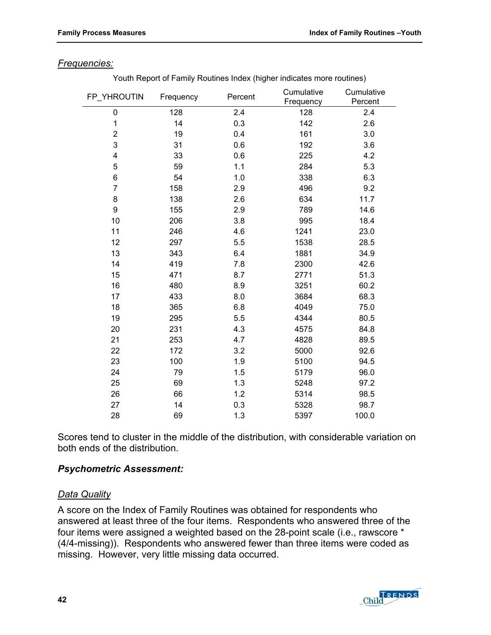#### *Frequencies:*

Youth Report of Family Routines Index (higher indicates more routines)

| FP_YHROUTIN    | Frequency | Percent | Cumulative<br>Frequency | Cumulative<br>Percent |
|----------------|-----------|---------|-------------------------|-----------------------|
| 0              | 128       | 2.4     | 128                     | 2.4                   |
| $\mathbf{1}$   | 14        | 0.3     | 142                     | 2.6                   |
| $\overline{2}$ | 19        | 0.4     | 161                     | 3.0                   |
| 3              | 31        | 0.6     | 192                     | 3.6                   |
| 4              | 33        | 0.6     | 225                     | 4.2                   |
| 5              | 59        | 1.1     | 284                     | 5.3                   |
| 6              | 54        | 1.0     | 338                     | 6.3                   |
| $\overline{7}$ | 158       | 2.9     | 496                     | 9.2                   |
| 8              | 138       | 2.6     | 634                     | 11.7                  |
| 9              | 155       | 2.9     | 789                     | 14.6                  |
| 10             | 206       | 3.8     | 995                     | 18.4                  |
| 11             | 246       | 4.6     | 1241                    | 23.0                  |
| 12             | 297       | 5.5     | 1538                    | 28.5                  |
| 13             | 343       | 6.4     | 1881                    | 34.9                  |
| 14             | 419       | 7.8     | 2300                    | 42.6                  |
| 15             | 471       | 8.7     | 2771                    | 51.3                  |
| 16             | 480       | 8.9     | 3251                    | 60.2                  |
| 17             | 433       | 8.0     | 3684                    | 68.3                  |
| 18             | 365       | 6.8     | 4049                    | 75.0                  |
| 19             | 295       | 5.5     | 4344                    | 80.5                  |
| 20             | 231       | 4.3     | 4575                    | 84.8                  |
| 21             | 253       | 4.7     | 4828                    | 89.5                  |
| 22             | 172       | 3.2     | 5000                    | 92.6                  |
| 23             | 100       | 1.9     | 5100                    | 94.5                  |
| 24             | 79        | 1.5     | 5179                    | 96.0                  |
| 25             | 69        | 1.3     | 5248                    | 97.2                  |
| 26             | 66        | 1.2     | 5314                    | 98.5                  |
| 27             | 14        | 0.3     | 5328                    | 98.7                  |
| 28             | 69        | 1.3     | 5397                    | 100.0                 |

Scores tend to cluster in the middle of the distribution, with considerable variation on both ends of the distribution.

### *Psychometric Assessment:*

#### *Data Quality*

A score on the Index of Family Routines was obtained for respondents who answered at least three of the four items. Respondents who answered three of the four items were assigned a weighted based on the 28-point scale (i.e., rawscore \* (4/4-missing)). Respondents who answered fewer than three items were coded as missing. However, very little missing data occurred.

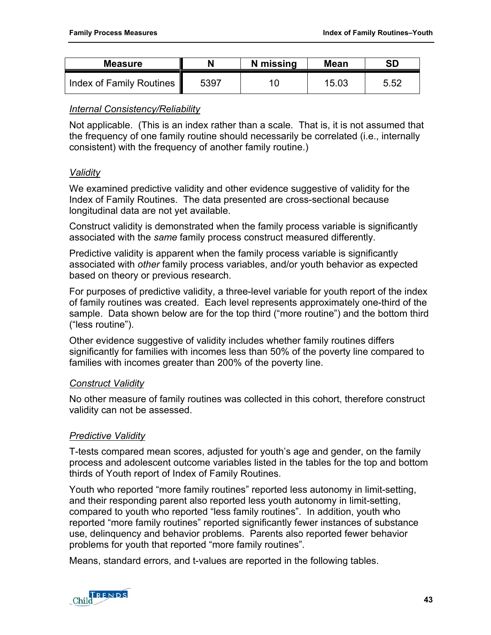| <b>Measure</b>           | N    | N missing | <b>Mean</b> | <b>SD</b> |
|--------------------------|------|-----------|-------------|-----------|
| Index of Family Routines | 5397 |           | 15.03       | 5.52      |

### *Internal Consistency/Reliability*

Not applicable. (This is an index rather than a scale. That is, it is not assumed that the frequency of one family routine should necessarily be correlated (i.e., internally consistent) with the frequency of another family routine.)

## *Validity*

We examined predictive validity and other evidence suggestive of validity for the Index of Family Routines. The data presented are cross-sectional because longitudinal data are not yet available.

Construct validity is demonstrated when the family process variable is significantly associated with the *same* family process construct measured differently.

Predictive validity is apparent when the family process variable is significantly associated with *other* family process variables, and/or youth behavior as expected based on theory or previous research.

For purposes of predictive validity, a three-level variable for youth report of the index of family routines was created. Each level represents approximately one-third of the sample. Data shown below are for the top third ("more routine") and the bottom third ("less routine").

Other evidence suggestive of validity includes whether family routines differs significantly for families with incomes less than 50% of the poverty line compared to families with incomes greater than 200% of the poverty line.

### *Construct Validity*

No other measure of family routines was collected in this cohort, therefore construct validity can not be assessed.

# *Predictive Validity*

T-tests compared mean scores, adjusted for youth's age and gender, on the family process and adolescent outcome variables listed in the tables for the top and bottom thirds of Youth report of Index of Family Routines.

Youth who reported "more family routines" reported less autonomy in limit-setting, and their responding parent also reported less youth autonomy in limit-setting, compared to youth who reported "less family routines". In addition, youth who reported "more family routines" reported significantly fewer instances of substance use, delinquency and behavior problems. Parents also reported fewer behavior problems for youth that reported "more family routines".

Means, standard errors, and t-values are reported in the following tables.

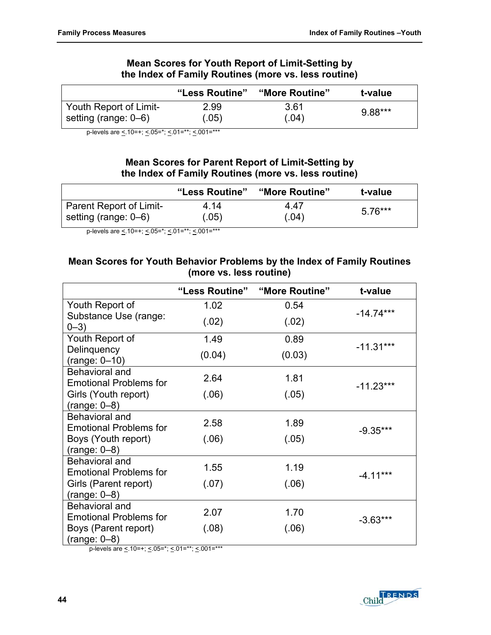## **Mean Scores for Youth Report of Limit-Setting by the Index of Family Routines (more vs. less routine)**

|                        | "Less Routine" | "More Routine" | t-value |
|------------------------|----------------|----------------|---------|
| Youth Report of Limit- | 2.99           | 3.61           | 9.88*** |
| setting (range: 0–6)   | (.05)          | (.04)          |         |

p-levels are  $\leq$  10=+;  $\leq$  05=\*;  $\leq$  01=\*\*;  $\leq$  001=\*\*\*

## **Mean Scores for Parent Report of Limit-Setting by the Index of Family Routines (more vs. less routine)**

|                                | "Less Routine" | "More Routine" | t-value |
|--------------------------------|----------------|----------------|---------|
| <b>Parent Report of Limit-</b> | 4 14           | 4 47           | 5.76*** |
| setting (range: 0–6)           | (.05)          | (.04)          |         |

p-levels are  $\leq 10=+$ ;  $\leq 0.05=$ \*;  $\leq 0.01=$ \*\*\*

## **Mean Scores for Youth Behavior Problems by the Index of Family Routines (more vs. less routine)**

|                                                        | "Less Routine" | "More Routine" | t-value     |
|--------------------------------------------------------|----------------|----------------|-------------|
| Youth Report of                                        | 1.02           | 0.54           |             |
| Substance Use (range:<br>$0 - 3)$                      | (.02)          | (.02)          | $-14.74***$ |
| Youth Report of                                        | 1.49           | 0.89           |             |
| Delinquency<br>(range: 0-10)                           | (0.04)         | (0.03)         | $-11.31***$ |
| <b>Behavioral and</b><br><b>Emotional Problems for</b> | 2.64           | 1.81           | $-11.23***$ |
| Girls (Youth report)<br>$(range: 0-8)$                 | (.06)          | (.05)          |             |
| Behavioral and<br><b>Emotional Problems for</b>        | 2.58           | 1.89           | $-9.35***$  |
| Boys (Youth report)<br>$(range: 0-8)$                  | (.06)          | (.05)          |             |
| Behavioral and<br><b>Emotional Problems for</b>        | 1.55           | 1.19           | $-4.11***$  |
| Girls (Parent report)<br>$(range: 0-8)$                | (.07)          | (.06)          |             |
| <b>Behavioral and</b><br><b>Emotional Problems for</b> | 2.07           | 1.70           | $-3.63***$  |
| Boys (Parent report)<br>$(range: 0-8)$                 | (.08)          | (.06)          |             |

p-levels are  $\leq 10=+$ ;  $\leq 0.05=$ \*;  $\leq 0.01=$ \*\*\*;  $\leq 0.001=$ \*\*\*

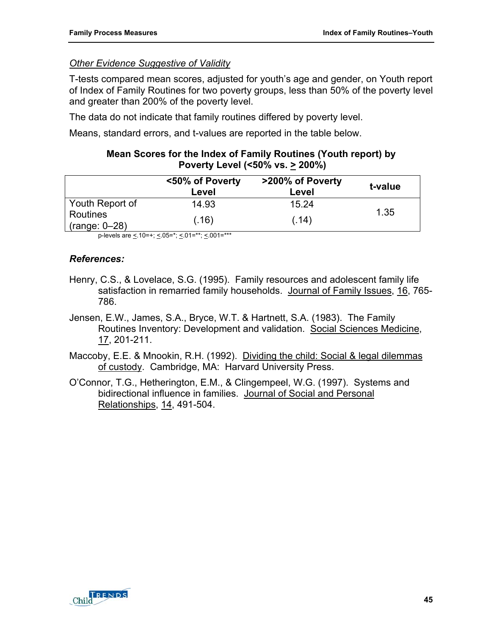# *Other Evidence Suggestive of Validity*

T-tests compared mean scores, adjusted for youth's age and gender, on Youth report of Index of Family Routines for two poverty groups, less than 50% of the poverty level and greater than 200% of the poverty level.

The data do not indicate that family routines differed by poverty level.

Means, standard errors, and t-values are reported in the table below.

### **Mean Scores for the Index of Family Routines (Youth report) by Poverty Level (<50% vs. > 200%)**

|                             | <50% of Poverty<br>Level | >200% of Poverty<br>Level | t-value |
|-----------------------------|--------------------------|---------------------------|---------|
| Youth Report of             | 14.93                    | 15.24                     |         |
| Routines<br>$(range: 0-28)$ | (.16)                    | (.14)                     | 1.35    |

p-levels are < 10=+; < 05=\*; < 01=\*\*; < 001=\*\*\*

# *References:*

- Henry, C.S., & Lovelace, S.G. (1995). Family resources and adolescent family life satisfaction in remarried family households. Journal of Family Issues, 16, 765-786.
- Jensen, E.W., James, S.A., Bryce, W.T. & Hartnett, S.A. (1983). The Family Routines Inventory: Development and validation. Social Sciences Medicine, 17, 201-211.
- Maccoby, E.E. & Mnookin, R.H. (1992). Dividing the child: Social & legal dilemmas of custody. Cambridge, MA: Harvard University Press.
- O'Connor, T.G., Hetherington, E.M., & Clingempeel, W.G. (1997). Systems and bidirectional influence in families. Journal of Social and Personal Relationships, 14, 491-504.

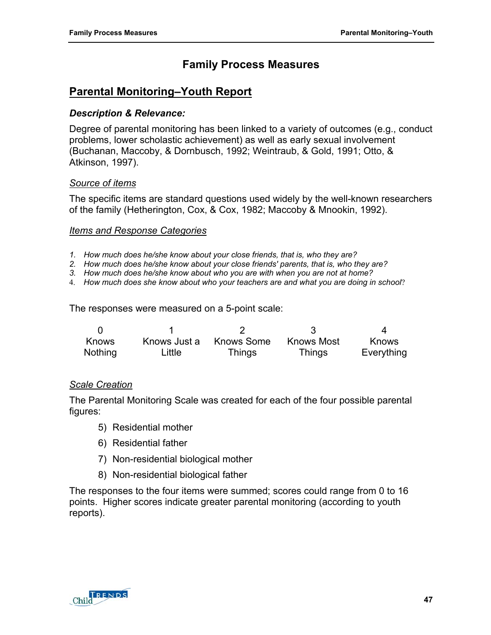# **Family Process Measures**

# **Parental Monitoring–Youth Report**

#### *Description & Relevance:*

Degree of parental monitoring has been linked to a variety of outcomes (e.g., conduct problems, lower scholastic achievement) as well as early sexual involvement (Buchanan, Maccoby, & Dornbusch, 1992; Weintraub, & Gold, 1991; Otto, & Atkinson, 1997).

### *Source of items*

The specific items are standard questions used widely by the well-known researchers of the family (Hetherington, Cox, & Cox, 1982; Maccoby & Mnookin, 1992).

#### *Items and Response Categories*

- *1. How much does he/she know about your close friends, that is, who they are?*
- *2. How much does he/she know about your close friends' parents, that is, who they are?*
- *3. How much does he/she know about who you are with when you are not at home?*
- 4. *How much does she know about who your teachers are and what you are doing in school*?

The responses were measured on a 5-point scale:

| Knows   | Knows Just a | Knows Some | Knows Most    | <b>Knows</b> |
|---------|--------------|------------|---------------|--------------|
| Nothing | Little       | Things     | <b>Things</b> | Everything   |

#### *Scale Creation*

The Parental Monitoring Scale was created for each of the four possible parental figures:

- 5) Residential mother
- 6) Residential father
- 7) Non-residential biological mother
- 8) Non-residential biological father

The responses to the four items were summed; scores could range from 0 to 16 points. Higher scores indicate greater parental monitoring (according to youth reports).

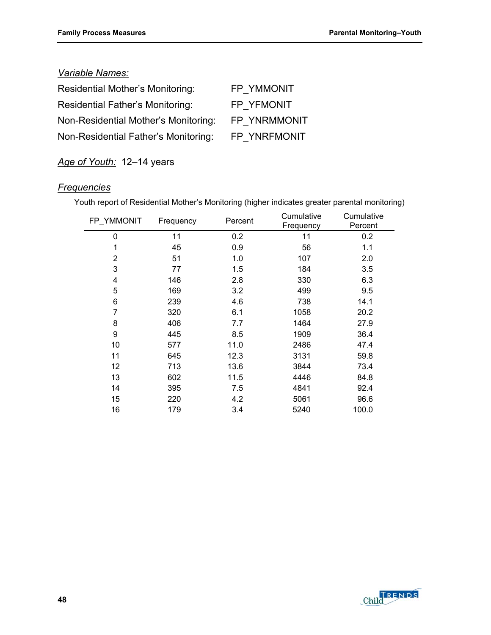## *Variable Names:*

| <b>Residential Mother's Monitoring:</b> | FP YMMONIT   |
|-----------------------------------------|--------------|
| <b>Residential Father's Monitoring:</b> | FP YFMONIT   |
| Non-Residential Mother's Monitoring:    | FP YNRMMONIT |
| Non-Residential Father's Monitoring:    | FP YNRFMONIT |

*Age of Youth:* 12–14 years

# *Frequencies*

Youth report of Residential Mother's Monitoring (higher indicates greater parental monitoring) Cumulative

| FP YMMONIT | Frequency | Percent | Cumulative | Cumulative |
|------------|-----------|---------|------------|------------|
|            |           |         | Frequency  | Percent    |
| 0          | 11        | 0.2     | 11         | 0.2        |
| 1          | 45        | 0.9     | 56         | 1.1        |
| 2          | 51        | 1.0     | 107        | 2.0        |
| 3          | 77        | 1.5     | 184        | 3.5        |
| 4          | 146       | 2.8     | 330        | 6.3        |
| 5          | 169       | 3.2     | 499        | 9.5        |
| 6          | 239       | 4.6     | 738        | 14.1       |
| 7          | 320       | 6.1     | 1058       | 20.2       |
| 8          | 406       | 7.7     | 1464       | 27.9       |
| 9          | 445       | 8.5     | 1909       | 36.4       |
| 10         | 577       | 11.0    | 2486       | 47.4       |
| 11         | 645       | 12.3    | 3131       | 59.8       |
| 12         | 713       | 13.6    | 3844       | 73.4       |
| 13         | 602       | 11.5    | 4446       | 84.8       |
| 14         | 395       | 7.5     | 4841       | 92.4       |
| 15         | 220       | 4.2     | 5061       | 96.6       |
| 16         | 179       | 3.4     | 5240       | 100.0      |

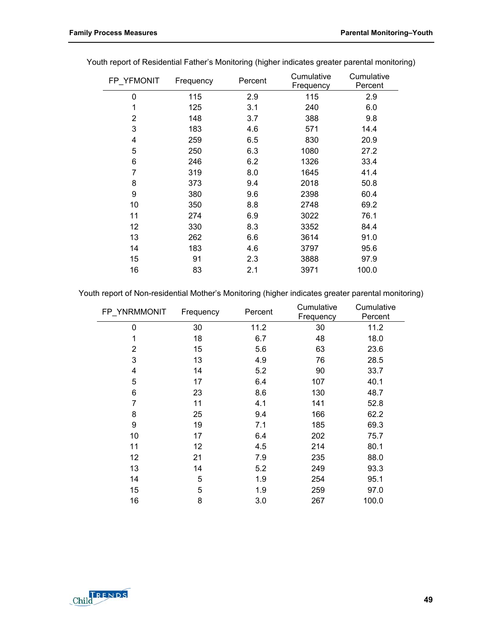| FP YFMONIT | Percent<br>Frequency |     | Cumulative | Cumulative |
|------------|----------------------|-----|------------|------------|
|            |                      |     | Frequency  | Percent    |
| 0          | 115                  | 2.9 | 115        | 2.9        |
| 1          | 125                  | 3.1 | 240        | 6.0        |
| 2          | 148                  | 3.7 | 388        | 9.8        |
| 3          | 183                  | 4.6 | 571        | 14.4       |
| 4          | 259                  | 6.5 | 830        | 20.9       |
| 5          | 250                  | 6.3 | 1080       | 27.2       |
| 6          | 246                  | 6.2 | 1326       | 33.4       |
| 7          | 319                  | 8.0 | 1645       | 41.4       |
| 8          | 373                  | 9.4 | 2018       | 50.8       |
| 9          | 380                  | 9.6 | 2398       | 60.4       |
| 10         | 350                  | 8.8 | 2748       | 69.2       |
| 11         | 274                  | 6.9 | 3022       | 76.1       |
| 12         | 330                  | 8.3 | 3352       | 84.4       |
| 13         | 262                  | 6.6 | 3614       | 91.0       |
| 14         | 183                  | 4.6 | 3797       | 95.6       |
| 15         | 91                   | 2.3 | 3888       | 97.9       |
| 16         | 83                   | 2.1 | 3971       | 100.0      |
|            |                      |     |            |            |

Youth report of Residential Father's Monitoring (higher indicates greater parental monitoring)

Youth report of Non-residential Mother's Monitoring (higher indicates greater parental monitoring)

| FP YNRMMONIT | Frequency<br>Percent |      | Frequency |       | Cumulative | Cumulative<br>Percent |  |
|--------------|----------------------|------|-----------|-------|------------|-----------------------|--|
| 0            | 30                   | 11.2 | 30        | 11.2  |            |                       |  |
| 1            | 18                   | 6.7  | 48        | 18.0  |            |                       |  |
| 2            | 15                   | 5.6  | 63        | 23.6  |            |                       |  |
| 3            | 13                   | 4.9  | 76        | 28.5  |            |                       |  |
| 4            | 14                   | 5.2  | 90        | 33.7  |            |                       |  |
| 5            | 17                   | 6.4  | 107       | 40.1  |            |                       |  |
| 6            | 23                   | 8.6  | 130       | 48.7  |            |                       |  |
| 7            | 11                   | 4.1  | 141       | 52.8  |            |                       |  |
| 8            | 25                   | 9.4  | 166       | 62.2  |            |                       |  |
| 9            | 19                   | 7.1  | 185       | 69.3  |            |                       |  |
| 10           | 17                   | 6.4  | 202       | 75.7  |            |                       |  |
| 11           | 12                   | 4.5  | 214       | 80.1  |            |                       |  |
| 12           | 21                   | 7.9  | 235       | 88.0  |            |                       |  |
| 13           | 14                   | 5.2  | 249       | 93.3  |            |                       |  |
| 14           | 5                    | 1.9  | 254       | 95.1  |            |                       |  |
| 15           | 5                    | 1.9  | 259       | 97.0  |            |                       |  |
| 16           | 8                    | 3.0  | 267       | 100.0 |            |                       |  |

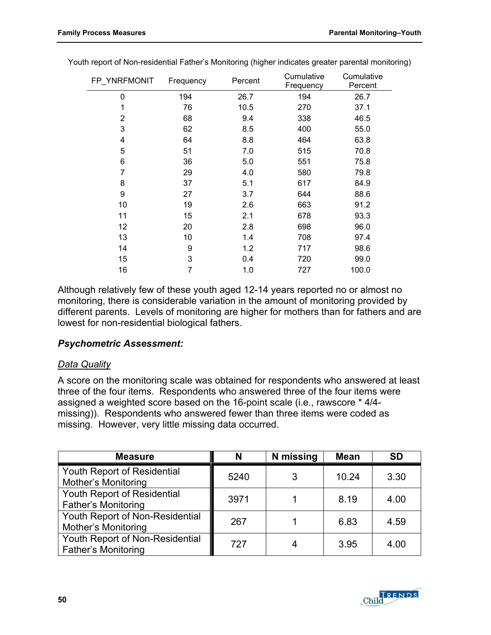| FP_YNRFMONIT   | Frequency | Percent | Cumulative<br>Frequency | Cumulative<br>Percent |
|----------------|-----------|---------|-------------------------|-----------------------|
| 0              | 194       | 26.7    | 194                     | 26.7                  |
| 1              | 76        | 10.5    | 270                     | 37.1                  |
| $\overline{2}$ | 68        | 9.4     | 338                     | 46.5                  |
| 3              | 62        | 8.5     | 400                     | 55.0                  |
| 4              | 64        | 8.8     | 464                     | 63.8                  |
| 5              | 51        | 7.0     | 515                     | 70.8                  |
| 6              | 36        | 5.0     | 551                     | 75.8                  |
| 7              | 29        | 4.0     | 580                     | 79.8                  |
| 8              | 37        | 5.1     | 617                     | 84.9                  |
| 9              | 27        | 3.7     | 644                     | 88.6                  |
| 10             | 19        | 2.6     | 663                     | 91.2                  |
| 11             | 15        | 2.1     | 678                     | 93.3                  |
| 12             | 20        | 2.8     | 698                     | 96.0                  |
| 13             | 10        | 1.4     | 708                     | 97.4                  |
| 14             | 9         | 1.2     | 717                     | 98.6                  |
| 15             | 3         | 0.4     | 720                     | 99.0                  |
| 16             | 7         | 1.0     | 727                     | 100.0                 |

Youth report of Non-residential Father's Monitoring (higher indicates greater parental monitoring)

Although relatively few of these youth aged 12-14 years reported no or almost no monitoring, there is considerable variation in the amount of monitoring provided by different parents. Levels of monitoring are higher for mothers than for fathers and are lowest for non-residential biological fathers.

### *Psychometric Assessment:*

#### *Data Quality*

A score on the monitoring scale was obtained for respondents who answered at least three of the four items. Respondents who answered three of the four items were assigned a weighted score based on the 16-point scale (i.e., rawscore \* 4/4 missing)). Respondents who answered fewer than three items were coded as missing. However, very little missing data occurred.

| <b>Measure</b>                                                | N    | N missing | <b>Mean</b> | <b>SD</b> |
|---------------------------------------------------------------|------|-----------|-------------|-----------|
| Youth Report of Residential<br><b>Mother's Monitoring</b>     | 5240 | 3         | 10.24       | 3.30      |
| Youth Report of Residential<br><b>Father's Monitoring</b>     | 3971 |           | 8.19        | 4.00      |
| Youth Report of Non-Residential<br><b>Mother's Monitoring</b> | 267  |           | 6.83        | 4.59      |
| Youth Report of Non-Residential<br>Father's Monitoring        | 727  | 4         | 3.95        | 4.00      |

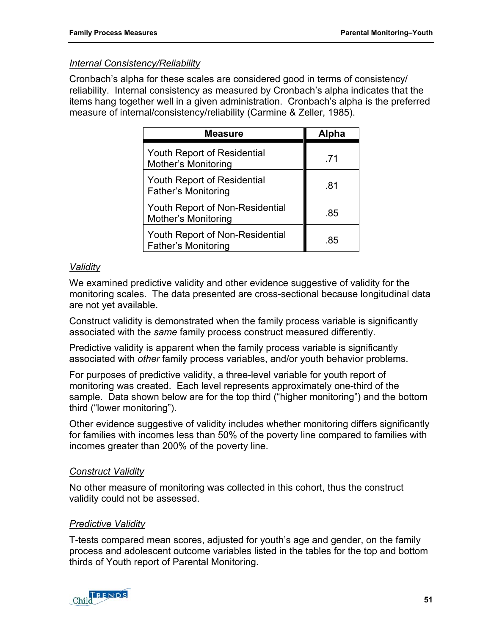### *Internal Consistency/Reliability*

Cronbach's alpha for these scales are considered good in terms of consistency/ reliability. Internal consistency as measured by Cronbach's alpha indicates that the items hang together well in a given administration. Cronbach's alpha is the preferred measure of internal/consistency/reliability (Carmine & Zeller, 1985).

| <b>Measure</b>                                                | Alpha |
|---------------------------------------------------------------|-------|
| <b>Youth Report of Residential</b><br>Mother's Monitoring     | -71   |
| <b>Youth Report of Residential</b><br>Father's Monitoring     | .81   |
| Youth Report of Non-Residential<br><b>Mother's Monitoring</b> | .85   |
| Youth Report of Non-Residential<br>Father's Monitoring        | .85   |

## *Validity*

We examined predictive validity and other evidence suggestive of validity for the monitoring scales. The data presented are cross-sectional because longitudinal data are not yet available.

Construct validity is demonstrated when the family process variable is significantly associated with the *same* family process construct measured differently.

Predictive validity is apparent when the family process variable is significantly associated with *other* family process variables, and/or youth behavior problems.

For purposes of predictive validity, a three-level variable for youth report of monitoring was created. Each level represents approximately one-third of the sample. Data shown below are for the top third ("higher monitoring") and the bottom third ("lower monitoring").

Other evidence suggestive of validity includes whether monitoring differs significantly for families with incomes less than 50% of the poverty line compared to families with incomes greater than 200% of the poverty line.

# *Construct Validity*

No other measure of monitoring was collected in this cohort, thus the construct validity could not be assessed.

### *Predictive Validity*

T-tests compared mean scores, adjusted for youth's age and gender, on the family process and adolescent outcome variables listed in the tables for the top and bottom thirds of Youth report of Parental Monitoring.

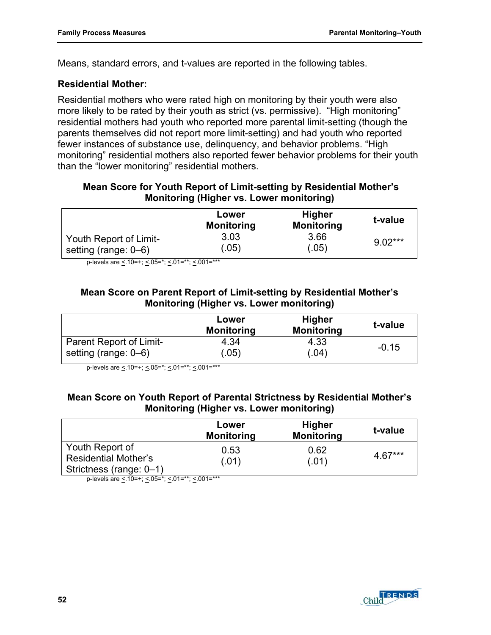Means, standard errors, and t-values are reported in the following tables.

### **Residential Mother:**

Residential mothers who were rated high on monitoring by their youth were also more likely to be rated by their youth as strict (vs. permissive). "High monitoring" residential mothers had youth who reported more parental limit-setting (though the parents themselves did not report more limit-setting) and had youth who reported fewer instances of substance use, delinquency, and behavior problems. "High monitoring" residential mothers also reported fewer behavior problems for their youth than the "lower monitoring" residential mothers.

### **Mean Score for Youth Report of Limit-setting by Residential Mother's Monitoring (Higher vs. Lower monitoring)**

|                        | Lower<br><b>Monitoring</b> | <b>Higher</b><br><b>Monitoring</b> | t-value   |
|------------------------|----------------------------|------------------------------------|-----------|
| Youth Report of Limit- | 3.03                       | 3.66                               | $9.02***$ |
| setting (range: 0–6)   | (.05)                      | .05)                               |           |

p-levels are <  $10=+$ ; <  $05=$ \*; <  $01=$ \*\*; <  $001=$ \*\*\*

## **Mean Score on Parent Report of Limit-setting by Residential Mother's Monitoring (Higher vs. Lower monitoring)**

|                         | Lower<br><b>Monitoring</b> | <b>Higher</b><br><b>Monitoring</b> | t-value |
|-------------------------|----------------------------|------------------------------------|---------|
| Parent Report of Limit- | 4.34                       | 4.33                               | $-0.15$ |
| setting (range: 0–6)    | .05)                       | (0.04)                             |         |

p-levels are <.10=+; <.05=\*; <.01=\*\*; <.001=\*\*\*

### **Mean Score on Youth Report of Parental Strictness by Residential Mother's Monitoring (Higher vs. Lower monitoring)**

|                                                                           | Lower<br><b>Monitoring</b> | <b>Higher</b><br><b>Monitoring</b> | t-value |
|---------------------------------------------------------------------------|----------------------------|------------------------------------|---------|
| Youth Report of<br><b>Residential Mother's</b><br>Strictness (range: 0-1) | 0.53<br>(.01)              | 0.62<br>(.01)                      | 4.67*** |

p-levels are < 10=+; < 05=\*; < 01=\*\*; < 001=\*\*\*

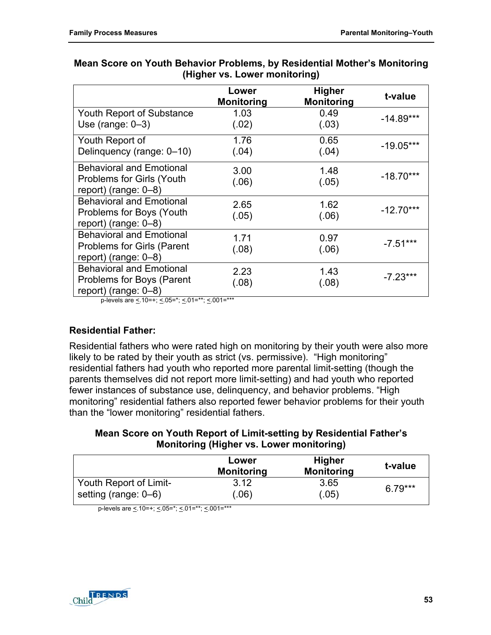|                                                                                              | Lower<br><b>Monitoring</b> | <b>Higher</b><br><b>Monitoring</b> | t-value     |
|----------------------------------------------------------------------------------------------|----------------------------|------------------------------------|-------------|
| Youth Report of Substance<br>Use (range: $0-3$ )                                             | 1.03<br>(.02)              | 0.49<br>(.03)                      | $-14.89***$ |
| Youth Report of<br>Delinquency (range: 0-10)                                                 | 1.76<br>(.04)              | 0.65<br>(.04)                      | $-19.05***$ |
| <b>Behavioral and Emotional</b><br>Problems for Girls (Youth<br>report) (range: $0-8$ )      | 3.00<br>(.06)              | 1.48<br>(.05)                      | $-18.70***$ |
| <b>Behavioral and Emotional</b><br>Problems for Boys (Youth<br>report) (range: 0-8)          | 2.65<br>(.05)              | 1.62<br>(.06)                      | $-12.70***$ |
| <b>Behavioral and Emotional</b><br><b>Problems for Girls (Parent</b><br>report) (range: 0-8) | 1.71<br>(.08)              | 0.97<br>(.06)                      | $-7.51***$  |
| <b>Behavioral and Emotional</b><br>Problems for Boys (Parent<br>report) (range: $0-8$ )      | 2.23<br>(.08)              | 1.43<br>(.08)                      | $-7.23***$  |

## **Mean Score on Youth Behavior Problems, by Residential Mother's Monitoring (Higher vs. Lower monitoring)**

p-levels are  $\leq 10=+$ ;  $\leq 0.05=$ \*;  $\leq 0.01=$ \*\*\*

# **Residential Father:**

Residential fathers who were rated high on monitoring by their youth were also more likely to be rated by their youth as strict (vs. permissive). "High monitoring" residential fathers had youth who reported more parental limit-setting (though the parents themselves did not report more limit-setting) and had youth who reported fewer instances of substance use, delinquency, and behavior problems. "High monitoring" residential fathers also reported fewer behavior problems for their youth than the "lower monitoring" residential fathers.

## **Mean Score on Youth Report of Limit-setting by Residential Father's Monitoring (Higher vs. Lower monitoring)**

|                        | Lower<br><b>Monitoring</b> | <b>Higher</b><br><b>Monitoring</b> | t-value   |
|------------------------|----------------------------|------------------------------------|-----------|
| Youth Report of Limit- | 3.12                       | 3.65                               | $6.79***$ |
| setting (range: 0–6)   | (.06)                      | .05)                               |           |

p-levels are  $\leq 0.10 = +$ ;  $\leq 0.05 = +$ ;  $\leq 0.01 = +$ \*\*;  $\leq 0.01 = +$ \*\*

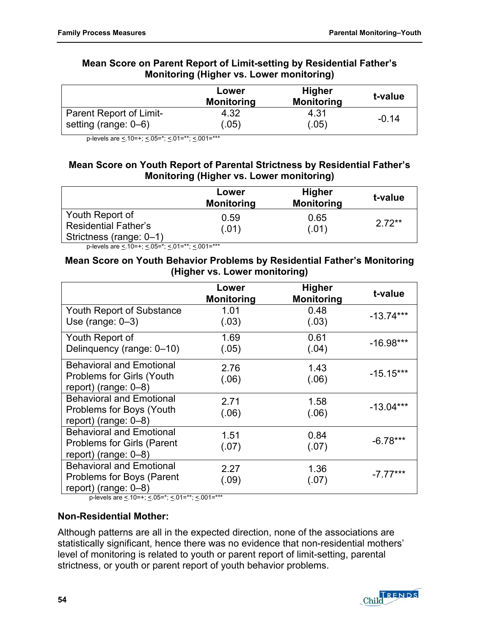### **Mean Score on Parent Report of Limit-setting by Residential Father's Monitoring (Higher vs. Lower monitoring)**

|                         | Lower<br><b>Monitoring</b> | <b>Higher</b><br><b>Monitoring</b> | t-value |
|-------------------------|----------------------------|------------------------------------|---------|
| Parent Report of Limit- | 4.32                       | 4.31                               | -0.14   |
| setting (range: 0–6)    | (.05)                      | (.05)                              |         |

p-levels are <. 10=+; <. 05=\*; <. 01=\*\*; <. 001=\*\*\*

## **Mean Score on Youth Report of Parental Strictness by Residential Father's Monitoring (Higher vs. Lower monitoring)**

|                                                                           | Lower<br><b>Monitoring</b> | <b>Higher</b><br><b>Monitoring</b> | t-value |
|---------------------------------------------------------------------------|----------------------------|------------------------------------|---------|
| Youth Report of<br><b>Residential Father's</b><br>Strictness (range: 0-1) | 0.59<br>(.01)              | 0.65<br>(.01)                      | $272**$ |

p-levels are  $\leq 10=+$ ;  $\leq 05=$ \*;  $\leq 01=$ \*\*;  $\leq 001=$ \*\*\*

#### **Mean Score on Youth Behavior Problems by Residential Father's Monitoring (Higher vs. Lower monitoring)**

|                                   | Lower<br><b>Monitoring</b> | <b>Higher</b><br><b>Monitoring</b> | t-value     |
|-----------------------------------|----------------------------|------------------------------------|-------------|
| Youth Report of Substance         | 1.01                       | 0.48                               | $-13.74***$ |
| Use (range: $0-3$ )               | (.03)                      | (.03)                              |             |
| Youth Report of                   | 1.69                       | 0.61                               | $-16.98***$ |
| Delinquency (range: 0-10)         | (.05)                      | (.04)                              |             |
| <b>Behavioral and Emotional</b>   | 2.76                       | 1.43                               |             |
| <b>Problems for Girls (Youth</b>  | (.06)                      | (.06)                              | $-15.15***$ |
| report) (range: $0-8$ )           |                            |                                    |             |
| <b>Behavioral and Emotional</b>   | 2.71                       | 1.58                               | $-13.04***$ |
| Problems for Boys (Youth          | (.06)                      | (.06)                              |             |
| report) (range: $0-8$ )           |                            |                                    |             |
| <b>Behavioral and Emotional</b>   | 1.51                       | 0.84                               | $-6.78***$  |
| <b>Problems for Girls (Parent</b> | (.07)                      | (.07)                              |             |
| report) (range: $0-8$ )           |                            |                                    |             |
| <b>Behavioral and Emotional</b>   | 2.27                       | 1.36                               |             |
| Problems for Boys (Parent         | (.09)                      | (.07)                              | $-7.77***$  |
| report) (range: $0-8$ )           |                            |                                    |             |

p-levels are  $\leq 10$ =+;  $\leq 05$ =\*;  $\leq 01$ =\*\*;  $\leq 001$ =\*\*\*

# **Non-Residential Mother:**

Although patterns are all in the expected direction, none of the associations are statistically significant, hence there was no evidence that non-residential mothers' level of monitoring is related to youth or parent report of limit-setting, parental strictness, or youth or parent report of youth behavior problems.

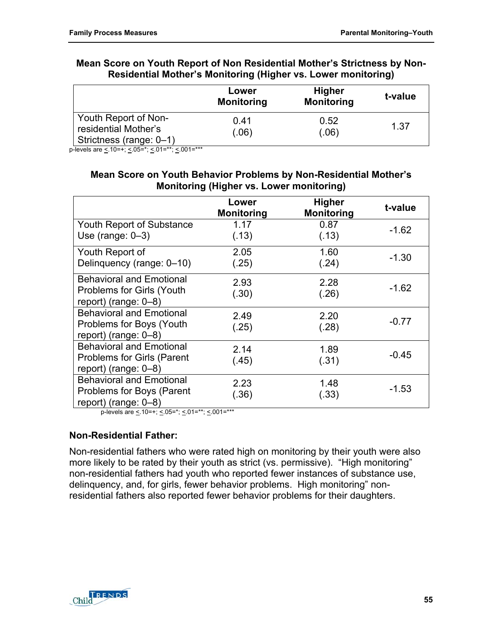|                                                                         | Lower<br><b>Monitoring</b> | <b>Higher</b><br><b>Monitoring</b> | t-value |
|-------------------------------------------------------------------------|----------------------------|------------------------------------|---------|
| Youth Report of Non-<br>residential Mother's<br>Strictness (range: 0-1) | 0.41<br>(.06)              | 0.52<br>(.06)                      | 1.37    |

#### **Mean Score on Youth Report of Non Residential Mother's Strictness by Non-Residential Mother's Monitoring (Higher vs. Lower monitoring)**

p-levels are <.10=+; <.05=\*; <.01=\*\*; <.001=\*\*\*

#### **Mean Score on Youth Behavior Problems by Non-Residential Mother's Monitoring (Higher vs. Lower monitoring)**

|                                                                                                | Lower<br><b>Monitoring</b> | <b>Higher</b><br><b>Monitoring</b> | t-value |
|------------------------------------------------------------------------------------------------|----------------------------|------------------------------------|---------|
| <b>Youth Report of Substance</b><br>Use (range: $0-3$ )                                        | 1.17<br>(.13)              | 0.87<br>(.13)                      | $-1.62$ |
| Youth Report of<br>Delinquency (range: 0-10)                                                   | 2.05<br>(.25)              | 1.60<br>(.24)                      | $-1.30$ |
| <b>Behavioral and Emotional</b><br><b>Problems for Girls (Youth</b><br>report) (range: $0-8$ ) | 2.93<br>(.30)              | 2.28<br>(.26)                      | $-1.62$ |
| <b>Behavioral and Emotional</b><br>Problems for Boys (Youth<br>report) (range: $0-8$ )         | 2.49<br>(.25)              | 2.20<br>(.28)                      | $-0.77$ |
| <b>Behavioral and Emotional</b><br>Problems for Girls (Parent<br>report) (range: $0-8$ )       | 2.14<br>(.45)              | 1.89<br>(.31)                      | $-0.45$ |
| <b>Behavioral and Emotional</b><br>Problems for Boys (Parent<br>report) (range: $0-8$ )        | 2.23<br>(.36)              | 1.48<br>(.33)                      | $-1.53$ |

p-levels are  $\leq$  10=+;  $\leq$  05=\*;  $\leq$  01=\*\*;  $\leq$  001=\*\*\*

### **Non-Residential Father:**

Non-residential fathers who were rated high on monitoring by their youth were also more likely to be rated by their youth as strict (vs. permissive). "High monitoring" non-residential fathers had youth who reported fewer instances of substance use, delinquency, and, for girls, fewer behavior problems. High monitoring" nonresidential fathers also reported fewer behavior problems for their daughters.

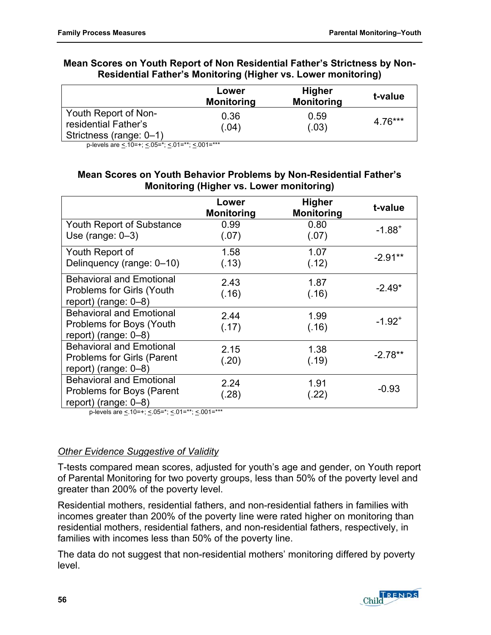#### **Mean Scores on Youth Report of Non Residential Father's Strictness by Non-Residential Father's Monitoring (Higher vs. Lower monitoring)**

|                                                                         | Lower<br><b>Monitoring</b> | <b>Higher</b><br><b>Monitoring</b> | t-value |
|-------------------------------------------------------------------------|----------------------------|------------------------------------|---------|
| Youth Report of Non-<br>residential Father's<br>Strictness (range: 0-1) | 0.36<br>(.04)              | 0.59<br>(.03)                      | 4.76*** |

p-levels are < 10=+; < 05=\*; < 01=\*\*; < 001=\*\*\*

### **Mean Scores on Youth Behavior Problems by Non-Residential Father's Monitoring (Higher vs. Lower monitoring)**

|                                                     | Lower<br><b>Monitoring</b> | <b>Higher</b><br><b>Monitoring</b> | t-value     |
|-----------------------------------------------------|----------------------------|------------------------------------|-------------|
| <b>Youth Report of Substance</b>                    | 0.99                       | 0.80                               | $-1.88^{+}$ |
| Use (range: $0-3$ )                                 | (.07)                      | (.07)                              |             |
| Youth Report of                                     | 1.58                       | 1.07                               | $-2.91**$   |
| Delinquency (range: 0-10)                           | (.13)                      | (.12)                              |             |
| <b>Behavioral and Emotional</b>                     | 2.43                       | 1.87                               |             |
| Problems for Girls (Youth                           | (.16)                      | (.16)                              | $-2.49*$    |
| report) (range: $0-8$ )                             |                            |                                    |             |
| <b>Behavioral and Emotional</b>                     | 2.44                       | 1.99                               | $-1.92^{+}$ |
| Problems for Boys (Youth<br>report) (range: $0-8$ ) | (.17)                      | (.16)                              |             |
| <b>Behavioral and Emotional</b>                     | 2.15                       | 1.38                               |             |
| <b>Problems for Girls (Parent</b>                   | (.20)                      | (.19)                              | $-2.78**$   |
| report) (range: $0-8$ )                             |                            |                                    |             |
| <b>Behavioral and Emotional</b>                     | 2.24                       | 1.91                               |             |
| Problems for Boys (Parent                           | (.28)                      | (.22)                              | $-0.93$     |
| report) (range: $0-8$ )                             |                            |                                    |             |

p-levels are  $\leq$  10=+;  $\leq$  05=\*;  $\leq$  01=\*\*;  $\leq$  001=\*\*\*

# *Other Evidence Suggestive of Validity*

T-tests compared mean scores, adjusted for youth's age and gender, on Youth report of Parental Monitoring for two poverty groups, less than 50% of the poverty level and greater than 200% of the poverty level.

Residential mothers, residential fathers, and non-residential fathers in families with incomes greater than 200% of the poverty line were rated higher on monitoring than residential mothers, residential fathers, and non-residential fathers, respectively, in families with incomes less than 50% of the poverty line.

The data do not suggest that non-residential mothers' monitoring differed by poverty level.

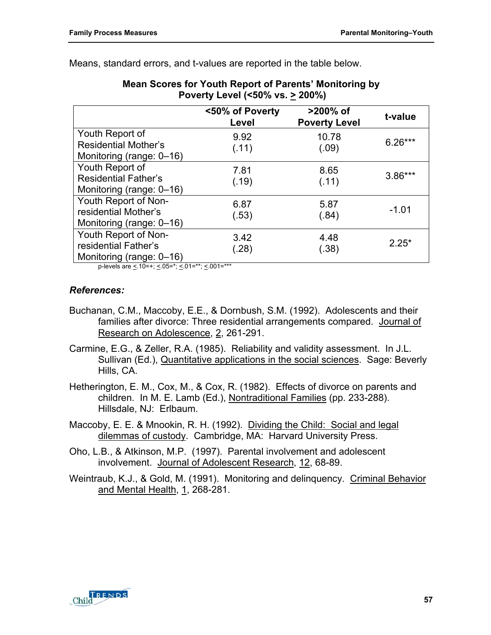| Poverty Level (<50% vs. > 200%)                                            |                          |                                  |           |
|----------------------------------------------------------------------------|--------------------------|----------------------------------|-----------|
|                                                                            | <50% of Poverty<br>Level | >200% of<br><b>Poverty Level</b> | t-value   |
| Youth Report of<br><b>Residential Mother's</b><br>Monitoring (range: 0-16) | 9.92<br>(.11)            | 10.78<br>(.09)                   | $6.26***$ |
| Youth Report of<br><b>Residential Father's</b><br>Monitoring (range: 0-16) | 7.81<br>(.19)            | 8.65<br>(.11)                    | $3.86***$ |
| Youth Report of Non-<br>residential Mother's<br>Monitoring (range: 0-16)   | 6.87<br>(.53)            | 5.87<br>(.84)                    | $-1.01$   |
| Youth Report of Non-<br>residential Father's<br>Monitoring (range: 0-16)   | 3.42<br>(.28)            | 4.48<br>(.38)                    | $2.25*$   |
| p-levels are < 10=+; < 05=*; < 01=**; < 001=***                            |                          |                                  |           |

**Mean Scores for Youth Report of Parents' Monitoring by** 

Means, standard errors, and t-values are reported in the table below.

#### *References:*

- Buchanan, C.M., Maccoby, E.E., & Dornbush, S.M. (1992). Adolescents and their families after divorce: Three residential arrangements compared. Journal of Research on Adolescence, 2, 261-291.
- Carmine, E.G., & Zeller, R.A. (1985). Reliability and validity assessment. In J.L. Sullivan (Ed.), Quantitative applications in the social sciences. Sage: Beverly Hills, CA.
- Hetherington, E. M., Cox, M., & Cox, R. (1982). Effects of divorce on parents and children. In M. E. Lamb (Ed.), Nontraditional Families (pp. 233-288). Hillsdale, NJ: Erlbaum.
- Maccoby, E. E. & Mnookin, R. H. (1992). Dividing the Child: Social and legal dilemmas of custody. Cambridge, MA: Harvard University Press.
- Oho, L.B., & Atkinson, M.P. (1997). Parental involvement and adolescent involvement. Journal of Adolescent Research, 12, 68-89.
- Weintraub, K.J., & Gold, M. (1991). Monitoring and delinquency. Criminal Behavior and Mental Health, 1, 268-281.

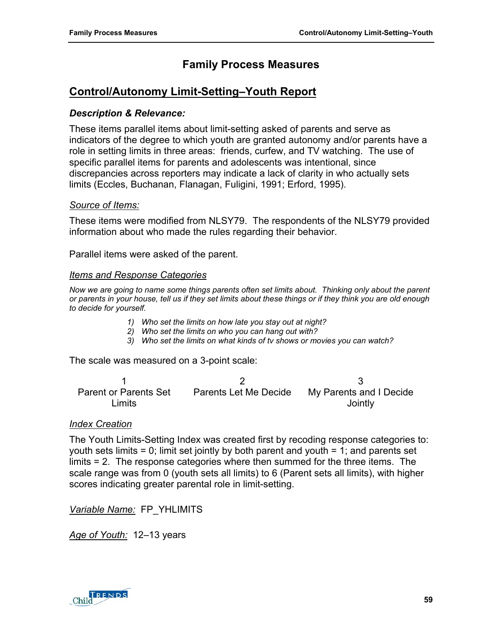# **Family Process Measures**

# **Control/Autonomy Limit-Setting–Youth Report**

#### *Description & Relevance:*

These items parallel items about limit-setting asked of parents and serve as indicators of the degree to which youth are granted autonomy and/or parents have a role in setting limits in three areas: friends, curfew, and TV watching. The use of specific parallel items for parents and adolescents was intentional, since discrepancies across reporters may indicate a lack of clarity in who actually sets limits (Eccles, Buchanan, Flanagan, Fuligini, 1991; Erford, 1995).

#### *Source of Items:*

These items were modified from NLSY79. The respondents of the NLSY79 provided information about who made the rules regarding their behavior.

Parallel items were asked of the parent.

#### *Items and Response Categories*

*Now we are going to name some things parents often set limits about. Thinking only about the parent or parents in your house, tell us if they set limits about these things or if they think you are old enough to decide for yourself.* 

- *1) Who set the limits on how late you stay out at night?*
- *2) Who set the limits on who you can hang out with?*
- *3) Who set the limits on what kinds of tv shows or movies you can watch?*

The scale was measured on a 3-point scale:

 $1$  2 3 Parent or Parents Set Limits Parents Let Me Decide My Parents and I Decide **Jointly** 

#### *Index Creation*

The Youth Limits-Setting Index was created first by recoding response categories to: youth sets limits = 0; limit set jointly by both parent and youth = 1; and parents set limits = 2. The response categories where then summed for the three items. The scale range was from 0 (youth sets all limits) to 6 (Parent sets all limits), with higher scores indicating greater parental role in limit-setting.

*Variable Name:* FP\_YHLIMITS

*Age of Youth:* 12–13 years

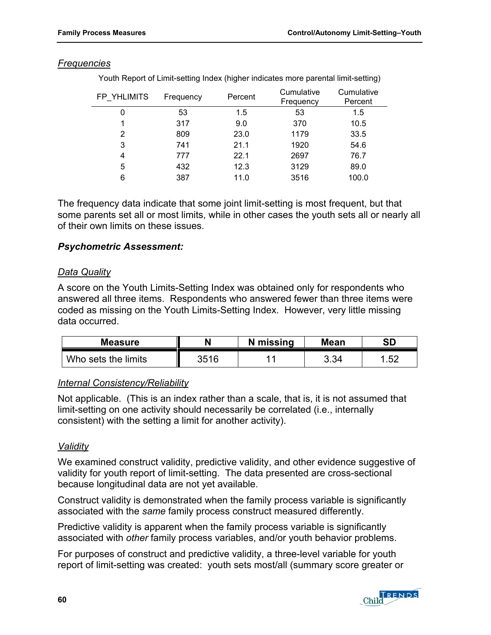#### *Frequencies*

Youth Report of Limit-setting Index (higher indicates more parental limit-setting)

| FP YHLIMITS | Frequency | Percent | Cumulative<br>Frequency | Cumulative<br>Percent |
|-------------|-----------|---------|-------------------------|-----------------------|
| 0           | 53        | 1.5     | 53                      | 1.5                   |
|             | 317       | 9.0     | 370                     | 10.5                  |
| 2           | 809       | 23.0    | 1179                    | 33.5                  |
| 3           | 741       | 21.1    | 1920                    | 54.6                  |
| 4           | 777       | 22.1    | 2697                    | 76.7                  |
| 5           | 432       | 12.3    | 3129                    | 89.0                  |
| 6           | 387       | 11.0    | 3516                    | 100.0                 |

The frequency data indicate that some joint limit-setting is most frequent, but that some parents set all or most limits, while in other cases the youth sets all or nearly all of their own limits on these issues.

#### *Psychometric Assessment:*

#### *Data Quality*

A score on the Youth Limits-Setting Index was obtained only for respondents who answered all three items. Respondents who answered fewer than three items were coded as missing on the Youth Limits-Setting Index. However, very little missing data occurred.

| <b>Measure</b>      |      | N missing | <b>Mean</b> | <b>SD</b> |
|---------------------|------|-----------|-------------|-----------|
| Who sets the limits | 3516 |           | 3.34        | 52<br>ے   |

### *Internal Consistency/Reliability*

Not applicable. (This is an index rather than a scale, that is, it is not assumed that limit-setting on one activity should necessarily be correlated (i.e., internally consistent) with the setting a limit for another activity).

### *Validity*

We examined construct validity, predictive validity, and other evidence suggestive of validity for youth report of limit-setting. The data presented are cross-sectional because longitudinal data are not yet available.

Construct validity is demonstrated when the family process variable is significantly associated with the *same* family process construct measured differently.

Predictive validity is apparent when the family process variable is significantly associated with *other* family process variables, and/or youth behavior problems.

For purposes of construct and predictive validity, a three-level variable for youth report of limit-setting was created: youth sets most/all (summary score greater or

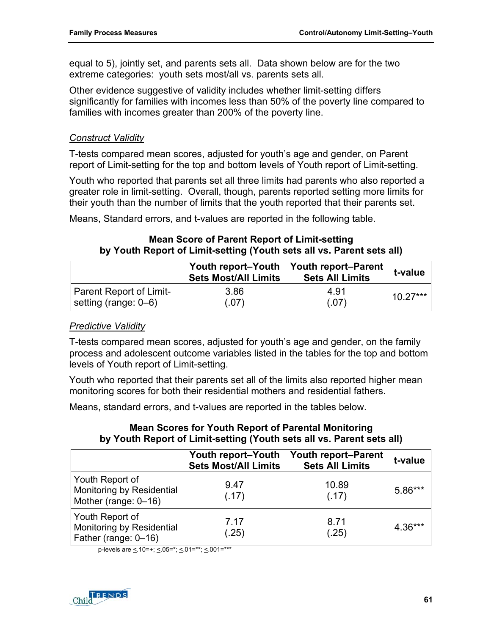equal to 5), jointly set, and parents sets all. Data shown below are for the two extreme categories: youth sets most/all vs. parents sets all.

Other evidence suggestive of validity includes whether limit-setting differs significantly for families with incomes less than 50% of the poverty line compared to families with incomes greater than 200% of the poverty line.

### *Construct Validity*

T-tests compared mean scores, adjusted for youth's age and gender, on Parent report of Limit-setting for the top and bottom levels of Youth report of Limit-setting.

Youth who reported that parents set all three limits had parents who also reported a greater role in limit-setting. Overall, though, parents reported setting more limits for their youth than the number of limits that the youth reported that their parents set.

Means, Standard errors, and t-values are reported in the following table.

### **Mean Score of Parent Report of Limit-setting by Youth Report of Limit-setting (Youth sets all vs. Parent sets all)**

|                         | Youth report-Youth<br><b>Sets Most/All Limits</b> | <b>Youth report–Parent</b><br><b>Sets All Limits</b> | t-value    |
|-------------------------|---------------------------------------------------|------------------------------------------------------|------------|
| Parent Report of Limit- | 3.86                                              | 4 91                                                 | $10.27***$ |
| setting (range: 0–6)    | (.07)                                             | (.07)                                                |            |

### *Predictive Validity*

T-tests compared mean scores, adjusted for youth's age and gender, on the family process and adolescent outcome variables listed in the tables for the top and bottom levels of Youth report of Limit-setting.

Youth who reported that their parents set all of the limits also reported higher mean monitoring scores for both their residential mothers and residential fathers.

Means, standard errors, and t-values are reported in the tables below.

### **Mean Scores for Youth Report of Parental Monitoring by Youth Report of Limit-setting (Youth sets all vs. Parent sets all)**

|                                                                      | Youth report-Youth<br><b>Sets Most/All Limits</b> | <b>Youth report-Parent</b><br><b>Sets All Limits</b> | t-value   |
|----------------------------------------------------------------------|---------------------------------------------------|------------------------------------------------------|-----------|
| Youth Report of<br>Monitoring by Residential<br>Mother (range: 0-16) | 9.47<br>(.17)                                     | 10.89<br>(.17)                                       | $5.86***$ |
| Youth Report of<br>Monitoring by Residential<br>Father (range: 0-16) | 7.17<br>(.25)                                     | 8.71<br>(.25)                                        | $4.36***$ |

p-levels are <.10=+; <.05=\*; <.01=\*\*; <.001=\*\*\*

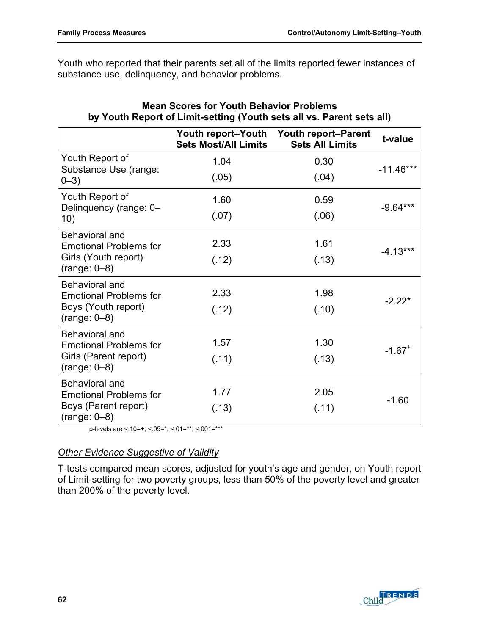Youth who reported that their parents set all of the limits reported fewer instances of substance use, delinquency, and behavior problems.

|                                                        | <b>Youth report–Youth</b><br><b>Sets Most/All Limits</b> | <b>Youth report-Parent</b><br><b>Sets All Limits</b> | t-value              |
|--------------------------------------------------------|----------------------------------------------------------|------------------------------------------------------|----------------------|
| Youth Report of                                        | 1.04                                                     | 0.30                                                 |                      |
| Substance Use (range:<br>$0 - 3)$                      | (.05)                                                    | (.04)                                                | $-11.46***$          |
| Youth Report of                                        | 1.60                                                     | 0.59                                                 |                      |
| Delinquency (range: 0-<br>10)                          | (.07)                                                    | (.06)                                                | $-9.64***$           |
| <b>Behavioral and</b><br><b>Emotional Problems for</b> | 2.33                                                     | 1.61                                                 | $-4.13***$           |
| Girls (Youth report)<br>$(range: 0-8)$                 | (.12)                                                    | (.13)                                                |                      |
| <b>Behavioral and</b><br><b>Emotional Problems for</b> | 2.33                                                     | 1.98                                                 |                      |
| Boys (Youth report)<br>$(range: 0-8)$                  | (.12)                                                    | (.10)                                                | $-2.22*$             |
| <b>Behavioral and</b><br><b>Emotional Problems for</b> | 1.57                                                     | 1.30                                                 |                      |
| Girls (Parent report)<br>$(range: 0-8)$                | (.11)                                                    | (.13)                                                | $-1.67$ <sup>+</sup> |
| <b>Behavioral and</b><br><b>Emotional Problems for</b> | 1.77                                                     | 2.05                                                 |                      |
| Boys (Parent report)<br>$(range: 0-8)$                 | (.13)                                                    | (.11)                                                | $-1.60$              |

## **Mean Scores for Youth Behavior Problems by Youth Report of Limit-setting (Youth sets all vs. Parent sets all)**

p-levels are  $\leq$  10=+;  $\leq$  05=\*;  $\leq$  01=\*\*;  $\leq$  001=\*\*\*

### *Other Evidence Suggestive of Validity*

T-tests compared mean scores, adjusted for youth's age and gender, on Youth report of Limit-setting for two poverty groups, less than 50% of the poverty level and greater than 200% of the poverty level.

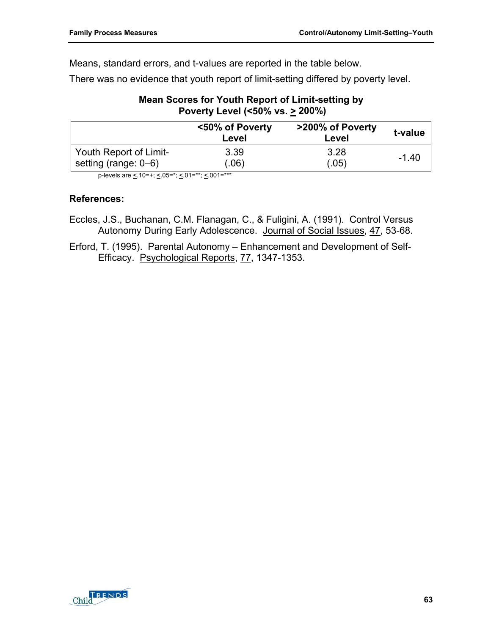Means, standard errors, and t-values are reported in the table below.

There was no evidence that youth report of limit-setting differed by poverty level.

### **Mean Scores for Youth Report of Limit-setting by Poverty Level (<50% vs. > 200%)**

| <50% of Poverty<br>Level | >200% of Poverty<br>Level | t-value |
|--------------------------|---------------------------|---------|
| 3.39                     | 3.28                      | $-1.40$ |
|                          | (.06)                     | (.05)   |

p-levels are <. 10=+; <. 05=\*; <. 01=\*\*; <. 001=\*\*\*

### **References:**

- Eccles, J.S., Buchanan, C.M. Flanagan, C., & Fuligini, A. (1991). Control Versus Autonomy During Early Adolescence. Journal of Social Issues, 47, 53-68.
- Erford, T. (1995). Parental Autonomy Enhancement and Development of Self-Efficacy. Psychological Reports, 77, 1347-1353.

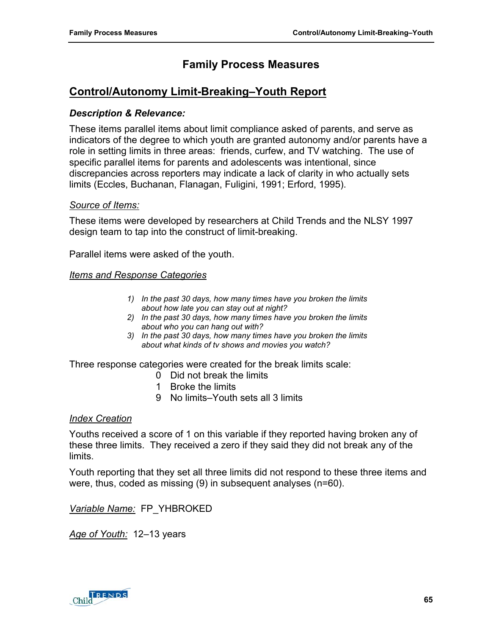# **Control/Autonomy Limit-Breaking–Youth Report**

### *Description & Relevance:*

These items parallel items about limit compliance asked of parents, and serve as indicators of the degree to which youth are granted autonomy and/or parents have a role in setting limits in three areas: friends, curfew, and TV watching. The use of specific parallel items for parents and adolescents was intentional, since discrepancies across reporters may indicate a lack of clarity in who actually sets limits (Eccles, Buchanan, Flanagan, Fuligini, 1991; Erford, 1995).

#### *Source of Items:*

These items were developed by researchers at Child Trends and the NLSY 1997 design team to tap into the construct of limit-breaking.

Parallel items were asked of the youth.

#### *Items and Response Categories*

- *1) In the past 30 days, how many times have you broken the limits about how late you can stay out at night?*
- *2) In the past 30 days, how many times have you broken the limits about who you can hang out with?*
- *3) In the past 30 days, how many times have you broken the limits about what kinds of tv shows and movies you watch?*

Three response categories were created for the break limits scale:

- 0 Did not break the limits
- 1 Broke the limits
- 9 No limits–Youth sets all 3 limits

#### *Index Creation*

Youths received a score of 1 on this variable if they reported having broken any of these three limits. They received a zero if they said they did not break any of the limits.

Youth reporting that they set all three limits did not respond to these three items and were, thus, coded as missing (9) in subsequent analyses (n=60).

*Variable Name:* FP\_YHBROKED

*Age of Youth:* 12–13 years

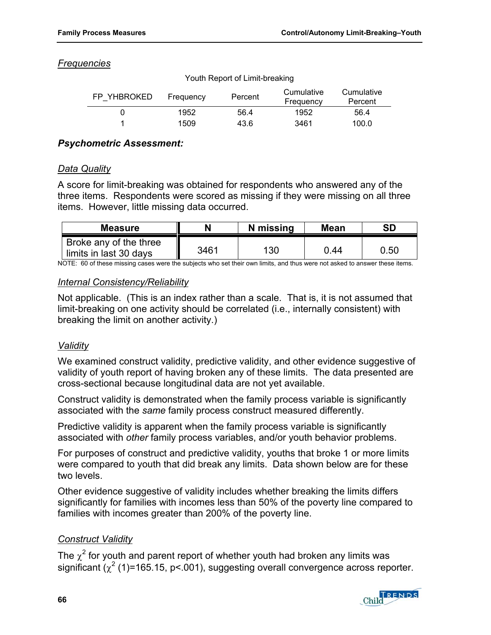### *Frequencies*

| FP YHBROKED | Frequency | Percent | Cumulative<br>Frequency | Cumulative<br>Percent |
|-------------|-----------|---------|-------------------------|-----------------------|
|             | 1952      | 56.4    | 1952                    | 56.4                  |
|             | 1509      | 43.6    | 3461                    | 100.0                 |

#### Youth Report of Limit-breaking

### *Psychometric Assessment:*

### *Data Quality*

A score for limit-breaking was obtained for respondents who answered any of the three items. Respondents were scored as missing if they were missing on all three items. However, little missing data occurred.

| <b>Measure</b>                                   |      | N missing | Mean | SD   |
|--------------------------------------------------|------|-----------|------|------|
| Broke any of the three<br>limits in last 30 days | 3461 | 130       | 0.44 | 0.50 |

NOTE: 60 of these missing cases were the subjects who set their own limits, and thus were not asked to answer these items.

### *Internal Consistency/Reliability*

Not applicable. (This is an index rather than a scale. That is, it is not assumed that limit-breaking on one activity should be correlated (i.e., internally consistent) with breaking the limit on another activity.)

### *Validity*

We examined construct validity, predictive validity, and other evidence suggestive of validity of youth report of having broken any of these limits. The data presented are cross-sectional because longitudinal data are not yet available.

Construct validity is demonstrated when the family process variable is significantly associated with the *same* family process construct measured differently.

Predictive validity is apparent when the family process variable is significantly associated with *other* family process variables, and/or youth behavior problems.

For purposes of construct and predictive validity, youths that broke 1 or more limits were compared to youth that did break any limits. Data shown below are for these two levels.

Other evidence suggestive of validity includes whether breaking the limits differs significantly for families with incomes less than 50% of the poverty line compared to families with incomes greater than 200% of the poverty line.

### *Construct Validity*

The  $\chi^2$  for youth and parent report of whether youth had broken any limits was significant ( $\chi^2$  (1)=165.15, p<.001), suggesting overall convergence across reporter.

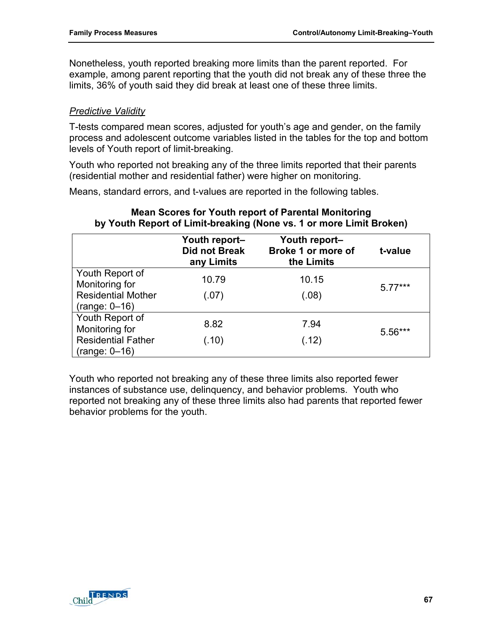Nonetheless, youth reported breaking more limits than the parent reported. For example, among parent reporting that the youth did not break any of these three the limits, 36% of youth said they did break at least one of these three limits.

### *Predictive Validity*

T-tests compared mean scores, adjusted for youth's age and gender, on the family process and adolescent outcome variables listed in the tables for the top and bottom levels of Youth report of limit-breaking.

Youth who reported not breaking any of the three limits reported that their parents (residential mother and residential father) were higher on monitoring.

Means, standard errors, and t-values are reported in the following tables.

# **Mean Scores for Youth report of Parental Monitoring by Youth Report of Limit-breaking (None vs. 1 or more Limit Broken)**

|                           | Youth report-<br>Did not Break<br>any Limits | Youth report-<br>Broke 1 or more of<br>the Limits | t-value   |
|---------------------------|----------------------------------------------|---------------------------------------------------|-----------|
| Youth Report of           | 10.79                                        | 10.15                                             |           |
| Monitoring for            |                                              |                                                   | $5.77***$ |
| <b>Residential Mother</b> | (.07)                                        | (.08)                                             |           |
| $(range: 0-16)$           |                                              |                                                   |           |
| Youth Report of           |                                              |                                                   |           |
| Monitoring for            | 8.82                                         | 7.94                                              | $5.56***$ |
| <b>Residential Father</b> | (.10)                                        | (.12)                                             |           |
| $(range: 0-16)$           |                                              |                                                   |           |

Youth who reported not breaking any of these three limits also reported fewer instances of substance use, delinquency, and behavior problems. Youth who reported not breaking any of these three limits also had parents that reported fewer behavior problems for the youth.

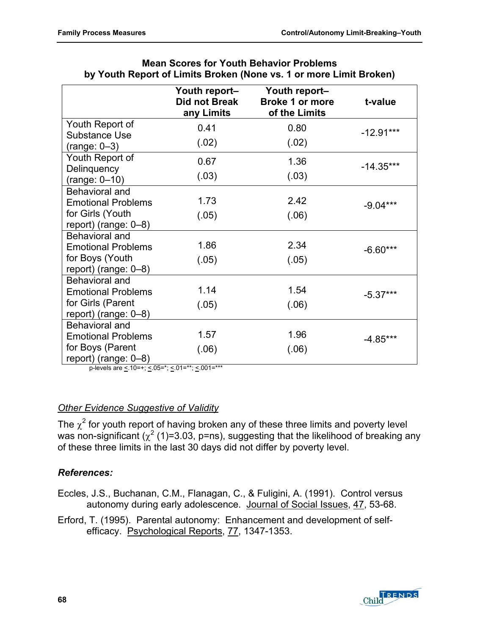|                                             | Youth report-<br>Did not Break<br>any Limits | Youth report-<br><b>Broke 1 or more</b><br>of the Limits | t-value     |
|---------------------------------------------|----------------------------------------------|----------------------------------------------------------|-------------|
| Youth Report of                             | 0.41                                         | 0.80                                                     | $-12.91***$ |
| <b>Substance Use</b><br>$(range: 0-3)$      | (.02)                                        | (.02)                                                    |             |
| Youth Report of                             | 0.67                                         | 1.36                                                     | $-14.35***$ |
| Delinquency<br>$(range: 0-10)$              | (.03)                                        | (.03)                                                    |             |
| Behavioral and<br><b>Emotional Problems</b> | 1.73                                         | 2.42                                                     | $-9.04***$  |
| for Girls (Youth<br>report) (range: $0-8$ ) | (.05)                                        | (.06)                                                    |             |
| Behavioral and                              |                                              |                                                          |             |
| <b>Emotional Problems</b>                   | 1.86                                         | 2.34                                                     | $-6.60***$  |
| for Boys (Youth<br>report) (range: $0-8$ )  | (.05)                                        | (.05)                                                    |             |
| Behavioral and                              |                                              |                                                          |             |
| <b>Emotional Problems</b>                   | 1.14                                         | 1.54                                                     | $-5.37***$  |
| for Girls (Parent<br>report) (range: 0-8)   | (.05)                                        | (.06)                                                    |             |
| Behavioral and                              |                                              |                                                          |             |
| <b>Emotional Problems</b>                   | 1.57                                         | 1.96                                                     | $-4.85***$  |
| for Boys (Parent<br>report) (range: $0-8$ ) | (.06)                                        | (.06)                                                    |             |

#### **Mean Scores for Youth Behavior Problems by Youth Report of Limits Broken (None vs. 1 or more Limit Broken)**

p-levels are  $\leq 10=+$ ;  $\leq 0.05=$ \*;  $\leq 0.01=$ \*\*\*;  $\leq 0.01=$ \*\*\*

### *Other Evidence Suggestive of Validity*

The  $\chi^2$  for youth report of having broken any of these three limits and poverty level was non-significant ( $\chi^2$  (1)=3.03, p=ns), suggesting that the likelihood of breaking any of these three limits in the last 30 days did not differ by poverty level.

# *References:*

Eccles, J.S., Buchanan, C.M., Flanagan, C., & Fuligini, A. (1991). Control versus autonomy during early adolescence. Journal of Social Issues, 47, 53-68.

Erford, T. (1995). Parental autonomy: Enhancement and development of selfefficacy. Psychological Reports, 77, 1347-1353.

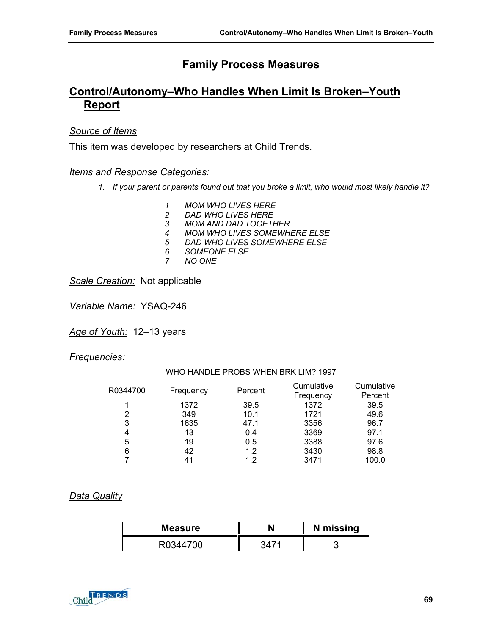# **Control/Autonomy–Who Handles When Limit Is Broken–Youth Report**

#### *Source of Items*

This item was developed by researchers at Child Trends.

#### *Items and Response Categories:*

- *1. If your parent or parents found out that you broke a limit, who would most likely handle it?* 
	- *1 MOM WHO LIVES HERE*
	- *2 DAD WHO LIVES HERE*
	- *3 MOM AND DAD TOGETHER*
	- *4 MOM WHO LIVES SOMEWHERE ELSE*
	- **DAD WHO LIVES SOMEWHERE ELSE**
	- *6 SOMEONE ELSE*
	- *7 NO ONE*

*Scale Creation:* Not applicable

*Variable Name:* YSAQ-246

*Age of Youth:* 12–13 years

#### *Frequencies:*

WHO HANDLE PROBS WHEN BRK LIM? 1997 R0344700 Frequency Percent Cumulative Cumulative

| R0344700 | Frequency | Percent | <b>Vullialativu</b><br>Frequency | <b>Vullialativ</b><br>Percent |
|----------|-----------|---------|----------------------------------|-------------------------------|
|          | 1372      | 39.5    | 1372                             | 39.5                          |
| 2        | 349       | 10.1    | 1721                             | 49.6                          |
| 3        | 1635      | 47.1    | 3356                             | 96.7                          |
| 4        | 13        | 0.4     | 3369                             | 97.1                          |
| 5        | 19        | 0.5     | 3388                             | 97.6                          |
| 6        | 42        | 1.2     | 3430                             | 98.8                          |
|          | 41        | 1.2     | 3471                             | 100.0                         |

#### *Data Quality*

| <b>Measure</b> | N missing |
|----------------|-----------|
|                |           |

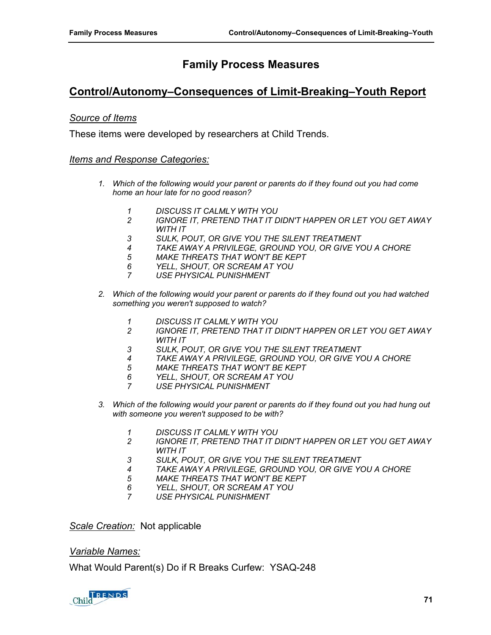# **Control/Autonomy–Consequences of Limit-Breaking–Youth Report**

#### *Source of Items*

These items were developed by researchers at Child Trends.

#### *Items and Response Categories:*

- *1. Which of the following would your parent or parents do if they found out you had come home an hour late for no good reason?* 
	- *1 DISCUSS IT CALMLY WITH YOU*
	- *2 IGNORE IT, PRETEND THAT IT DIDN'T HAPPEN OR LET YOU GET AWAY WITH IT*
	- *3 SULK, POUT, OR GIVE YOU THE SILENT TREATMENT*
	- *4 TAKE AWAY A PRIVILEGE, GROUND YOU, OR GIVE YOU A CHORE*
	- *5 MAKE THREATS THAT WON'T BE KEPT*
	- *6 YELL, SHOUT, OR SCREAM AT YOU*
	- *7 USE PHYSICAL PUNISHMENT*
- *2. Which of the following would your parent or parents do if they found out you had watched something you weren't supposed to watch?* 
	- *1 DISCUSS IT CALMLY WITH YOU*
	- *2 IGNORE IT, PRETEND THAT IT DIDN'T HAPPEN OR LET YOU GET AWAY WITH IT*
	- *3 SULK, POUT, OR GIVE YOU THE SILENT TREATMENT*
	- *4 TAKE AWAY A PRIVILEGE, GROUND YOU, OR GIVE YOU A CHORE*
	- *5 MAKE THREATS THAT WON'T BE KEPT*
	- *6 YELL, SHOUT, OR SCREAM AT YOU*
	- *7 USE PHYSICAL PUNISHMENT*
- *3. Which of the following would your parent or parents do if they found out you had hung out with someone you weren't supposed to be with?* 
	- *1 DISCUSS IT CALMLY WITH YOU*
	- *2 IGNORE IT, PRETEND THAT IT DIDN'T HAPPEN OR LET YOU GET AWAY WITH IT*
	- *3 SULK, POUT, OR GIVE YOU THE SILENT TREATMENT*
	- *4 TAKE AWAY A PRIVILEGE, GROUND YOU, OR GIVE YOU A CHORE*
	- *5 MAKE THREATS THAT WON'T BE KEPT*
	- *6 YELL, SHOUT, OR SCREAM AT YOU*
	- *7 USE PHYSICAL PUNISHMENT*

*Scale Creation:* Not applicable

#### *Variable Names:*

What Would Parent(s) Do if R Breaks Curfew: YSAQ-248

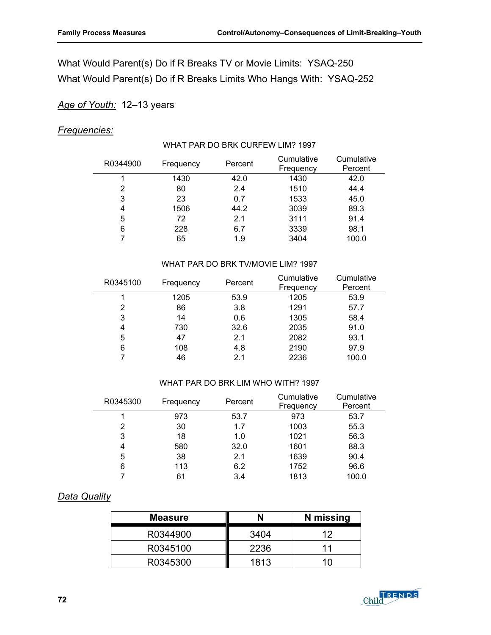# What Would Parent(s) Do if R Breaks TV or Movie Limits: YSAQ-250 What Would Parent(s) Do if R Breaks Limits Who Hangs With: YSAQ-252

### *Age of Youth:* 12–13 years

#### *Frequencies:*

#### WHAT PAR DO BRK CURFEW LIM? 1997

| R0344900 | Frequency | Percent | Cumulative<br>Frequency | Cumulative<br>Percent |
|----------|-----------|---------|-------------------------|-----------------------|
|          | 1430      | 42.0    | 1430                    | 42.0                  |
| 2        | 80        | 2.4     | 1510                    | 44.4                  |
| 3        | 23        | 0.7     | 1533                    | 45.0                  |
| 4        | 1506      | 44.2    | 3039                    | 89.3                  |
| 5        | 72        | 2.1     | 3111                    | 91.4                  |
| 6        | 228       | 6.7     | 3339                    | 98.1                  |
|          | 65        | 1.9     | 3404                    | 100.0                 |

#### WHAT PAR DO BRK TV/MOVIE LIM? 1997

| R0345100 | Frequency | Percent | Cumulative<br>Frequency | Cumulative<br>Percent |
|----------|-----------|---------|-------------------------|-----------------------|
|          | 1205      | 53.9    | 1205                    | 53.9                  |
| 2        | 86        | 3.8     | 1291                    | 57.7                  |
| 3        | 14        | 0.6     | 1305                    | 58.4                  |
| 4        | 730       | 32.6    | 2035                    | 91.0                  |
| 5        | 47        | 2.1     | 2082                    | 93.1                  |
| 6        | 108       | 4.8     | 2190                    | 97.9                  |
|          | 46        | 2.1     | 2236                    | 100.0                 |

#### WHAT PAR DO BRK LIM WHO WITH? 1997

| R0345300 | Frequency | Percent | Cumulative<br>Frequency | Cumulative<br>Percent |
|----------|-----------|---------|-------------------------|-----------------------|
|          | 973       | 53.7    | 973                     | 53.7                  |
| 2        | 30        | 1.7     | 1003                    | 55.3                  |
| 3        | 18        | 1.0     | 1021                    | 56.3                  |
| 4        | 580       | 32.0    | 1601                    | 88.3                  |
| 5        | 38        | 2.1     | 1639                    | 90.4                  |
| 6        | 113       | 6.2     | 1752                    | 96.6                  |
|          | 61        | 3.4     | 1813                    | 100.0                 |

### *Data Quality*

| <b>Measure</b> |      | N missing |
|----------------|------|-----------|
| R0344900       | 3404 | ィク        |
| R0345100       | 2236 | 11        |
| R0345300       | 1813 | 1 N       |

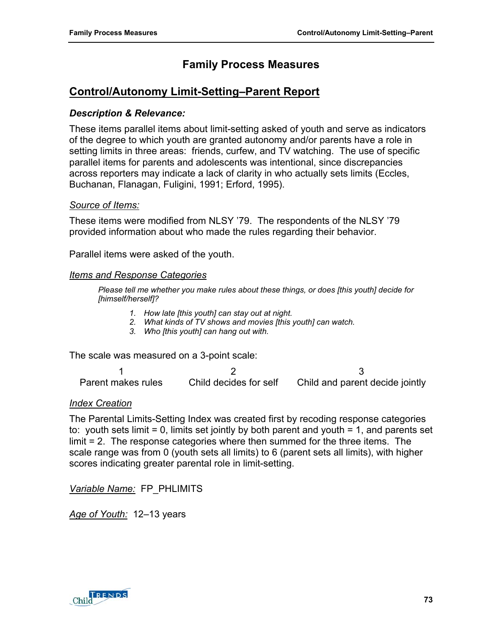# **Control/Autonomy Limit-Setting–Parent Report**

#### *Description & Relevance:*

These items parallel items about limit-setting asked of youth and serve as indicators of the degree to which youth are granted autonomy and/or parents have a role in setting limits in three areas: friends, curfew, and TV watching. The use of specific parallel items for parents and adolescents was intentional, since discrepancies across reporters may indicate a lack of clarity in who actually sets limits (Eccles, Buchanan, Flanagan, Fuligini, 1991; Erford, 1995).

#### *Source of Items:*

These items were modified from NLSY '79. The respondents of the NLSY '79 provided information about who made the rules regarding their behavior.

Parallel items were asked of the youth.

#### *Items and Response Categories*

*Please tell me whether you make rules about these things, or does [this youth] decide for [himself/herself]?* 

- *1. How late [this youth] can stay out at night.*
- *2. What kinds of TV shows and movies [this youth] can watch.*
- *3. Who [this youth] can hang out with.*

The scale was measured on a 3-point scale:

1  $2$  3 Parent makes rules Child decides for self Child and parent decide jointly

#### *Index Creation*

The Parental Limits-Setting Index was created first by recoding response categories to: youth sets limit = 0, limits set jointly by both parent and youth = 1, and parents set limit = 2. The response categories where then summed for the three items. The scale range was from 0 (youth sets all limits) to 6 (parent sets all limits), with higher scores indicating greater parental role in limit-setting.

*Variable Name:* FP\_PHLIMITS

*Age of Youth:* 12–13 years

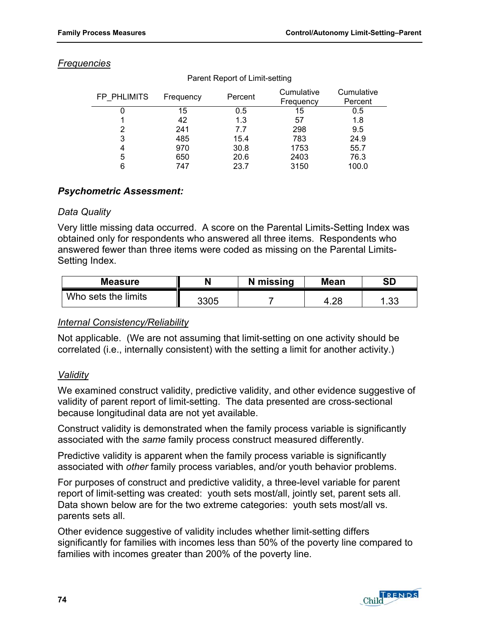| <b>Frequencies</b> |  |
|--------------------|--|
|                    |  |

| FP PHLIMITS | Frequency | Percent | Cumulative<br>Frequency | Cumulative<br>Percent |
|-------------|-----------|---------|-------------------------|-----------------------|
|             | 15        | 0.5     | 15                      | 0.5                   |
|             | 42        | 1.3     | 57                      | 1.8                   |
|             | 241       | 7.7     | 298                     | 9.5                   |
| 3           | 485       | 15.4    | 783                     | 24.9                  |
| 4           | 970       | 30.8    | 1753                    | 55.7                  |
| 5           | 650       | 20.6    | 2403                    | 76.3                  |
| 6           | 747       | 23.7    | 3150                    | 100.0                 |

#### Parent Report of Limit-setting

### *Psychometric Assessment:*

#### *Data Quality*

Very little missing data occurred. A score on the Parental Limits-Setting Index was obtained only for respondents who answered all three items. Respondents who answered fewer than three items were coded as missing on the Parental Limits-Setting Index.

| <b>Measure</b>      |      | N missing | <b>Mean</b> | SD        |
|---------------------|------|-----------|-------------|-----------|
| Who sets the limits | 3305 |           | ററ          | າ<br>ن ں. |

### *Internal Consistency/Reliability*

Not applicable. (We are not assuming that limit-setting on one activity should be correlated (i.e., internally consistent) with the setting a limit for another activity.)

### *Validity*

We examined construct validity, predictive validity, and other evidence suggestive of validity of parent report of limit-setting. The data presented are cross-sectional because longitudinal data are not yet available.

Construct validity is demonstrated when the family process variable is significantly associated with the *same* family process construct measured differently.

Predictive validity is apparent when the family process variable is significantly associated with *other* family process variables, and/or youth behavior problems.

For purposes of construct and predictive validity, a three-level variable for parent report of limit-setting was created: youth sets most/all, jointly set, parent sets all. Data shown below are for the two extreme categories: youth sets most/all vs. parents sets all.

Other evidence suggestive of validity includes whether limit-setting differs significantly for families with incomes less than 50% of the poverty line compared to families with incomes greater than 200% of the poverty line.

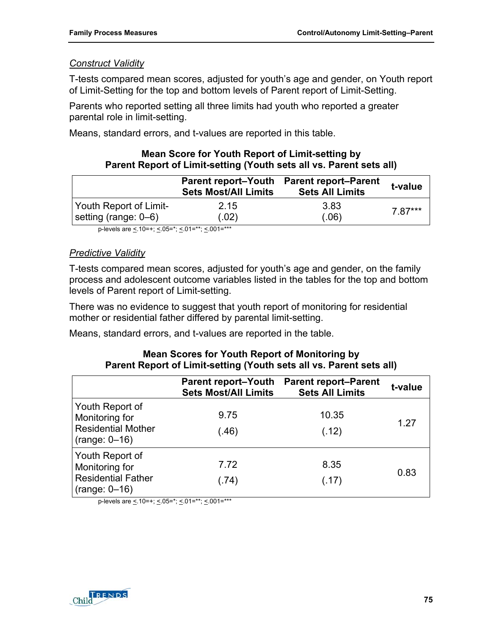### *Construct Validity*

T-tests compared mean scores, adjusted for youth's age and gender, on Youth report of Limit-Setting for the top and bottom levels of Parent report of Limit-Setting.

Parents who reported setting all three limits had youth who reported a greater parental role in limit-setting.

Means, standard errors, and t-values are reported in this table.

### **Mean Score for Youth Report of Limit-setting by Parent Report of Limit-setting (Youth sets all vs. Parent sets all)**

|                        | <b>Parent report–Youth</b><br><b>Sets Most/All Limits</b> | <b>Parent report–Parent</b><br><b>Sets All Limits</b> | t-value |
|------------------------|-----------------------------------------------------------|-------------------------------------------------------|---------|
| Youth Report of Limit- | 2.15                                                      | 3.83                                                  | 7 87*** |
| setting (range: 0–6)   | (.02)                                                     | (.06)                                                 |         |

p-levels are < 10=+; < 05=\*; < 01=\*\*; < 001=\*\*\*

### *Predictive Validity*

T-tests compared mean scores, adjusted for youth's age and gender, on the family process and adolescent outcome variables listed in the tables for the top and bottom levels of Parent report of Limit-setting.

There was no evidence to suggest that youth report of monitoring for residential mother or residential father differed by parental limit-setting.

Means, standard errors, and t-values are reported in the table.

### **Mean Scores for Youth Report of Monitoring by Parent Report of Limit-setting (Youth sets all vs. Parent sets all)**

|                                                                                   | <b>Parent report-Youth</b><br><b>Sets Most/All Limits</b> | <b>Parent report–Parent</b><br><b>Sets All Limits</b> | t-value |
|-----------------------------------------------------------------------------------|-----------------------------------------------------------|-------------------------------------------------------|---------|
| Youth Report of<br>Monitoring for<br><b>Residential Mother</b><br>$(range: 0-16)$ | 9.75<br>(.46)                                             | 10.35<br>(.12)                                        | 1.27    |
| Youth Report of<br>Monitoring for<br><b>Residential Father</b><br>$(range: 0-16)$ | 7.72<br>(.74)                                             | 8.35<br>(.17)                                         | 0.83    |

p-levels are  $\leq$  10=+;  $\leq$  05=\*;  $\leq$  01=\*\*;  $\leq$  001=\*\*\*

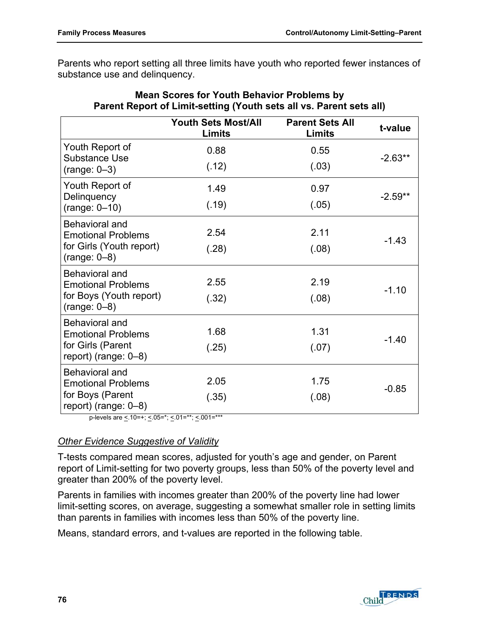Parents who report setting all three limits have youth who reported fewer instances of substance use and delinquency.

|                                              | <b>Youth Sets Most/All</b><br><b>Limits</b> | <b>Parent Sets All</b><br><b>Limits</b> | t-value   |
|----------------------------------------------|---------------------------------------------|-----------------------------------------|-----------|
| Youth Report of<br><b>Substance Use</b>      | 0.88                                        | 0.55                                    | $-2.63**$ |
| $(range: 0-3)$                               | (.12)                                       | (.03)                                   |           |
| Youth Report of                              | 1.49                                        | 0.97                                    | $-2.59**$ |
| Delinquency<br>$(range: 0-10)$               | (.19)                                       | (.05)                                   |           |
| Behavioral and<br><b>Emotional Problems</b>  | 2.54                                        | 2.11                                    | $-1.43$   |
| for Girls (Youth report)<br>$(range: 0-8)$   | (.28)                                       | (.08)                                   |           |
| Behavioral and<br><b>Emotional Problems</b>  | 2.55                                        | 2.19                                    |           |
| for Boys (Youth report)<br>$(range: 0-8)$    | (.32)                                       | (.08)                                   | $-1.10$   |
| Behavioral and<br><b>Emotional Problems</b>  | 1.68                                        | 1.31                                    |           |
| for Girls (Parent<br>report) (range: $0-8$ ) | (.25)                                       | (.07)                                   | $-1.40$   |
| Behavioral and<br><b>Emotional Problems</b>  | 2.05                                        | 1.75                                    |           |
| for Boys (Parent<br>report) (range: $0-8$ )  | (.35)                                       | (.08)                                   | $-0.85$   |

### **Mean Scores for Youth Behavior Problems by Parent Report of Limit-setting (Youth sets all vs. Parent sets all)**

p-levels are  $\leq 10=+$ ;  $\leq 0.05=$ \*;  $\leq 0.01=$ \*\*\*;  $\leq 0.01=$ \*\*\*

### *Other Evidence Suggestive of Validity*

T-tests compared mean scores, adjusted for youth's age and gender, on Parent report of Limit-setting for two poverty groups, less than 50% of the poverty level and greater than 200% of the poverty level.

Parents in families with incomes greater than 200% of the poverty line had lower limit-setting scores, on average, suggesting a somewhat smaller role in setting limits than parents in families with incomes less than 50% of the poverty line.

Means, standard errors, and t-values are reported in the following table.

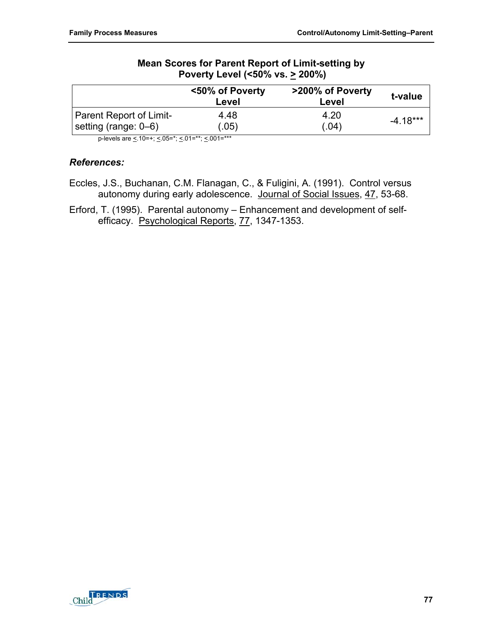### **Mean Scores for Parent Report of Limit-setting by Poverty Level (<50% vs. > 200%)**

|                                | <50% of Poverty<br>Level | >200% of Poverty<br>Level | t-value    |
|--------------------------------|--------------------------|---------------------------|------------|
| <b>Parent Report of Limit-</b> | 4.48                     | 4.20                      | $-4.18***$ |
| setting (range: 0–6)           | (0.05)                   | (.04)                     |            |

p-levels are  $\leq 10=+$ ;  $\leq 0.05=$ \*;  $\leq 0.01=$ \*\*\*;  $\leq 0.001=$ \*\*\*

### *References:*

- Eccles, J.S., Buchanan, C.M. Flanagan, C., & Fuligini, A. (1991). Control versus autonomy during early adolescence. Journal of Social Issues, 47, 53-68.
- Erford, T. (1995). Parental autonomy Enhancement and development of selfefficacy. Psychological Reports, 77, 1347-1353.

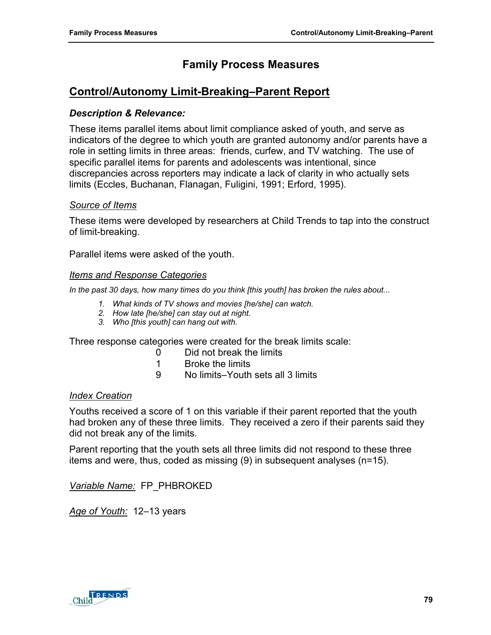# **Control/Autonomy Limit-Breaking–Parent Report**

### *Description & Relevance:*

These items parallel items about limit compliance asked of youth, and serve as indicators of the degree to which youth are granted autonomy and/or parents have a role in setting limits in three areas: friends, curfew, and TV watching. The use of specific parallel items for parents and adolescents was intentional, since discrepancies across reporters may indicate a lack of clarity in who actually sets limits (Eccles, Buchanan, Flanagan, Fuligini, 1991; Erford, 1995).

#### *Source of Items*

These items were developed by researchers at Child Trends to tap into the construct of limit-breaking.

Parallel items were asked of the youth.

#### *Items and Response Categories*

*In the past 30 days, how many times do you think [this youth] has broken the rules about...* 

- *1. What kinds of TV shows and movies [he/she] can watch.*
- *2. How late [he/she] can stay out at night.*
- *3. Who [this youth] can hang out with.*

Three response categories were created for the break limits scale:

- 0 Did not break the limits
- 1 Broke the limits
- 9 No limits–Youth sets all 3 limits

#### *Index Creation*

Youths received a score of 1 on this variable if their parent reported that the youth had broken any of these three limits. They received a zero if their parents said they did not break any of the limits.

Parent reporting that the youth sets all three limits did not respond to these three items and were, thus, coded as missing (9) in subsequent analyses (n=15).

*Variable Name:* FP\_PHBROKED

*Age of Youth:* 12–13 years

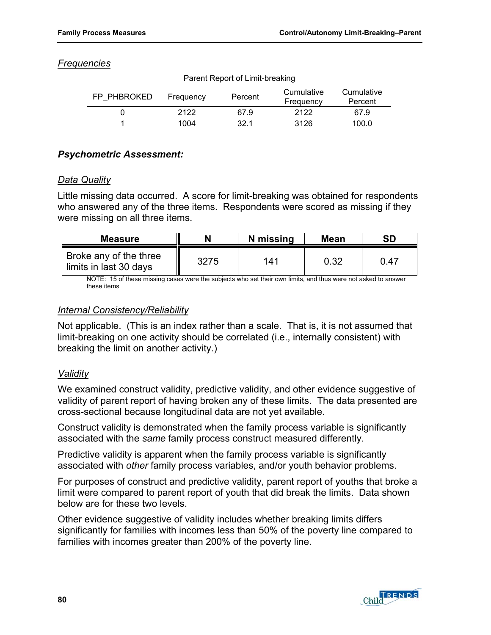### *Frequencies*

| FP PHBROKED | Frequency | Percent | Cumulative<br>Frequency | Cumulative<br>Percent |
|-------------|-----------|---------|-------------------------|-----------------------|
|             | 2122      | 67.9    | 2122                    | 67.9                  |
|             | 1004      | 32.1    | 3126                    | 100.0                 |

Parent Report of Limit-breaking

### *Psychometric Assessment:*

### *Data Quality*

Little missing data occurred. A score for limit-breaking was obtained for respondents who answered any of the three items. Respondents were scored as missing if they were missing on all three items.

| <b>Measure</b>                                   |      | N missing | <b>Mean</b> | <b>SD</b> |
|--------------------------------------------------|------|-----------|-------------|-----------|
| Broke any of the three<br>limits in last 30 days | 3275 | 141       | 0.32        | 0.47      |

NOTE: 15 of these missing cases were the subjects who set their own limits, and thus were not asked to answer these items

### *Internal Consistency/Reliability*

Not applicable. (This is an index rather than a scale. That is, it is not assumed that limit-breaking on one activity should be correlated (i.e., internally consistent) with breaking the limit on another activity.)

### *Validity*

We examined construct validity, predictive validity, and other evidence suggestive of validity of parent report of having broken any of these limits. The data presented are cross-sectional because longitudinal data are not yet available.

Construct validity is demonstrated when the family process variable is significantly associated with the *same* family process construct measured differently.

Predictive validity is apparent when the family process variable is significantly associated with *other* family process variables, and/or youth behavior problems.

For purposes of construct and predictive validity, parent report of youths that broke a limit were compared to parent report of youth that did break the limits. Data shown below are for these two levels.

Other evidence suggestive of validity includes whether breaking limits differs significantly for families with incomes less than 50% of the poverty line compared to families with incomes greater than 200% of the poverty line.

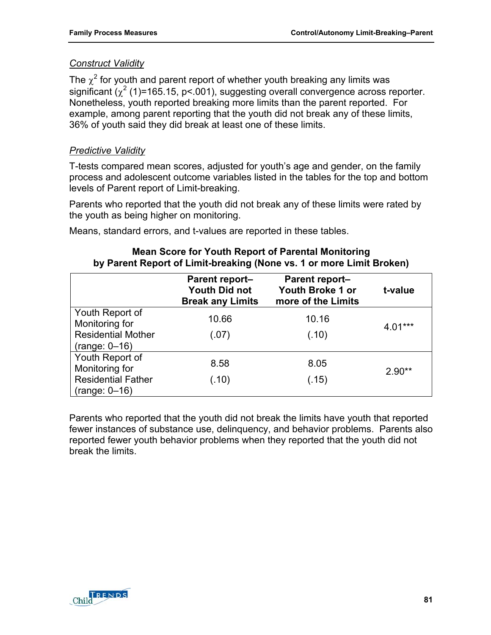### *Construct Validity*

The  $\chi^2$  for youth and parent report of whether youth breaking any limits was significant ( $\chi^2$  (1)=165.15, p<.001), suggesting overall convergence across reporter. Nonetheless, youth reported breaking more limits than the parent reported. For example, among parent reporting that the youth did not break any of these limits, 36% of youth said they did break at least one of these limits.

### *Predictive Validity*

T-tests compared mean scores, adjusted for youth's age and gender, on the family process and adolescent outcome variables listed in the tables for the top and bottom levels of Parent report of Limit-breaking.

Parents who reported that the youth did not break any of these limits were rated by the youth as being higher on monitoring.

Means, standard errors, and t-values are reported in these tables.

|                                                                                   | Parent report-<br><b>Youth Did not</b><br><b>Break any Limits</b> | <b>Parent report-</b><br>Youth Broke 1 or<br>more of the Limits | t-value   |
|-----------------------------------------------------------------------------------|-------------------------------------------------------------------|-----------------------------------------------------------------|-----------|
| Youth Report of<br>Monitoring for<br><b>Residential Mother</b><br>$(range: 0-16)$ | 10.66<br>(.07)                                                    | 10.16<br>(.10)                                                  | $4.01***$ |
| Youth Report of<br>Monitoring for<br><b>Residential Father</b><br>$(range: 0-16)$ | 8.58<br>(.10)                                                     | 8.05<br>(.15)                                                   | $2.90**$  |

### **Mean Score for Youth Report of Parental Monitoring by Parent Report of Limit-breaking (None vs. 1 or more Limit Broken)**

Parents who reported that the youth did not break the limits have youth that reported fewer instances of substance use, delinquency, and behavior problems. Parents also reported fewer youth behavior problems when they reported that the youth did not break the limits.

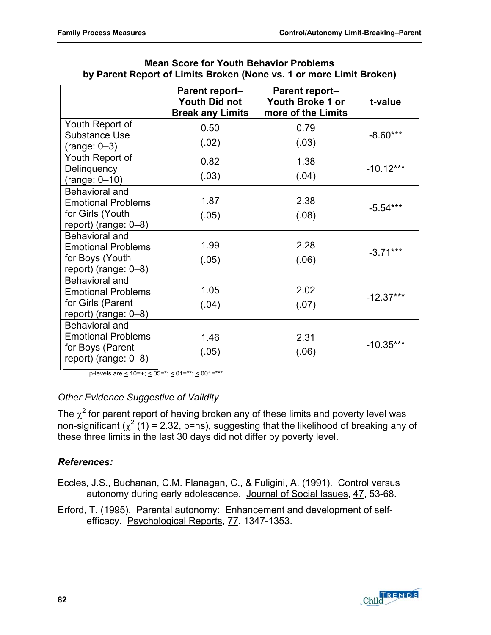|                                                                                             | <b>Parent report-</b><br><b>Youth Did not</b><br><b>Break any Limits</b> | <b>Parent report-</b><br>Youth Broke 1 or<br>more of the Limits | t-value     |
|---------------------------------------------------------------------------------------------|--------------------------------------------------------------------------|-----------------------------------------------------------------|-------------|
| Youth Report of                                                                             | 0.50                                                                     | 0.79                                                            |             |
| <b>Substance Use</b><br>$(range: 0-3)$                                                      | (.02)                                                                    | (.03)                                                           | $-8.60***$  |
| Youth Report of                                                                             | 0.82                                                                     | 1.38                                                            |             |
| Delinquency<br>$(range: 0-10)$                                                              | (.03)                                                                    | (.04)                                                           | $-10.12***$ |
| <b>Behavioral and</b><br><b>Emotional Problems</b><br>for Girls (Youth                      | 1.87<br>(.05)                                                            | 2.38<br>(.08)                                                   | $-5.54***$  |
| report) (range: $0-8$ )                                                                     |                                                                          |                                                                 |             |
| Behavioral and<br><b>Emotional Problems</b><br>for Boys (Youth<br>report) (range: $0-8$ )   | 1.99<br>(.05)                                                            | 2.28<br>(.06)                                                   | $-3.71***$  |
| Behavioral and<br><b>Emotional Problems</b><br>for Girls (Parent<br>report) (range: $0-8$ ) | 1.05<br>(.04)                                                            | 2.02<br>(.07)                                                   | $-12.37***$ |
| Behavioral and<br><b>Emotional Problems</b><br>for Boys (Parent<br>report) (range: $0-8$ )  | 1.46<br>(.05)                                                            | 2.31<br>(.06)                                                   | $-10.35***$ |

| <b>Mean Score for Youth Behavior Problems</b>                       |  |
|---------------------------------------------------------------------|--|
| by Parent Report of Limits Broken (None vs. 1 or more Limit Broken) |  |

p-levels are  $\leq 10=+$ ;  $\leq 05=$ \*;  $\leq 01=$ \*\*;  $\leq 001=$ \*\*\*

### *Other Evidence Suggestive of Validity*

The  $\chi^2$  for parent report of having broken any of these limits and poverty level was non-significant ( $\chi^2$  (1) = 2.32, p=ns), suggesting that the likelihood of breaking any of these three limits in the last 30 days did not differ by poverty level.

### *References:*

Eccles, J.S., Buchanan, C.M. Flanagan, C., & Fuligini, A. (1991). Control versus autonomy during early adolescence. Journal of Social Issues, 47, 53-68.

Erford, T. (1995). Parental autonomy: Enhancement and development of selfefficacy. Psychological Reports, 77, 1347-1353.

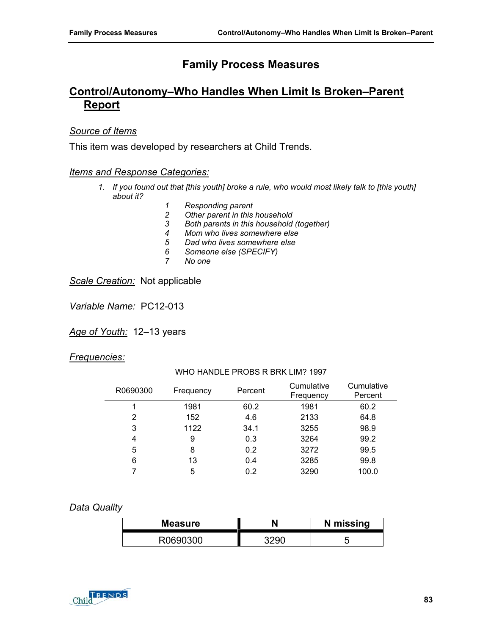# **Control/Autonomy–Who Handles When Limit Is Broken–Parent Report**

### *Source of Items*

This item was developed by researchers at Child Trends.

#### *Items and Response Categories:*

- *1. If you found out that [this youth] broke a rule, who would most likely talk to [this youth] about it?* 
	- *1 Responding parent*
	- *2 Other parent in this household*
	- *3 Both parents in this household (together)*
	- *4 Mom who lives somewhere else*
	- *5 Dad who lives somewhere else*
	- *6 Someone else (SPECIFY)*
	- *7 No one*

*Scale Creation:* Not applicable

*Variable Name:* PC12-013

*Age of Youth:* 12–13 years

#### *Frequencies:*

WHO HANDLE PROBS R BRK LIM? 1997

| R0690300 | Frequency | Percent | Cumulative<br>Frequency | Cumulative<br>Percent |
|----------|-----------|---------|-------------------------|-----------------------|
|          | 1981      | 60.2    | 1981                    | 60.2                  |
| 2        | 152       | 4.6     | 2133                    | 64.8                  |
| 3        | 1122      | 34.1    | 3255                    | 98.9                  |
| 4        | 9         | 0.3     | 3264                    | 99.2                  |
| 5        | 8         | 0.2     | 3272                    | 99.5                  |
| 6        | 13        | 0.4     | 3285                    | 99.8                  |
|          | 5         | 0.2     | 3290                    | 100.0                 |

#### *Data Quality*

| <b>Measure</b> | N missing |
|----------------|-----------|
|                |           |

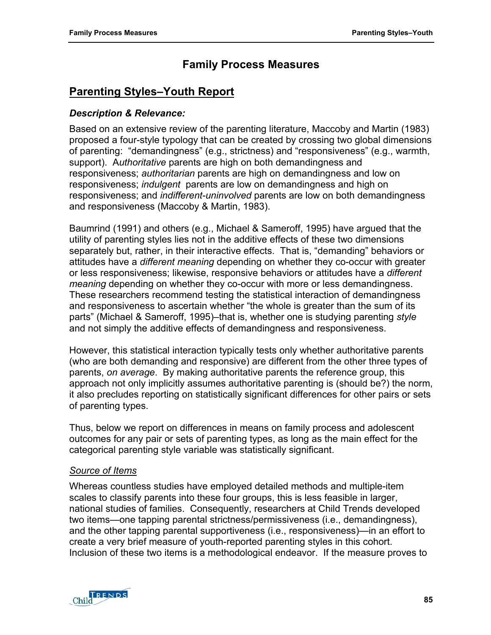# **Parenting Styles–Youth Report**

### *Description & Relevance:*

Based on an extensive review of the parenting literature, Maccoby and Martin (1983) proposed a four-style typology that can be created by crossing two global dimensions of parenting: "demandingness" (e.g., strictness) and "responsiveness" (e.g., warmth, support). A*uthoritative* parents are high on both demandingness and responsiveness; *authoritarian* parents are high on demandingness and low on responsiveness; *indulgent* parents are low on demandingness and high on responsiveness; and *indifferent-uninvolved* parents are low on both demandingness and responsiveness (Maccoby & Martin, 1983).

Baumrind (1991) and others (e.g., Michael & Sameroff, 1995) have argued that the utility of parenting styles lies not in the additive effects of these two dimensions separately but, rather, in their interactive effects. That is, "demanding" behaviors or attitudes have a *different meaning* depending on whether they co-occur with greater or less responsiveness; likewise, responsive behaviors or attitudes have a *different meaning* depending on whether they co-occur with more or less demandingness. These researchers recommend testing the statistical interaction of demandingness and responsiveness to ascertain whether "the whole is greater than the sum of its parts" (Michael & Sameroff, 1995)–that is, whether one is studying parenting *style* and not simply the additive effects of demandingness and responsiveness.

However, this statistical interaction typically tests only whether authoritative parents (who are both demanding and responsive) are different from the other three types of parents, *on average*. By making authoritative parents the reference group, this approach not only implicitly assumes authoritative parenting is (should be?) the norm, it also precludes reporting on statistically significant differences for other pairs or sets of parenting types.

Thus, below we report on differences in means on family process and adolescent outcomes for any pair or sets of parenting types, as long as the main effect for the categorical parenting style variable was statistically significant.

### *Source of Items*

Whereas countless studies have employed detailed methods and multiple-item scales to classify parents into these four groups, this is less feasible in larger, national studies of families. Consequently, researchers at Child Trends developed two items—one tapping parental strictness/permissiveness (i.e., demandingness), and the other tapping parental supportiveness (i.e., responsiveness)—in an effort to create a very brief measure of youth-reported parenting styles in this cohort. Inclusion of these two items is a methodological endeavor. If the measure proves to

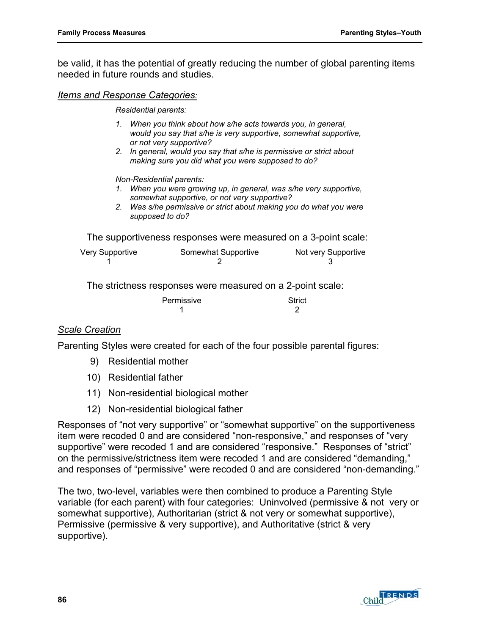be valid, it has the potential of greatly reducing the number of global parenting items needed in future rounds and studies.

#### *Items and Response Categories:*

*Residential parents:* 

- *1. When you think about how s/he acts towards you, in general, would you say that s/he is very supportive, somewhat supportive, or not very supportive?*
- *2. In general, would you say that s/he is permissive or strict about making sure you did what you were supposed to do?*

#### *Non-Residential parents:*

- *1. When you were growing up, in general, was s/he very supportive, somewhat supportive, or not very supportive?*
- *2. Was s/he permissive or strict about making you do what you were supposed to do?*

The supportiveness responses were measured on a 3-point scale:

| Very Supportive | Somewhat Supportive | Not very Supportive |
|-----------------|---------------------|---------------------|
|                 |                     |                     |

The strictness responses were measured on a 2-point scale:

| Permissive | Strict |
|------------|--------|
|            |        |

### *Scale Creation*

Parenting Styles were created for each of the four possible parental figures:

- 9) Residential mother
- 10) Residential father
- 11) Non-residential biological mother
- 12) Non-residential biological father

Responses of "not very supportive" or "somewhat supportive" on the supportiveness item were recoded 0 and are considered "non-responsive," and responses of "very supportive" were recoded 1 and are considered "responsive." Responses of "strict" on the permissive/strictness item were recoded 1 and are considered "demanding," and responses of "permissive" were recoded 0 and are considered "non-demanding."

The two, two-level, variables were then combined to produce a Parenting Style variable (for each parent) with four categories: Uninvolved (permissive & not very or somewhat supportive), Authoritarian (strict & not very or somewhat supportive), Permissive (permissive & very supportive), and Authoritative (strict & very supportive).

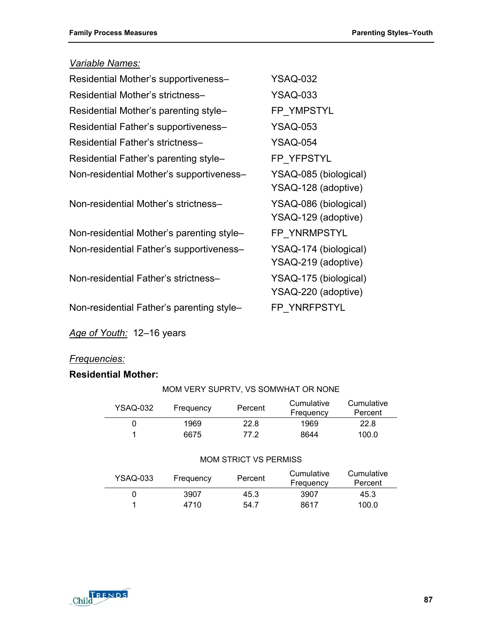# *Variable Names:*

| Residential Mother's supportiveness-      | <b>YSAQ-032</b>                              |
|-------------------------------------------|----------------------------------------------|
| Residential Mother's strictness-          | YSAQ-033                                     |
| Residential Mother's parenting style-     | FP YMPSTYL                                   |
| Residential Father's supportiveness-      | <b>YSAQ-053</b>                              |
| Residential Father's strictness-          | <b>YSAQ-054</b>                              |
| Residential Father's parenting style-     | FP YFPSTYL                                   |
| Non-residential Mother's supportiveness-  | YSAQ-085 (biological)<br>YSAQ-128 (adoptive) |
| Non-residential Mother's strictness-      | YSAQ-086 (biological)<br>YSAQ-129 (adoptive) |
| Non-residential Mother's parenting style- | FP YNRMPSTYL                                 |
| Non-residential Father's supportiveness-  | YSAQ-174 (biological)<br>YSAQ-219 (adoptive) |
| Non-residential Father's strictness-      | YSAQ-175 (biological)<br>YSAQ-220 (adoptive) |
| Non-residential Father's parenting style- | FP YNRFPSTYL                                 |

*Age of Youth:* 12–16 years

### *Frequencies:*

### **Residential Mother:**

| YSAQ-032 | Frequency | Percent | Cumulative<br>Frequency | Cumulative<br>Percent |
|----------|-----------|---------|-------------------------|-----------------------|
|          | 1969      | 22.8    | 1969                    | 22.8                  |
|          | 6675      | 77 2    | 8644                    | 100.0                 |

MOM VERY SUPRTV, VS SOMWHAT OR NONE

#### MOM STRICT VS PERMISS

| YSAQ-033 | Frequency | Percent | Cumulative<br>Frequency | Cumulative<br>Percent |
|----------|-----------|---------|-------------------------|-----------------------|
|          | 3907      | 45.3    | 3907                    | 45.3                  |
|          | 4710      | 54.7    | 8617                    | 100.0                 |



#### **87**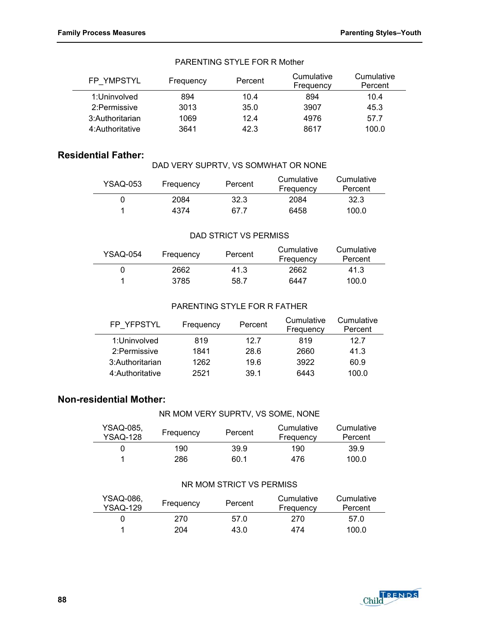L.

| FP YMPSTYL       | Frequency | Percent | Cumulative<br>Frequency | Cumulative<br>Percent |
|------------------|-----------|---------|-------------------------|-----------------------|
| 1:Uninvolved     | 894       | 10.4    | 894                     | 10.4                  |
| 2: Permissive    | 3013      | 35.0    | 3907                    | 45.3                  |
| 3: Authoritarian | 1069      | 124     | 4976                    | 57.7                  |
| 4: Authoritative | 3641      | 42.3    | 8617                    | 100.0                 |

#### PARENTING STYLE FOR R Mother

### **Residential Father:**

|  |  | DAD VERY SUPRTV, VS SOMWHAT OR NONE |  |
|--|--|-------------------------------------|--|

| YSAQ-053 | Frequency | Percent | Cumulative<br>Frequency | Cumulative<br>Percent |
|----------|-----------|---------|-------------------------|-----------------------|
|          | 2084      | 32.3    | 2084                    | 32.3                  |
|          | 4374      | 67 7    | 6458                    | 100.0                 |

#### DAD STRICT VS PERMISS

| YSAQ-054 | Frequency | Percent | Cumulative<br>Frequency | Cumulative<br>Percent |
|----------|-----------|---------|-------------------------|-----------------------|
|          | 2662      | 41.3    | 2662                    | 41.3                  |
|          | 3785      | 58.7    | 6447                    | 100.0                 |

#### PARENTING STYLE FOR R FATHER

| FP YFPSTYL       | Frequency | Percent | Cumulative<br>Frequency | Cumulative<br>Percent |
|------------------|-----------|---------|-------------------------|-----------------------|
| 1:Uninvolved     | 819       | 12 7    | 819                     | 12.7                  |
| 2: Permissive    | 1841      | 28.6    | 2660                    | 41.3                  |
| 3: Authoritarian | 1262      | 19.6    | 3922                    | 60.9                  |
| 4: Authoritative | 2521      | 39.1    | 6443                    | 100.0                 |

### **Non-residential Mother:**

#### NR MOM VERY SUPRTV, VS SOME, NONE

| YSAQ-085.<br><b>YSAQ-128</b> | Frequency | Percent | Cumulative<br>Frequency | Cumulative<br>Percent |
|------------------------------|-----------|---------|-------------------------|-----------------------|
|                              | 190       | 39.9    | 190                     | 39.9                  |
|                              | 286       | 60.1    | 476                     | 100.0                 |

#### NR MOM STRICT VS PERMISS

| YSAQ-086.<br><b>YSAQ-129</b> | Frequency | Percent | Cumulative<br>Frequency | Cumulative<br>Percent |
|------------------------------|-----------|---------|-------------------------|-----------------------|
|                              | 270.      | 57 O    | 270                     | 57.0                  |
|                              | 204       | 43.0    | 474                     | 100.0                 |

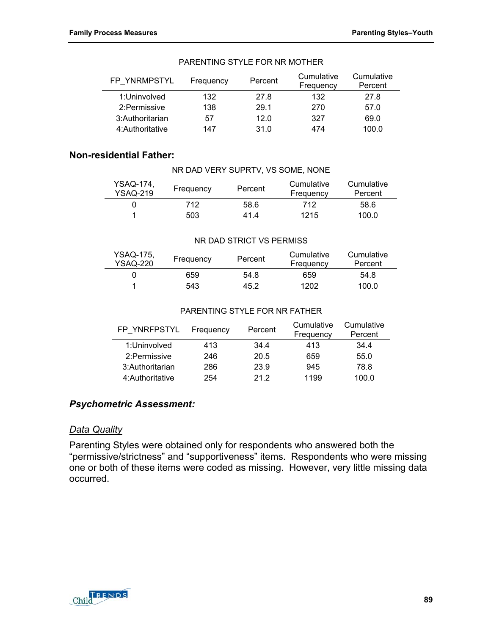| FP YNRMPSTYL     | Frequency | Percent | Cumulative<br>Frequency | Cumulative<br>Percent |
|------------------|-----------|---------|-------------------------|-----------------------|
| 1:Uninvolved     | 132       | 27.8    | 132                     | 27.8                  |
| 2: Permissive    | 138       | 29.1    | 270                     | 57.0                  |
| 3: Authoritarian | 57        | 12.0    | 327                     | 69.0                  |
| 4: Authoritative | 147       | 31.0    | 474                     | 100.0                 |

#### PARENTING STYLE FOR NR MOTHER

### **Non-residential Father:**

| YSAQ-174.<br><b>YSAQ-219</b> | Frequency | Percent | Cumulative<br>Frequency | Cumulative<br>Percent |
|------------------------------|-----------|---------|-------------------------|-----------------------|
|                              | 712.      | 58.6    | 712                     | 58.6                  |
|                              | 503       | 41.4    | 1215                    | 100.0                 |

NR DAD VERY SUPRTV, VS SOME, NONE

#### NR DAD STRICT VS PERMISS

| YSAQ-175.<br>YSAQ-220 | Frequency | Percent | Cumulative<br>Frequency | Cumulative<br>Percent |
|-----------------------|-----------|---------|-------------------------|-----------------------|
|                       | 659       | 54.8    | 659                     | 54.8                  |
|                       | 543       | 45.2    | 1202                    | 100.0                 |

#### PARENTING STYLE FOR NR FATHER

| FP YNRFPSTYL     | Frequency | Percent | Cumulative<br>Frequency | Cumulative<br>Percent |
|------------------|-----------|---------|-------------------------|-----------------------|
| 1:Uninvolved     | 413       | 34.4    | 413                     | 34.4                  |
| 2: Permissive    | 246       | 20.5    | 659                     | 55.0                  |
| 3: Authoritarian | 286       | 23.9    | 945                     | 78.8                  |
| 4: Authoritative | 254       | 21.2    | 1199                    | 100.0                 |

### *Psychometric Assessment:*

#### *Data Quality*

Parenting Styles were obtained only for respondents who answered both the "permissive/strictness" and "supportiveness" items. Respondents who were missing one or both of these items were coded as missing. However, very little missing data occurred.

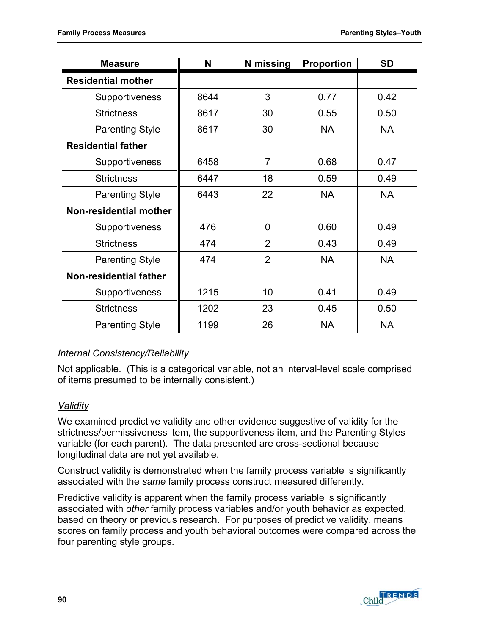| <b>Measure</b>            | N    | N missing      | <b>Proportion</b> | <b>SD</b> |
|---------------------------|------|----------------|-------------------|-----------|
| <b>Residential mother</b> |      |                |                   |           |
| <b>Supportiveness</b>     | 8644 | 3              | 0.77              | 0.42      |
| <b>Strictness</b>         | 8617 | 30             | 0.55              | 0.50      |
| <b>Parenting Style</b>    | 8617 | 30             | <b>NA</b>         | <b>NA</b> |
| <b>Residential father</b> |      |                |                   |           |
| Supportiveness            | 6458 | $\overline{7}$ | 0.68              | 0.47      |
| <b>Strictness</b>         | 6447 | 18             | 0.59              | 0.49      |
| <b>Parenting Style</b>    | 6443 | 22             | <b>NA</b>         | <b>NA</b> |
| Non-residential mother    |      |                |                   |           |
| Supportiveness            | 476  | 0              | 0.60              | 0.49      |
| <b>Strictness</b>         | 474  | $\overline{2}$ | 0.43              | 0.49      |
| <b>Parenting Style</b>    | 474  | $\overline{2}$ | <b>NA</b>         | <b>NA</b> |
| Non-residential father    |      |                |                   |           |
| <b>Supportiveness</b>     | 1215 | 10             | 0.41              | 0.49      |
| <b>Strictness</b>         | 1202 | 23             | 0.45              | 0.50      |
| <b>Parenting Style</b>    | 1199 | 26             | <b>NA</b>         | <b>NA</b> |

# *Internal Consistency/Reliability*

Not applicable. (This is a categorical variable, not an interval-level scale comprised of items presumed to be internally consistent.)

### *Validity*

We examined predictive validity and other evidence suggestive of validity for the strictness/permissiveness item, the supportiveness item, and the Parenting Styles variable (for each parent). The data presented are cross-sectional because longitudinal data are not yet available.

Construct validity is demonstrated when the family process variable is significantly associated with the *same* family process construct measured differently.

Predictive validity is apparent when the family process variable is significantly associated with *other* family process variables and/or youth behavior as expected, based on theory or previous research. For purposes of predictive validity, means scores on family process and youth behavioral outcomes were compared across the four parenting style groups.

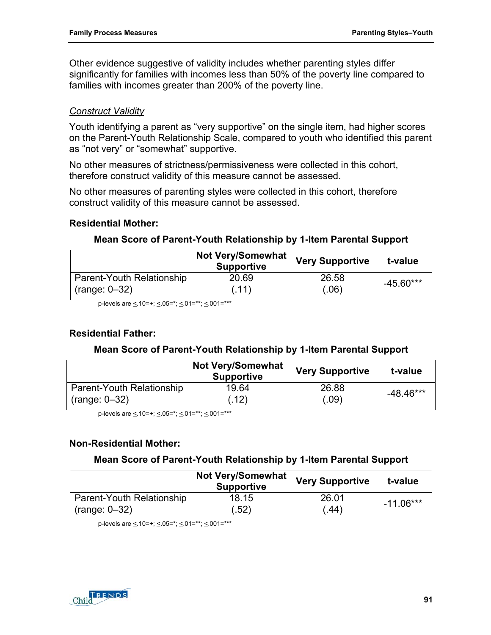Other evidence suggestive of validity includes whether parenting styles differ significantly for families with incomes less than 50% of the poverty line compared to families with incomes greater than 200% of the poverty line.

### *Construct Validity*

Youth identifying a parent as "very supportive" on the single item, had higher scores on the Parent-Youth Relationship Scale, compared to youth who identified this parent as "not very" or "somewhat" supportive.

No other measures of strictness/permissiveness were collected in this cohort, therefore construct validity of this measure cannot be assessed.

No other measures of parenting styles were collected in this cohort, therefore construct validity of this measure cannot be assessed.

### **Residential Mother:**

### **Mean Score of Parent-Youth Relationship by 1-Item Parental Support**

|                           | <b>Not Very/Somewhat</b><br><b>Supportive</b> | <b>Very Supportive</b> | t-value     |
|---------------------------|-----------------------------------------------|------------------------|-------------|
| Parent-Youth Relationship | 20.69                                         | 26.58                  | $-45.60***$ |
| $(range: 0-32)$           | (.11)                                         | (.06)                  |             |

p-levels are <.10=+; <.05=\*; <.01=\*\*; <.001=\*\*\*

### **Residential Father:**

### **Mean Score of Parent-Youth Relationship by 1-Item Parental Support**

|                           | <b>Not Very/Somewhat</b><br><b>Supportive</b> | <b>Very Supportive</b> | t-value     |
|---------------------------|-----------------------------------------------|------------------------|-------------|
| Parent-Youth Relationship | 19.64                                         | 26.88                  | $-48.46***$ |
| $(range: 0-32)$           | (.12)                                         | (.09)                  |             |

p-levels are  $\leq$  10=+;  $\leq$  05=\*;  $\leq$  01=\*\*;  $\leq$  001=\*\*\*

### **Non-Residential Mother:**

### **Mean Score of Parent-Youth Relationship by 1-Item Parental Support**

|                           | <b>Not Very/Somewhat</b><br><b>Supportive</b> | <b>Very Supportive</b> | t-value     |
|---------------------------|-----------------------------------------------|------------------------|-------------|
| Parent-Youth Relationship | 18.15                                         | 26.01                  | $-11.06***$ |
| $(range: 0-32)$           | (.52)                                         | (.44)                  |             |

p-levels are < 10=+; < 05=\*; < 01=\*\*; < 001=\*\*\*

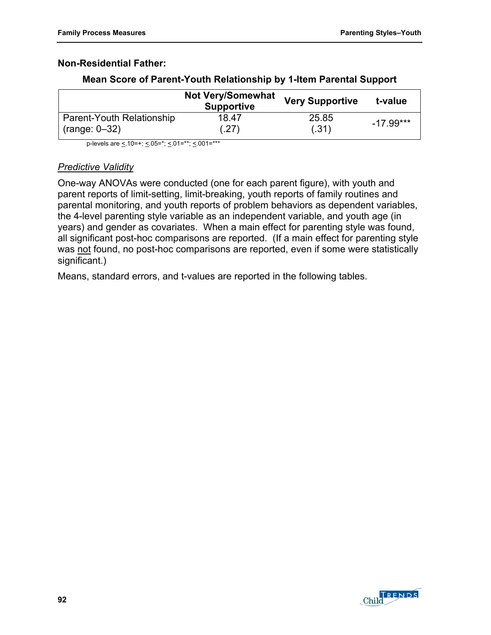### **Non-Residential Father:**

|                           | <b>Not Very/Somewhat</b><br><b>Supportive</b> | <b>Very Supportive</b> | t-value     |
|---------------------------|-----------------------------------------------|------------------------|-------------|
| Parent-Youth Relationship | 18.47                                         | 25.85                  | $-17.99***$ |
| $(range: 0-32)$           | (.27)                                         | (.31)                  |             |

#### **Mean Score of Parent-Youth Relationship by 1-Item Parental Support**

p-levels are  $\leq 10=+$ ;  $\leq 0.05=$ \*;  $\leq 0.01=$ \*\*\*

### *Predictive Validity*

One-way ANOVAs were conducted (one for each parent figure), with youth and parent reports of limit-setting, limit-breaking, youth reports of family routines and parental monitoring, and youth reports of problem behaviors as dependent variables, the 4-level parenting style variable as an independent variable, and youth age (in years) and gender as covariates. When a main effect for parenting style was found, all significant post-hoc comparisons are reported. (If a main effect for parenting style was not found, no post-hoc comparisons are reported, even if some were statistically significant.)

Means, standard errors, and t-values are reported in the following tables.

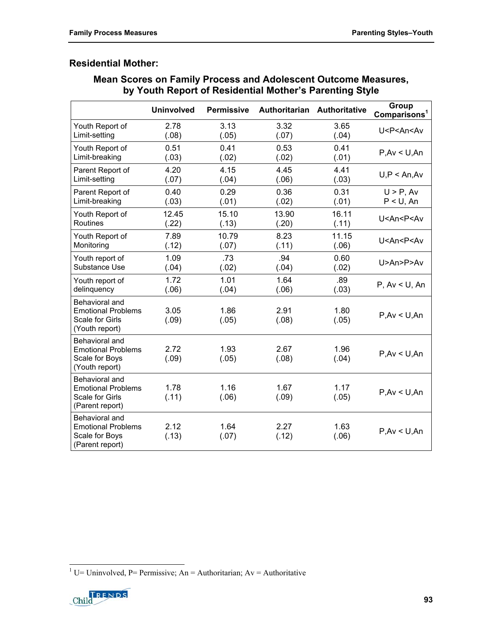### **Residential Mother:**

|                                                                                          | <b>Uninvolved</b> | <b>Permissive</b> |               | Authoritarian Authoritative | Group<br>Comparisons <sup>1</sup> |
|------------------------------------------------------------------------------------------|-------------------|-------------------|---------------|-----------------------------|-----------------------------------|
| Youth Report of                                                                          | 2.78              | 3.13              | 3.32          | 3.65                        | U <p<an<av< td=""></p<an<av<>     |
| Limit-setting                                                                            | (.08)             | (.05)             | (.07)         | (.04)                       |                                   |
| Youth Report of                                                                          | 0.51              | 0.41              | 0.53          | 0.41                        | P.Av < U.An                       |
| Limit-breaking                                                                           | (.03)             | (.02)             | (.02)         | (.01)                       |                                   |
| Parent Report of                                                                         | 4.20              | 4.15              | 4.45          | 4.41                        | U, P < An, Av                     |
| Limit-setting                                                                            | (.07)             | (.04)             | (.06)         | (.03)                       |                                   |
| Parent Report of                                                                         | 0.40              | 0.29              | 0.36          | 0.31                        | $U > P$ , Av                      |
| Limit-breaking                                                                           | (.03)             | (.01)             | (.02)         | (.01)                       | $P < U$ , An                      |
| Youth Report of                                                                          | 12.45             | 15.10             | 13.90         | 16.11                       | U <an<p<av< td=""></an<p<av<>     |
| Routines                                                                                 | (.22)             | (.13)             | (.20)         | (.11)                       |                                   |
| Youth Report of                                                                          | 7.89              | 10.79             | 8.23          | 11.15                       | U <an<p<av< td=""></an<p<av<>     |
| Monitoring                                                                               | (.12)             | (.07)             | (.11)         | (.06)                       |                                   |
| Youth report of                                                                          | 1.09              | .73               | .94           | 0.60                        | U > An > P > Av                   |
| Substance Use                                                                            | (.04)             | (.02)             | (.04)         | (.02)                       |                                   |
| Youth report of                                                                          | 1.72              | 1.01              | 1.64          | .89                         | P, Av < U, An                     |
| delinquency                                                                              | (.06)             | (.04)             | (.06)         | (.03)                       |                                   |
| Behavioral and<br><b>Emotional Problems</b><br>Scale for Girls<br>(Youth report)         | 3.05<br>(.09)     | 1.86<br>(.05)     | 2.91<br>(.08) | 1.80<br>(.05)               | P.Av < U.An                       |
| Behavioral and<br><b>Emotional Problems</b><br>Scale for Boys<br>(Youth report)          | 2.72<br>(.09)     | 1.93<br>(.05)     | 2.67<br>(.08) | 1.96<br>(.04)               | P.Av < U.An                       |
| Behavioral and<br><b>Emotional Problems</b><br><b>Scale for Girls</b><br>(Parent report) | 1.78<br>(.11)     | 1.16<br>(.06)     | 1.67<br>(.09) | 1.17<br>(.05)               | P.Av < U.An                       |
| Behavioral and<br><b>Emotional Problems</b><br>Scale for Boys<br>(Parent report)         | 2.12<br>(.13)     | 1.64<br>(.07)     | 2.27<br>(.12) | 1.63<br>(.06)               | P.Av < U.An                       |

### **Mean Scores on Family Process and Adolescent Outcome Measures, by Youth Report of Residential Mother's Parenting Style**

<span id="page-100-0"></span><sup>&</sup>lt;sup>1</sup> U= Uninvolved, P= Permissive; An = Authoritarian; Av = Authoritative

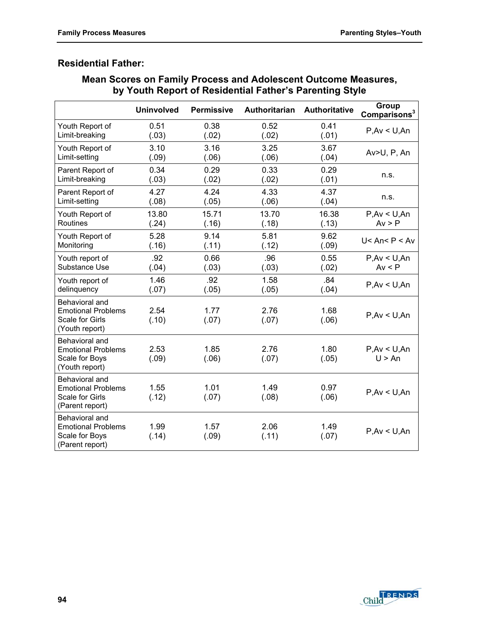# **Residential Father:**

| Mean Scores on Family Process and Adolescent Outcome Measures, |
|----------------------------------------------------------------|
| by Youth Report of Residential Father's Parenting Style        |

|                                                                                          | <b>Uninvolved</b> | <b>Permissive</b> | Authoritarian Authoritative |               | Group<br>Comparisons <sup>3</sup> |
|------------------------------------------------------------------------------------------|-------------------|-------------------|-----------------------------|---------------|-----------------------------------|
| Youth Report of                                                                          | 0.51              | 0.38              | 0.52                        | 0.41          | P.Av < U.An                       |
| Limit-breaking                                                                           | (.03)             | (.02)             | (.02)                       | (.01)         |                                   |
| Youth Report of                                                                          | 3.10              | 3.16              | 3.25                        | 3.67          | Av>U, P, An                       |
| Limit-setting                                                                            | (.09)             | (.06)             | (.06)                       | (.04)         |                                   |
| Parent Report of                                                                         | 0.34              | 0.29              | 0.33                        | 0.29          | n.s.                              |
| Limit-breaking                                                                           | (.03)             | (.02)             | (.02)                       | (.01)         |                                   |
| Parent Report of                                                                         | 4.27              | 4.24              | 4.33                        | 4.37          | n.s.                              |
| Limit-setting                                                                            | (.08)             | (.05)             | (.06)                       | (.04)         |                                   |
| Youth Report of                                                                          | 13.80             | 15.71             | 13.70                       | 16.38         | P, Av < U, An                     |
| Routines                                                                                 | (.24)             | (.16)             | (.18)                       | (.13)         | Av > P                            |
| Youth Report of                                                                          | 5.28              | 9.14              | 5.81                        | 9.62          | $U <$ An< P < Av                  |
| Monitoring                                                                               | (.16)             | (.11)             | (.12)                       | (.09)         |                                   |
| Youth report of                                                                          | .92               | 0.66              | .96                         | 0.55          | P, Av < U, An                     |
| Substance Use                                                                            | (.04)             | (.03)             | (.03)                       | (.02)         | Av < P                            |
| Youth report of                                                                          | 1.46              | .92               | 1.58                        | .84           | P, Av < U, An                     |
| delinquency                                                                              | (.07)             | (.05)             | (.05)                       | (.04)         |                                   |
| Behavioral and<br><b>Emotional Problems</b><br><b>Scale for Girls</b><br>(Youth report)  | 2.54<br>(.10)     | 1.77<br>(.07)     | 2.76<br>(.07)               | 1.68<br>(.06) | P.Av < U.An                       |
| Behavioral and<br><b>Emotional Problems</b><br>Scale for Boys<br>(Youth report)          | 2.53<br>(.09)     | 1.85<br>(.06)     | 2.76<br>(.07)               | 1.80<br>(.05) | P, Av < U, An<br>U > An           |
| Behavioral and<br><b>Emotional Problems</b><br><b>Scale for Girls</b><br>(Parent report) | 1.55<br>(.12)     | 1.01<br>(.07)     | 1.49<br>(.08)               | 0.97<br>(.06) | P.Av < U.An                       |
| Behavioral and<br><b>Emotional Problems</b><br>Scale for Boys<br>(Parent report)         | 1.99<br>(.14)     | 1.57<br>(.09)     | 2.06<br>(.11)               | 1.49<br>(.07) | P.Av < U.An                       |

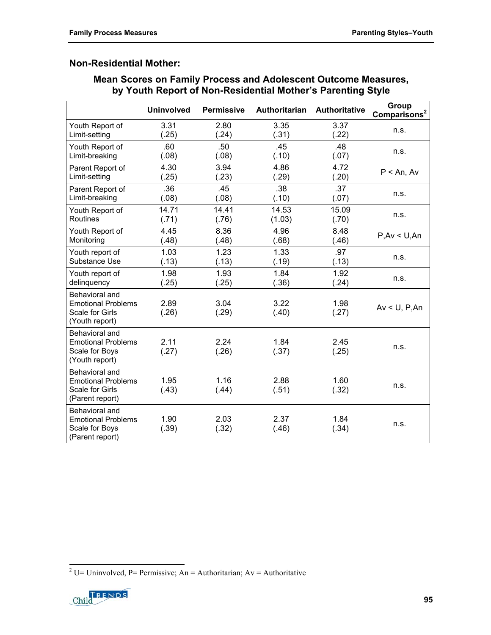### **Non-Residential Mother:**

### **Mean Scores on Family Process and Adolescent Outcome Measures, by Youth Report of Non-Residential Mother's Parenting Style**

|                                                                                   | <b>Uninvolved</b> | <b>Permissive</b> | Authoritarian | Authoritative | Group<br>Comparisons <sup>2</sup> |
|-----------------------------------------------------------------------------------|-------------------|-------------------|---------------|---------------|-----------------------------------|
| Youth Report of                                                                   | 3.31              | 2.80              | 3.35          | 3.37          | n.s.                              |
| Limit-setting                                                                     | (.25)             | (.24)             | (.31)         | (.22)         |                                   |
| Youth Report of                                                                   | .60               | .50               | .45           | .48           | n.s.                              |
| Limit-breaking                                                                    | (.08)             | (.08)             | (.10)         | (.07)         |                                   |
| Parent Report of                                                                  | 4.30              | 3.94              | 4.86          | 4.72          | $P < An$ , Av                     |
| Limit-setting                                                                     | (.25)             | (.23)             | (.29)         | (.20)         |                                   |
| Parent Report of                                                                  | .36               | .45               | .38           | .37           | n.s.                              |
| Limit-breaking                                                                    | (.08)             | (.08)             | (.10)         | (.07)         |                                   |
| Youth Report of                                                                   | 14.71             | 14.41             | 14.53         | 15.09         | n.s.                              |
| <b>Routines</b>                                                                   | (.71)             | (.76)             | (1.03)        | (.70)         |                                   |
| Youth Report of                                                                   | 4.45              | 8.36              | 4.96          | 8.48          | P, Av < U, An                     |
| Monitoring                                                                        | (.48)             | (.48)             | (.68)         | (.46)         |                                   |
| Youth report of                                                                   | 1.03              | 1.23              | 1.33          | .97           | n.s.                              |
| Substance Use                                                                     | (.13)             | (.13)             | (.19)         | (.13)         |                                   |
| Youth report of                                                                   | 1.98              | 1.93              | 1.84          | 1.92          | n.s.                              |
| delinquency                                                                       | (.25)             | (.25)             | (.36)         | (.24)         |                                   |
| Behavioral and<br><b>Emotional Problems</b><br>Scale for Girls<br>(Youth report)  | 2.89<br>(.26)     | 3.04<br>(.29)     | 3.22<br>(.40) | 1.98<br>(.27) | $Av < U$ , P, An                  |
| Behavioral and<br><b>Emotional Problems</b><br>Scale for Boys<br>(Youth report)   | 2.11<br>(.27)     | 2.24<br>(.26)     | 1.84<br>(.37) | 2.45<br>(.25) | n.s.                              |
| Behavioral and<br><b>Emotional Problems</b><br>Scale for Girls<br>(Parent report) | 1.95<br>(.43)     | 1.16<br>(.44)     | 2.88<br>(.51) | 1.60<br>(.32) | n.s.                              |
| Behavioral and<br><b>Emotional Problems</b><br>Scale for Boys<br>(Parent report)  | 1.90<br>(.39)     | 2.03<br>(.32)     | 2.37<br>(.46) | 1.84<br>(.34) | n.s.                              |

<span id="page-102-0"></span><sup>&</sup>lt;sup>2</sup> U= Uninvolved, P= Permissive; An = Authoritarian; Av = Authoritative

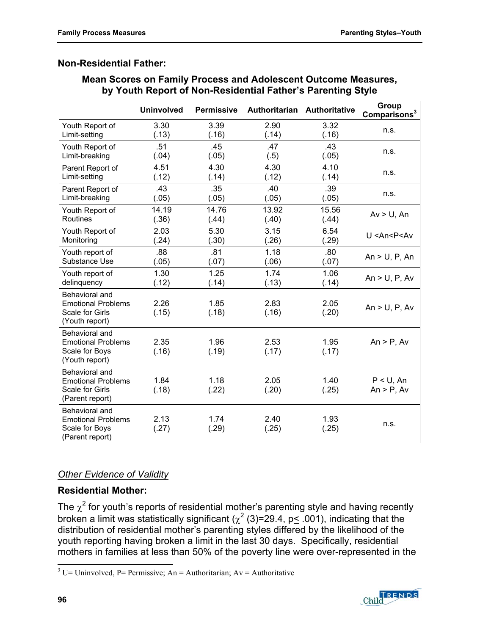### **Non-Residential Father:**

### **Mean Scores on Family Process and Adolescent Outcome Measures, by Youth Report of Non-Residential Father's Parenting Style**

|                                                                                          | <b>Uninvolved</b> | <b>Permissive</b> |               | Authoritarian Authoritative | Group<br>Comparisons <sup>3</sup> |
|------------------------------------------------------------------------------------------|-------------------|-------------------|---------------|-----------------------------|-----------------------------------|
| Youth Report of                                                                          | 3.30              | 3.39              | 2.90          | 3.32                        | n.s.                              |
| Limit-setting                                                                            | (.13)             | (.16)             | (.14)         | (.16)                       |                                   |
| Youth Report of                                                                          | .51               | .45               | .47           | .43                         | n.s.                              |
| Limit-breaking                                                                           | (.04)             | (.05)             | (.5)          | (.05)                       |                                   |
| Parent Report of                                                                         | 4.51              | 4.30              | 4.30          | 4.10                        | n.s.                              |
| Limit-setting                                                                            | (.12)             | (.14)             | (.12)         | (.14)                       |                                   |
| Parent Report of                                                                         | .43               | .35               | .40           | .39                         | n.s.                              |
| Limit-breaking                                                                           | (.05)             | (.05)             | (.05)         | (.05)                       |                                   |
| Youth Report of                                                                          | 14.19             | 14.76             | 13.92         | 15.56                       | $Av > U$ , An                     |
| Routines                                                                                 | (.36)             | (.44)             | (.40)         | (.44)                       |                                   |
| Youth Report of                                                                          | 2.03              | 5.30              | 3.15          | 6.54                        | U <an<p<av< td=""></an<p<av<>     |
| Monitoring                                                                               | (.24)             | (.30)             | (.26)         | (.29)                       |                                   |
| Youth report of                                                                          | .88               | .81               | 1.18          | .80                         | An $>$ U, P, An                   |
| Substance Use                                                                            | (.05)             | (.07)             | (.06)         | (.07)                       |                                   |
| Youth report of                                                                          | 1.30              | 1.25              | 1.74          | 1.06                        | An $>$ U, P, Av                   |
| delinquency                                                                              | (.12)             | (.14)             | (.13)         | (.14)                       |                                   |
| Behavioral and<br><b>Emotional Problems</b><br>Scale for Girls<br>(Youth report)         | 2.26<br>(.15)     | 1.85<br>(.18)     | 2.83<br>(.16) | 2.05<br>(.20)               | An $> U$ , P, Av                  |
| Behavioral and<br><b>Emotional Problems</b><br>Scale for Boys<br>(Youth report)          | 2.35<br>(.16)     | 1.96<br>(.19)     | 2.53<br>(.17) | 1.95<br>(.17)               | $An > P$ , Av                     |
| Behavioral and<br><b>Emotional Problems</b><br><b>Scale for Girls</b><br>(Parent report) | 1.84<br>(.18)     | 1.18<br>(.22)     | 2.05<br>(.20) | 1.40<br>(.25)               | $P < U$ , An<br>$An > P$ , Av     |
| Behavioral and<br><b>Emotional Problems</b><br>Scale for Boys<br>(Parent report)         | 2.13<br>(.27)     | 1.74<br>(.29)     | 2.40<br>(.25) | 1.93<br>(.25)               | n.s.                              |

### *Other Evidence of Validity*

### **Residential Mother:**

The  $\chi^2$  for youth's reports of residential mother's parenting style and having recently broken a limit was statistically significant ( $\chi^2$  (3)=29.4, p< .001), indicating that the distribution of residential mother's parenting styles differed by the likelihood of the youth reporting having broken a limit in the last 30 days. Specifically, residential mothers in families at less than 50% of the poverty line were over-represented in the



<span id="page-103-0"></span> $\overline{a}$ <sup>3</sup> U= Uninvolved, P= Permissive; An = Authoritarian; Av = Authoritative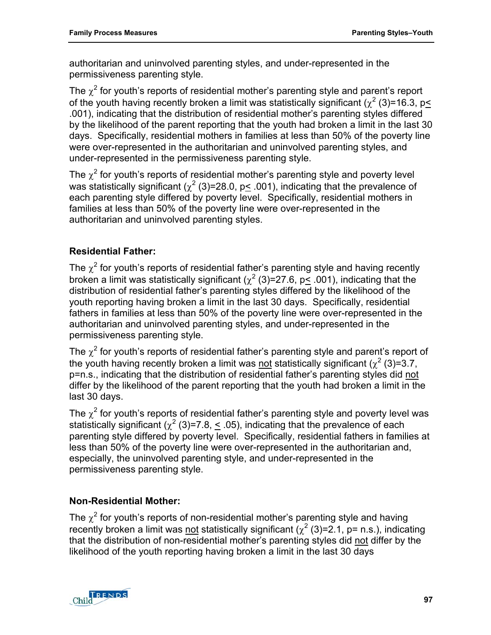authoritarian and uninvolved parenting styles, and under-represented in the permissiveness parenting style.

The  $\chi^2$  for youth's reports of residential mother's parenting style and parent's report of the youth having recently broken a limit was statistically significant ( $\chi^2$  (3)=16.3, p< .001), indicating that the distribution of residential mother's parenting styles differed by the likelihood of the parent reporting that the youth had broken a limit in the last 30 days. Specifically, residential mothers in families at less than 50% of the poverty line were over-represented in the authoritarian and uninvolved parenting styles, and under-represented in the permissiveness parenting style.

The  $\chi^2$  for youth's reports of residential mother's parenting style and poverty level was statistically significant ( $\chi^2$  (3)=28.0, p< .001), indicating that the prevalence of each parenting style differed by poverty level. Specifically, residential mothers in families at less than 50% of the poverty line were over-represented in the authoritarian and uninvolved parenting styles.

### **Residential Father:**

The  $\chi^2$  for youth's reports of residential father's parenting style and having recently broken a limit was statistically significant ( $\chi^2$  (3)=27.6, p $\leq$  .001), indicating that the distribution of residential father's parenting styles differed by the likelihood of the youth reporting having broken a limit in the last 30 days. Specifically, residential fathers in families at less than 50% of the poverty line were over-represented in the authoritarian and uninvolved parenting styles, and under-represented in the permissiveness parenting style.

The  $\chi^2$  for youth's reports of residential father's parenting style and parent's report of the youth having recently broken a limit was not statistically significant ( $\chi^2$  (3)=3.7, p=n.s., indicating that the distribution of residential father's parenting styles did not differ by the likelihood of the parent reporting that the youth had broken a limit in the last 30 days.

The  $\chi^2$  for youth's reports of residential father's parenting style and poverty level was statistically significant ( $\chi^2$  (3)=7.8,  $\leq$  .05), indicating that the prevalence of each parenting style differed by poverty level. Specifically, residential fathers in families at less than 50% of the poverty line were over-represented in the authoritarian and, especially, the uninvolved parenting style, and under-represented in the permissiveness parenting style.

### **Non-Residential Mother:**

The  $\chi^2$  for youth's reports of non-residential mother's parenting style and having recently broken a limit was not statistically significant  $(\chi^2(3)=2.1, p=n.s.),$  indicating that the distribution of non-residential mother's parenting styles did not differ by the likelihood of the youth reporting having broken a limit in the last 30 days

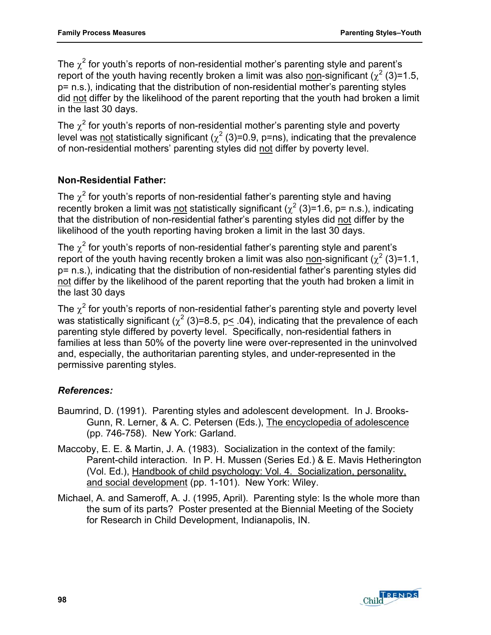The  $\chi^2$  for youth's reports of non-residential mother's parenting style and parent's report of the youth having recently broken a limit was also <u>non</u>-significant ( $\chi^2$  (3)=1.5, p= n.s.), indicating that the distribution of non-residential mother's parenting styles did not differ by the likelihood of the parent reporting that the youth had broken a limit in the last 30 days.

The  $\chi^2$  for youth's reports of non-residential mother's parenting style and poverty level was <u>not</u> statistically significant ( $\chi^2$  (3)=0.9, p=ns), indicating that the prevalence of non-residential mothers' parenting styles did not differ by poverty level.

### **Non-Residential Father:**

The  $\chi^2$  for youth's reports of non-residential father's parenting style and having recently broken a limit was not statistically significant ( $\chi^2$  (3)=1.6, p= n.s.), indicating that the distribution of non-residential father's parenting styles did not differ by the likelihood of the youth reporting having broken a limit in the last 30 days.

The  $\chi^2$  for youth's reports of non-residential father's parenting style and parent's report of the youth having recently broken a limit was also non-significant  $(\chi^2(3)=1.1,$ p= n.s.), indicating that the distribution of non-residential father's parenting styles did not differ by the likelihood of the parent reporting that the youth had broken a limit in the last 30 days

The  $\chi^2$  for youth's reports of non-residential father's parenting style and poverty level was statistically significant ( $\chi^2$  (3)=8.5, p< .04), indicating that the prevalence of each parenting style differed by poverty level. Specifically, non-residential fathers in families at less than 50% of the poverty line were over-represented in the uninvolved and, especially, the authoritarian parenting styles, and under-represented in the permissive parenting styles.

### *References:*

- Baumrind, D. (1991). Parenting styles and adolescent development. In J. Brooks-Gunn, R. Lerner, & A. C. Petersen (Eds.), The encyclopedia of adolescence (pp. 746-758). New York: Garland.
- Maccoby, E. E. & Martin, J. A. (1983). Socialization in the context of the family: Parent-child interaction. In P. H. Mussen (Series Ed.) & E. Mavis Hetherington (Vol. Ed.), Handbook of child psychology: Vol. 4. Socialization, personality, and social development (pp. 1-101). New York: Wiley.
- Michael, A. and Sameroff, A. J. (1995, April). Parenting style: Is the whole more than the sum of its parts? Poster presented at the Biennial Meeting of the Society for Research in Child Development, Indianapolis, IN.

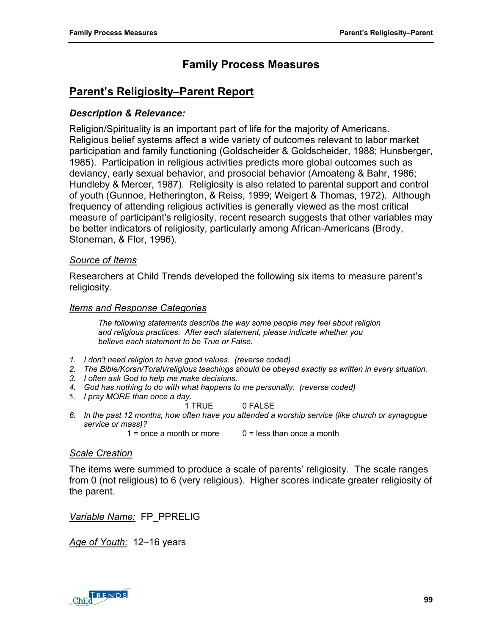# **Parent's Religiosity–Parent Report**

### *Description & Relevance:*

Religion/Spirituality is an important part of life for the majority of Americans. Religious belief systems affect a wide variety of outcomes relevant to labor market participation and family functioning (Goldscheider & Goldscheider, 1988; Hunsberger, 1985). Participation in religious activities predicts more global outcomes such as deviancy, early sexual behavior, and prosocial behavior (Amoateng & Bahr, 1986; Hundleby & Mercer, 1987). Religiosity is also related to parental support and control of youth (Gunnoe, Hetherington, & Reiss, 1999; Weigert & Thomas, 1972). Although frequency of attending religious activities is generally viewed as the most critical measure of participant's religiosity, recent research suggests that other variables may be better indicators of religiosity, particularly among African-Americans (Brody, Stoneman, & Flor, 1996).

#### *Source of Items*

Researchers at Child Trends developed the following six items to measure parent's religiosity.

#### *Items and Response Categories*

*The following statements describe the way some people may feel about religion and religious practices. After each statement, please indicate whether you believe each statement to be True or False.* 

- *1. I don't need religion to have good values. (reverse coded)*
- *2. The Bible/Koran/Torah/religious teachings should be obeyed exactly as written in every situation.*
- *3. I often ask God to help me make decisions.*
- *4. God has nothing to do with what happens to me personally. (reverse coded)*
- 5. *I pray MORE than once a day.*
	- 1 TRUE 0 FALSE
- *6. In the past 12 months, how often have you attended a worship service (like church or synagogue service or mass)?* 
	- $1 =$  once a month or more  $0 =$  less than once a month

#### *Scale Creation*

The items were summed to produce a scale of parents' religiosity. The scale ranges from 0 (not religious) to 6 (very religious). Higher scores indicate greater religiosity of the parent.

*Variable Name:* FP\_PPRELIG

*Age of Youth:* 12–16 years

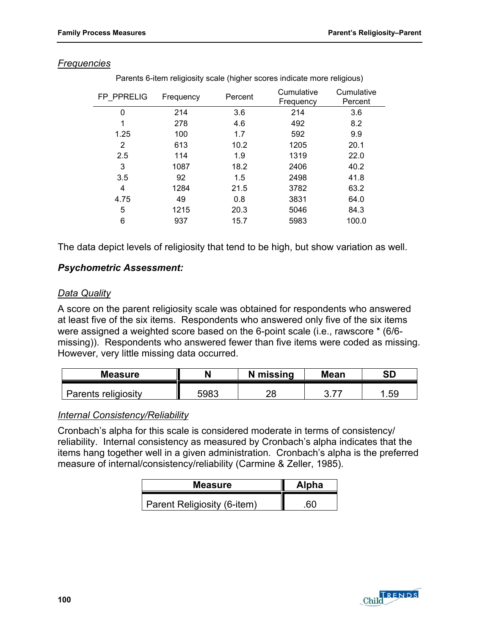| FP PPRELIG     | Frequency | Percent | Cumulative<br>Frequency | Cumulative<br>Percent |
|----------------|-----------|---------|-------------------------|-----------------------|
| 0              | 214       | 3.6     | 214                     | 3.6                   |
| 1              | 278       | 4.6     | 492                     | 8.2                   |
| 1.25           | 100       | 1.7     | 592                     | 9.9                   |
| $\overline{2}$ | 613       | 10.2    | 1205                    | 20.1                  |
| 2.5            | 114       | 1.9     | 1319                    | 22.0                  |
| 3              | 1087      | 18.2    | 2406                    | 40.2                  |
| 3.5            | 92        | 1.5     | 2498                    | 41.8                  |
| 4              | 1284      | 21.5    | 3782                    | 63.2                  |
| 4.75           | 49        | 0.8     | 3831                    | 64.0                  |
| 5              | 1215      | 20.3    | 5046                    | 84.3                  |
| 6              | 937       | 15.7    | 5983                    | 100.0                 |

#### *Frequencies*

Parents 6-item religiosity scale (higher scores indicate more religious)

The data depict levels of religiosity that tend to be high, but show variation as well.

#### *Psychometric Assessment:*

#### *Data Quality*

A score on the parent religiosity scale was obtained for respondents who answered at least five of the six items. Respondents who answered only five of the six items were assigned a weighted score based on the 6-point scale (i.e., rawscore \* (6/6 missing)). Respondents who answered fewer than five items were coded as missing. However, very little missing data occurred.

| <b>Measure</b>      |      | N missing | <b>Mean</b> | <b>SD</b> |
|---------------------|------|-----------|-------------|-----------|
| Parents religiosity | 5983 | ົ         |             | .59       |

### *Internal Consistency/Reliability*

Cronbach's alpha for this scale is considered moderate in terms of consistency/ reliability. Internal consistency as measured by Cronbach's alpha indicates that the items hang together well in a given administration. Cronbach's alpha is the preferred measure of internal/consistency/reliability (Carmine & Zeller, 1985).

| <b>Measure</b>              | <b>Alpha</b> |  |
|-----------------------------|--------------|--|
| Parent Religiosity (6-item) |              |  |

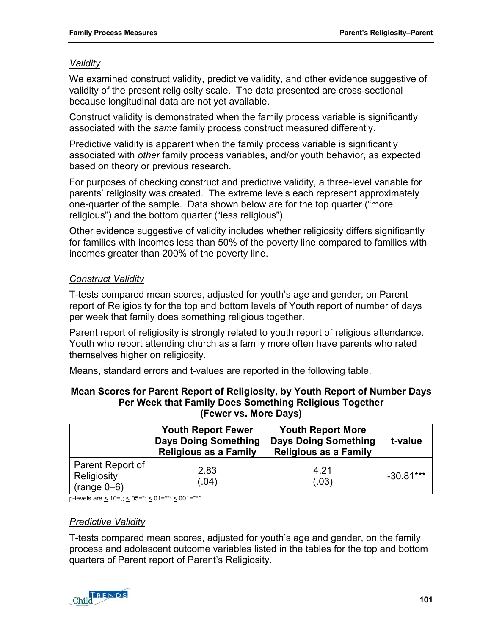## *Validity*

We examined construct validity, predictive validity, and other evidence suggestive of validity of the present religiosity scale. The data presented are cross-sectional because longitudinal data are not yet available.

Construct validity is demonstrated when the family process variable is significantly associated with the *same* family process construct measured differently.

Predictive validity is apparent when the family process variable is significantly associated with *other* family process variables, and/or youth behavior, as expected based on theory or previous research.

For purposes of checking construct and predictive validity, a three-level variable for parents' religiosity was created. The extreme levels each represent approximately one-quarter of the sample. Data shown below are for the top quarter ("more religious") and the bottom quarter ("less religious").

Other evidence suggestive of validity includes whether religiosity differs significantly for families with incomes less than 50% of the poverty line compared to families with incomes greater than 200% of the poverty line.

## *Construct Validity*

T-tests compared mean scores, adjusted for youth's age and gender, on Parent report of Religiosity for the top and bottom levels of Youth report of number of days per week that family does something religious together.

Parent report of religiosity is strongly related to youth report of religious attendance. Youth who report attending church as a family more often have parents who rated themselves higher on religiosity.

Means, standard errors and t-values are reported in the following table.

| Mean Scores for Parent Report of Religiosity, by Youth Report of Number Days |
|------------------------------------------------------------------------------|
| Per Week that Family Does Something Religious Together                       |
| (Fewer vs. More Days)                                                        |

|                                                  | <b>Youth Report Fewer</b><br><b>Days Doing Something</b><br><b>Religious as a Family</b> | <b>Youth Report More</b><br><b>Days Doing Something</b><br><b>Religious as a Family</b> | t-value     |
|--------------------------------------------------|------------------------------------------------------------------------------------------|-----------------------------------------------------------------------------------------|-------------|
| Parent Report of<br>Religiosity<br>$(range 0-6)$ | 2.83<br>(.04)                                                                            | 4.21<br>(.03)                                                                           | $-30.81***$ |

p-levels are  $\leq 10$ =,;  $\leq 0.05$ =\*;  $\leq 0.01$ =\*\*;  $\leq 0.01$ =\*\*\*

### *Predictive Validity*

T-tests compared mean scores, adjusted for youth's age and gender, on the family process and adolescent outcome variables listed in the tables for the top and bottom quarters of Parent report of Parent's Religiosity.

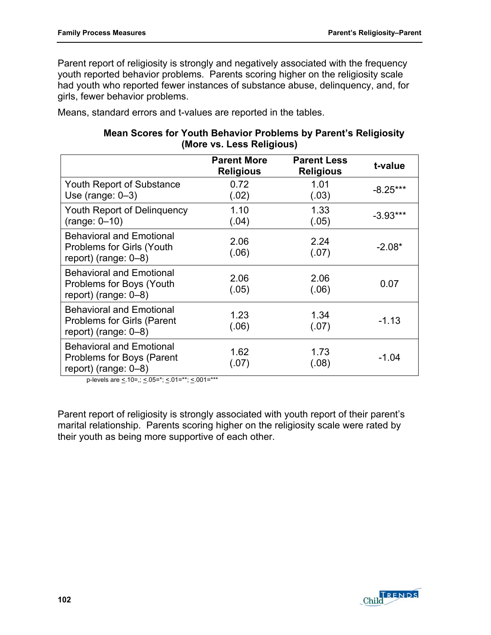Parent report of religiosity is strongly and negatively associated with the frequency youth reported behavior problems. Parents scoring higher on the religiosity scale had youth who reported fewer instances of substance abuse, delinquency, and, for girls, fewer behavior problems.

Means, standard errors and t-values are reported in the tables.

### **Mean Scores for Youth Behavior Problems by Parent's Religiosity (More vs. Less Religious)**

|                                                                                                 | <b>Parent More</b><br><b>Religious</b> | <b>Parent Less</b><br><b>Religious</b> | t-value    |
|-------------------------------------------------------------------------------------------------|----------------------------------------|----------------------------------------|------------|
| <b>Youth Report of Substance</b><br>Use (range: $0-3$ )                                         | 0.72<br>(.02)                          | 1.01<br>(.03)                          | $-8.25***$ |
| Youth Report of Delinquency<br>$(range: 0-10)$                                                  | 1.10<br>(.04)                          | 1.33<br>(.05)                          | $-3.93***$ |
| <b>Behavioral and Emotional</b><br><b>Problems for Girls (Youth</b><br>report) (range: $0-8$ )  | 2.06<br>(.06)                          | 2.24<br>(.07)                          | $-2.08*$   |
| <b>Behavioral and Emotional</b><br>Problems for Boys (Youth<br>report) (range: $0-8$ )          | 2.06<br>(.05)                          | 2.06<br>(.06)                          | 0.07       |
| <b>Behavioral and Emotional</b><br><b>Problems for Girls (Parent</b><br>report) (range: $0-8$ ) | 1.23<br>(.06)                          | 1.34<br>(.07)                          | $-1.13$    |
| <b>Behavioral and Emotional</b><br>Problems for Boys (Parent<br>report) (range: $0-8$ )         | 1.62<br>(.07)                          | 1.73<br>(.08)                          | $-1.04$    |

p-levels are  $\leq 10$ =,;  $\leq 05$ =\*;  $\leq 01$ =\*\*;  $\leq 001$ =\*\*\*

Parent report of religiosity is strongly associated with youth report of their parent's marital relationship. Parents scoring higher on the religiosity scale were rated by their youth as being more supportive of each other.

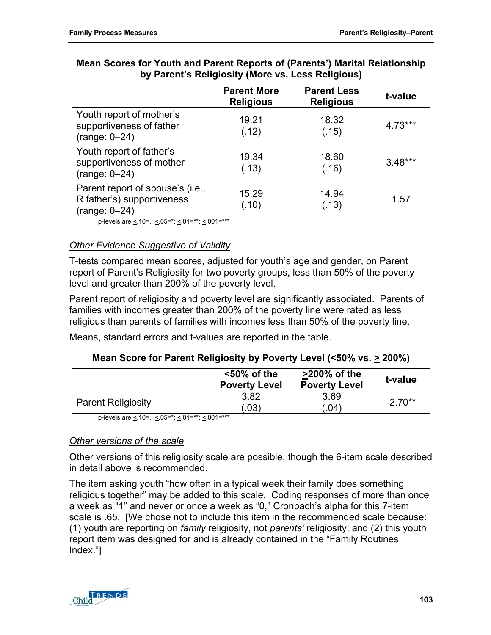|                                                                                   | <b>Parent More</b><br><b>Religious</b> | <b>Parent Less</b><br><b>Religious</b> | t-value   |
|-----------------------------------------------------------------------------------|----------------------------------------|----------------------------------------|-----------|
| Youth report of mother's<br>supportiveness of father<br>$(range: 0-24)$           | 19.21<br>(.12)                         | 18.32<br>(.15)                         | $4.73***$ |
| Youth report of father's<br>supportiveness of mother<br>$(range: 0-24)$           | 19.34<br>(.13)                         | 18.60<br>(.16)                         | $3.48***$ |
| Parent report of spouse's (i.e.,<br>R father's) supportiveness<br>$(range: 0-24)$ | 15.29<br>(.10)                         | 14.94<br>(.13)                         | 1.57      |

### **Mean Scores for Youth and Parent Reports of (Parents') Marital Relationship by Parent's Religiosity (More vs. Less Religious)**

p-levels are  $\leq 10$ =,;  $\leq 05$ =\*;  $\leq 01$ =\*\*;  $\leq 001$ =\*\*\*

### *Other Evidence Suggestive of Validity*

T-tests compared mean scores, adjusted for youth's age and gender, on Parent report of Parent's Religiosity for two poverty groups, less than 50% of the poverty level and greater than 200% of the poverty level.

Parent report of religiosity and poverty level are significantly associated. Parents of families with incomes greater than 200% of the poverty line were rated as less religious than parents of families with incomes less than 50% of the poverty line.

Means, standard errors and t-values are reported in the table.

## **Mean Score for Parent Religiosity by Poverty Level (<50% vs. > 200%)**

|                           | $<$ 50% of the<br><b>Poverty Level</b> | $>200\%$ of the<br><b>Poverty Level</b> | t-value   |
|---------------------------|----------------------------------------|-----------------------------------------|-----------|
| <b>Parent Religiosity</b> | 3.82<br>.03)                           | 3.69<br>$.04^{\circ}$                   | $-2.70**$ |

p-levels are <. 10=,; <. 05=\*; <. 01=\*\*; <. 001=\*\*\*

## *Other versions of the scale*

Other versions of this religiosity scale are possible, though the 6-item scale described in detail above is recommended.

The item asking youth "how often in a typical week their family does something religious together" may be added to this scale. Coding responses of more than once a week as "1" and never or once a week as "0," Cronbach's alpha for this 7-item scale is .65. [We chose not to include this item in the recommended scale because: (1) youth are reporting on *family* religiosity, not *parents'* religiosity; and (2) this youth report item was designed for and is already contained in the "Family Routines Index."]

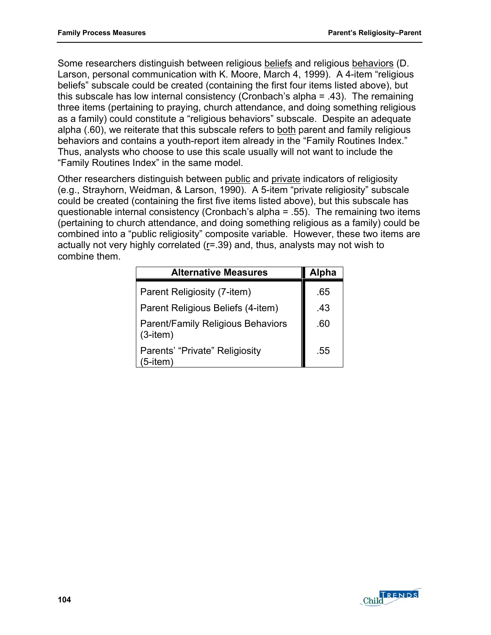Some researchers distinguish between religious beliefs and religious behaviors (D. Larson, personal communication with K. Moore, March 4, 1999). A 4-item "religious beliefs" subscale could be created (containing the first four items listed above), but this subscale has low internal consistency (Cronbach's alpha = .43). The remaining three items (pertaining to praying, church attendance, and doing something religious as a family) could constitute a "religious behaviors" subscale. Despite an adequate alpha (.60), we reiterate that this subscale refers to both parent and family religious behaviors and contains a youth-report item already in the "Family Routines Index." Thus, analysts who choose to use this scale usually will not want to include the "Family Routines Index" in the same model.

Other researchers distinguish between public and private indicators of religiosity (e.g., Strayhorn, Weidman, & Larson, 1990). A 5-item "private religiosity" subscale could be created (containing the first five items listed above), but this subscale has questionable internal consistency (Cronbach's alpha = .55). The remaining two items (pertaining to church attendance, and doing something religious as a family) could be combined into a "public religiosity" composite variable. However, these two items are actually not very highly correlated  $(r=.39)$  and, thus, analysts may not wish to combine them.

| <b>Alternative Measures</b>                         | <b>Alpha</b> |
|-----------------------------------------------------|--------------|
| Parent Religiosity (7-item)                         | .65          |
| Parent Religious Beliefs (4-item)                   | .43          |
| Parent/Family Religious Behaviors<br>$(3$ -item $)$ | .60          |
| Parents' "Private" Religiosity<br>$(5$ -item $)$    | .55          |

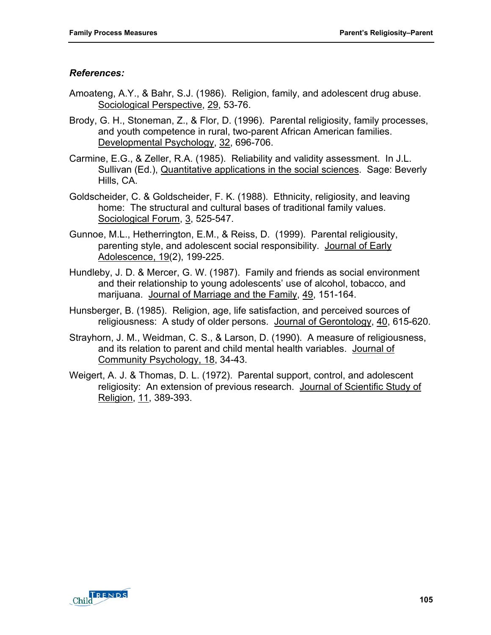### *References:*

- Amoateng, A.Y., & Bahr, S.J. (1986). Religion, family, and adolescent drug abuse. Sociological Perspective, 29, 53-76.
- Brody, G. H., Stoneman, Z., & Flor, D. (1996). Parental religiosity, family processes, and youth competence in rural, two-parent African American families. Developmental Psychology, 32, 696-706.
- Carmine, E.G., & Zeller, R.A. (1985). Reliability and validity assessment. In J.L. Sullivan (Ed.), Quantitative applications in the social sciences. Sage: Beverly Hills, CA.
- Goldscheider, C. & Goldscheider, F. K. (1988). Ethnicity, religiosity, and leaving home: The structural and cultural bases of traditional family values. Sociological Forum, 3, 525-547.
- Gunnoe, M.L., Hetherrington, E.M., & Reiss, D. (1999). Parental religiousity, parenting style, and adolescent social responsibility. Journal of Early Adolescence, 19(2), 199-225.
- Hundleby, J. D. & Mercer, G. W. (1987). Family and friends as social environment and their relationship to young adolescents' use of alcohol, tobacco, and marijuana. Journal of Marriage and the Family, 49, 151-164.
- Hunsberger, B. (1985). Religion, age, life satisfaction, and perceived sources of religiousness: A study of older persons. Journal of Gerontology, 40, 615-620.
- Strayhorn, J. M., Weidman, C. S., & Larson, D. (1990). A measure of religiousness, and its relation to parent and child mental health variables. Journal of Community Psychology, 18, 34-43.
- Weigert, A. J. & Thomas, D. L. (1972). Parental support, control, and adolescent religiosity: An extension of previous research. Journal of Scientific Study of Religion, 11, 389-393.

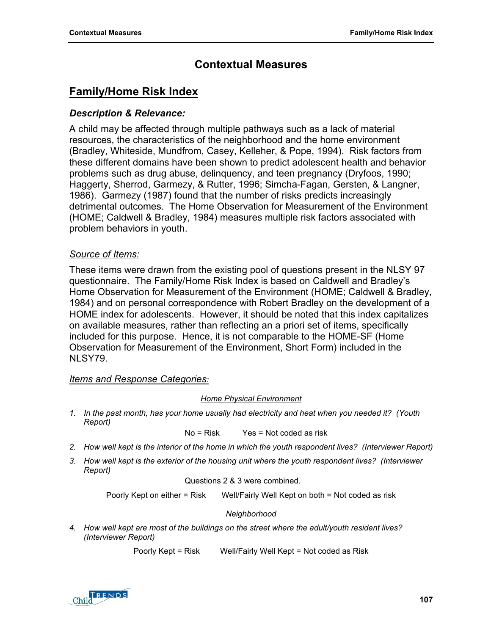# **Contextual Measures**

# **Family/Home Risk Index**

### *Description & Relevance:*

A child may be affected through multiple pathways such as a lack of material resources, the characteristics of the neighborhood and the home environment (Bradley, Whiteside, Mundfrom, Casey, Kelleher, & Pope, 1994). Risk factors from these different domains have been shown to predict adolescent health and behavior problems such as drug abuse, delinquency, and teen pregnancy (Dryfoos, 1990; Haggerty, Sherrod, Garmezy, & Rutter, 1996; Simcha-Fagan, Gersten, & Langner, 1986). Garmezy (1987) found that the number of risks predicts increasingly detrimental outcomes. The Home Observation for Measurement of the Environment (HOME; Caldwell & Bradley, 1984) measures multiple risk factors associated with problem behaviors in youth.

### *Source of Items:*

These items were drawn from the existing pool of questions present in the NLSY 97 questionnaire. The Family/Home Risk Index is based on Caldwell and Bradley's Home Observation for Measurement of the Environment (HOME; Caldwell & Bradley, 1984) and on personal correspondence with Robert Bradley on the development of a HOME index for adolescents. However, it should be noted that this index capitalizes on available measures, rather than reflecting an a priori set of items, specifically included for this purpose. Hence, it is not comparable to the HOME-SF (Home Observation for Measurement of the Environment, Short Form) included in the NLSY79.

### *Items and Response Categories:*

#### *Home Physical Environment*

*1. In the past month, has your home usually had electricity and heat when you needed it? (Youth Report)* 

$$
No = Risk
$$
 Yes = Not coded as risk

- *2. How well kept is the interior of the home in which the youth respondent lives? (Interviewer Report)*
- *3. How well kept is the exterior of the housing unit where the youth respondent lives? (Interviewer Report)*

Questions 2 & 3 were combined.

Poorly Kept on either = Risk Well/Fairly Well Kept on both = Not coded as risk

#### *Neighborhood*

*4. How well kept are most of the buildings on the street where the adult/youth resident lives? (Interviewer Report)* 

Poorly Kept = Risk Well/Fairly Well Kept = Not coded as Risk

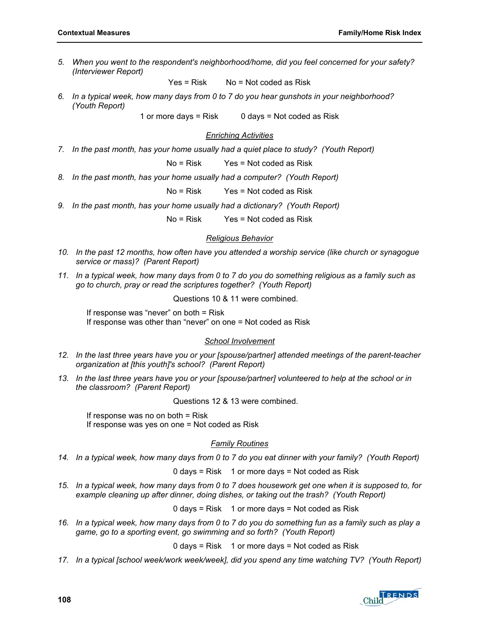*5. When you went to the respondent's neighborhood/home, did you feel concerned for your safety? (Interviewer Report)* 

 $Yes = Risk$  No = Not coded as Risk

*6. In a typical week, how many days from 0 to 7 do you hear gunshots in your neighborhood? (Youth Report)* 

1 or more days =  $Risk$  0 days = Not coded as Risk

#### *Enriching Activities*

7. In the past month, has your home usually had a quiet place to study? (Youth Report)

No = Risk Yes = Not coded as Risk

*8. In the past month, has your home usually had a computer? (Youth Report)* 

No = Risk Yes = Not coded as Risk

9. In the past month, has your home usually had a dictionary? (Youth Report)

No = Risk Yes = Not coded as Risk

#### *Religious Behavior*

- *10. In the past 12 months, how often have you attended a worship service (like church or synagogue service or mass)? (Parent Report)*
- *11. In a typical week, how many days from 0 to 7 do you do something religious as a family such as go to church, pray or read the scriptures together? (Youth Report)*

Questions 10 & 11 were combined.

If response was "never" on both = Risk If response was other than "never" on one = Not coded as Risk

#### *School Involvement*

- *12. In the last three years have you or your [spouse/partner] attended meetings of the parent-teacher organization at [this youth]'s school? (Parent Report)*
- *13. In the last three years have you or your [spouse/partner] volunteered to help at the school or in the classroom? (Parent Report)*

Questions 12 & 13 were combined.

If response was no on both  $=$  Risk If response was yes on one = Not coded as Risk

#### *Family Routines*

14. In a typical week, how many days from 0 to 7 do you eat dinner with your family? (Youth Report)

 $0$  days = Risk  $1$  or more days = Not coded as Risk

*15. In a typical week, how many days from 0 to 7 does housework get one when it is supposed to, for example cleaning up after dinner, doing dishes, or taking out the trash? (Youth Report)* 

 $0$  days = Risk  $1$  or more days = Not coded as Risk

*16. In a typical week, how many days from 0 to 7 do you do something fun as a family such as play a game, go to a sporting event, go swimming and so forth? (Youth Report)* 

0 days = Risk 1 or more days = Not coded as Risk

17. In a typical [school week/work week/week], did you spend any time watching TV? (Youth Report)

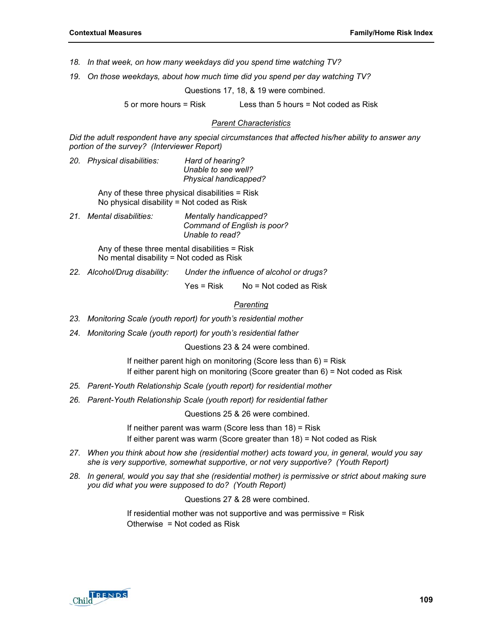- *18. In that week, on how many weekdays did you spend time watching TV?*
- *19. On those weekdays, about how much time did you spend per day watching TV?*

Questions 17, 18, & 19 were combined.

 $5$  or more hours = Risk Less than  $5$  hours = Not coded as Risk

#### *Parent Characteristics*

*Did the adult respondent have any special circumstances that affected his/her ability to answer any portion of the survey? (Interviewer Report)* 

*20. Physical disabilities: Hard of hearing? Unable to see well? Physical handicapped?* 

> Any of these three physical disabilities = Risk No physical disability = Not coded as Risk

*21. Mental disabilities: Mentally handicapped? Command of English is poor? Unable to read?* 

> Any of these three mental disabilities = Risk No mental disability = Not coded as Risk

*22. Alcohol/Drug disability: Under the influence of alcohol or drugs?* 

 $Yes = Risk$  No = Not coded as Risk

#### *Parenting*

- *23. Monitoring Scale (youth report) for youth's residential mother*
- *24. Monitoring Scale (youth report) for youth's residential father*

Questions 23 & 24 were combined.

If neither parent high on monitoring (Score less than 6) = Risk If either parent high on monitoring (Score greater than 6) = Not coded as Risk

- *25. Parent-Youth Relationship Scale (youth report) for residential mother*
- *26. Parent-Youth Relationship Scale (youth report) for residential father*

Questions 25 & 26 were combined.

If neither parent was warm (Score less than 18) = Risk If either parent was warm (Score greater than 18) = Not coded as Risk

- *27. When you think about how she (residential mother) acts toward you, in general, would you say she is very supportive, somewhat supportive, or not very supportive? (Youth Report)*
- *28. In general, would you say that she (residential mother) is permissive or strict about making sure you did what you were supposed to do? (Youth Report)*

Questions 27 & 28 were combined.

If residential mother was not supportive and was permissive = Risk Otherwise = Not coded as Risk

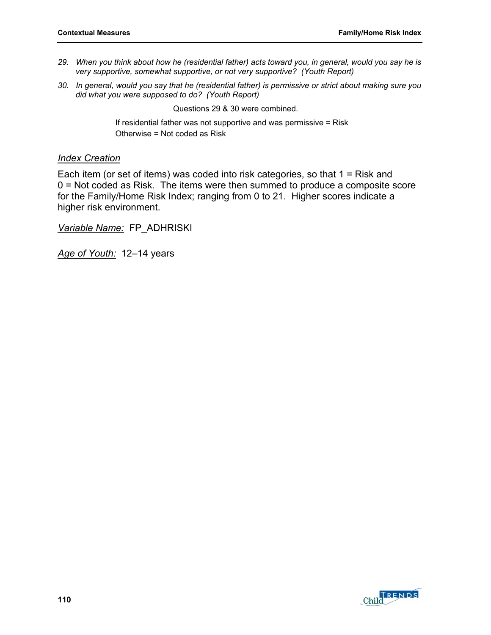- *29. When you think about how he (residential father) acts toward you, in general, would you say he is very supportive, somewhat supportive, or not very supportive? (Youth Report)*
- *30. In general, would you say that he (residential father) is permissive or strict about making sure you did what you were supposed to do? (Youth Report)*

Questions 29 & 30 were combined.

If residential father was not supportive and was permissive = Risk Otherwise = Not coded as Risk

#### *Index Creation*

Each item (or set of items) was coded into risk categories, so that 1 = Risk and 0 = Not coded as Risk. The items were then summed to produce a composite score for the Family/Home Risk Index; ranging from 0 to 21. Higher scores indicate a higher risk environment.

*Variable Name:* FP\_ADHRISKI

*Age of Youth:* 12–14 years

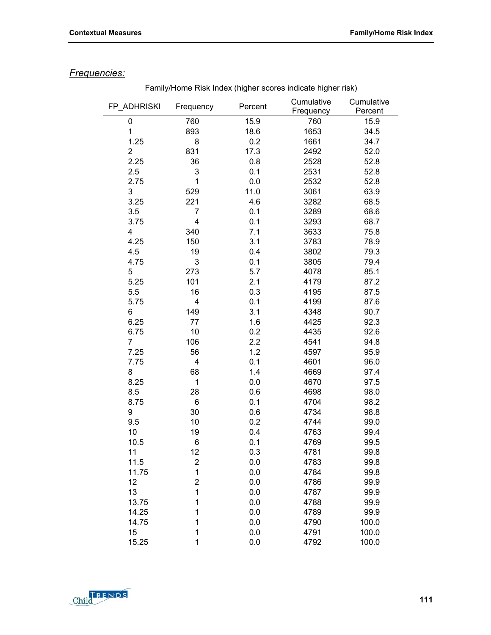## *Frequencies:*

| FP_ADHRISKI    | Frequency      | Percent | Cumulative<br>Frequency | Cumulative<br>Percent |
|----------------|----------------|---------|-------------------------|-----------------------|
| 0              | 760            | 15.9    | 760                     | 15.9                  |
| 1              | 893            | 18.6    | 1653                    | 34.5                  |
| 1.25           | 8              | 0.2     | 1661                    | 34.7                  |
| $\overline{2}$ | 831            | 17.3    | 2492                    | 52.0                  |
| 2.25           | 36             | 0.8     | 2528                    | 52.8                  |
| 2.5            | 3              | 0.1     | 2531                    | 52.8                  |
| 2.75           | 1              | 0.0     | 2532                    | 52.8                  |
| 3              | 529            | 11.0    | 3061                    | 63.9                  |
| 3.25           | 221            | 4.6     | 3282                    | 68.5                  |
| 3.5            | 7              | 0.1     | 3289                    | 68.6                  |
| 3.75           | 4              | 0.1     | 3293                    | 68.7                  |
| 4              | 340            | 7.1     | 3633                    | 75.8                  |
| 4.25           | 150            | 3.1     | 3783                    | 78.9                  |
| 4.5            | 19             | 0.4     | 3802                    | 79.3                  |
| 4.75           | 3              | 0.1     | 3805                    | 79.4                  |
| 5              | 273            | 5.7     | 4078                    | 85.1                  |
| 5.25           | 101            | 2.1     | 4179                    | 87.2                  |
| 5.5            | 16             | 0.3     | 4195                    | 87.5                  |
| 5.75           | 4              | 0.1     | 4199                    | 87.6                  |
| 6              | 149            | 3.1     | 4348                    | 90.7                  |
| 6.25           | 77             | 1.6     | 4425                    | 92.3                  |
| 6.75           | 10             | 0.2     | 4435                    | 92.6                  |
| $\overline{7}$ | 106            | 2.2     | 4541                    | 94.8                  |
| 7.25           | 56             | 1.2     | 4597                    | 95.9                  |
| 7.75           | 4              | 0.1     | 4601                    | 96.0                  |
| 8              | 68             | 1.4     | 4669                    | 97.4                  |
| 8.25           | 1              | $0.0\,$ | 4670                    | 97.5                  |
| 8.5            | 28             | 0.6     | 4698                    | 98.0                  |
| 8.75           | 6              | 0.1     | 4704                    | 98.2                  |
| 9              | 30             | 0.6     | 4734                    | 98.8                  |
| 9.5            | 10             | 0.2     | 4744                    | 99.0                  |
| 10             | 19             | 0.4     | 4763                    | 99.4                  |
| 10.5           | 6              | 0.1     | 4769                    | 99.5                  |
| 11             | 12             | 0.3     | 4781                    | 99.8                  |
| 11.5           | $\overline{2}$ | 0.0     | 4783                    | 99.8                  |
| 11.75          | 1              | 0.0     | 4784                    | 99.8                  |
| 12             | 2              | 0.0     | 4786                    | 99.9                  |
| 13             | 1              | 0.0     | 4787                    | 99.9                  |
| 13.75          | 1              | 0.0     | 4788                    | 99.9                  |
| 14.25          | 1              | 0.0     | 4789                    | 99.9                  |
| 14.75          | 1              | 0.0     | 4790                    | 100.0                 |
| 15             | 1              | 0.0     | 4791                    | 100.0                 |
| 15.25          | 1              | 0.0     | 4792                    | 100.0                 |

Family/Home Risk Index (higher scores indicate higher risk)

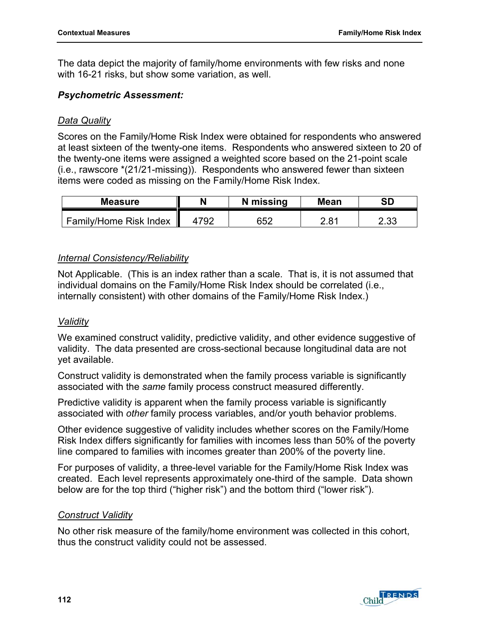The data depict the majority of family/home environments with few risks and none with 16-21 risks, but show some variation, as well.

### *Psychometric Assessment:*

### *Data Quality*

Scores on the Family/Home Risk Index were obtained for respondents who answered at least sixteen of the twenty-one items. Respondents who answered sixteen to 20 of the twenty-one items were assigned a weighted score based on the 21-point scale (i.e., rawscore \*(21/21-missing)). Respondents who answered fewer than sixteen items were coded as missing on the Family/Home Risk Index.

| <b>Measure</b>         |     | N missing | <b>Mean</b> | SD          |
|------------------------|-----|-----------|-------------|-------------|
| Family/Home Risk Index | 792 | 652       | 2.81        | ה ה<br>ںں.ے |

### *Internal Consistency/Reliability*

Not Applicable. (This is an index rather than a scale. That is, it is not assumed that individual domains on the Family/Home Risk Index should be correlated (i.e., internally consistent) with other domains of the Family/Home Risk Index.)

### *Validity*

We examined construct validity, predictive validity, and other evidence suggestive of validity. The data presented are cross-sectional because longitudinal data are not yet available.

Construct validity is demonstrated when the family process variable is significantly associated with the *same* family process construct measured differently.

Predictive validity is apparent when the family process variable is significantly associated with *other* family process variables, and/or youth behavior problems.

Other evidence suggestive of validity includes whether scores on the Family/Home Risk Index differs significantly for families with incomes less than 50% of the poverty line compared to families with incomes greater than 200% of the poverty line.

For purposes of validity, a three-level variable for the Family/Home Risk Index was created. Each level represents approximately one-third of the sample. Data shown below are for the top third ("higher risk") and the bottom third ("lower risk").

### *Construct Validity*

No other risk measure of the family/home environment was collected in this cohort, thus the construct validity could not be assessed.

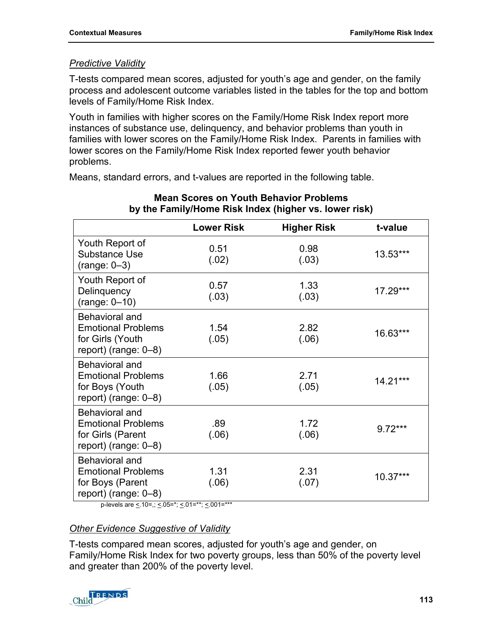## *Predictive Validity*

T-tests compared mean scores, adjusted for youth's age and gender, on the family process and adolescent outcome variables listed in the tables for the top and bottom levels of Family/Home Risk Index.

Youth in families with higher scores on the Family/Home Risk Index report more instances of substance use, delinquency, and behavior problems than youth in families with lower scores on the Family/Home Risk Index. Parents in families with lower scores on the Family/Home Risk Index reported fewer youth behavior problems.

Means, standard errors, and t-values are reported in the following table.

|                                                                                             | <b>Lower Risk</b> | <b>Higher Risk</b> | t-value   |
|---------------------------------------------------------------------------------------------|-------------------|--------------------|-----------|
| Youth Report of<br>Substance Use<br>$(range: 0-3)$                                          | 0.51<br>(.02)     | 0.98<br>(.03)      | 13.53***  |
| Youth Report of<br>Delinquency<br>$(range: 0-10)$                                           | 0.57<br>(.03)     | 1.33<br>(.03)      | 17.29***  |
| Behavioral and<br><b>Emotional Problems</b><br>for Girls (Youth<br>report) (range: $0-8$ )  | 1.54<br>(.05)     | 2.82<br>(.06)      | 16.63***  |
| Behavioral and<br><b>Emotional Problems</b><br>for Boys (Youth<br>report) (range: 0-8)      | 1.66<br>(.05)     | 2.71<br>(.05)      | 14.21***  |
| Behavioral and<br><b>Emotional Problems</b><br>for Girls (Parent<br>report) (range: $0-8$ ) | .89<br>(.06)      | 1.72<br>(.06)      | $9.72***$ |
| Behavioral and<br><b>Emotional Problems</b><br>for Boys (Parent<br>report) (range: $0-8$ )  | 1.31<br>(.06)     | 2.31<br>(.07)      | 10.37***  |

### **Mean Scores on Youth Behavior Problems by the Family/Home Risk Index (higher vs. lower risk)**

p-levels are  $\leq 10$ =,;  $\leq 05$ =\*;  $\leq 01$ =\*\*;  $\leq 001$ =\*\*\*

## *Other Evidence Suggestive of Validity*

T-tests compared mean scores, adjusted for youth's age and gender, on Family/Home Risk Index for two poverty groups, less than 50% of the poverty level and greater than 200% of the poverty level.

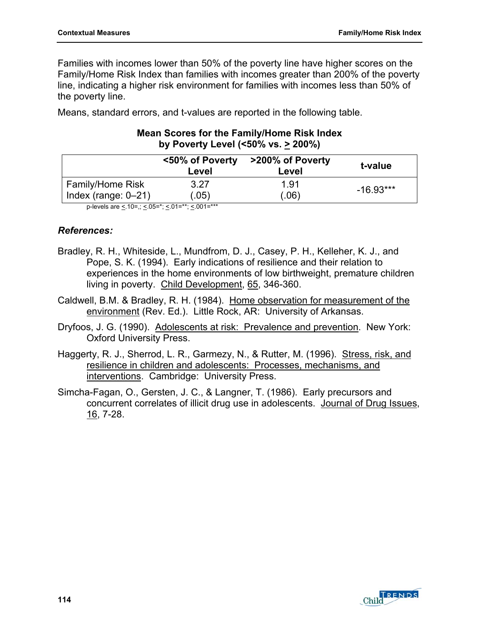Families with incomes lower than 50% of the poverty line have higher scores on the Family/Home Risk Index than families with incomes greater than 200% of the poverty line, indicating a higher risk environment for families with incomes less than 50% of the poverty line.

Means, standard errors, and t-values are reported in the following table.

|                         | <50% of Poverty<br>Level | >200% of Poverty<br>Level | t-value     |
|-------------------------|--------------------------|---------------------------|-------------|
| <b>Family/Home Risk</b> | 3.27                     | 1.91                      | $-16.93***$ |
| Index (range: $0-21$ )  | (0.05)                   | .06)                      |             |
|                         |                          |                           |             |

### **Mean Scores for the Family/Home Risk Index by Poverty Level (<50% vs. > 200%)**

p-levels are  $\leq$  10=,;  $\leq$  05=\*;  $\leq$  01=\*\*;  $\leq$  001=\*\*\*

### *References:*

- Bradley, R. H., Whiteside, L., Mundfrom, D. J., Casey, P. H., Kelleher, K. J., and Pope, S. K. (1994). Early indications of resilience and their relation to experiences in the home environments of low birthweight, premature children living in poverty. Child Development, 65, 346-360.
- Caldwell, B.M. & Bradley, R. H. (1984). Home observation for measurement of the environment (Rev. Ed.). Little Rock, AR: University of Arkansas.
- Dryfoos, J. G. (1990). Adolescents at risk: Prevalence and prevention. New York: Oxford University Press.
- Haggerty, R. J., Sherrod, L. R., Garmezy, N., & Rutter, M. (1996). Stress, risk, and resilience in children and adolescents: Processes, mechanisms, and interventions. Cambridge: University Press.
- Simcha-Fagan, O., Gersten, J. C., & Langner, T. (1986). Early precursors and concurrent correlates of illicit drug use in adolescents. Journal of Drug Issues, 16, 7-28.

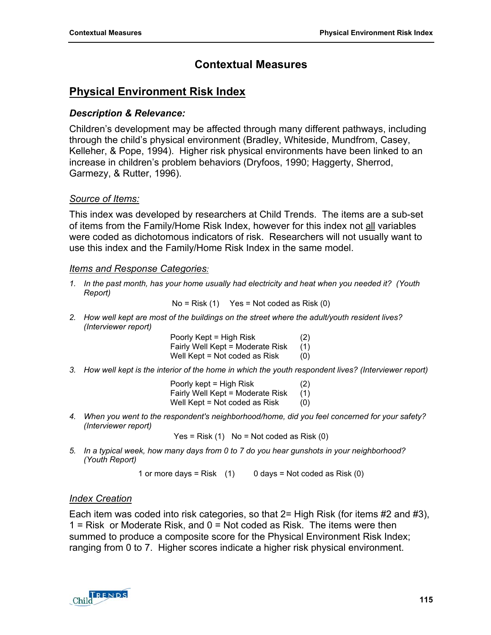# **Contextual Measures**

# **Physical Environment Risk Index**

### *Description & Relevance:*

Children's development may be affected through many different pathways, including through the child's physical environment (Bradley, Whiteside, Mundfrom, Casey, Kelleher, & Pope, 1994). Higher risk physical environments have been linked to an increase in children's problem behaviors (Dryfoos, 1990; Haggerty, Sherrod, Garmezy, & Rutter, 1996).

### *Source of Items:*

This index was developed by researchers at Child Trends. The items are a sub-set of items from the Family/Home Risk Index, however for this index not all variables were coded as dichotomous indicators of risk. Researchers will not usually want to use this index and the Family/Home Risk Index in the same model.

#### *Items and Response Categories:*

*1. In the past month, has your home usually had electricity and heat when you needed it? (Youth Report)* 

 $No = Risk (1)$  Yes = Not coded as Risk (0)

*2. How well kept are most of the buildings on the street where the adult/youth resident lives? (Interviewer report)* 

> Poorly Kept = High Risk (2) Fairly Well Kept = Moderate Risk (1) Well Kept = Not coded as  $Risk$  (0)

*3. How well kept is the interior of the home in which the youth respondent lives? (Interviewer report)* 

| Poorly kept = High Risk          | (2) |
|----------------------------------|-----|
| Fairly Well Kept = Moderate Risk | (1) |
| Well Kept = Not coded as Risk    | (0) |

*4. When you went to the respondent's neighborhood/home, did you feel concerned for your safety? (Interviewer report)* 

 $Yes = Risk (1)$  No = Not coded as Risk  $(0)$ 

*5. In a typical week, how many days from 0 to 7 do you hear gunshots in your neighborhood? (Youth Report)* 

1 or more days = Risk  $(1)$  0 days = Not coded as Risk  $(0)$ 

### *Index Creation*

Each item was coded into risk categories, so that  $2=$  High Risk (for items #2 and #3), 1 = Risk or Moderate Risk, and  $0 = Not$  coded as Risk. The items were then summed to produce a composite score for the Physical Environment Risk Index; ranging from 0 to 7. Higher scores indicate a higher risk physical environment.

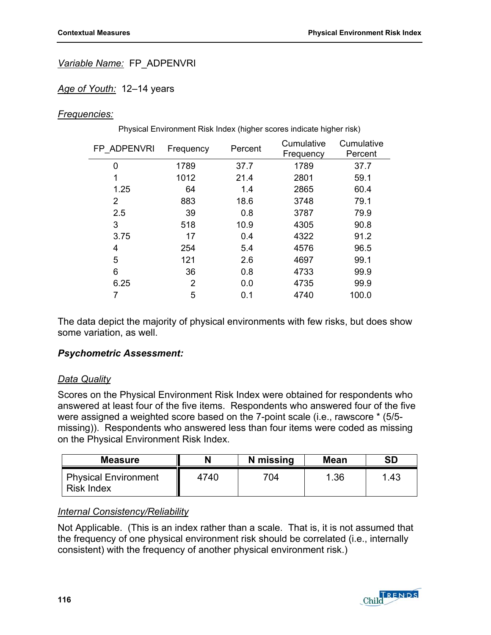### *Variable Name:* FP\_ADPENVRI

#### *Age of Youth:* 12–14 years

#### *Frequencies:*

| Physical Environment Risk Index (higher scores indicate higher risk) |           |         |                         |                       |
|----------------------------------------------------------------------|-----------|---------|-------------------------|-----------------------|
| FP ADPENVRI                                                          | Frequency | Percent | Cumulative<br>Frequency | Cumulative<br>Percent |
| 0                                                                    | 1789      | 37.7    | 1789                    | 37.7                  |
| 1                                                                    | 1012      | 21.4    | 2801                    | 59.1                  |
| 1.25                                                                 | 64        | 1.4     | 2865                    | 60.4                  |
| 2                                                                    | 883       | 18.6    | 3748                    | 79.1                  |
| 2.5                                                                  | 39        | 0.8     | 3787                    | 79.9                  |
| 3                                                                    | 518       | 10.9    | 4305                    | 90.8                  |
| 3.75                                                                 | 17        | 0.4     | 4322                    | 91.2                  |
| 4                                                                    | 254       | 5.4     | 4576                    | 96.5                  |
| 5                                                                    | 121       | 2.6     | 4697                    | 99.1                  |
| 6                                                                    | 36        | 0.8     | 4733                    | 99.9                  |
| 6.25                                                                 | 2         | 0.0     | 4735                    | 99.9                  |
|                                                                      | 5         | 0.1     | 4740                    | 100.0                 |

The data depict the majority of physical environments with few risks, but does show some variation, as well.

#### *Psychometric Assessment:*

#### *Data Quality*

Scores on the Physical Environment Risk Index were obtained for respondents who answered at least four of the five items. Respondents who answered four of the five were assigned a weighted score based on the 7-point scale (i.e., rawscore \* (5/5 missing)). Respondents who answered less than four items were coded as missing on the Physical Environment Risk Index.

| <b>Measure</b>                                   |      | N missing | <b>Mean</b> | SD   |
|--------------------------------------------------|------|-----------|-------------|------|
| <b>Physical Environment</b><br><b>Risk Index</b> | 4740 | 704       | .36         | . 43 |

#### *Internal Consistency/Reliability*

Not Applicable. (This is an index rather than a scale. That is, it is not assumed that the frequency of one physical environment risk should be correlated (i.e., internally consistent) with the frequency of another physical environment risk.)

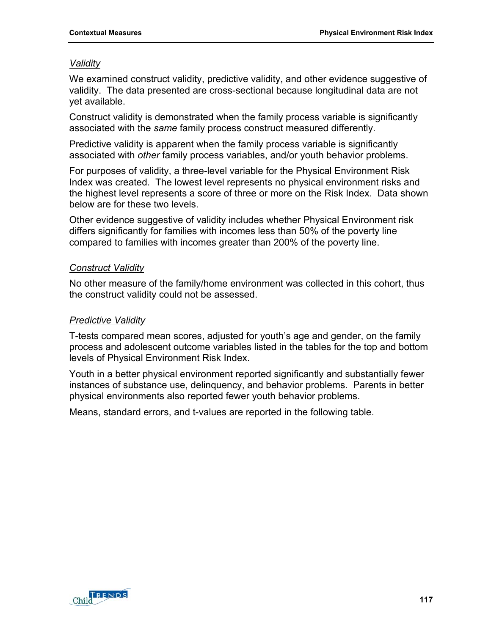### *Validity*

We examined construct validity, predictive validity, and other evidence suggestive of validity. The data presented are cross-sectional because longitudinal data are not yet available.

Construct validity is demonstrated when the family process variable is significantly associated with the *same* family process construct measured differently.

Predictive validity is apparent when the family process variable is significantly associated with *other* family process variables, and/or youth behavior problems.

For purposes of validity, a three-level variable for the Physical Environment Risk Index was created. The lowest level represents no physical environment risks and the highest level represents a score of three or more on the Risk Index. Data shown below are for these two levels.

Other evidence suggestive of validity includes whether Physical Environment risk differs significantly for families with incomes less than 50% of the poverty line compared to families with incomes greater than 200% of the poverty line.

### *Construct Validity*

No other measure of the family/home environment was collected in this cohort, thus the construct validity could not be assessed.

### *Predictive Validity*

T-tests compared mean scores, adjusted for youth's age and gender, on the family process and adolescent outcome variables listed in the tables for the top and bottom levels of Physical Environment Risk Index.

Youth in a better physical environment reported significantly and substantially fewer instances of substance use, delinquency, and behavior problems. Parents in better physical environments also reported fewer youth behavior problems.

Means, standard errors, and t-values are reported in the following table.

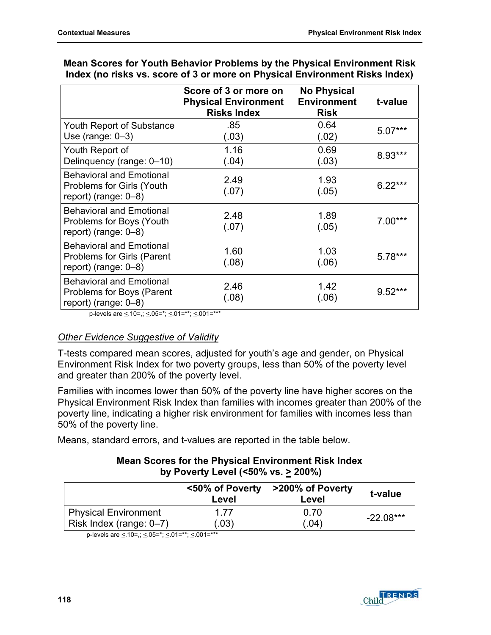|                                                                                                 | Score of 3 or more on<br><b>Physical Environment</b><br><b>Risks Index</b> | <b>No Physical</b><br><b>Environment</b><br><b>Risk</b> | t-value   |
|-------------------------------------------------------------------------------------------------|----------------------------------------------------------------------------|---------------------------------------------------------|-----------|
| <b>Youth Report of Substance</b><br>Use (range: $0-3$ )                                         | .85<br>(.03)                                                               | 0.64<br>(.02)                                           | $5.07***$ |
| Youth Report of<br>Delinquency (range: 0-10)                                                    | 1.16<br>(.04)                                                              | 0.69<br>(.03)                                           | 8.93***   |
| <b>Behavioral and Emotional</b><br><b>Problems for Girls (Youth</b><br>report) (range: $0-8$ )  | 2.49<br>(.07)                                                              | 1.93<br>(.05)                                           | $6.22***$ |
| <b>Behavioral and Emotional</b><br>Problems for Boys (Youth<br>report) (range: $0-8$ )          | 2.48<br>(.07)                                                              | 1.89<br>(.05)                                           | $7.00***$ |
| <b>Behavioral and Emotional</b><br><b>Problems for Girls (Parent</b><br>report) (range: $0-8$ ) | 1.60<br>(.08)                                                              | 1.03<br>(.06)                                           | $5.78***$ |
| <b>Behavioral and Emotional</b><br>Problems for Boys (Parent<br>report) (range: $0-8$ )         | 2.46<br>(.08)                                                              | 1.42<br>(.06)                                           | $9.52***$ |

### **Mean Scores for Youth Behavior Problems by the Physical Environment Risk Index (no risks vs. score of 3 or more on Physical Environment Risks Index)**

p-levels are  $\leq 10$ =,;  $\leq 0.05$ =\*;  $\leq 0.01$ =\*\*\*;  $\leq 0.01$ =\*\*\*

## *Other Evidence Suggestive of Validity*

T-tests compared mean scores, adjusted for youth's age and gender, on Physical Environment Risk Index for two poverty groups, less than 50% of the poverty level and greater than 200% of the poverty level.

Families with incomes lower than 50% of the poverty line have higher scores on the Physical Environment Risk Index than families with incomes greater than 200% of the poverty line, indicating a higher risk environment for families with incomes less than 50% of the poverty line.

Means, standard errors, and t-values are reported in the table below.

### **Mean Scores for the Physical Environment Risk Index by Poverty Level (<50% vs. > 200%)**

|                             | <50% of Poverty<br>Level | >200% of Poverty<br>Level | t-value     |  |
|-----------------------------|--------------------------|---------------------------|-------------|--|
| <b>Physical Environment</b> | 1 77                     | 0.70                      |             |  |
| Risk Index (range: 0-7)     | (.03)                    | (.04)                     | $-22.08***$ |  |

p-levels are <.10=,; <.05=\*; <.01=\*\*; <.001=\*\*\*

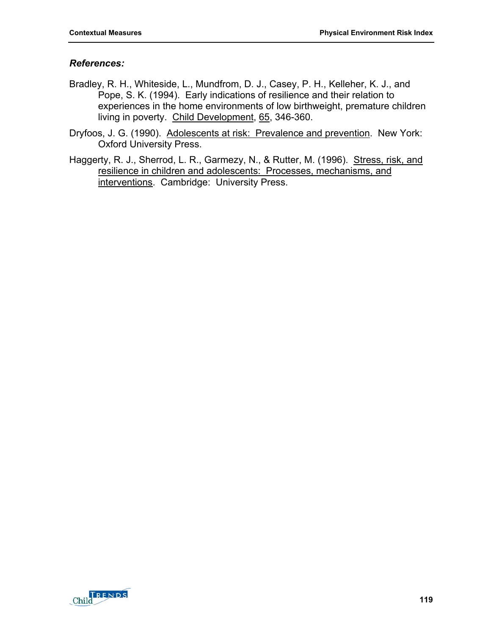### *References:*

- Bradley, R. H., Whiteside, L., Mundfrom, D. J., Casey, P. H., Kelleher, K. J., and Pope, S. K. (1994). Early indications of resilience and their relation to experiences in the home environments of low birthweight, premature children living in poverty. Child Development, 65, 346-360.
- Dryfoos, J. G. (1990). Adolescents at risk: Prevalence and prevention. New York: Oxford University Press.
- Haggerty, R. J., Sherrod, L. R., Garmezy, N., & Rutter, M. (1996). Stress, risk, and resilience in children and adolescents: Processes, mechanisms, and interventions. Cambridge: University Press.

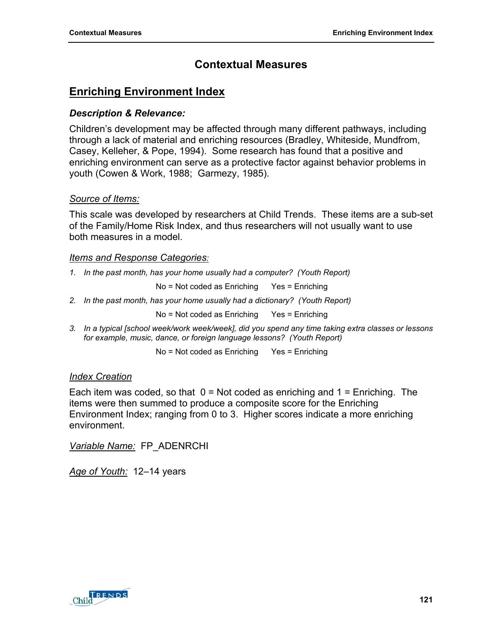# **Contextual Measures**

# **Enriching Environment Index**

## *Description & Relevance:*

Children's development may be affected through many different pathways, including through a lack of material and enriching resources (Bradley, Whiteside, Mundfrom, Casey, Kelleher, & Pope, 1994). Some research has found that a positive and enriching environment can serve as a protective factor against behavior problems in youth (Cowen & Work, 1988; Garmezy, 1985).

## *Source of Items:*

This scale was developed by researchers at Child Trends. These items are a sub-set of the Family/Home Risk Index, and thus researchers will not usually want to use both measures in a model.

## *Items and Response Categories:*

*1. In the past month, has your home usually had a computer? (Youth Report)* 

No = Not coded as Enriching Yes = Enriching

2. In the past month, has your home usually had a dictionary? (Youth Report)

No = Not coded as Enriching Yes = Enriching

*3. In a typical [school week/work week/week], did you spend any time taking extra classes or lessons for example, music, dance, or foreign language lessons? (Youth Report)* 

No = Not coded as Enriching Yes = Enriching

## *Index Creation*

Each item was coded, so that  $0 = Not$  coded as enriching and  $1 = Enriching$ . The items were then summed to produce a composite score for the Enriching Environment Index; ranging from 0 to 3. Higher scores indicate a more enriching environment.

*Variable Name:* FP\_ADENRCHI

*Age of Youth:* 12–14 years

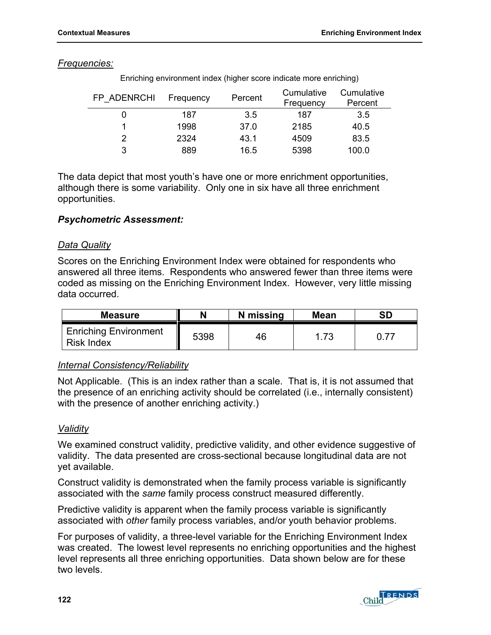### *Frequencies:*

| FP ADENRCHI | Frequency | Percent | Cumulative<br>Frequency | Cumulative<br>Percent |
|-------------|-----------|---------|-------------------------|-----------------------|
|             | 187       | 3.5     | 187                     | 3.5                   |
|             | 1998      | 37.0    | 2185                    | 40.5                  |
|             | 2324      | 43.1    | 4509                    | 83.5                  |
| 3           | 889       | 16.5    | 5398                    | 100.0                 |

Enriching environment index (higher score indicate more enriching)

The data depict that most youth's have one or more enrichment opportunities, although there is some variability. Only one in six have all three enrichment opportunities.

### *Psychometric Assessment:*

### *Data Quality*

Scores on the Enriching Environment Index were obtained for respondents who answered all three items. Respondents who answered fewer than three items were coded as missing on the Enriching Environment Index. However, very little missing data occurred.

| <b>Measure</b>                                    |      | N missing | <b>Mean</b> | <b>SD</b> |
|---------------------------------------------------|------|-----------|-------------|-----------|
| <b>Enriching Environment</b><br><b>Risk Index</b> | 5398 | 46        | 1.73        |           |

### *Internal Consistency/Reliability*

Not Applicable. (This is an index rather than a scale. That is, it is not assumed that the presence of an enriching activity should be correlated (i.e., internally consistent) with the presence of another enriching activity.)

### *Validity*

We examined construct validity, predictive validity, and other evidence suggestive of validity. The data presented are cross-sectional because longitudinal data are not yet available.

Construct validity is demonstrated when the family process variable is significantly associated with the *same* family process construct measured differently.

Predictive validity is apparent when the family process variable is significantly associated with *other* family process variables, and/or youth behavior problems.

For purposes of validity, a three-level variable for the Enriching Environment Index was created. The lowest level represents no enriching opportunities and the highest level represents all three enriching opportunities. Data shown below are for these two levels.

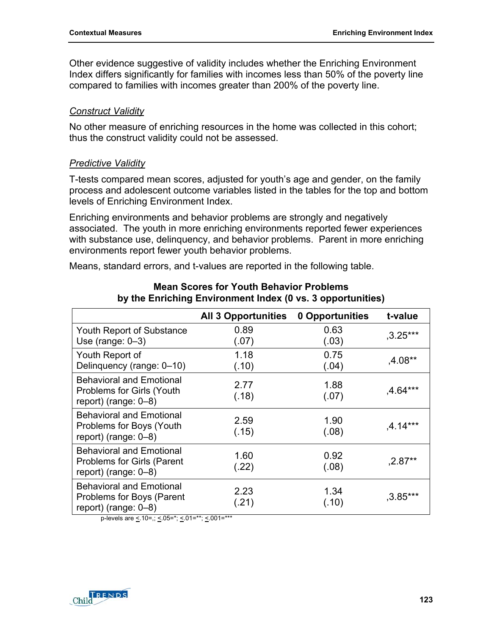Other evidence suggestive of validity includes whether the Enriching Environment Index differs significantly for families with incomes less than 50% of the poverty line compared to families with incomes greater than 200% of the poverty line.

#### *Construct Validity*

No other measure of enriching resources in the home was collected in this cohort; thus the construct validity could not be assessed.

### *Predictive Validity*

T-tests compared mean scores, adjusted for youth's age and gender, on the family process and adolescent outcome variables listed in the tables for the top and bottom levels of Enriching Environment Index.

Enriching environments and behavior problems are strongly and negatively associated. The youth in more enriching environments reported fewer experiences with substance use, delinquency, and behavior problems. Parent in more enriching environments report fewer youth behavior problems.

Means, standard errors, and t-values are reported in the following table.

|                                                                                                 | <b>All 3 Opportunities</b> | 0 Opportunities | t-value    |
|-------------------------------------------------------------------------------------------------|----------------------------|-----------------|------------|
| Youth Report of Substance<br>Use (range: $0-3$ )                                                | 0.89<br>(.07)              | 0.63<br>(.03)   | $,3.25***$ |
| Youth Report of<br>Delinquency (range: 0-10)                                                    | 1.18<br>(.10)              | 0.75<br>(.04)   | $,4.08**$  |
| <b>Behavioral and Emotional</b><br>Problems for Girls (Youth<br>report) (range: 0-8)            | 2.77<br>(.18)              | 1.88<br>(.07)   | $,4.64***$ |
| <b>Behavioral and Emotional</b><br>Problems for Boys (Youth<br>report) (range: $0-8$ )          | 2.59<br>(.15)              | 1.90<br>(.08)   | $,4.14***$ |
| <b>Behavioral and Emotional</b><br><b>Problems for Girls (Parent</b><br>report) (range: $0-8$ ) | 1.60<br>(.22)              | 0.92<br>(.08)   | $,2.87**$  |
| <b>Behavioral and Emotional</b><br>Problems for Boys (Parent<br>report) (range: $0-8$ )         | 2.23<br>(.21)              | 1.34<br>(.10)   | $,3.85***$ |

#### **Mean Scores for Youth Behavior Problems by the Enriching Environment Index (0 vs. 3 opportunities)**

p-levels are <.10=,; <.05=\*; <.01=\*\*; <.001=\*\*\*

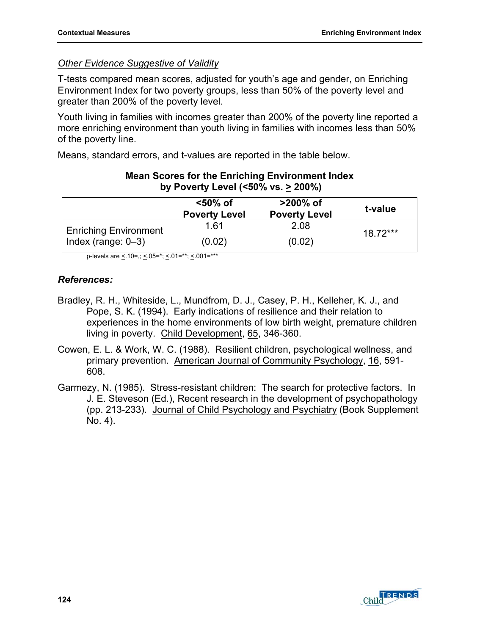### *Other Evidence Suggestive of Validity*

T-tests compared mean scores, adjusted for youth's age and gender, on Enriching Environment Index for two poverty groups, less than 50% of the poverty level and greater than 200% of the poverty level.

Youth living in families with incomes greater than 200% of the poverty line reported a more enriching environment than youth living in families with incomes less than 50% of the poverty line.

Means, standard errors, and t-values are reported in the table below.

|                              | $<$ 50% of<br><b>Poverty Level</b> | >200% of<br><b>Poverty Level</b> | t-value   |  |
|------------------------------|------------------------------------|----------------------------------|-----------|--|
| <b>Enriching Environment</b> | 1.61                               | 2.08                             | $1872***$ |  |
| $ $ Index (range: 0-3)       | (0.02)                             | (0.02)                           |           |  |

### **Mean Scores for the Enriching Environment Index by Poverty Level (<50% vs. > 200%)**

p-levels are  $\leq 10$ =,;  $\leq 0.05$ =\*;  $\leq 0.01$ =\*\*\*;  $\leq 0.01$ =\*\*\*

### *References:*

- Bradley, R. H., Whiteside, L., Mundfrom, D. J., Casey, P. H., Kelleher, K. J., and Pope, S. K. (1994). Early indications of resilience and their relation to experiences in the home environments of low birth weight, premature children living in poverty. Child Development, 65, 346-360.
- Cowen, E. L. & Work, W. C. (1988). Resilient children, psychological wellness, and primary prevention. American Journal of Community Psychology, 16, 591- 608.
- Garmezy, N. (1985). Stress-resistant children: The search for protective factors. In J. E. Steveson (Ed.), Recent research in the development of psychopathology (pp. 213-233). Journal of Child Psychology and Psychiatry (Book Supplement No. 4).

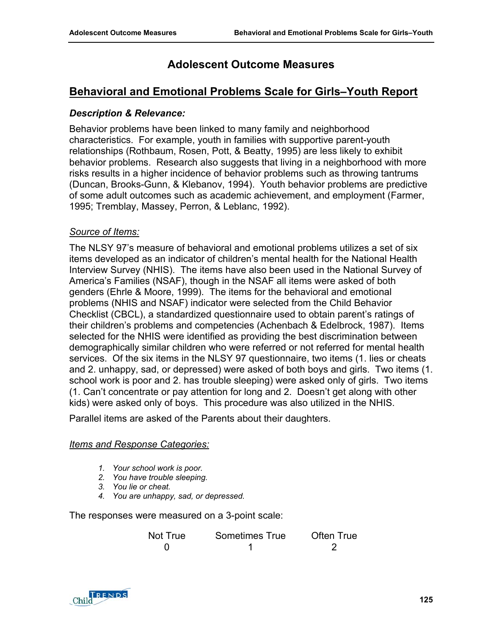# **Adolescent Outcome Measures**

## **Behavioral and Emotional Problems Scale for Girls–Youth Report**

### *Description & Relevance:*

Behavior problems have been linked to many family and neighborhood characteristics. For example, youth in families with supportive parent-youth relationships (Rothbaum, Rosen, Pott, & Beatty, 1995) are less likely to exhibit behavior problems. Research also suggests that living in a neighborhood with more risks results in a higher incidence of behavior problems such as throwing tantrums (Duncan, Brooks-Gunn, & Klebanov, 1994). Youth behavior problems are predictive of some adult outcomes such as academic achievement, and employment (Farmer, 1995; Tremblay, Massey, Perron, & Leblanc, 1992).

### *Source of Items:*

The NLSY 97's measure of behavioral and emotional problems utilizes a set of six items developed as an indicator of children's mental health for the National Health Interview Survey (NHIS). The items have also been used in the National Survey of America's Families (NSAF), though in the NSAF all items were asked of both genders (Ehrle & Moore, 1999). The items for the behavioral and emotional problems (NHIS and NSAF) indicator were selected from the Child Behavior Checklist (CBCL), a standardized questionnaire used to obtain parent's ratings of their children's problems and competencies (Achenbach & Edelbrock, 1987). Items selected for the NHIS were identified as providing the best discrimination between demographically similar children who were referred or not referred for mental health services. Of the six items in the NLSY 97 questionnaire, two items (1. lies or cheats and 2. unhappy, sad, or depressed) were asked of both boys and girls. Two items (1. school work is poor and 2. has trouble sleeping) were asked only of girls. Two items (1. Can't concentrate or pay attention for long and 2. Doesn't get along with other kids) were asked only of boys. This procedure was also utilized in the NHIS.

Parallel items are asked of the Parents about their daughters.

#### *Items and Response Categories:*

- *1. Your school work is poor.*
- *2. You have trouble sleeping.*
- *3. You lie or cheat.*
- *4. You are unhappy, sad, or depressed.*

The responses were measured on a 3-point scale:

| Not True | Sometimes True | Often True |
|----------|----------------|------------|
|          |                |            |

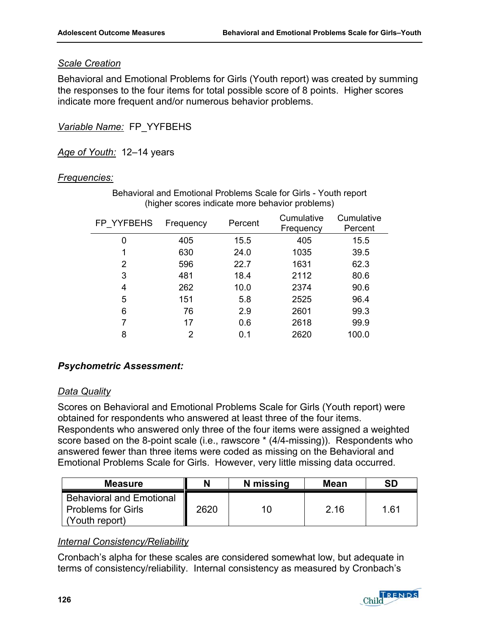### *Scale Creation*

Behavioral and Emotional Problems for Girls (Youth report) was created by summing the responses to the four items for total possible score of 8 points. Higher scores indicate more frequent and/or numerous behavior problems.

*Variable Name:* FP\_YYFBEHS

*Age of Youth:* 12–14 years

### *Frequencies:*

| FP YYFBEHS | Frequency | Percent | Cumulative<br>Frequency | Cumulative<br>Percent |
|------------|-----------|---------|-------------------------|-----------------------|
| 0          | 405       | 15.5    | 405                     | 15.5                  |
| 1          | 630       | 24.0    | 1035                    | 39.5                  |
| 2          | 596       | 22.7    | 1631                    | 62.3                  |
| 3          | 481       | 18.4    | 2112                    | 80.6                  |
| 4          | 262       | 10.0    | 2374                    | 90.6                  |
| 5          | 151       | 5.8     | 2525                    | 96.4                  |
| 6          | 76        | 2.9     | 2601                    | 99.3                  |
|            | 17        | 0.6     | 2618                    | 99.9                  |
| 8          | 2         | 0.1     | 2620                    | 100.0                 |

Behavioral and Emotional Problems Scale for Girls - Youth report (higher scores indicate more behavior problems)

## *Psychometric Assessment:*

### *Data Quality*

Scores on Behavioral and Emotional Problems Scale for Girls (Youth report) were obtained for respondents who answered at least three of the four items. Respondents who answered only three of the four items were assigned a weighted score based on the 8-point scale (i.e., rawscore \* (4/4-missing)). Respondents who answered fewer than three items were coded as missing on the Behavioral and Emotional Problems Scale for Girls. However, very little missing data occurred.

| <b>Measure</b>                                                                 | N    | N missing | <b>Mean</b> | SD   |
|--------------------------------------------------------------------------------|------|-----------|-------------|------|
| <b>Behavioral and Emotional</b><br><b>Problems for Girls</b><br>(Youth report) | 2620 | 10 I      | 2.16        | 1.61 |

## *Internal Consistency/Reliability*

Cronbach's alpha for these scales are considered somewhat low, but adequate in terms of consistency/reliability. Internal consistency as measured by Cronbach's

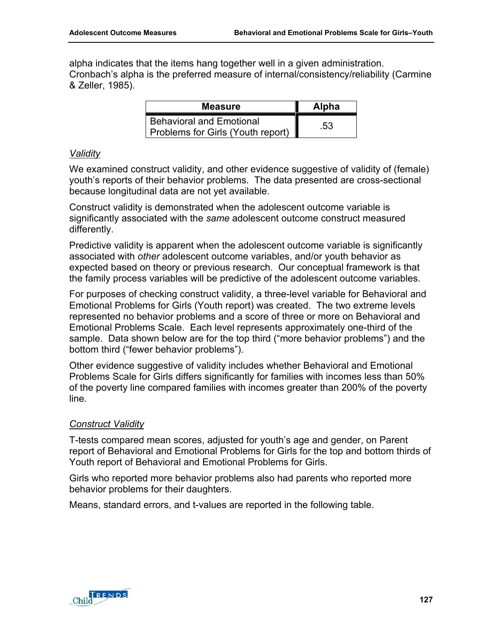alpha indicates that the items hang together well in a given administration. Cronbach's alpha is the preferred measure of internal/consistency/reliability (Carmine & Zeller, 1985).

| <b>Measure</b>                                                       | <b>Alpha</b> |
|----------------------------------------------------------------------|--------------|
| <b>Behavioral and Emotional</b><br>Problems for Girls (Youth report) | .53          |

### *Validity*

We examined construct validity, and other evidence suggestive of validity of (female) youth's reports of their behavior problems. The data presented are cross-sectional because longitudinal data are not yet available.

Construct validity is demonstrated when the adolescent outcome variable is significantly associated with the *same* adolescent outcome construct measured differently.

Predictive validity is apparent when the adolescent outcome variable is significantly associated with *other* adolescent outcome variables, and/or youth behavior as expected based on theory or previous research. Our conceptual framework is that the family process variables will be predictive of the adolescent outcome variables.

For purposes of checking construct validity, a three-level variable for Behavioral and Emotional Problems for Girls (Youth report) was created. The two extreme levels represented no behavior problems and a score of three or more on Behavioral and Emotional Problems Scale. Each level represents approximately one-third of the sample. Data shown below are for the top third ("more behavior problems") and the bottom third ("fewer behavior problems").

Other evidence suggestive of validity includes whether Behavioral and Emotional Problems Scale for Girls differs significantly for families with incomes less than 50% of the poverty line compared families with incomes greater than 200% of the poverty line.

### *Construct Validity*

T-tests compared mean scores, adjusted for youth's age and gender, on Parent report of Behavioral and Emotional Problems for Girls for the top and bottom thirds of Youth report of Behavioral and Emotional Problems for Girls.

Girls who reported more behavior problems also had parents who reported more behavior problems for their daughters.

Means, standard errors, and t-values are reported in the following table.

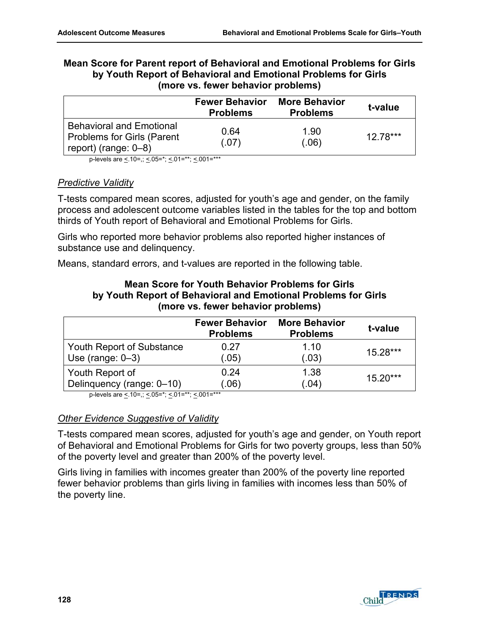| <b>Mean Score for Parent report of Behavioral and Emotional Problems for Girls</b> |
|------------------------------------------------------------------------------------|
| by Youth Report of Behavioral and Emotional Problems for Girls                     |
| (more vs. fewer behavior problems)                                                 |

|                                                                                                 | <b>Fewer Behavior</b><br><b>Problems</b> | <b>More Behavior</b><br><b>Problems</b> | t-value   |
|-------------------------------------------------------------------------------------------------|------------------------------------------|-----------------------------------------|-----------|
| <b>Behavioral and Emotional</b><br><b>Problems for Girls (Parent</b><br>report) (range: $0-8$ ) | 0.64<br>(.07)                            | 1.90<br>(.06)                           | $1278***$ |

p-levels are  $\leq 10$ =,;  $\leq 05$ =\*;  $\leq 01$ =\*\*;  $\leq 001$ =\*\*\*

### *Predictive Validity*

T-tests compared mean scores, adjusted for youth's age and gender, on the family process and adolescent outcome variables listed in the tables for the top and bottom thirds of Youth report of Behavioral and Emotional Problems for Girls.

Girls who reported more behavior problems also reported higher instances of substance use and delinquency.

Means, standard errors, and t-values are reported in the following table.

### **Mean Score for Youth Behavior Problems for Girls by Youth Report of Behavioral and Emotional Problems for Girls (more vs. fewer behavior problems)**

|                           | <b>Fewer Behavior</b><br><b>Problems</b> | <b>More Behavior</b><br><b>Problems</b> | t-value    |
|---------------------------|------------------------------------------|-----------------------------------------|------------|
| Youth Report of Substance | 0.27                                     | 1.10                                    | 15.28***   |
| Use (range: $0-3$ )       | (.05)                                    | (.03)                                   |            |
| Youth Report of           | 0.24                                     | 1.38                                    | $15.20***$ |
| Delinquency (range: 0-10) | (.06)                                    | (.04)                                   |            |

p-levels are  $\leq 10$ =,;  $\leq 05$ =\*;  $\leq 01$ =\*\*;  $\leq 001$ =\*\*\*

### *Other Evidence Suggestive of Validity*

T-tests compared mean scores, adjusted for youth's age and gender, on Youth report of Behavioral and Emotional Problems for Girls for two poverty groups, less than 50% of the poverty level and greater than 200% of the poverty level.

Girls living in families with incomes greater than 200% of the poverty line reported fewer behavior problems than girls living in families with incomes less than 50% of the poverty line.

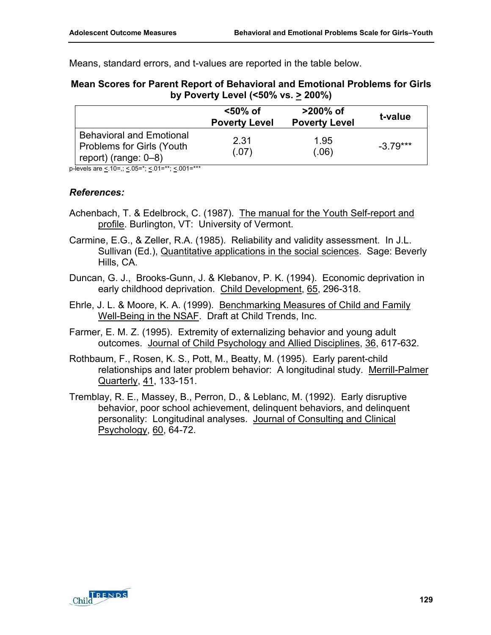Means, standard errors, and t-values are reported in the table below.

### **Mean Scores for Parent Report of Behavioral and Emotional Problems for Girls by Poverty Level (<50% vs. > 200%)**

|                                                                                      | <50% of<br><b>Poverty Level</b> | >200% of<br><b>Poverty Level</b> | t-value    |
|--------------------------------------------------------------------------------------|---------------------------------|----------------------------------|------------|
| <b>Behavioral and Emotional</b><br>Problems for Girls (Youth<br>report) (range: 0–8) | 2.31<br>(.07)                   | 1.95<br>(.06)                    | $-3.79***$ |

p-levels are  $\leq 10$ =;  $\leq 0.05$ =\*;  $\leq 0.01$ =\*\*;  $\leq 0.01$ =\*\*\*

### *References:*

- Achenbach, T. & Edelbrock, C. (1987). The manual for the Youth Self-report and profile. Burlington, VT: University of Vermont.
- Carmine, E.G., & Zeller, R.A. (1985). Reliability and validity assessment. In J.L. Sullivan (Ed.), Quantitative applications in the social sciences. Sage: Beverly Hills, CA.
- Duncan, G. J., Brooks-Gunn, J. & Klebanov, P. K. (1994). Economic deprivation in early childhood deprivation. Child Development, 65, 296-318.
- Ehrle, J. L. & Moore, K. A. (1999). Benchmarking Measures of Child and Family Well-Being in the NSAF. Draft at Child Trends, Inc.
- Farmer, E. M. Z. (1995). Extremity of externalizing behavior and young adult outcomes. Journal of Child Psychology and Allied Disciplines, 36, 617-632.
- Rothbaum, F., Rosen, K. S., Pott, M., Beatty, M. (1995). Early parent-child relationships and later problem behavior: A longitudinal study. Merrill-Palmer Quarterly, 41, 133-151.
- Tremblay, R. E., Massey, B., Perron, D., & Leblanc, M. (1992). Early disruptive behavior, poor school achievement, delinquent behaviors, and delinquent personality: Longitudinal analyses. Journal of Consulting and Clinical Psychology, 60, 64-72.

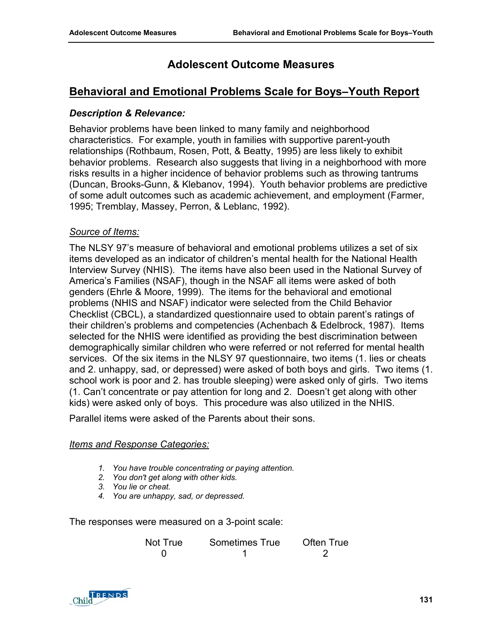# **Adolescent Outcome Measures**

## **Behavioral and Emotional Problems Scale for Boys–Youth Report**

### *Description & Relevance:*

Behavior problems have been linked to many family and neighborhood characteristics. For example, youth in families with supportive parent-youth relationships (Rothbaum, Rosen, Pott, & Beatty, 1995) are less likely to exhibit behavior problems. Research also suggests that living in a neighborhood with more risks results in a higher incidence of behavior problems such as throwing tantrums (Duncan, Brooks-Gunn, & Klebanov, 1994). Youth behavior problems are predictive of some adult outcomes such as academic achievement, and employment (Farmer, 1995; Tremblay, Massey, Perron, & Leblanc, 1992).

### *Source of Items:*

The NLSY 97's measure of behavioral and emotional problems utilizes a set of six items developed as an indicator of children's mental health for the National Health Interview Survey (NHIS). The items have also been used in the National Survey of America's Families (NSAF), though in the NSAF all items were asked of both genders (Ehrle & Moore, 1999). The items for the behavioral and emotional problems (NHIS and NSAF) indicator were selected from the Child Behavior Checklist (CBCL), a standardized questionnaire used to obtain parent's ratings of their children's problems and competencies (Achenbach & Edelbrock, 1987). Items selected for the NHIS were identified as providing the best discrimination between demographically similar children who were referred or not referred for mental health services. Of the six items in the NLSY 97 questionnaire, two items (1. lies or cheats and 2. unhappy, sad, or depressed) were asked of both boys and girls. Two items (1. school work is poor and 2. has trouble sleeping) were asked only of girls. Two items (1. Can't concentrate or pay attention for long and 2. Doesn't get along with other kids) were asked only of boys. This procedure was also utilized in the NHIS.

Parallel items were asked of the Parents about their sons.

#### *Items and Response Categories:*

- *1. You have trouble concentrating or paying attention.*
- *2. You don't get along with other kids.*
- *3. You lie or cheat.*
- *4. You are unhappy, sad, or depressed.*

The responses were measured on a 3-point scale:

| Not True | Sometimes True | Often True |
|----------|----------------|------------|
|          |                |            |

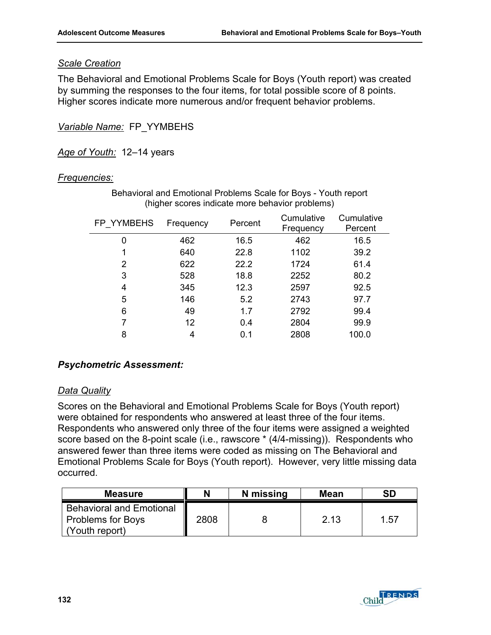### *Scale Creation*

The Behavioral and Emotional Problems Scale for Boys (Youth report) was created by summing the responses to the four items, for total possible score of 8 points. Higher scores indicate more numerous and/or frequent behavior problems.

*Variable Name:* FP\_YYMBEHS

*Age of Youth:* 12–14 years

### *Frequencies:*

| FP YYMBEHS | Frequency | Percent | Cumulative<br>Frequency | Cumulative<br>Percent |
|------------|-----------|---------|-------------------------|-----------------------|
| 0          | 462       | 16.5    | 462                     | 16.5                  |
| 1          | 640       | 22.8    | 1102                    | 39.2                  |
| 2          | 622       | 22.2    | 1724                    | 61.4                  |
| 3          | 528       | 18.8    | 2252                    | 80.2                  |
| 4          | 345       | 12.3    | 2597                    | 92.5                  |
| 5          | 146       | 5.2     | 2743                    | 97.7                  |
| 6          | 49        | 1.7     | 2792                    | 99.4                  |
| 7          | 12        | 0.4     | 2804                    | 99.9                  |
| 8          | 4         | 0.1     | 2808                    | 100.0                 |

Behavioral and Emotional Problems Scale for Boys - Youth report (higher scores indicate more behavior problems)

## *Psychometric Assessment:*

### *Data Quality*

Scores on the Behavioral and Emotional Problems Scale for Boys (Youth report) were obtained for respondents who answered at least three of the four items. Respondents who answered only three of the four items were assigned a weighted score based on the 8-point scale (i.e., rawscore \* (4/4-missing)). Respondents who answered fewer than three items were coded as missing on The Behavioral and Emotional Problems Scale for Boys (Youth report). However, very little missing data occurred.

| <b>Measure</b>                                                                | N    | N missing | <b>Mean</b> | <b>SD</b> |
|-------------------------------------------------------------------------------|------|-----------|-------------|-----------|
| <b>Behavioral and Emotional</b><br><b>Problems for Boys</b><br>(Youth report) | 2808 |           | 2.13        | 1.57      |

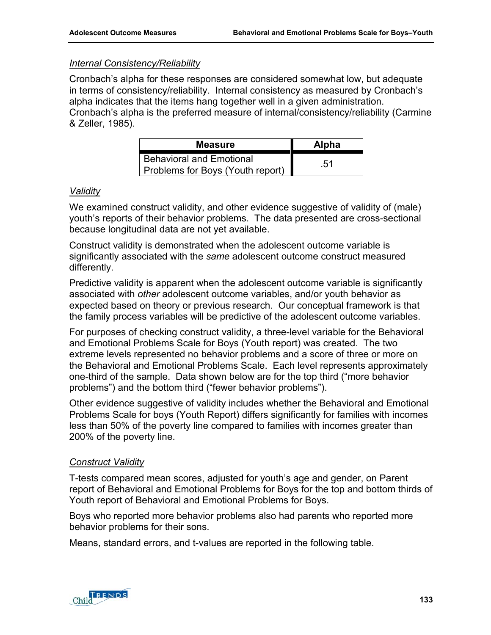### *Internal Consistency/Reliability*

Cronbach's alpha for these responses are considered somewhat low, but adequate in terms of consistency/reliability. Internal consistency as measured by Cronbach's alpha indicates that the items hang together well in a given administration. Cronbach's alpha is the preferred measure of internal/consistency/reliability (Carmine & Zeller, 1985).

| <b>Measure</b>                                                      | <b>Alpha</b> |
|---------------------------------------------------------------------|--------------|
| <b>Behavioral and Emotional</b><br>Problems for Boys (Youth report) | .51          |

### *Validity*

We examined construct validity, and other evidence suggestive of validity of (male) youth's reports of their behavior problems. The data presented are cross-sectional because longitudinal data are not yet available.

Construct validity is demonstrated when the adolescent outcome variable is significantly associated with the *same* adolescent outcome construct measured differently.

Predictive validity is apparent when the adolescent outcome variable is significantly associated with *other* adolescent outcome variables, and/or youth behavior as expected based on theory or previous research. Our conceptual framework is that the family process variables will be predictive of the adolescent outcome variables.

For purposes of checking construct validity, a three-level variable for the Behavioral and Emotional Problems Scale for Boys (Youth report) was created. The two extreme levels represented no behavior problems and a score of three or more on the Behavioral and Emotional Problems Scale. Each level represents approximately one-third of the sample. Data shown below are for the top third ("more behavior problems") and the bottom third ("fewer behavior problems").

Other evidence suggestive of validity includes whether the Behavioral and Emotional Problems Scale for boys (Youth Report) differs significantly for families with incomes less than 50% of the poverty line compared to families with incomes greater than 200% of the poverty line.

### *Construct Validity*

T-tests compared mean scores, adjusted for youth's age and gender, on Parent report of Behavioral and Emotional Problems for Boys for the top and bottom thirds of Youth report of Behavioral and Emotional Problems for Boys.

Boys who reported more behavior problems also had parents who reported more behavior problems for their sons.

Means, standard errors, and t-values are reported in the following table.

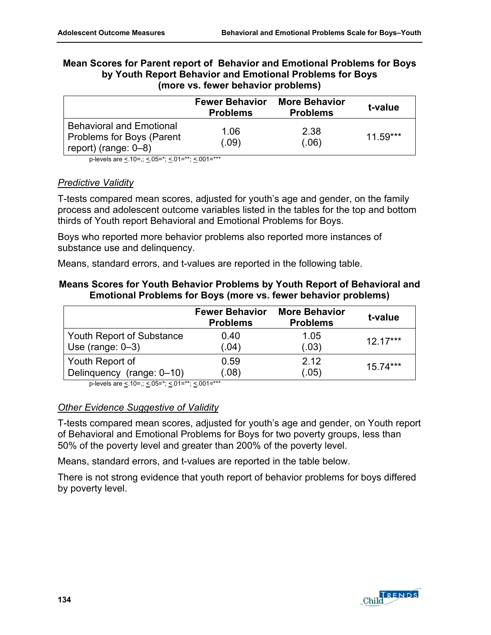| Mean Scores for Parent report of Behavior and Emotional Problems for Boys |
|---------------------------------------------------------------------------|
| by Youth Report Behavior and Emotional Problems for Boys                  |
| (more vs. fewer behavior problems)                                        |

|                                                                                         | <b>Fewer Behavior</b><br><b>Problems</b> | <b>More Behavior</b><br><b>Problems</b> | t-value    |
|-----------------------------------------------------------------------------------------|------------------------------------------|-----------------------------------------|------------|
| <b>Behavioral and Emotional</b><br>Problems for Boys (Parent<br>report) (range: $0-8$ ) | 1.06<br>(.09)                            | 2.38<br>(.06)                           | $11.59***$ |

p-levels are  $\leq 10$ =,;  $\leq 05$ =\*;  $\leq 01$ =\*\*;  $\leq 001$ =\*\*\*

#### *Predictive Validity*

T-tests compared mean scores, adjusted for youth's age and gender, on the family process and adolescent outcome variables listed in the tables for the top and bottom thirds of Youth report Behavioral and Emotional Problems for Boys.

Boys who reported more behavior problems also reported more instances of substance use and delinquency.

Means, standard errors, and t-values are reported in the following table.

### **Means Scores for Youth Behavior Problems by Youth Report of Behavioral and Emotional Problems for Boys (more vs. fewer behavior problems)**

|                           | <b>Fewer Behavior</b><br><b>Problems</b> | <b>More Behavior</b><br><b>Problems</b> | t-value    |
|---------------------------|------------------------------------------|-----------------------------------------|------------|
| Youth Report of Substance | 0.40                                     | 1.05                                    | $12.17***$ |
| Use (range: $0-3$ )       | (.04)                                    | (.03)                                   |            |
| Youth Report of           | 0.59                                     | 2.12                                    | $15.74***$ |
| Delinquency (range: 0-10) | (.08)                                    | (.05)                                   |            |

p-levels are  $\leq 10$ =,;  $\leq 05$ =\*;  $\leq 01$ =\*\*;  $\leq 001$ =\*\*\*

### *Other Evidence Suggestive of Validity*

T-tests compared mean scores, adjusted for youth's age and gender, on Youth report of Behavioral and Emotional Problems for Boys for two poverty groups, less than 50% of the poverty level and greater than 200% of the poverty level.

Means, standard errors, and t-values are reported in the table below.

There is not strong evidence that youth report of behavior problems for boys differed by poverty level.

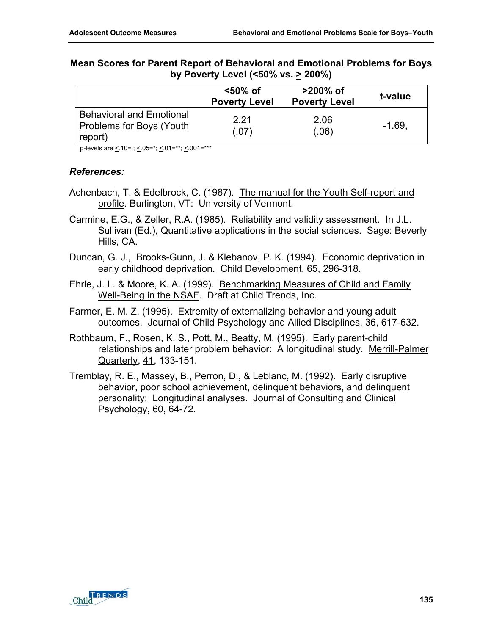|                                                                        | <50% of<br><b>Poverty Level</b> | $>200\%$ of<br><b>Poverty Level</b> | t-value  |
|------------------------------------------------------------------------|---------------------------------|-------------------------------------|----------|
| <b>Behavioral and Emotional</b><br>Problems for Boys (Youth<br>report) | 2 21<br>(.07)                   | 2.06<br>(.06)                       | $-1.69.$ |

#### **Mean Scores for Parent Report of Behavioral and Emotional Problems for Boys by Poverty Level (<50% vs. > 200%)**

p-levels are <.10=,; <.05=\*; <.01=\*\*; <.001=\*\*\*

#### *References:*

- Achenbach, T. & Edelbrock, C. (1987). The manual for the Youth Self-report and profile. Burlington, VT: University of Vermont.
- Carmine, E.G., & Zeller, R.A. (1985). Reliability and validity assessment. In J.L. Sullivan (Ed.), Quantitative applications in the social sciences. Sage: Beverly Hills, CA.
- Duncan, G. J., Brooks-Gunn, J. & Klebanov, P. K. (1994). Economic deprivation in early childhood deprivation. Child Development, 65, 296-318.
- Ehrle, J. L. & Moore, K. A. (1999). Benchmarking Measures of Child and Family Well-Being in the NSAF. Draft at Child Trends, Inc.
- Farmer, E. M. Z. (1995). Extremity of externalizing behavior and young adult outcomes. Journal of Child Psychology and Allied Disciplines, 36, 617-632.
- Rothbaum, F., Rosen, K. S., Pott, M., Beatty, M. (1995). Early parent-child relationships and later problem behavior: A longitudinal study. Merrill-Palmer Quarterly, 41, 133-151.
- Tremblay, R. E., Massey, B., Perron, D., & Leblanc, M. (1992). Early disruptive behavior, poor school achievement, delinquent behaviors, and delinquent personality: Longitudinal analyses. Journal of Consulting and Clinical Psychology, 60, 64-72.

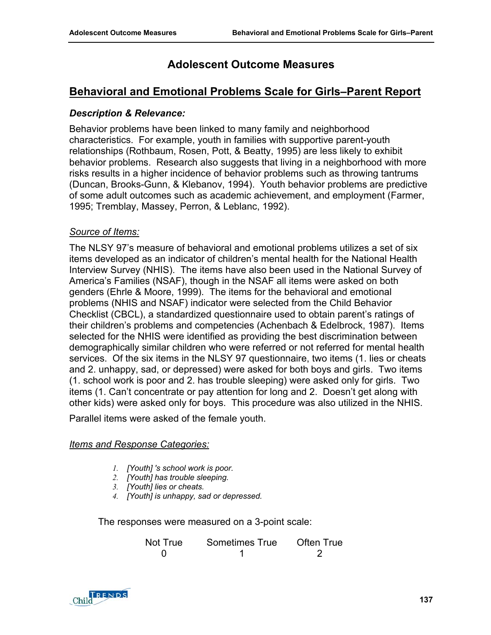# **Behavioral and Emotional Problems Scale for Girls–Parent Report**

#### *Description & Relevance:*

Behavior problems have been linked to many family and neighborhood characteristics. For example, youth in families with supportive parent-youth relationships (Rothbaum, Rosen, Pott, & Beatty, 1995) are less likely to exhibit behavior problems. Research also suggests that living in a neighborhood with more risks results in a higher incidence of behavior problems such as throwing tantrums (Duncan, Brooks-Gunn, & Klebanov, 1994). Youth behavior problems are predictive of some adult outcomes such as academic achievement, and employment (Farmer, 1995; Tremblay, Massey, Perron, & Leblanc, 1992).

## *Source of Items:*

The NLSY 97's measure of behavioral and emotional problems utilizes a set of six items developed as an indicator of children's mental health for the National Health Interview Survey (NHIS). The items have also been used in the National Survey of America's Families (NSAF), though in the NSAF all items were asked on both genders (Ehrle & Moore, 1999). The items for the behavioral and emotional problems (NHIS and NSAF) indicator were selected from the Child Behavior Checklist (CBCL), a standardized questionnaire used to obtain parent's ratings of their children's problems and competencies (Achenbach & Edelbrock, 1987). Items selected for the NHIS were identified as providing the best discrimination between demographically similar children who were referred or not referred for mental health services. Of the six items in the NLSY 97 questionnaire, two items (1. lies or cheats and 2. unhappy, sad, or depressed) were asked for both boys and girls. Two items (1. school work is poor and 2. has trouble sleeping) were asked only for girls. Two items (1. Can't concentrate or pay attention for long and 2. Doesn't get along with other kids) were asked only for boys. This procedure was also utilized in the NHIS.

Parallel items were asked of the female youth.

#### *Items and Response Categories:*

- *1. [Youth] 's school work is poor.*
- *2. [Youth] has trouble sleeping.*
- *3. [Youth] lies or cheats.*
- *4. [Youth] is unhappy, sad or depressed.*

The responses were measured on a 3-point scale:

| Not True | Sometimes True | Often True |
|----------|----------------|------------|
|          |                |            |

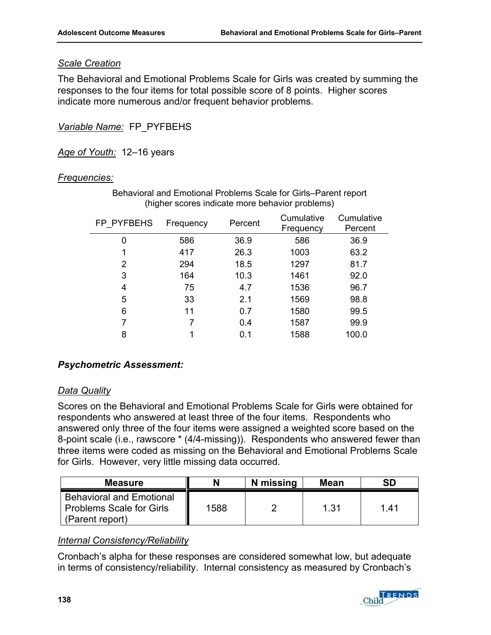# *Scale Creation*

The Behavioral and Emotional Problems Scale for Girls was created by summing the responses to the four items for total possible score of 8 points. Higher scores indicate more numerous and/or frequent behavior problems.

*Variable Name:* FP\_PYFBEHS

*Age of Youth:* 12–16 years

# *Frequencies:*

| FP PYFBEHS | Frequency | Percent | Cumulative<br>Frequency | Cumulative<br>Percent |
|------------|-----------|---------|-------------------------|-----------------------|
| 0          | 586       | 36.9    | 586                     | 36.9                  |
| 1          | 417       | 26.3    | 1003                    | 63.2                  |
| 2          | 294       | 18.5    | 1297                    | 81.7                  |
| 3          | 164       | 10.3    | 1461                    | 92.0                  |
| 4          | 75        | 4.7     | 1536                    | 96.7                  |
| 5          | 33        | 2.1     | 1569                    | 98.8                  |
| 6          | 11        | 0.7     | 1580                    | 99.5                  |
| 7          |           | 0.4     | 1587                    | 99.9                  |
| 8          |           | 0.1     | 1588                    | 100.0                 |

Behavioral and Emotional Problems Scale for Girls–Parent report (higher scores indicate more behavior problems)

# *Psychometric Assessment:*

# *Data Quality*

Scores on the Behavioral and Emotional Problems Scale for Girls were obtained for respondents who answered at least three of the four items. Respondents who answered only three of the four items were assigned a weighted score based on the 8-point scale (i.e., rawscore \* (4/4-missing)). Respondents who answered fewer than three items were coded as missing on the Behavioral and Emotional Problems Scale for Girls. However, very little missing data occurred.

| <b>Measure</b>                                                                        |      | N missing | <b>Mean</b> | <b>SD</b> |
|---------------------------------------------------------------------------------------|------|-----------|-------------|-----------|
| <b>Behavioral and Emotional</b><br><b>Problems Scale for Girls</b><br>(Parent report) | 1588 |           | 1.31        | 1.41      |

# *Internal Consistency/Reliability*

Cronbach's alpha for these responses are considered somewhat low, but adequate in terms of consistency/reliability. Internal consistency as measured by Cronbach's

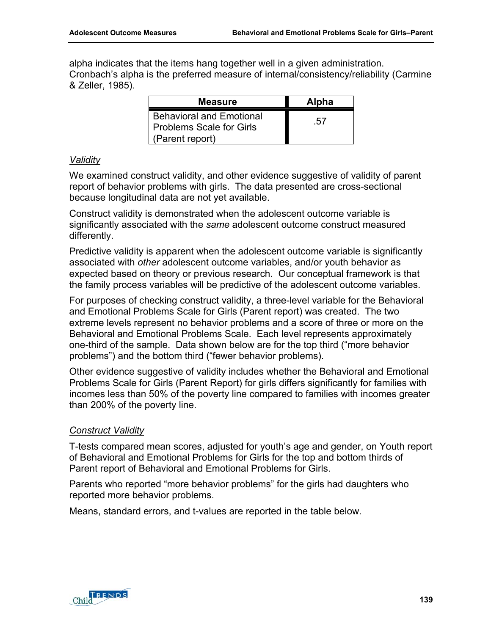alpha indicates that the items hang together well in a given administration. Cronbach's alpha is the preferred measure of internal/consistency/reliability (Carmine & Zeller, 1985).

| <b>Measure</b>                                                                        | <b>Alpha</b> |
|---------------------------------------------------------------------------------------|--------------|
| <b>Behavioral and Emotional</b><br><b>Problems Scale for Girls</b><br>(Parent report) | .57          |

## *Validity*

We examined construct validity, and other evidence suggestive of validity of parent report of behavior problems with girls. The data presented are cross-sectional because longitudinal data are not yet available.

Construct validity is demonstrated when the adolescent outcome variable is significantly associated with the *same* adolescent outcome construct measured differently.

Predictive validity is apparent when the adolescent outcome variable is significantly associated with *other* adolescent outcome variables, and/or youth behavior as expected based on theory or previous research. Our conceptual framework is that the family process variables will be predictive of the adolescent outcome variables.

For purposes of checking construct validity, a three-level variable for the Behavioral and Emotional Problems Scale for Girls (Parent report) was created. The two extreme levels represent no behavior problems and a score of three or more on the Behavioral and Emotional Problems Scale. Each level represents approximately one-third of the sample. Data shown below are for the top third ("more behavior problems") and the bottom third ("fewer behavior problems).

Other evidence suggestive of validity includes whether the Behavioral and Emotional Problems Scale for Girls (Parent Report) for girls differs significantly for families with incomes less than 50% of the poverty line compared to families with incomes greater than 200% of the poverty line.

# *Construct Validity*

T-tests compared mean scores, adjusted for youth's age and gender, on Youth report of Behavioral and Emotional Problems for Girls for the top and bottom thirds of Parent report of Behavioral and Emotional Problems for Girls.

Parents who reported "more behavior problems" for the girls had daughters who reported more behavior problems.

Means, standard errors, and t-values are reported in the table below.

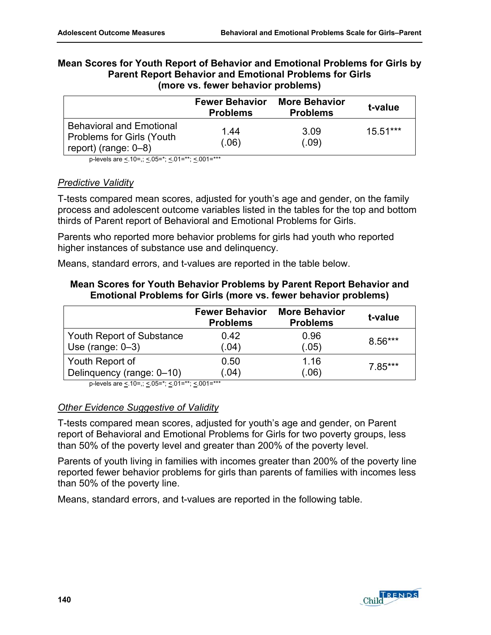| Mean Scores for Youth Report of Behavior and Emotional Problems for Girls by |
|------------------------------------------------------------------------------|
| <b>Parent Report Behavior and Emotional Problems for Girls</b>               |
| (more vs. fewer behavior problems)                                           |

|                                                                                                 | <b>Fewer Behavior</b><br><b>Problems</b> | <b>More Behavior</b><br><b>Problems</b> | t-value    |
|-------------------------------------------------------------------------------------------------|------------------------------------------|-----------------------------------------|------------|
| <b>Behavioral and Emotional</b><br><b>Problems for Girls (Youth)</b><br>report) (range: $0-8$ ) | 1.44<br>(.06)                            | 3.09<br>(.09)                           | $15.51***$ |

p-levels are <.10=,; <.05=\*; <.01=\*\*; <.001=\*\*\*

#### *Predictive Validity*

T-tests compared mean scores, adjusted for youth's age and gender, on the family process and adolescent outcome variables listed in the tables for the top and bottom thirds of Parent report of Behavioral and Emotional Problems for Girls.

Parents who reported more behavior problems for girls had youth who reported higher instances of substance use and delinquency.

Means, standard errors, and t-values are reported in the table below.

## **Mean Scores for Youth Behavior Problems by Parent Report Behavior and Emotional Problems for Girls (more vs. fewer behavior problems)**

|                           | <b>Fewer Behavior</b><br><b>Problems</b> | <b>More Behavior</b><br><b>Problems</b> | t-value   |
|---------------------------|------------------------------------------|-----------------------------------------|-----------|
| Youth Report of Substance | 0.42                                     | 0.96                                    | $8.56***$ |
| Use (range: $0-3$ )       | (.04)                                    | (.05)                                   |           |
| Youth Report of           | 0.50                                     | 1.16                                    | $7.85***$ |
| Delinquency (range: 0-10) | (.04)                                    | (.06)                                   |           |

p-levels are  $\leq 10$ =,;  $\leq 05$ =\*;  $\leq 01$ =\*\*;  $\leq 001$ =\*\*\*

#### *Other Evidence Suggestive of Validity*

T-tests compared mean scores, adjusted for youth's age and gender, on Parent report of Behavioral and Emotional Problems for Girls for two poverty groups, less than 50% of the poverty level and greater than 200% of the poverty level.

Parents of youth living in families with incomes greater than 200% of the poverty line reported fewer behavior problems for girls than parents of families with incomes less than 50% of the poverty line.

Means, standard errors, and t-values are reported in the following table.

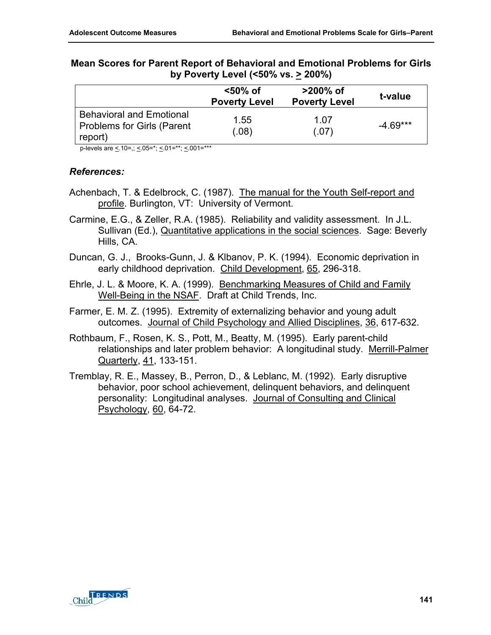|                                                                          | <50% of<br><b>Poverty Level</b> | $>200\%$ of<br><b>Poverty Level</b> | t-value    |
|--------------------------------------------------------------------------|---------------------------------|-------------------------------------|------------|
| <b>Behavioral and Emotional</b><br>Problems for Girls (Parent<br>report) | 1.55<br>(.08)                   | 1.07<br>(.07)                       | $-4.69***$ |

## **Mean Scores for Parent Report of Behavioral and Emotional Problems for Girls by Poverty Level (<50% vs. > 200%)**

p-levels are <.10=,; <.05=\*; <.01=\*\*; <.001=\*\*\*

- Achenbach, T. & Edelbrock, C. (1987). The manual for the Youth Self-report and profile. Burlington, VT: University of Vermont.
- Carmine, E.G., & Zeller, R.A. (1985). Reliability and validity assessment. In J.L. Sullivan (Ed.), Quantitative applications in the social sciences. Sage: Beverly Hills, CA.
- Duncan, G. J., Brooks-Gunn, J. & Klbanov, P. K. (1994). Economic deprivation in early childhood deprivation. Child Development, 65, 296-318.
- Ehrle, J. L. & Moore, K. A. (1999). Benchmarking Measures of Child and Family Well-Being in the NSAF. Draft at Child Trends, Inc.
- Farmer, E. M. Z. (1995). Extremity of externalizing behavior and young adult outcomes. Journal of Child Psychology and Allied Disciplines, 36, 617-632.
- Rothbaum, F., Rosen, K. S., Pott, M., Beatty, M. (1995). Early parent-child relationships and later problem behavior: A longitudinal study. Merrill-Palmer Quarterly, 41, 133-151.
- Tremblay, R. E., Massey, B., Perron, D., & Leblanc, M. (1992). Early disruptive behavior, poor school achievement, delinquent behaviors, and delinquent personality: Longitudinal analyses. Journal of Consulting and Clinical Psychology, 60, 64-72.

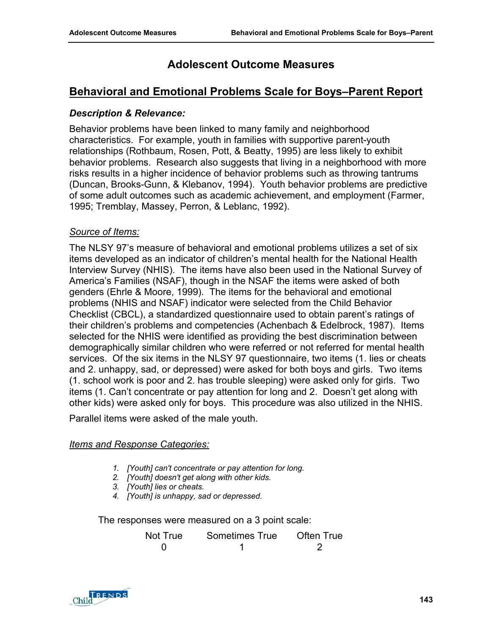# **Behavioral and Emotional Problems Scale for Boys–Parent Report**

## *Description & Relevance:*

Behavior problems have been linked to many family and neighborhood characteristics. For example, youth in families with supportive parent-youth relationships (Rothbaum, Rosen, Pott, & Beatty, 1995) are less likely to exhibit behavior problems. Research also suggests that living in a neighborhood with more risks results in a higher incidence of behavior problems such as throwing tantrums (Duncan, Brooks-Gunn, & Klebanov, 1994). Youth behavior problems are predictive of some adult outcomes such as academic achievement, and employment (Farmer, 1995; Tremblay, Massey, Perron, & Leblanc, 1992).

## *Source of Items:*

The NLSY 97's measure of behavioral and emotional problems utilizes a set of six items developed as an indicator of children's mental health for the National Health Interview Survey (NHIS). The items have also been used in the National Survey of America's Families (NSAF), though in the NSAF the items were asked of both genders (Ehrle & Moore, 1999). The items for the behavioral and emotional problems (NHIS and NSAF) indicator were selected from the Child Behavior Checklist (CBCL), a standardized questionnaire used to obtain parent's ratings of their children's problems and competencies (Achenbach & Edelbrock, 1987). Items selected for the NHIS were identified as providing the best discrimination between demographically similar children who were referred or not referred for mental health services. Of the six items in the NLSY 97 questionnaire, two items (1. lies or cheats and 2. unhappy, sad, or depressed) were asked for both boys and girls. Two items (1. school work is poor and 2. has trouble sleeping) were asked only for girls. Two items (1. Can't concentrate or pay attention for long and 2. Doesn't get along with other kids) were asked only for boys. This procedure was also utilized in the NHIS.

Parallel items were asked of the male youth.

#### *Items and Response Categories:*

- *1. [Youth] can't concentrate or pay attention for long.*
- *2. [Youth] doesn't get along with other kids.*
- *3. [Youth] lies or cheats.*
- *4. [Youth] is unhappy, sad or depressed.*

The responses were measured on a 3 point scale:

| Not True | Sometimes True | Often True |
|----------|----------------|------------|
|          |                |            |

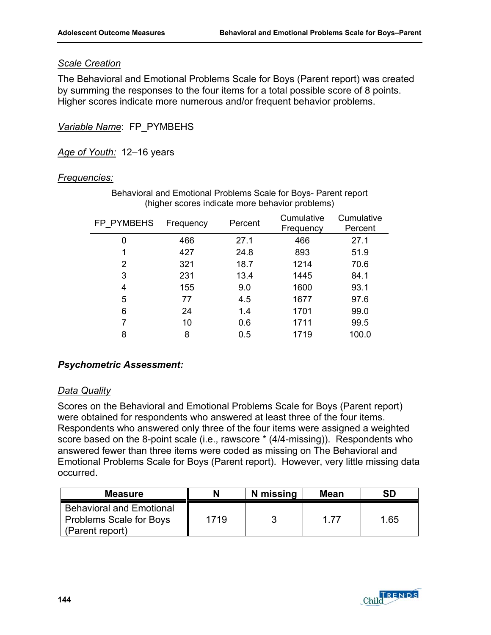# *Scale Creation*

The Behavioral and Emotional Problems Scale for Boys (Parent report) was created by summing the responses to the four items for a total possible score of 8 points. Higher scores indicate more numerous and/or frequent behavior problems.

*Variable Name*: FP\_PYMBEHS

*Age of Youth:* 12–16 years

# *Frequencies:*

| FP PYMBEHS | Frequency | Percent | Cumulative<br>Frequency | Cumulative<br>Percent |
|------------|-----------|---------|-------------------------|-----------------------|
| 0          | 466       | 27.1    | 466                     | 27.1                  |
| 1          | 427       | 24.8    | 893                     | 51.9                  |
| 2          | 321       | 18.7    | 1214                    | 70.6                  |
| 3          | 231       | 13.4    | 1445                    | 84.1                  |
| 4          | 155       | 9.0     | 1600                    | 93.1                  |
| 5          | 77        | 4.5     | 1677                    | 97.6                  |
| 6          | 24        | 1.4     | 1701                    | 99.0                  |
| 7          | 10        | 0.6     | 1711                    | 99.5                  |
| 8          | 8         | 0.5     | 1719                    | 100.0                 |

Behavioral and Emotional Problems Scale for Boys- Parent report (higher scores indicate more behavior problems)

# *Psychometric Assessment:*

#### *Data Quality*

Scores on the Behavioral and Emotional Problems Scale for Boys (Parent report) were obtained for respondents who answered at least three of the four items. Respondents who answered only three of the four items were assigned a weighted score based on the 8-point scale (i.e., rawscore \* (4/4-missing)). Respondents who answered fewer than three items were coded as missing on The Behavioral and Emotional Problems Scale for Boys (Parent report). However, very little missing data occurred.

| <b>Measure</b>                                                                |      | N missing | Mean | SD   |
|-------------------------------------------------------------------------------|------|-----------|------|------|
| <b>Behavioral and Emotional</b><br>Problems Scale for Boys<br>(Parent report) | 1719 |           | 1 77 | 1.65 |

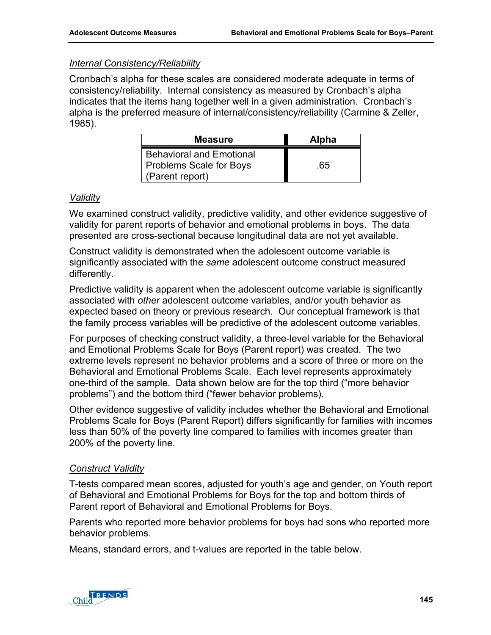# *Internal Consistency/Reliability*

Cronbach's alpha for these scales are considered moderate adequate in terms of consistency/reliability. Internal consistency as measured by Cronbach's alpha indicates that the items hang together well in a given administration. Cronbach's alpha is the preferred measure of internal/consistency/reliability (Carmine & Zeller, 1985).

| <b>Measure</b>                                                                       | <b>Alpha</b> |
|--------------------------------------------------------------------------------------|--------------|
| <b>Behavioral and Emotional</b><br><b>Problems Scale for Boys</b><br>(Parent report) | .65          |

# *Validity*

We examined construct validity, predictive validity, and other evidence suggestive of validity for parent reports of behavior and emotional problems in boys. The data presented are cross-sectional because longitudinal data are not yet available.

Construct validity is demonstrated when the adolescent outcome variable is significantly associated with the *same* adolescent outcome construct measured differently.

Predictive validity is apparent when the adolescent outcome variable is significantly associated with *other* adolescent outcome variables, and/or youth behavior as expected based on theory or previous research. Our conceptual framework is that the family process variables will be predictive of the adolescent outcome variables.

For purposes of checking construct validity, a three-level variable for the Behavioral and Emotional Problems Scale for Boys (Parent report) was created. The two extreme levels represent no behavior problems and a score of three or more on the Behavioral and Emotional Problems Scale. Each level represents approximately one-third of the sample. Data shown below are for the top third ("more behavior problems") and the bottom third ("fewer behavior problems).

Other evidence suggestive of validity includes whether the Behavioral and Emotional Problems Scale for Boys (Parent Report) differs significantly for families with incomes less than 50% of the poverty line compared to families with incomes greater than 200% of the poverty line.

# *Construct Validity*

T-tests compared mean scores, adjusted for youth's age and gender, on Youth report of Behavioral and Emotional Problems for Boys for the top and bottom thirds of Parent report of Behavioral and Emotional Problems for Boys.

Parents who reported more behavior problems for boys had sons who reported more behavior problems.

Means, standard errors, and t-values are reported in the table below.

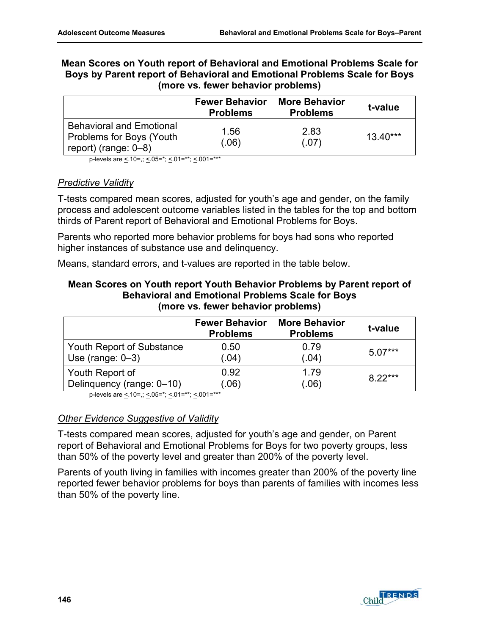| Mean Scores on Youth report of Behavioral and Emotional Problems Scale for |
|----------------------------------------------------------------------------|
| Boys by Parent report of Behavioral and Emotional Problems Scale for Boys  |
| (more vs. fewer behavior problems)                                         |

|                                                                                        | <b>Fewer Behavior</b><br><b>Problems</b> | <b>More Behavior</b><br><b>Problems</b> | t-value    |
|----------------------------------------------------------------------------------------|------------------------------------------|-----------------------------------------|------------|
| <b>Behavioral and Emotional</b><br>Problems for Boys (Youth<br>report) (range: $0-8$ ) | 1.56<br>(.06)                            | 2.83<br>(.07)                           | $13.40***$ |

p-levels are <.10=,; <.05=\*; <.01=\*\*; <.001=\*\*\*

## *Predictive Validity*

T-tests compared mean scores, adjusted for youth's age and gender, on the family process and adolescent outcome variables listed in the tables for the top and bottom thirds of Parent report of Behavioral and Emotional Problems for Boys.

Parents who reported more behavior problems for boys had sons who reported higher instances of substance use and delinquency.

Means, standard errors, and t-values are reported in the table below.

## **Mean Scores on Youth report Youth Behavior Problems by Parent report of Behavioral and Emotional Problems Scale for Boys (more vs. fewer behavior problems)**

|                           | <b>Fewer Behavior</b><br><b>Problems</b> | <b>More Behavior</b><br><b>Problems</b> | t-value   |
|---------------------------|------------------------------------------|-----------------------------------------|-----------|
| Youth Report of Substance | 0.50                                     | 0.79                                    | $5.07***$ |
| Use (range: $0-3$ )       | (.04)                                    | (.04)                                   |           |
| Youth Report of           | 0.92                                     | 1.79                                    | $8.22***$ |
| Delinquency (range: 0-10) | (.06)                                    | (.06)                                   |           |

p-levels are  $\leq 10$ =,;  $\leq 05$ =\*;  $\leq 01$ =\*\*;  $\leq 001$ =\*\*\*

# *Other Evidence Suggestive of Validity*

T-tests compared mean scores, adjusted for youth's age and gender, on Parent report of Behavioral and Emotional Problems for Boys for two poverty groups, less than 50% of the poverty level and greater than 200% of the poverty level.

Parents of youth living in families with incomes greater than 200% of the poverty line reported fewer behavior problems for boys than parents of families with incomes less than 50% of the poverty line.

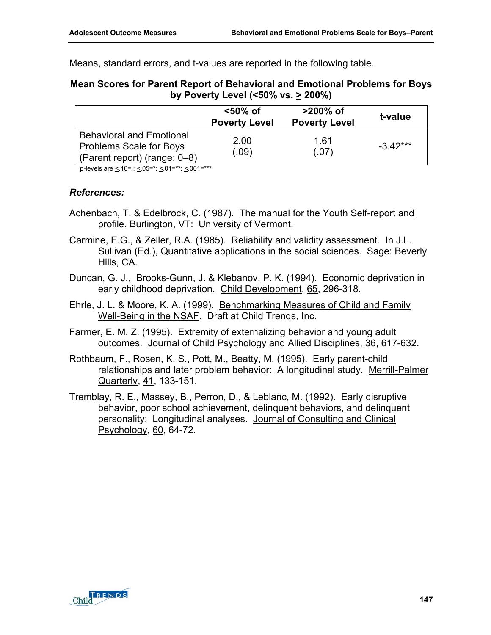Means, standard errors, and t-values are reported in the following table.

## **Mean Scores for Parent Report of Behavioral and Emotional Problems for Boys by Poverty Level (<50% vs. > 200%)**

|                                                                                                   | <50% of<br><b>Poverty Level</b> | $>200\%$ of<br><b>Poverty Level</b> | t-value    |
|---------------------------------------------------------------------------------------------------|---------------------------------|-------------------------------------|------------|
| <b>Behavioral and Emotional</b><br><b>Problems Scale for Boys</b><br>(Parent report) (range: 0–8) | 2.00<br>(.09)                   | 1.61<br>(.07)                       | $-3.42***$ |

p-levels are <.10=,; <.05=\*; <.01=\*\*; <.001=\*\*\*

- Achenbach, T. & Edelbrock, C. (1987). The manual for the Youth Self-report and profile. Burlington, VT: University of Vermont.
- Carmine, E.G., & Zeller, R.A. (1985). Reliability and validity assessment. In J.L. Sullivan (Ed.), Quantitative applications in the social sciences. Sage: Beverly Hills, CA.
- Duncan, G. J., Brooks-Gunn, J. & Klebanov, P. K. (1994). Economic deprivation in early childhood deprivation. Child Development, 65, 296-318.
- Ehrle, J. L. & Moore, K. A. (1999). Benchmarking Measures of Child and Family Well-Being in the NSAF. Draft at Child Trends, Inc.
- Farmer, E. M. Z. (1995). Extremity of externalizing behavior and young adult outcomes. Journal of Child Psychology and Allied Disciplines, 36, 617-632.
- Rothbaum, F., Rosen, K. S., Pott, M., Beatty, M. (1995). Early parent-child relationships and later problem behavior: A longitudinal study. Merrill-Palmer Quarterly, 41, 133-151.
- Tremblay, R. E., Massey, B., Perron, D., & Leblanc, M. (1992). Early disruptive behavior, poor school achievement, delinquent behaviors, and delinquent personality: Longitudinal analyses. Journal of Consulting and Clinical Psychology, 60, 64-72.

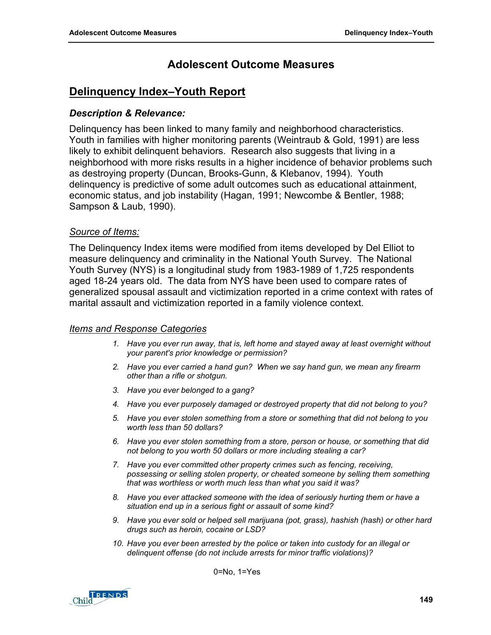# **Delinquency Index–Youth Report**

# *Description & Relevance:*

Delinquency has been linked to many family and neighborhood characteristics. Youth in families with higher monitoring parents (Weintraub & Gold, 1991) are less likely to exhibit delinquent behaviors. Research also suggests that living in a neighborhood with more risks results in a higher incidence of behavior problems such as destroying property (Duncan, Brooks-Gunn, & Klebanov, 1994). Youth delinquency is predictive of some adult outcomes such as educational attainment, economic status, and job instability (Hagan, 1991; Newcombe & Bentler, 1988; Sampson & Laub, 1990).

# *Source of Items:*

The Delinquency Index items were modified from items developed by Del Elliot to measure delinquency and criminality in the National Youth Survey. The National Youth Survey (NYS) is a longitudinal study from 1983-1989 of 1,725 respondents aged 18-24 years old. The data from NYS have been used to compare rates of generalized spousal assault and victimization reported in a crime context with rates of marital assault and victimization reported in a family violence context.

# *Items and Response Categories*

- *1. Have you ever run away, that is, left home and stayed away at least overnight without your parent's prior knowledge or permission?*
- *2. Have you ever carried a hand gun? When we say hand gun, we mean any firearm other than a rifle or shotgun.*
- *3. Have you ever belonged to a gang?*
- *4. Have you ever purposely damaged or destroyed property that did not belong to you?*
- *5. Have you ever stolen something from a store or something that did not belong to you worth less than 50 dollars?*
- *6. Have you ever stolen something from a store, person or house, or something that did not belong to you worth 50 dollars or more including stealing a car?*
- *7. Have you ever committed other property crimes such as fencing, receiving, possessing or selling stolen property, or cheated someone by selling them something that was worthless or worth much less than what you said it was?*
- *8. Have you ever attacked someone with the idea of seriously hurting them or have a situation end up in a serious fight or assault of some kind?*
- *9. Have you ever sold or helped sell marijuana (pot, grass), hashish (hash) or other hard drugs such as heroin, cocaine or LSD?*
- *10. Have you ever been arrested by the police or taken into custody for an illegal or delinquent offense (do not include arrests for minor traffic violations)?*

0=No, 1=Yes

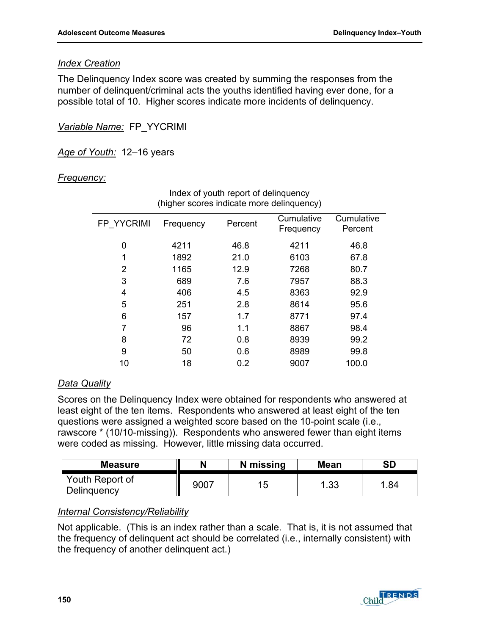# *Index Creation*

The Delinquency Index score was created by summing the responses from the number of delinquent/criminal acts the youths identified having ever done, for a possible total of 10. Higher scores indicate more incidents of delinquency.

*Variable Name:* FP\_YYCRIMI

*Age of Youth:* 12–16 years

# *Frequency:*

|            | ັ         |         |                         |                       |
|------------|-----------|---------|-------------------------|-----------------------|
| FP YYCRIMI | Frequency | Percent | Cumulative<br>Frequency | Cumulative<br>Percent |
| 0          | 4211      | 46.8    | 4211                    | 46.8                  |
| 1          | 1892      | 21.0    | 6103                    | 67.8                  |
| 2          | 1165      | 12.9    | 7268                    | 80.7                  |
| 3          | 689       | 7.6     | 7957                    | 88.3                  |
| 4          | 406       | 4.5     | 8363                    | 92.9                  |
| 5          | 251       | 2.8     | 8614                    | 95.6                  |
| 6          | 157       | 1.7     | 8771                    | 97.4                  |
| 7          | 96        | 1.1     | 8867                    | 98.4                  |
| 8          | 72        | 0.8     | 8939                    | 99.2                  |
| 9          | 50        | 0.6     | 8989                    | 99.8                  |
| 10         | 18        | 0.2     | 9007                    | 100.0                 |
|            |           |         |                         |                       |

#### Index of youth report of delinquency (higher scores indicate more delinquency)

# *Data Quality*

Scores on the Delinquency Index were obtained for respondents who answered at least eight of the ten items. Respondents who answered at least eight of the ten questions were assigned a weighted score based on the 10-point scale (i.e., rawscore \* (10/10-missing)). Respondents who answered fewer than eight items were coded as missing. However, little missing data occurred.

| <b>Measure</b>                 | N    | N missing | <b>Mean</b> | <b>SD</b> |
|--------------------------------|------|-----------|-------------|-----------|
| Youth Report of<br>Delinguency | 9007 | 15        | 1.33        | .84       |

# *Internal Consistency/Reliability*

Not applicable. (This is an index rather than a scale. That is, it is not assumed that the frequency of delinquent act should be correlated (i.e., internally consistent) with the frequency of another delinquent act.)

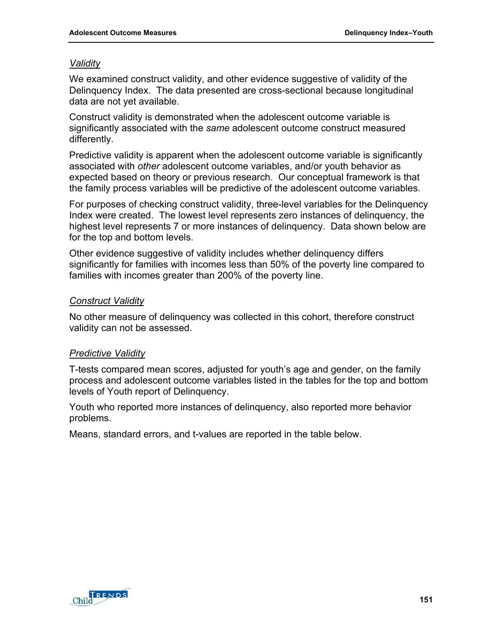# *Validity*

We examined construct validity, and other evidence suggestive of validity of the Delinquency Index. The data presented are cross-sectional because longitudinal data are not yet available.

Construct validity is demonstrated when the adolescent outcome variable is significantly associated with the *same* adolescent outcome construct measured differently.

Predictive validity is apparent when the adolescent outcome variable is significantly associated with *other* adolescent outcome variables, and/or youth behavior as expected based on theory or previous research. Our conceptual framework is that the family process variables will be predictive of the adolescent outcome variables.

For purposes of checking construct validity, three-level variables for the Delinquency Index were created. The lowest level represents zero instances of delinquency, the highest level represents 7 or more instances of delinquency. Data shown below are for the top and bottom levels.

Other evidence suggestive of validity includes whether delinquency differs significantly for families with incomes less than 50% of the poverty line compared to families with incomes greater than 200% of the poverty line.

# *Construct Validity*

No other measure of delinquency was collected in this cohort, therefore construct validity can not be assessed.

# *Predictive Validity*

T-tests compared mean scores, adjusted for youth's age and gender, on the family process and adolescent outcome variables listed in the tables for the top and bottom levels of Youth report of Delinquency.

Youth who reported more instances of delinquency, also reported more behavior problems.

Means, standard errors, and t-values are reported in the table below.

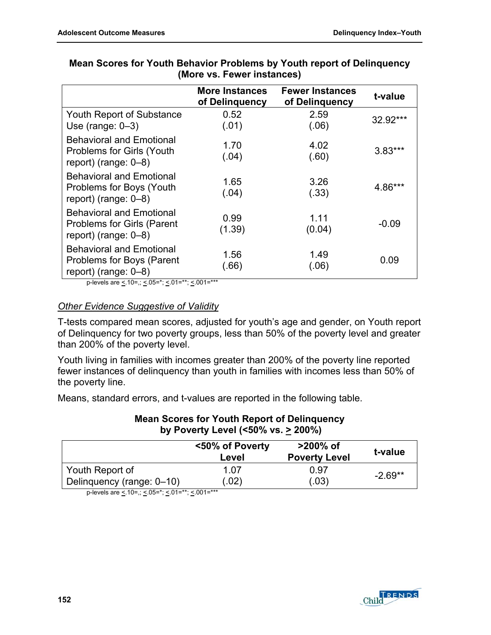|                                                                                                 | <b>More Instances</b><br>of Delinquency | <b>Fewer Instances</b><br>of Delinguency | t-value   |
|-------------------------------------------------------------------------------------------------|-----------------------------------------|------------------------------------------|-----------|
| Youth Report of Substance<br>Use (range: $0-3$ )                                                | 0.52<br>(.01)                           | 2.59<br>(.06)                            | 32.92***  |
| <b>Behavioral and Emotional</b><br>Problems for Girls (Youth<br>report) (range: $0-8$ )         | 1.70<br>(.04)                           | 4.02<br>(.60)                            | $3.83***$ |
| <b>Behavioral and Emotional</b><br>Problems for Boys (Youth)<br>report) (range: $0-8$ )         | 1.65<br>(.04)                           | 3.26<br>(.33)                            | 4.86***   |
| <b>Behavioral and Emotional</b><br><b>Problems for Girls (Parent</b><br>report) (range: $0-8$ ) | 0.99<br>(1.39)                          | 1.11<br>(0.04)                           | $-0.09$   |
| <b>Behavioral and Emotional</b><br>Problems for Boys (Parent<br>report) (range: $0-8$ )         | 1.56<br>(.66)                           | 1.49<br>(.06)                            | 0.09      |

# **Mean Scores for Youth Behavior Problems by Youth report of Delinquency (More vs. Fewer instances)**

p-levels are  $\leq 10$ =,;  $\leq 05$ =\*;  $\leq 01$ =\*\*;  $\leq 001$ =\*\*\*

# *Other Evidence Suggestive of Validity*

T-tests compared mean scores, adjusted for youth's age and gender, on Youth report of Delinquency for two poverty groups, less than 50% of the poverty level and greater than 200% of the poverty level.

Youth living in families with incomes greater than 200% of the poverty line reported fewer instances of delinquency than youth in families with incomes less than 50% of the poverty line.

Means, standard errors, and t-values are reported in the following table.

#### **Mean Scores for Youth Report of Delinquency by Poverty Level (<50% vs. > 200%)**

|                           | <50% of Poverty<br>Level | $>200\%$ of<br><b>Poverty Level</b> | t-value   |
|---------------------------|--------------------------|-------------------------------------|-----------|
| Youth Report of           | 1.07                     | 0.97                                | $-2.69**$ |
| Delinquency (range: 0-10) | (.02)                    | (.03)                               |           |

p-levels are < .10=,; < .05=\*; < .01=\*\*; < .001=\*\*\*

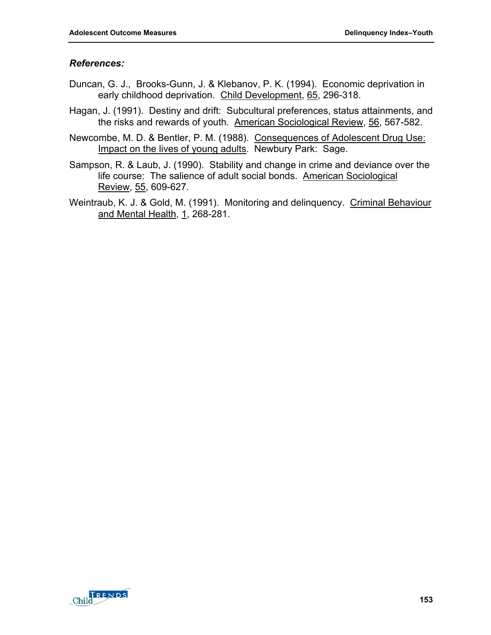- Duncan, G. J., Brooks-Gunn, J. & Klebanov, P. K. (1994). Economic deprivation in early childhood deprivation. Child Development, 65, 296-318.
- Hagan, J. (1991). Destiny and drift: Subcultural preferences, status attainments, and the risks and rewards of youth. American Sociological Review, 56, 567-582.
- Newcombe, M. D. & Bentler, P. M. (1988). Consequences of Adolescent Drug Use: Impact on the lives of young adults. Newbury Park: Sage.
- Sampson, R. & Laub, J. (1990). Stability and change in crime and deviance over the life course: The salience of adult social bonds. American Sociological Review, 55, 609-627.
- Weintraub, K. J. & Gold, M. (1991). Monitoring and delinquency. Criminal Behaviour and Mental Health, 1, 268-281.

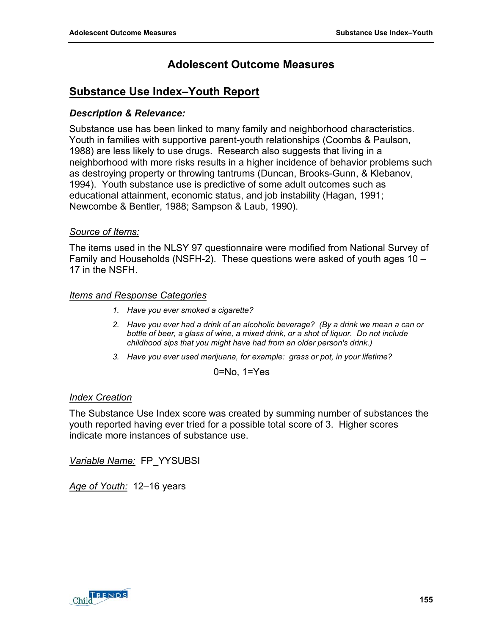# **Substance Use Index–Youth Report**

# *Description & Relevance:*

Substance use has been linked to many family and neighborhood characteristics. Youth in families with supportive parent-youth relationships (Coombs & Paulson, 1988) are less likely to use drugs. Research also suggests that living in a neighborhood with more risks results in a higher incidence of behavior problems such as destroying property or throwing tantrums (Duncan, Brooks-Gunn, & Klebanov, 1994). Youth substance use is predictive of some adult outcomes such as educational attainment, economic status, and job instability (Hagan, 1991; Newcombe & Bentler, 1988; Sampson & Laub, 1990).

# *Source of Items:*

The items used in the NLSY 97 questionnaire were modified from National Survey of Family and Households (NSFH-2). These questions were asked of youth ages 10 – 17 in the NSFH.

## *Items and Response Categories*

- *1. Have you ever smoked a cigarette?*
- *2. Have you ever had a drink of an alcoholic beverage? (By a drink we mean a can or bottle of beer, a glass of wine, a mixed drink, or a shot of liquor. Do not include childhood sips that you might have had from an older person's drink.)*
- *3. Have you ever used marijuana, for example: grass or pot, in your lifetime?*

0=No, 1=Yes

# *Index Creation*

The Substance Use Index score was created by summing number of substances the youth reported having ever tried for a possible total score of 3. Higher scores indicate more instances of substance use.

*Variable Name:* FP\_YYSUBSI

*Age of Youth:* 12–16 years

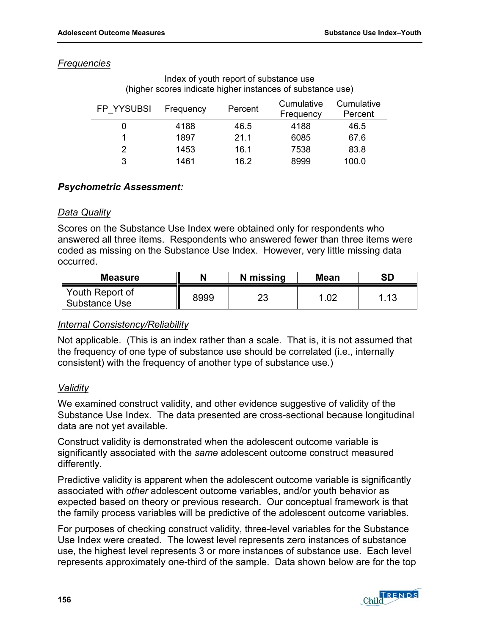## *Frequencies*

| FP YYSUBSI | Frequency | Percent | Cumulative<br>Frequency | Cumulative<br>Percent |
|------------|-----------|---------|-------------------------|-----------------------|
| 0          | 4188      | 46.5    | 4188                    | 46.5                  |
|            | 1897      | 21.1    | 6085                    | 67.6                  |
| 2          | 1453      | 16.1    | 7538                    | 83.8                  |
| 3          | 1461      | 16.2    | 8999                    | 100.0                 |

#### Index of youth report of substance use (higher scores indicate higher instances of substance use)

# *Psychometric Assessment:*

## *Data Quality*

Scores on the Substance Use Index were obtained only for respondents who answered all three items. Respondents who answered fewer than three items were coded as missing on the Substance Use Index. However, very little missing data occurred.

| <b>Measure</b>                   |      | N missing | <b>Mean</b> | <b>SD</b>    |
|----------------------------------|------|-----------|-------------|--------------|
| Youth Report of<br>Substance Use | 8999 | מר<br>ںے  | .02         | - 1 2<br>ن ا |

#### *Internal Consistency/Reliability*

Not applicable. (This is an index rather than a scale. That is, it is not assumed that the frequency of one type of substance use should be correlated (i.e., internally consistent) with the frequency of another type of substance use.)

# *Validity*

We examined construct validity, and other evidence suggestive of validity of the Substance Use Index. The data presented are cross-sectional because longitudinal data are not yet available.

Construct validity is demonstrated when the adolescent outcome variable is significantly associated with the *same* adolescent outcome construct measured differently.

Predictive validity is apparent when the adolescent outcome variable is significantly associated with *other* adolescent outcome variables, and/or youth behavior as expected based on theory or previous research. Our conceptual framework is that the family process variables will be predictive of the adolescent outcome variables.

For purposes of checking construct validity, three-level variables for the Substance Use Index were created. The lowest level represents zero instances of substance use, the highest level represents 3 or more instances of substance use. Each level represents approximately one-third of the sample. Data shown below are for the top

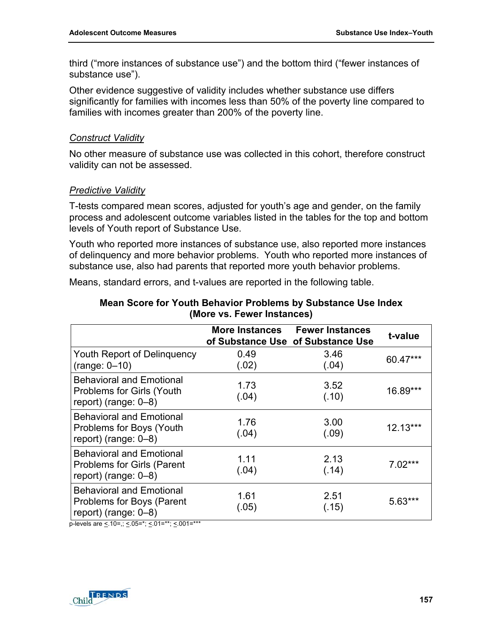third ("more instances of substance use") and the bottom third ("fewer instances of substance use").

Other evidence suggestive of validity includes whether substance use differs significantly for families with incomes less than 50% of the poverty line compared to families with incomes greater than 200% of the poverty line.

#### *Construct Validity*

No other measure of substance use was collected in this cohort, therefore construct validity can not be assessed.

# *Predictive Validity*

T-tests compared mean scores, adjusted for youth's age and gender, on the family process and adolescent outcome variables listed in the tables for the top and bottom levels of Youth report of Substance Use.

Youth who reported more instances of substance use, also reported more instances of delinquency and more behavior problems. Youth who reported more instances of substance use, also had parents that reported more youth behavior problems.

Means, standard errors, and t-values are reported in the following table.

|                                                                                                 | <b>More Instances</b> | <b>Fewer Instances</b><br>of Substance Use of Substance Use | t-value    |
|-------------------------------------------------------------------------------------------------|-----------------------|-------------------------------------------------------------|------------|
| Youth Report of Delinguency<br>$(range: 0-10)$                                                  | 0.49<br>(.02)         | 3.46<br>(.04)                                               | 60.47***   |
| <b>Behavioral and Emotional</b><br><b>Problems for Girls (Youth</b><br>report) (range: $0-8$ )  | 1.73<br>(.04)         | 3.52<br>(.10)                                               | 16.89***   |
| <b>Behavioral and Emotional</b><br><b>Problems for Boys (Youth</b><br>report) (range: $0-8$ )   | 1.76<br>(.04)         | 3.00<br>(.09)                                               | $12.13***$ |
| <b>Behavioral and Emotional</b><br><b>Problems for Girls (Parent</b><br>report) (range: $0-8$ ) | 1.11<br>(.04)         | 2.13<br>(.14)                                               | $7.02***$  |
| <b>Behavioral and Emotional</b><br>Problems for Boys (Parent<br>report) (range: $0-8$ )         | 1.61<br>(.05)         | 2.51<br>(.15)                                               | $5.63***$  |

# **Mean Score for Youth Behavior Problems by Substance Use Index (More vs. Fewer Instances)**

p-levels are  $\leq 10$ =,;  $\leq 0.05$ =\*;  $\leq 0.01$ =\*\*;  $\leq 0.01$ =\*\*\*